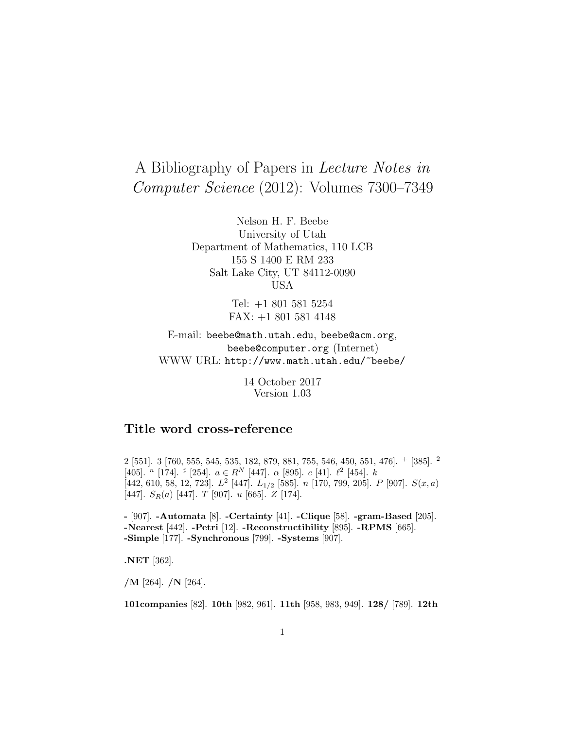# A Bibliography of Papers in Lecture Notes in Computer Science (2012): Volumes 7300–7349

Nelson H. F. Beebe University of Utah Department of Mathematics, 110 LCB 155 S 1400 E RM 233 Salt Lake City, UT 84112-0090 USA

> Tel: +1 801 581 5254 FAX: +1 801 581 4148

E-mail: beebe@math.utah.edu, beebe@acm.org, beebe@computer.org (Internet) WWW URL: http://www.math.utah.edu/~beebe/

> 14 October 2017 Version 1.03

# **Title word cross-reference**

2 [551]. 3 [760, 555, 545, 535, 182, 879, 881, 755, 546, 450, 551, 476]. <sup>+</sup> [385]. <sup>2</sup> [405]. <sup>n</sup> [174]. <sup>#</sup> [254].  $a \in R^N$  [447].  $\alpha$  [895].  $c$  [41].  $\ell^2$  [454].  $k$ [442, 610, 58, 12, 723].  $L^2$  [447].  $L_{1/2}$  [585]. n [170, 799, 205]. P [907].  $S(x, a)$ [447].  $S_R(a)$  [447]. T [907]. u [665].  $Z$  [174].

**-** [907]. **-Automata** [8]. **-Certainty** [41]. **-Clique** [58]. **-gram-Based** [205]. **-Nearest** [442]. **-Petri** [12]. **-Reconstructibility** [895]. **-RPMS** [665]. **-Simple** [177]. **-Synchronous** [799]. **-Systems** [907].

**.NET** [362].

**/M** [264]. **/N** [264].

**101companies** [82]. **10th** [982, 961]. **11th** [958, 983, 949]. **128/** [789]. **12th**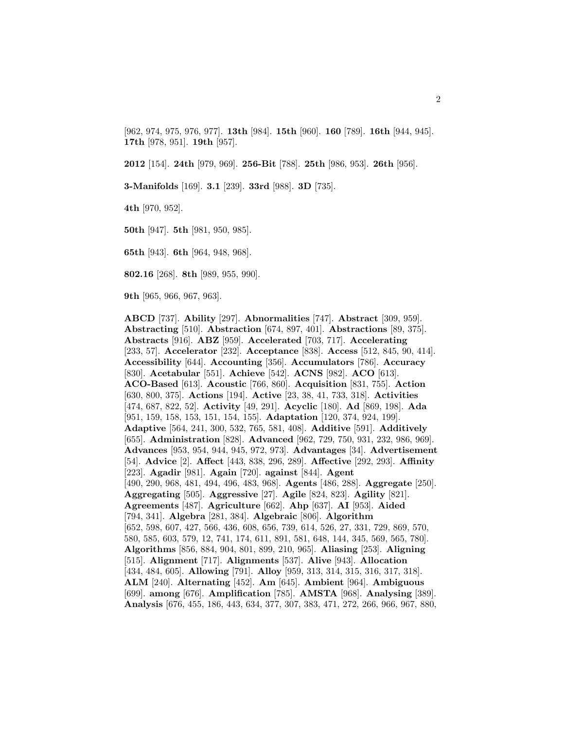[962, 974, 975, 976, 977]. **13th** [984]. **15th** [960]. **160** [789]. **16th** [944, 945]. **17th** [978, 951]. **19th** [957].

**2012** [154]. **24th** [979, 969]. **256-Bit** [788]. **25th** [986, 953]. **26th** [956].

**3-Manifolds** [169]. **3.1** [239]. **33rd** [988]. **3D** [735].

**4th** [970, 952].

**50th** [947]. **5th** [981, 950, 985].

**65th** [943]. **6th** [964, 948, 968].

**802.16** [268]. **8th** [989, 955, 990].

**9th** [965, 966, 967, 963].

**ABCD** [737]. **Ability** [297]. **Abnormalities** [747]. **Abstract** [309, 959]. **Abstracting** [510]. **Abstraction** [674, 897, 401]. **Abstractions** [89, 375]. **Abstracts** [916]. **ABZ** [959]. **Accelerated** [703, 717]. **Accelerating** [233, 57]. **Accelerator** [232]. **Acceptance** [838]. **Access** [512, 845, 90, 414]. **Accessibility** [644]. **Accounting** [356]. **Accumulators** [786]. **Accuracy** [830]. **Acetabular** [551]. **Achieve** [542]. **ACNS** [982]. **ACO** [613]. **ACO-Based** [613]. **Acoustic** [766, 860]. **Acquisition** [831, 755]. **Action** [630, 800, 375]. **Actions** [194]. **Active** [23, 38, 41, 733, 318]. **Activities** [474, 687, 822, 52]. **Activity** [49, 291]. **Acyclic** [180]. **Ad** [869, 198]. **Ada** [951, 159, 158, 153, 151, 154, 155]. **Adaptation** [120, 374, 924, 199]. **Adaptive** [564, 241, 300, 532, 765, 581, 408]. **Additive** [591]. **Additively** [655]. **Administration** [828]. **Advanced** [962, 729, 750, 931, 232, 986, 969]. **Advances** [953, 954, 944, 945, 972, 973]. **Advantages** [34]. **Advertisement** [54]. **Advice** [2]. **Affect** [443, 838, 296, 289]. **Affective** [292, 293]. **Affinity** [223]. **Agadir** [981]. **Again** [720]. **against** [844]. **Agent** [490, 290, 968, 481, 494, 496, 483, 968]. **Agents** [486, 288]. **Aggregate** [250]. **Aggregating** [505]. **Aggressive** [27]. **Agile** [824, 823]. **Agility** [821]. **Agreements** [487]. **Agriculture** [662]. **Ahp** [637]. **AI** [953]. **Aided** [794, 341]. **Algebra** [281, 384]. **Algebraic** [806]. **Algorithm** [652, 598, 607, 427, 566, 436, 608, 656, 739, 614, 526, 27, 331, 729, 869, 570, 580, 585, 603, 579, 12, 741, 174, 611, 891, 581, 648, 144, 345, 569, 565, 780]. **Algorithms** [856, 884, 904, 801, 899, 210, 965]. **Aliasing** [253]. **Aligning** [515]. **Alignment** [717]. **Alignments** [537]. **Alive** [943]. **Allocation** [434, 484, 605]. **Allowing** [791]. **Alloy** [959, 313, 314, 315, 316, 317, 318]. **ALM** [240]. **Alternating** [452]. **Am** [645]. **Ambient** [964]. **Ambiguous** [699]. **among** [676]. **Amplification** [785]. **AMSTA** [968]. **Analysing** [389]. **Analysis** [676, 455, 186, 443, 634, 377, 307, 383, 471, 272, 266, 966, 967, 880,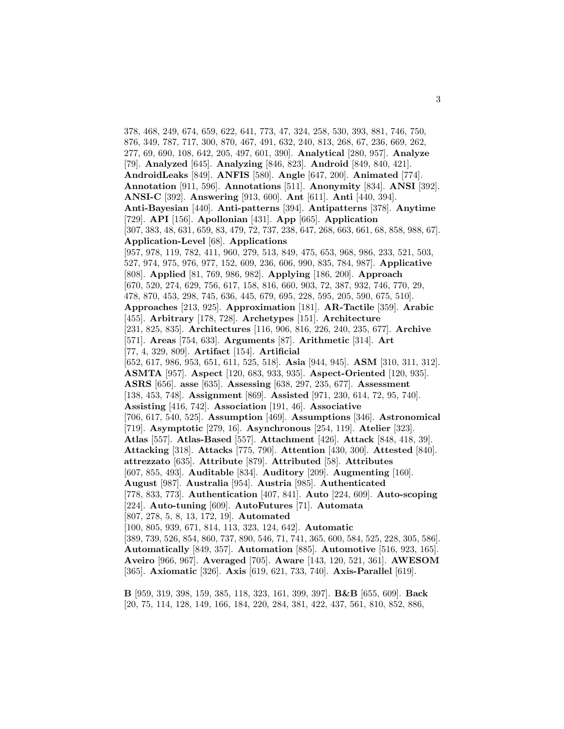378, 468, 249, 674, 659, 622, 641, 773, 47, 324, 258, 530, 393, 881, 746, 750, 876, 349, 787, 717, 300, 870, 467, 491, 632, 240, 813, 268, 67, 236, 669, 262, 277, 69, 690, 108, 642, 205, 497, 601, 390]. **Analytical** [280, 957]. **Analyze** [79]. **Analyzed** [645]. **Analyzing** [846, 823]. **Android** [849, 840, 421]. **AndroidLeaks** [849]. **ANFIS** [580]. **Angle** [647, 200]. **Animated** [774]. **Annotation** [911, 596]. **Annotations** [511]. **Anonymity** [834]. **ANSI** [392]. **ANSI-C** [392]. **Answering** [913, 600]. **Ant** [611]. **Anti** [440, 394]. **Anti-Bayesian** [440]. **Anti-patterns** [394]. **Antipatterns** [378]. **Anytime** [729]. **API** [156]. **Apollonian** [431]. **App** [665]. **Application** [307, 383, 48, 631, 659, 83, 479, 72, 737, 238, 647, 268, 663, 661, 68, 858, 988, 67]. **Application-Level** [68]. **Applications** [957, 978, 119, 782, 411, 960, 279, 513, 849, 475, 653, 968, 986, 233, 521, 503, 527, 974, 975, 976, 977, 152, 609, 236, 606, 990, 835, 784, 987]. **Applicative** [808]. **Applied** [81, 769, 986, 982]. **Applying** [186, 200]. **Approach** [670, 520, 274, 629, 756, 617, 158, 816, 660, 903, 72, 387, 932, 746, 770, 29, 478, 870, 453, 298, 745, 636, 445, 679, 695, 228, 595, 205, 590, 675, 510]. **Approaches** [213, 925]. **Approximation** [181]. **AR-Tactile** [359]. **Arabic** [455]. **Arbitrary** [178, 728]. **Archetypes** [151]. **Architecture** [231, 825, 835]. **Architectures** [116, 906, 816, 226, 240, 235, 677]. **Archive** [571]. **Areas** [754, 633]. **Arguments** [87]. **Arithmetic** [314]. **Art** [77, 4, 329, 809]. **Artifact** [154]. **Artificial** [652, 617, 986, 953, 651, 611, 525, 518]. **Asia** [944, 945]. **ASM** [310, 311, 312]. **ASMTA** [957]. **Aspect** [120, 683, 933, 935]. **Aspect-Oriented** [120, 935]. **ASRS** [656]. **asse** [635]. **Assessing** [638, 297, 235, 677]. **Assessment** [138, 453, 748]. **Assignment** [869]. **Assisted** [971, 230, 614, 72, 95, 740]. **Assisting** [416, 742]. **Association** [191, 46]. **Associative** [706, 617, 540, 525]. **Assumption** [469]. **Assumptions** [346]. **Astronomical** [719]. **Asymptotic** [279, 16]. **Asynchronous** [254, 119]. **Atelier** [323]. **Atlas** [557]. **Atlas-Based** [557]. **Attachment** [426]. **Attack** [848, 418, 39]. **Attacking** [318]. **Attacks** [775, 790]. **Attention** [430, 300]. **Attested** [840]. **attrezzato** [635]. **Attribute** [879]. **Attributed** [58]. **Attributes** [607, 855, 493]. **Auditable** [834]. **Auditory** [209]. **Augmenting** [160]. **August** [987]. **Australia** [954]. **Austria** [985]. **Authenticated** [778, 833, 773]. **Authentication** [407, 841]. **Auto** [224, 609]. **Auto-scoping** [224]. **Auto-tuning** [609]. **AutoFutures** [71]. **Automata** [807, 278, 5, 8, 13, 172, 19]. **Automated** [100, 805, 939, 671, 814, 113, 323, 124, 642]. **Automatic** [389, 739, 526, 854, 860, 737, 890, 546, 71, 741, 365, 600, 584, 525, 228, 305, 586]. **Automatically** [849, 357]. **Automation** [885]. **Automotive** [516, 923, 165]. **Aveiro** [966, 967]. **Averaged** [705]. **Aware** [143, 120, 521, 361]. **AWESOM** [365]. **Axiomatic** [326]. **Axis** [619, 621, 733, 740]. **Axis-Parallel** [619].

**B** [959, 319, 398, 159, 385, 118, 323, 161, 399, 397]. **B&B** [655, 609]. **Back** [20, 75, 114, 128, 149, 166, 184, 220, 284, 381, 422, 437, 561, 810, 852, 886,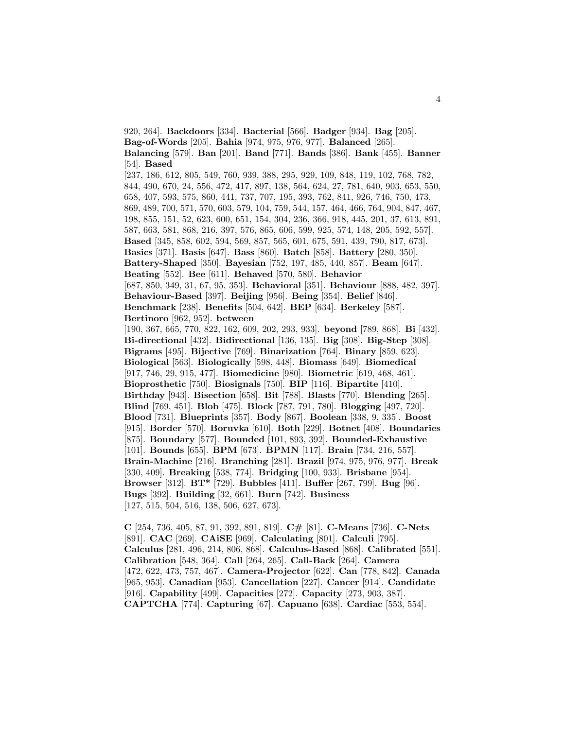920, 264]. **Backdoors** [334]. **Bacterial** [566]. **Badger** [934]. **Bag** [205]. **Bag-of-Words** [205]. **Bahia** [974, 975, 976, 977]. **Balanced** [265]. **Balancing** [579]. **Ban** [201]. **Band** [771]. **Bands** [386]. **Bank** [455]. **Banner** [54]. **Based** [237, 186, 612, 805, 549, 760, 939, 388, 295, 929, 109, 848, 119, 102, 768, 782, 844, 490, 670, 24, 556, 472, 417, 897, 138, 564, 624, 27, 781, 640, 903, 653, 550, 658, 407, 593, 575, 860, 441, 737, 707, 195, 393, 762, 841, 926, 746, 750, 473, 869, 489, 700, 571, 570, 603, 579, 104, 759, 544, 157, 464, 466, 764, 904, 847, 467, 198, 855, 151, 52, 623, 600, 651, 154, 304, 236, 366, 918, 445, 201, 37, 613, 891, 587, 663, 581, 868, 216, 397, 576, 865, 606, 599, 925, 574, 148, 205, 592, 557]. **Based** [345, 858, 602, 594, 569, 857, 565, 601, 675, 591, 439, 790, 817, 673]. **Basics** [371]. **Basis** [647]. **Bass** [860]. **Batch** [858]. **Battery** [280, 350]. **Battery-Shaped** [350]. **Bayesian** [752, 197, 485, 440, 857]. **Beam** [647]. **Beating** [552]. **Bee** [611]. **Behaved** [570, 580]. **Behavior** [687, 850, 349, 31, 67, 95, 353]. **Behavioral** [351]. **Behaviour** [888, 482, 397]. **Behaviour-Based** [397]. **Beijing** [956]. **Being** [354]. **Belief** [846]. **Benchmark** [238]. **Benefits** [504, 642]. **BEP** [634]. **Berkeley** [587]. **Bertinoro** [962, 952]. **between** [190, 367, 665, 770, 822, 162, 609, 202, 293, 933]. **beyond** [789, 868]. **Bi** [432]. **Bi-directional** [432]. **Bidirectional** [136, 135]. **Big** [308]. **Big-Step** [308]. **Bigrams** [495]. **Bijective** [769]. **Binarization** [764]. **Binary** [859, 623]. **Biological** [563]. **Biologically** [598, 448]. **Biomass** [649]. **Biomedical** [917, 746, 29, 915, 477]. **Biomedicine** [980]. **Biometric** [619, 468, 461]. **Bioprosthetic** [750]. **Biosignals** [750]. **BIP** [116]. **Bipartite** [410]. **Birthday** [943]. **Bisection** [658]. **Bit** [788]. **Blasts** [770]. **Blending** [265]. **Blind** [769, 451]. **Blob** [475]. **Block** [787, 791, 780]. **Blogging** [497, 720]. **Blood** [731]. **Blueprints** [357]. **Body** [867]. **Boolean** [338, 9, 335]. **Boost** [915]. **Border** [570]. **Boruvka** [610]. **Both** [229]. **Botnet** [408]. **Boundaries** [875]. **Boundary** [577]. **Bounded** [101, 893, 392]. **Bounded-Exhaustive** [101]. **Bounds** [655]. **BPM** [673]. **BPMN** [117]. **Brain** [734, 216, 557]. **Brain-Machine** [216]. **Branching** [281]. **Brazil** [974, 975, 976, 977]. **Break** [330, 409]. **Breaking** [538, 774]. **Bridging** [100, 933]. **Brisbane** [954]. **Browser** [312]. **BT\*** [729]. **Bubbles** [411]. **Buffer** [267, 799]. **Bug** [96]. **Bugs** [392]. **Building** [32, 661]. **Burn** [742]. **Business** [127, 515, 504, 516, 138, 506, 627, 673].

**C** [254, 736, 405, 87, 91, 392, 891, 819]. **C#** [81]. **C-Means** [736]. **C-Nets** [891]. **CAC** [269]. **CAiSE** [969]. **Calculating** [801]. **Calculi** [795]. **Calculus** [281, 496, 214, 806, 868]. **Calculus-Based** [868]. **Calibrated** [551]. **Calibration** [548, 364]. **Call** [264, 265]. **Call-Back** [264]. **Camera** [472, 622, 473, 757, 467]. **Camera-Projector** [622]. **Can** [778, 842]. **Canada** [965, 953]. **Canadian** [953]. **Cancellation** [227]. **Cancer** [914]. **Candidate** [916]. **Capability** [499]. **Capacities** [272]. **Capacity** [273, 903, 387]. **CAPTCHA** [774]. **Capturing** [67]. **Capuano** [638]. **Cardiac** [553, 554].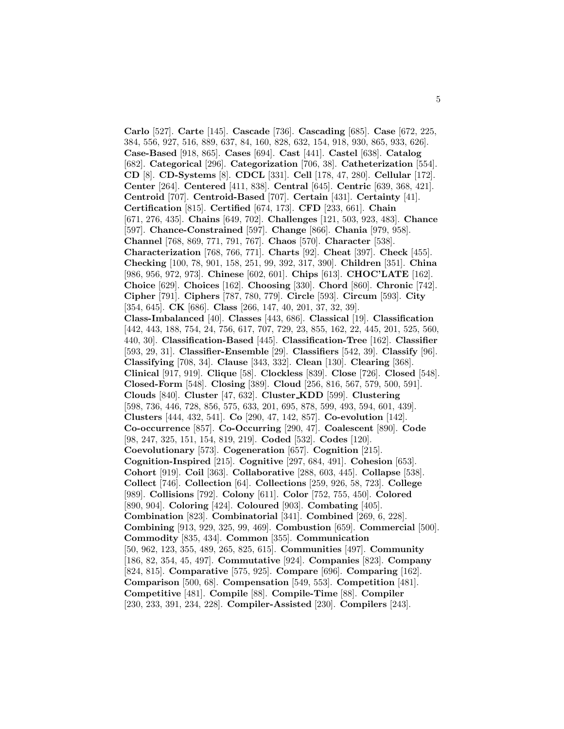**Carlo** [527]. **Carte** [145]. **Cascade** [736]. **Cascading** [685]. **Case** [672, 225, 384, 556, 927, 516, 889, 637, 84, 160, 828, 632, 154, 918, 930, 865, 933, 626]. **Case-Based** [918, 865]. **Cases** [694]. **Cast** [441]. **Castel** [638]. **Catalog** [682]. **Categorical** [296]. **Categorization** [706, 38]. **Catheterization** [554]. **CD** [8]. **CD-Systems** [8]. **CDCL** [331]. **Cell** [178, 47, 280]. **Cellular** [172]. **Center** [264]. **Centered** [411, 838]. **Central** [645]. **Centric** [639, 368, 421]. **Centroid** [707]. **Centroid-Based** [707]. **Certain** [431]. **Certainty** [41]. **Certification** [815]. **Certified** [674, 173]. **CFD** [233, 661]. **Chain** [671, 276, 435]. **Chains** [649, 702]. **Challenges** [121, 503, 923, 483]. **Chance** [597]. **Chance-Constrained** [597]. **Change** [866]. **Chania** [979, 958]. **Channel** [768, 869, 771, 791, 767]. **Chaos** [570]. **Character** [538]. **Characterization** [768, 766, 771]. **Charts** [92]. **Cheat** [397]. **Check** [455]. **Checking** [100, 78, 901, 158, 251, 99, 392, 317, 390]. **Children** [351]. **China** [986, 956, 972, 973]. **Chinese** [602, 601]. **Chips** [613]. **CHOC'LATE** [162]. **Choice** [629]. **Choices** [162]. **Choosing** [330]. **Chord** [860]. **Chronic** [742]. **Cipher** [791]. **Ciphers** [787, 780, 779]. **Circle** [593]. **Circum** [593]. **City** [354, 645]. **CK** [686]. **Class** [266, 147, 40, 201, 37, 32, 39]. **Class-Imbalanced** [40]. **Classes** [443, 686]. **Classical** [19]. **Classification** [442, 443, 188, 754, 24, 756, 617, 707, 729, 23, 855, 162, 22, 445, 201, 525, 560, 440, 30]. **Classification-Based** [445]. **Classification-Tree** [162]. **Classifier** [593, 29, 31]. **Classifier-Ensemble** [29]. **Classifiers** [542, 39]. **Classify** [96]. **Classifying** [708, 34]. **Clause** [343, 332]. **Clean** [130]. **Clearing** [368]. **Clinical** [917, 919]. **Clique** [58]. **Clockless** [839]. **Close** [726]. **Closed** [548]. **Closed-Form** [548]. **Closing** [389]. **Cloud** [256, 816, 567, 579, 500, 591]. **Clouds** [840]. **Cluster** [47, 632]. **Cluster KDD** [599]. **Clustering** [598, 736, 446, 728, 856, 575, 633, 201, 695, 878, 599, 493, 594, 601, 439]. **Clusters** [444, 432, 541]. **Co** [290, 47, 142, 857]. **Co-evolution** [142]. **Co-occurrence** [857]. **Co-Occurring** [290, 47]. **Coalescent** [890]. **Code** [98, 247, 325, 151, 154, 819, 219]. **Coded** [532]. **Codes** [120]. **Coevolutionary** [573]. **Cogeneration** [657]. **Cognition** [215]. **Cognition-Inspired** [215]. **Cognitive** [297, 684, 491]. **Cohesion** [653]. **Cohort** [919]. **Coil** [363]. **Collaborative** [288, 603, 445]. **Collapse** [538]. **Collect** [746]. **Collection** [64]. **Collections** [259, 926, 58, 723]. **College** [989]. **Collisions** [792]. **Colony** [611]. **Color** [752, 755, 450]. **Colored** [890, 904]. **Coloring** [424]. **Coloured** [903]. **Combating** [405]. **Combination** [823]. **Combinatorial** [341]. **Combined** [269, 6, 228]. **Combining** [913, 929, 325, 99, 469]. **Combustion** [659]. **Commercial** [500]. **Commodity** [835, 434]. **Common** [355]. **Communication** [50, 962, 123, 355, 489, 265, 825, 615]. **Communities** [497]. **Community** [186, 82, 354, 45, 497]. **Commutative** [924]. **Companies** [823]. **Company** [824, 815]. **Comparative** [575, 925]. **Compare** [696]. **Comparing** [162]. **Comparison** [500, 68]. **Compensation** [549, 553]. **Competition** [481]. **Competitive** [481]. **Compile** [88]. **Compile-Time** [88]. **Compiler** [230, 233, 391, 234, 228]. **Compiler-Assisted** [230]. **Compilers** [243].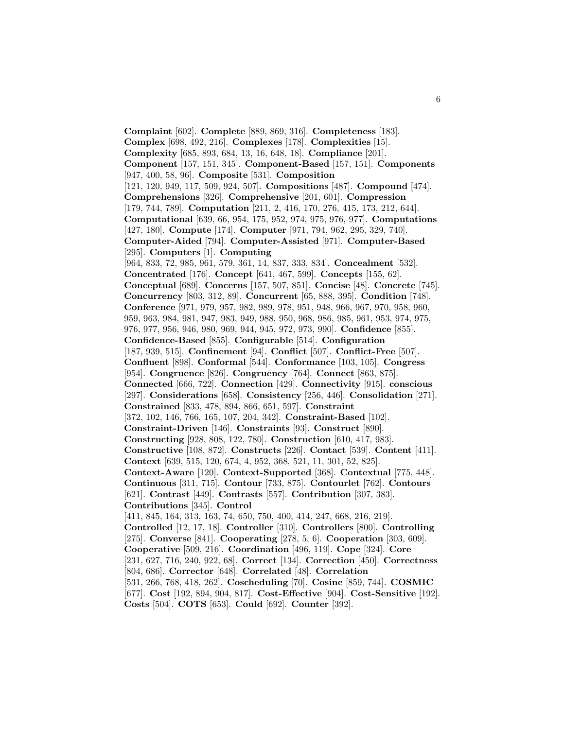**Complaint** [602]. **Complete** [889, 869, 316]. **Completeness** [183]. **Complex** [698, 492, 216]. **Complexes** [178]. **Complexities** [15]. **Complexity** [685, 893, 684, 13, 16, 648, 18]. **Compliance** [201]. **Component** [157, 151, 345]. **Component-Based** [157, 151]. **Components** [947, 400, 58, 96]. **Composite** [531]. **Composition** [121, 120, 949, 117, 509, 924, 507]. **Compositions** [487]. **Compound** [474]. **Comprehensions** [326]. **Comprehensive** [201, 601]. **Compression** [179, 744, 789]. **Computation** [211, 2, 416, 170, 276, 415, 173, 212, 644]. **Computational** [639, 66, 954, 175, 952, 974, 975, 976, 977]. **Computations** [427, 180]. **Compute** [174]. **Computer** [971, 794, 962, 295, 329, 740]. **Computer-Aided** [794]. **Computer-Assisted** [971]. **Computer-Based** [295]. **Computers** [1]. **Computing** [964, 833, 72, 985, 961, 579, 361, 14, 837, 333, 834]. **Concealment** [532]. **Concentrated** [176]. **Concept** [641, 467, 599]. **Concepts** [155, 62]. **Conceptual** [689]. **Concerns** [157, 507, 851]. **Concise** [48]. **Concrete** [745]. **Concurrency** [803, 312, 89]. **Concurrent** [65, 888, 395]. **Condition** [748]. **Conference** [971, 979, 957, 982, 989, 978, 951, 948, 966, 967, 970, 958, 960, 959, 963, 984, 981, 947, 983, 949, 988, 950, 968, 986, 985, 961, 953, 974, 975, 976, 977, 956, 946, 980, 969, 944, 945, 972, 973, 990]. **Confidence** [855]. **Confidence-Based** [855]. **Configurable** [514]. **Configuration** [187, 939, 515]. **Confinement** [94]. **Conflict** [507]. **Conflict-Free** [507]. **Confluent** [898]. **Conformal** [544]. **Conformance** [103, 105]. **Congress** [954]. **Congruence** [826]. **Congruency** [764]. **Connect** [863, 875]. **Connected** [666, 722]. **Connection** [429]. **Connectivity** [915]. **conscious** [297]. **Considerations** [658]. **Consistency** [256, 446]. **Consolidation** [271]. **Constrained** [833, 478, 894, 866, 651, 597]. **Constraint** [372, 102, 146, 766, 165, 107, 204, 342]. **Constraint-Based** [102]. **Constraint-Driven** [146]. **Constraints** [93]. **Construct** [890]. **Constructing** [928, 808, 122, 780]. **Construction** [610, 417, 983]. **Constructive** [108, 872]. **Constructs** [226]. **Contact** [539]. **Content** [411]. **Context** [639, 515, 120, 674, 4, 952, 368, 521, 11, 301, 52, 825]. **Context-Aware** [120]. **Context-Supported** [368]. **Contextual** [775, 448]. **Continuous** [311, 715]. **Contour** [733, 875]. **Contourlet** [762]. **Contours** [621]. **Contrast** [449]. **Contrasts** [557]. **Contribution** [307, 383]. **Contributions** [345]. **Control** [411, 845, 164, 313, 163, 74, 650, 750, 400, 414, 247, 668, 216, 219]. **Controlled** [12, 17, 18]. **Controller** [310]. **Controllers** [800]. **Controlling** [275]. **Converse** [841]. **Cooperating** [278, 5, 6]. **Cooperation** [303, 609]. **Cooperative** [509, 216]. **Coordination** [496, 119]. **Cope** [324]. **Core** [231, 627, 716, 240, 922, 68]. **Correct** [134]. **Correction** [450]. **Correctness** [804, 686]. **Corrector** [648]. **Correlated** [48]. **Correlation** [531, 266, 768, 418, 262]. **Coscheduling** [70]. **Cosine** [859, 744]. **COSMIC** [677]. **Cost** [192, 894, 904, 817]. **Cost-Effective** [904]. **Cost-Sensitive** [192]. **Costs** [504]. **COTS** [653]. **Could** [692]. **Counter** [392].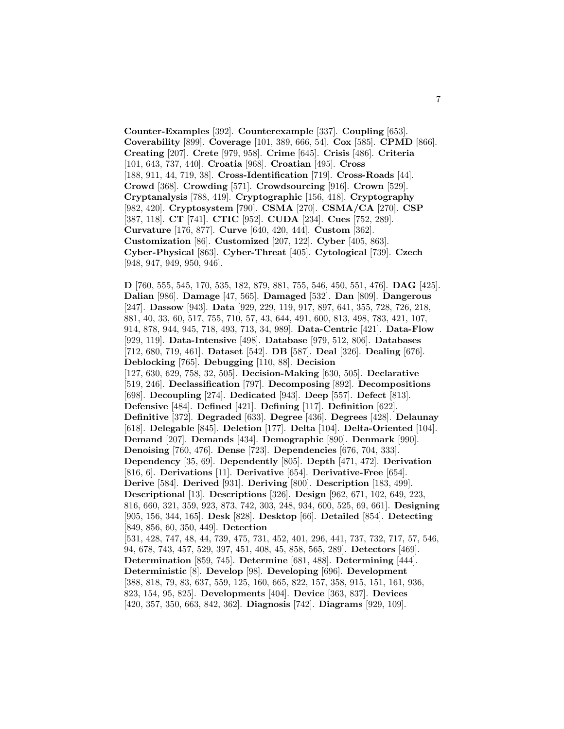**Counter-Examples** [392]. **Counterexample** [337]. **Coupling** [653]. **Coverability** [899]. **Coverage** [101, 389, 666, 54]. **Cox** [585]. **CPMD** [866]. **Creating** [207]. **Crete** [979, 958]. **Crime** [645]. **Crisis** [486]. **Criteria** [101, 643, 737, 440]. **Croatia** [968]. **Croatian** [495]. **Cross** [188, 911, 44, 719, 38]. **Cross-Identification** [719]. **Cross-Roads** [44]. **Crowd** [368]. **Crowding** [571]. **Crowdsourcing** [916]. **Crown** [529]. **Cryptanalysis** [788, 419]. **Cryptographic** [156, 418]. **Cryptography** [982, 420]. **Cryptosystem** [790]. **CSMA** [270]. **CSMA/CA** [270]. **CSP** [387, 118]. **CT** [741]. **CTIC** [952]. **CUDA** [234]. **Cues** [752, 289]. **Curvature** [176, 877]. **Curve** [640, 420, 444]. **Custom** [362]. **Customization** [86]. **Customized** [207, 122]. **Cyber** [405, 863]. **Cyber-Physical** [863]. **Cyber-Threat** [405]. **Cytological** [739]. **Czech** [948, 947, 949, 950, 946].

**D** [760, 555, 545, 170, 535, 182, 879, 881, 755, 546, 450, 551, 476]. **DAG** [425]. **Dalian** [986]. **Damage** [47, 565]. **Damaged** [532]. **Dan** [809]. **Dangerous** [247]. **Dassow** [943]. **Data** [929, 229, 119, 917, 897, 641, 355, 728, 726, 218, 881, 40, 33, 60, 517, 755, 710, 57, 43, 644, 491, 600, 813, 498, 783, 421, 107, 914, 878, 944, 945, 718, 493, 713, 34, 989]. **Data-Centric** [421]. **Data-Flow** [929, 119]. **Data-Intensive** [498]. **Database** [979, 512, 806]. **Databases** [712, 680, 719, 461]. **Dataset** [542]. **DB** [587]. **Deal** [326]. **Dealing** [676]. **Deblocking** [765]. **Debugging** [110, 88]. **Decision** [127, 630, 629, 758, 32, 505]. **Decision-Making** [630, 505]. **Declarative** [519, 246]. **Declassification** [797]. **Decomposing** [892]. **Decompositions** [698]. **Decoupling** [274]. **Dedicated** [943]. **Deep** [557]. **Defect** [813]. **Defensive** [484]. **Defined** [421]. **Defining** [117]. **Definition** [622]. **Definitive** [372]. **Degraded** [633]. **Degree** [436]. **Degrees** [428]. **Delaunay** [618]. **Delegable** [845]. **Deletion** [177]. **Delta** [104]. **Delta-Oriented** [104]. **Demand** [207]. **Demands** [434]. **Demographic** [890]. **Denmark** [990]. **Denoising** [760, 476]. **Dense** [723]. **Dependencies** [676, 704, 333]. **Dependency** [35, 69]. **Dependently** [805]. **Depth** [471, 472]. **Derivation** [816, 6]. **Derivations** [11]. **Derivative** [654]. **Derivative-Free** [654]. **Derive** [584]. **Derived** [931]. **Deriving** [800]. **Description** [183, 499]. **Descriptional** [13]. **Descriptions** [326]. **Design** [962, 671, 102, 649, 223, 816, 660, 321, 359, 923, 873, 742, 303, 248, 934, 600, 525, 69, 661]. **Designing** [905, 156, 344, 165]. **Desk** [828]. **Desktop** [66]. **Detailed** [854]. **Detecting** [849, 856, 60, 350, 449]. **Detection** [531, 428, 747, 48, 44, 739, 475, 731, 452, 401, 296, 441, 737, 732, 717, 57, 546, 94, 678, 743, 457, 529, 397, 451, 408, 45, 858, 565, 289]. **Detectors** [469]. **Determination** [859, 745]. **Determine** [681, 488]. **Determining** [444]. **Deterministic** [8]. **Develop** [98]. **Developing** [696]. **Development** [388, 818, 79, 83, 637, 559, 125, 160, 665, 822, 157, 358, 915, 151, 161, 936, 823, 154, 95, 825]. **Developments** [404]. **Device** [363, 837]. **Devices** [420, 357, 350, 663, 842, 362]. **Diagnosis** [742]. **Diagrams** [929, 109].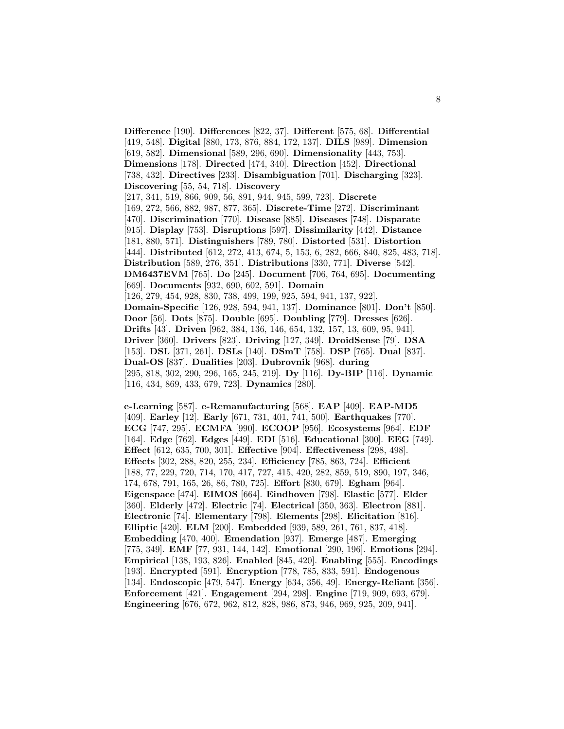**Difference** [190]. **Differences** [822, 37]. **Different** [575, 68]. **Differential** [419, 548]. **Digital** [880, 173, 876, 884, 172, 137]. **DILS** [989]. **Dimension** [619, 582]. **Dimensional** [589, 296, 690]. **Dimensionality** [443, 753]. **Dimensions** [178]. **Directed** [474, 340]. **Direction** [452]. **Directional** [738, 432]. **Directives** [233]. **Disambiguation** [701]. **Discharging** [323]. **Discovering** [55, 54, 718]. **Discovery** [217, 341, 519, 866, 909, 56, 891, 944, 945, 599, 723]. **Discrete** [169, 272, 566, 882, 987, 877, 365]. **Discrete-Time** [272]. **Discriminant** [470]. **Discrimination** [770]. **Disease** [885]. **Diseases** [748]. **Disparate** [915]. **Display** [753]. **Disruptions** [597]. **Dissimilarity** [442]. **Distance** [181, 880, 571]. **Distinguishers** [789, 780]. **Distorted** [531]. **Distortion** [444]. **Distributed** [612, 272, 413, 674, 5, 153, 6, 282, 666, 840, 825, 483, 718]. **Distribution** [589, 276, 351]. **Distributions** [330, 771]. **Diverse** [542]. **DM6437EVM** [765]. **Do** [245]. **Document** [706, 764, 695]. **Documenting** [669]. **Documents** [932, 690, 602, 591]. **Domain** [126, 279, 454, 928, 830, 738, 499, 199, 925, 594, 941, 137, 922]. **Domain-Specific** [126, 928, 594, 941, 137]. **Dominance** [801]. **Don't** [850]. **Door** [56]. **Dots** [875]. **Double** [695]. **Doubling** [779]. **Dresses** [626]. **Drifts** [43]. **Driven** [962, 384, 136, 146, 654, 132, 157, 13, 609, 95, 941]. **Driver** [360]. **Drivers** [823]. **Driving** [127, 349]. **DroidSense** [79]. **DSA** [153]. **DSL** [371, 261]. **DSLs** [140]. **DSmT** [758]. **DSP** [765]. **Dual** [837]. **Dual-OS** [837]. **Dualities** [203]. **Dubrovnik** [968]. **during** [295, 818, 302, 290, 296, 165, 245, 219]. **Dy** [116]. **Dy-BIP** [116]. **Dynamic** [116, 434, 869, 433, 679, 723]. **Dynamics** [280].

**e-Learning** [587]. **e-Remanufacturing** [568]. **EAP** [409]. **EAP-MD5** [409]. **Earley** [12]. **Early** [671, 731, 401, 741, 500]. **Earthquakes** [770]. **ECG** [747, 295]. **ECMFA** [990]. **ECOOP** [956]. **Ecosystems** [964]. **EDF** [164]. **Edge** [762]. **Edges** [449]. **EDI** [516]. **Educational** [300]. **EEG** [749]. **Effect** [612, 635, 700, 301]. **Effective** [904]. **Effectiveness** [298, 498]. **Effects** [302, 288, 820, 255, 234]. **Efficiency** [785, 863, 724]. **Efficient** [188, 77, 229, 720, 714, 170, 417, 727, 415, 420, 282, 859, 519, 890, 197, 346, 174, 678, 791, 165, 26, 86, 780, 725]. **Effort** [830, 679]. **Egham** [964]. **Eigenspace** [474]. **EIMOS** [664]. **Eindhoven** [798]. **Elastic** [577]. **Elder** [360]. **Elderly** [472]. **Electric** [74]. **Electrical** [350, 363]. **Electron** [881]. **Electronic** [74]. **Elementary** [798]. **Elements** [298]. **Elicitation** [816]. **Elliptic** [420]. **ELM** [200]. **Embedded** [939, 589, 261, 761, 837, 418]. **Embedding** [470, 400]. **Emendation** [937]. **Emerge** [487]. **Emerging** [775, 349]. **EMF** [77, 931, 144, 142]. **Emotional** [290, 196]. **Emotions** [294]. **Empirical** [138, 193, 826]. **Enabled** [845, 420]. **Enabling** [555]. **Encodings** [193]. **Encrypted** [591]. **Encryption** [778, 785, 833, 591]. **Endogenous** [134]. **Endoscopic** [479, 547]. **Energy** [634, 356, 49]. **Energy-Reliant** [356]. **Enforcement** [421]. **Engagement** [294, 298]. **Engine** [719, 909, 693, 679]. **Engineering** [676, 672, 962, 812, 828, 986, 873, 946, 969, 925, 209, 941].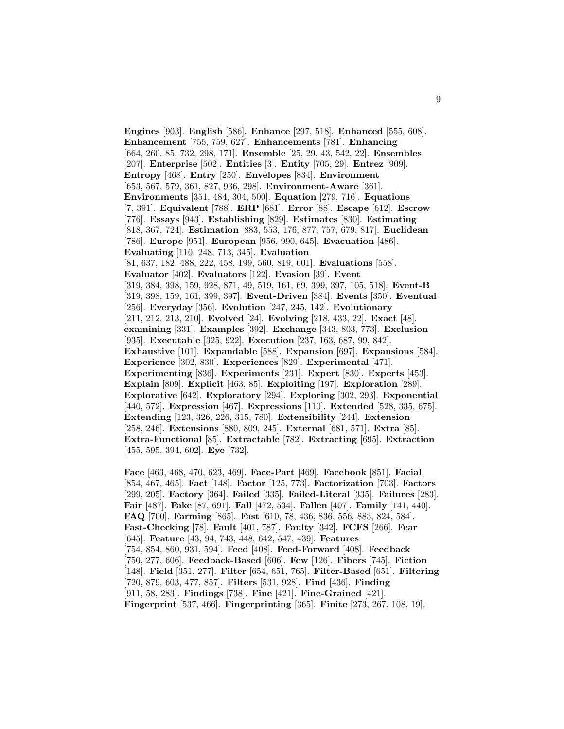**Engines** [903]. **English** [586]. **Enhance** [297, 518]. **Enhanced** [555, 608]. **Enhancement** [755, 759, 627]. **Enhancements** [781]. **Enhancing** [664, 260, 85, 732, 298, 171]. **Ensemble** [25, 29, 43, 542, 22]. **Ensembles** [207]. **Enterprise** [502]. **Entities** [3]. **Entity** [705, 29]. **Entrez** [909]. **Entropy** [468]. **Entry** [250]. **Envelopes** [834]. **Environment** [653, 567, 579, 361, 827, 936, 298]. **Environment-Aware** [361]. **Environments** [351, 484, 304, 500]. **Equation** [279, 716]. **Equations** [7, 391]. **Equivalent** [788]. **ERP** [681]. **Error** [88]. **Escape** [612]. **Escrow** [776]. **Essays** [943]. **Establishing** [829]. **Estimates** [830]. **Estimating** [818, 367, 724]. **Estimation** [883, 553, 176, 877, 757, 679, 817]. **Euclidean** [786]. **Europe** [951]. **European** [956, 990, 645]. **Evacuation** [486]. **Evaluating** [110, 248, 713, 345]. **Evaluation** [81, 637, 182, 488, 222, 458, 199, 560, 819, 601]. **Evaluations** [558]. **Evaluator** [402]. **Evaluators** [122]. **Evasion** [39]. **Event** [319, 384, 398, 159, 928, 871, 49, 519, 161, 69, 399, 397, 105, 518]. **Event-B** [319, 398, 159, 161, 399, 397]. **Event-Driven** [384]. **Events** [350]. **Eventual** [256]. **Everyday** [356]. **Evolution** [247, 245, 142]. **Evolutionary** [211, 212, 213, 210]. **Evolved** [24]. **Evolving** [218, 433, 22]. **Exact** [48]. **examining** [331]. **Examples** [392]. **Exchange** [343, 803, 773]. **Exclusion** [935]. **Executable** [325, 922]. **Execution** [237, 163, 687, 99, 842]. **Exhaustive** [101]. **Expandable** [588]. **Expansion** [697]. **Expansions** [584]. **Experience** [302, 830]. **Experiences** [829]. **Experimental** [471]. **Experimenting** [836]. **Experiments** [231]. **Expert** [830]. **Experts** [453]. **Explain** [809]. **Explicit** [463, 85]. **Exploiting** [197]. **Exploration** [289]. **Explorative** [642]. **Exploratory** [294]. **Exploring** [302, 293]. **Exponential** [440, 572]. **Expression** [467]. **Expressions** [110]. **Extended** [528, 335, 675]. **Extending** [123, 326, 226, 315, 780]. **Extensibility** [244]. **Extension** [258, 246]. **Extensions** [880, 809, 245]. **External** [681, 571]. **Extra** [85]. **Extra-Functional** [85]. **Extractable** [782]. **Extracting** [695]. **Extraction** [455, 595, 394, 602]. **Eye** [732].

**Face** [463, 468, 470, 623, 469]. **Face-Part** [469]. **Facebook** [851]. **Facial** [854, 467, 465]. **Fact** [148]. **Factor** [125, 773]. **Factorization** [703]. **Factors** [299, 205]. **Factory** [364]. **Failed** [335]. **Failed-Literal** [335]. **Failures** [283]. **Fair** [487]. **Fake** [87, 691]. **Fall** [472, 534]. **Fallen** [407]. **Family** [141, 440]. **FAQ** [700]. **Farming** [865]. **Fast** [610, 78, 436, 836, 556, 883, 824, 584]. **Fast-Checking** [78]. **Fault** [401, 787]. **Faulty** [342]. **FCFS** [266]. **Fear** [645]. **Feature** [43, 94, 743, 448, 642, 547, 439]. **Features** [754, 854, 860, 931, 594]. **Feed** [408]. **Feed-Forward** [408]. **Feedback** [750, 277, 606]. **Feedback-Based** [606]. **Few** [126]. **Fibers** [745]. **Fiction** [148]. **Field** [351, 277]. **Filter** [654, 651, 765]. **Filter-Based** [651]. **Filtering** [720, 879, 603, 477, 857]. **Filters** [531, 928]. **Find** [436]. **Finding** [911, 58, 283]. **Findings** [738]. **Fine** [421]. **Fine-Grained** [421]. **Fingerprint** [537, 466]. **Fingerprinting** [365]. **Finite** [273, 267, 108, 19].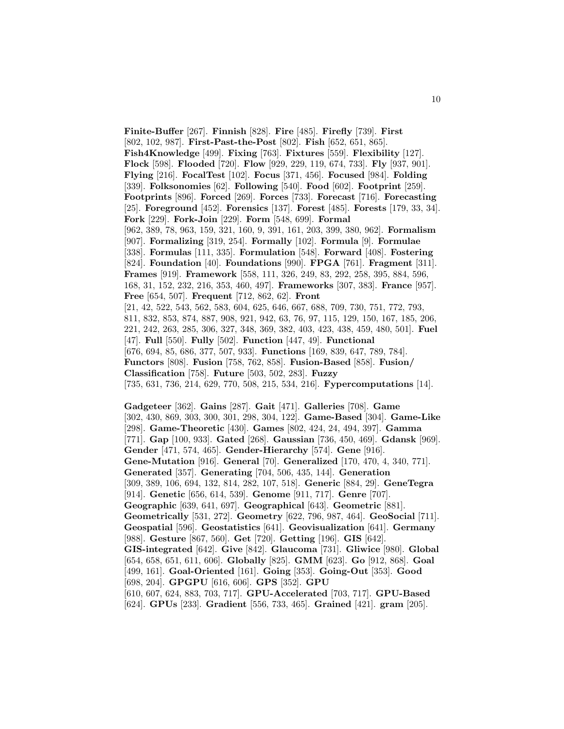**Finite-Buffer** [267]. **Finnish** [828]. **Fire** [485]. **Firefly** [739]. **First** [802, 102, 987]. **First-Past-the-Post** [802]. **Fish** [652, 651, 865]. **Fish4Knowledge** [499]. **Fixing** [763]. **Fixtures** [559]. **Flexibility** [127]. **Flock** [598]. **Flooded** [720]. **Flow** [929, 229, 119, 674, 733]. **Fly** [937, 901]. **Flying** [216]. **FocalTest** [102]. **Focus** [371, 456]. **Focused** [984]. **Folding** [339]. **Folksonomies** [62]. **Following** [540]. **Food** [602]. **Footprint** [259]. **Footprints** [896]. **Forced** [269]. **Forces** [733]. **Forecast** [716]. **Forecasting** [25]. **Foreground** [452]. **Forensics** [137]. **Forest** [485]. **Forests** [179, 33, 34]. **Fork** [229]. **Fork-Join** [229]. **Form** [548, 699]. **Formal** [962, 389, 78, 963, 159, 321, 160, 9, 391, 161, 203, 399, 380, 962]. **Formalism** [907]. **Formalizing** [319, 254]. **Formally** [102]. **Formula** [9]. **Formulae** [338]. **Formulas** [111, 335]. **Formulation** [548]. **Forward** [408]. **Fostering** [824]. **Foundation** [40]. **Foundations** [990]. **FPGA** [761]. **Fragment** [311]. **Frames** [919]. **Framework** [558, 111, 326, 249, 83, 292, 258, 395, 884, 596, 168, 31, 152, 232, 216, 353, 460, 497]. **Frameworks** [307, 383]. **France** [957]. **Free** [654, 507]. **Frequent** [712, 862, 62]. **Front** [21, 42, 522, 543, 562, 583, 604, 625, 646, 667, 688, 709, 730, 751, 772, 793, 811, 832, 853, 874, 887, 908, 921, 942, 63, 76, 97, 115, 129, 150, 167, 185, 206, 221, 242, 263, 285, 306, 327, 348, 369, 382, 403, 423, 438, 459, 480, 501]. **Fuel** [47]. **Full** [550]. **Fully** [502]. **Function** [447, 49]. **Functional** [676, 694, 85, 686, 377, 507, 933]. **Functions** [169, 839, 647, 789, 784]. **Functors** [808]. **Fusion** [758, 762, 858]. **Fusion-Based** [858]. **Fusion/ Classification** [758]. **Future** [503, 502, 283]. **Fuzzy** [735, 631, 736, 214, 629, 770, 508, 215, 534, 216]. **Fypercomputations** [14]. **Gadgeteer** [362]. **Gains** [287]. **Gait** [471]. **Galleries** [708]. **Game** [302, 430, 869, 303, 300, 301, 298, 304, 122]. **Game-Based** [304]. **Game-Like** [298]. **Game-Theoretic** [430]. **Games** [802, 424, 24, 494, 397]. **Gamma**

[771]. **Gap** [100, 933]. **Gated** [268]. **Gaussian** [736, 450, 469]. **Gdansk** [969]. **Gender** [471, 574, 465]. **Gender-Hierarchy** [574]. **Gene** [916]. **Gene-Mutation** [916]. **General** [70]. **Generalized** [170, 470, 4, 340, 771]. **Generated** [357]. **Generating** [704, 506, 435, 144]. **Generation** [309, 389, 106, 694, 132, 814, 282, 107, 518]. **Generic** [884, 29]. **GeneTegra** [914]. **Genetic** [656, 614, 539]. **Genome** [911, 717]. **Genre** [707]. **Geographic** [639, 641, 697]. **Geographical** [643]. **Geometric** [881]. **Geometrically** [531, 272]. **Geometry** [622, 796, 987, 464]. **GeoSocial** [711]. **Geospatial** [596]. **Geostatistics** [641]. **Geovisualization** [641]. **Germany** [988]. **Gesture** [867, 560]. **Get** [720]. **Getting** [196]. **GIS** [642]. **GIS-integrated** [642]. **Give** [842]. **Glaucoma** [731]. **Gliwice** [980]. **Global** [654, 658, 651, 611, 606]. **Globally** [825]. **GMM** [623]. **Go** [912, 868]. **Goal** [499, 161]. **Goal-Oriented** [161]. **Going** [353]. **Going-Out** [353]. **Good** [698, 204]. **GPGPU** [616, 606]. **GPS** [352]. **GPU** [610, 607, 624, 883, 703, 717]. **GPU-Accelerated** [703, 717]. **GPU-Based** [624]. **GPUs** [233]. **Gradient** [556, 733, 465]. **Grained** [421]. **gram** [205].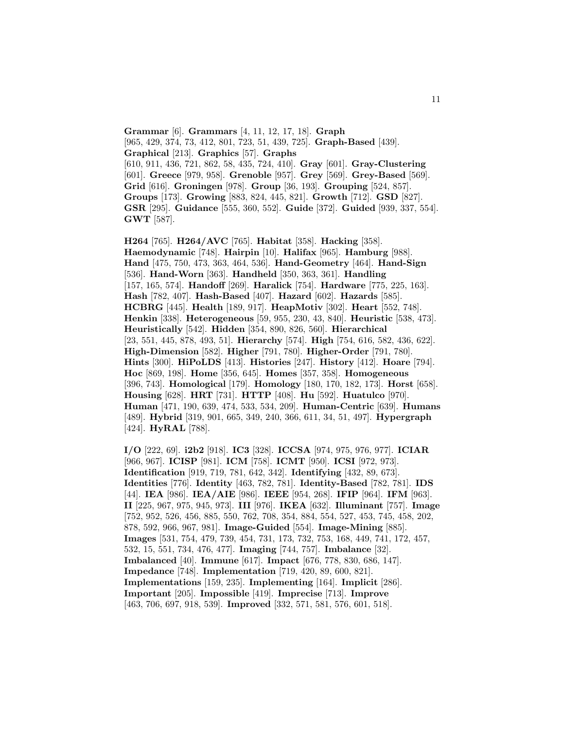**Grammar** [6]. **Grammars** [4, 11, 12, 17, 18]. **Graph** [965, 429, 374, 73, 412, 801, 723, 51, 439, 725]. **Graph-Based** [439]. **Graphical** [213]. **Graphics** [57]. **Graphs** [610, 911, 436, 721, 862, 58, 435, 724, 410]. **Gray** [601]. **Gray-Clustering** [601]. **Greece** [979, 958]. **Grenoble** [957]. **Grey** [569]. **Grey-Based** [569]. **Grid** [616]. **Groningen** [978]. **Group** [36, 193]. **Grouping** [524, 857]. **Groups** [173]. **Growing** [883, 824, 445, 821]. **Growth** [712]. **GSD** [827]. **GSR** [295]. **Guidance** [555, 360, 552]. **Guide** [372]. **Guided** [939, 337, 554]. **GWT** [587].

**H264** [765]. **H264/AVC** [765]. **Habitat** [358]. **Hacking** [358]. **Haemodynamic** [748]. **Hairpin** [10]. **Halifax** [965]. **Hamburg** [988]. **Hand** [475, 750, 473, 363, 464, 536]. **Hand-Geometry** [464]. **Hand-Sign** [536]. **Hand-Worn** [363]. **Handheld** [350, 363, 361]. **Handling** [157, 165, 574]. **Handoff** [269]. **Haralick** [754]. **Hardware** [775, 225, 163]. **Hash** [782, 407]. **Hash-Based** [407]. **Hazard** [602]. **Hazards** [585]. **HCBRG** [445]. **Health** [189, 917]. **HeapMotiv** [302]. **Heart** [552, 748]. **Henkin** [338]. **Heterogeneous** [59, 955, 230, 43, 840]. **Heuristic** [538, 473]. **Heuristically** [542]. **Hidden** [354, 890, 826, 560]. **Hierarchical** [23, 551, 445, 878, 493, 51]. **Hierarchy** [574]. **High** [754, 616, 582, 436, 622]. **High-Dimension** [582]. **Higher** [791, 780]. **Higher-Order** [791, 780]. **Hints** [300]. **HiPoLDS** [413]. **Histories** [247]. **History** [412]. **Hoare** [794]. **Hoc** [869, 198]. **Home** [356, 645]. **Homes** [357, 358]. **Homogeneous** [396, 743]. **Homological** [179]. **Homology** [180, 170, 182, 173]. **Horst** [658]. **Housing** [628]. **HRT** [731]. **HTTP** [408]. **Hu** [592]. **Huatulco** [970]. **Human** [471, 190, 639, 474, 533, 534, 209]. **Human-Centric** [639]. **Humans** [489]. **Hybrid** [319, 901, 665, 349, 240, 366, 611, 34, 51, 497]. **Hypergraph** [424]. **HyRAL** [788].

**I/O** [222, 69]. **i2b2** [918]. **IC3** [328]. **ICCSA** [974, 975, 976, 977]. **ICIAR** [966, 967]. **ICISP** [981]. **ICM** [758]. **ICMT** [950]. **ICSI** [972, 973]. **Identification** [919, 719, 781, 642, 342]. **Identifying** [432, 89, 673]. **Identities** [776]. **Identity** [463, 782, 781]. **Identity-Based** [782, 781]. **IDS** [44]. **IEA** [986]. **IEA/AIE** [986]. **IEEE** [954, 268]. **IFIP** [964]. **IFM** [963]. **II** [225, 967, 975, 945, 973]. **III** [976]. **IKEA** [632]. **Illuminant** [757]. **Image** [752, 952, 526, 456, 885, 550, 762, 708, 354, 884, 554, 527, 453, 745, 458, 202, 878, 592, 966, 967, 981]. **Image-Guided** [554]. **Image-Mining** [885]. **Images** [531, 754, 479, 739, 454, 731, 173, 732, 753, 168, 449, 741, 172, 457, 532, 15, 551, 734, 476, 477]. **Imaging** [744, 757]. **Imbalance** [32]. **Imbalanced** [40]. **Immune** [617]. **Impact** [676, 778, 830, 686, 147]. **Impedance** [748]. **Implementation** [719, 420, 89, 600, 821]. **Implementations** [159, 235]. **Implementing** [164]. **Implicit** [286]. **Important** [205]. **Impossible** [419]. **Imprecise** [713]. **Improve** [463, 706, 697, 918, 539]. **Improved** [332, 571, 581, 576, 601, 518].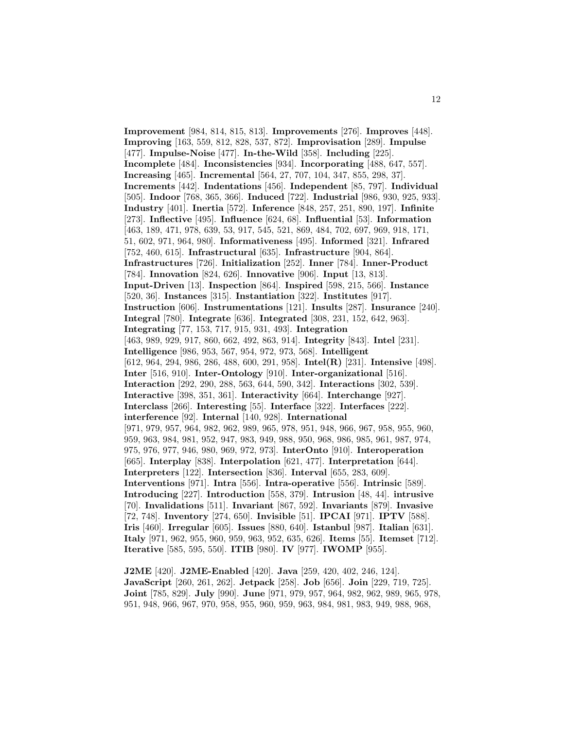**Improvement** [984, 814, 815, 813]. **Improvements** [276]. **Improves** [448]. **Improving** [163, 559, 812, 828, 537, 872]. **Improvisation** [289]. **Impulse** [477]. **Impulse-Noise** [477]. **In-the-Wild** [358]. **Including** [225]. **Incomplete** [484]. **Inconsistencies** [934]. **Incorporating** [488, 647, 557]. **Increasing** [465]. **Incremental** [564, 27, 707, 104, 347, 855, 298, 37]. **Increments** [442]. **Indentations** [456]. **Independent** [85, 797]. **Individual** [505]. **Indoor** [768, 365, 366]. **Induced** [722]. **Industrial** [986, 930, 925, 933]. **Industry** [401]. **Inertia** [572]. **Inference** [848, 257, 251, 890, 197]. **Infinite** [273]. **Inflective** [495]. **Influence** [624, 68]. **Influential** [53]. **Information** [463, 189, 471, 978, 639, 53, 917, 545, 521, 869, 484, 702, 697, 969, 918, 171, 51, 602, 971, 964, 980]. **Informativeness** [495]. **Informed** [321]. **Infrared** [752, 460, 615]. **Infrastructural** [635]. **Infrastructure** [904, 864]. **Infrastructures** [726]. **Initialization** [252]. **Inner** [784]. **Inner-Product** [784]. **Innovation** [824, 626]. **Innovative** [906]. **Input** [13, 813]. **Input-Driven** [13]. **Inspection** [864]. **Inspired** [598, 215, 566]. **Instance** [520, 36]. **Instances** [315]. **Instantiation** [322]. **Institutes** [917]. **Instruction** [606]. **Instrumentations** [121]. **Insults** [287]. **Insurance** [240]. **Integral** [780]. **Integrate** [636]. **Integrated** [308, 231, 152, 642, 963]. **Integrating** [77, 153, 717, 915, 931, 493]. **Integration** [463, 989, 929, 917, 860, 662, 492, 863, 914]. **Integrity** [843]. **Intel** [231]. **Intelligence** [986, 953, 567, 954, 972, 973, 568]. **Intelligent** [612, 964, 294, 986, 286, 488, 600, 291, 958]. **Intel(R)** [231]. **Intensive** [498]. **Inter** [516, 910]. **Inter-Ontology** [910]. **Inter-organizational** [516]. **Interaction** [292, 290, 288, 563, 644, 590, 342]. **Interactions** [302, 539]. **Interactive** [398, 351, 361]. **Interactivity** [664]. **Interchange** [927]. **Interclass** [266]. **Interesting** [55]. **Interface** [322]. **Interfaces** [222]. **interference** [92]. **Internal** [140, 928]. **International** [971, 979, 957, 964, 982, 962, 989, 965, 978, 951, 948, 966, 967, 958, 955, 960, 959, 963, 984, 981, 952, 947, 983, 949, 988, 950, 968, 986, 985, 961, 987, 974, 975, 976, 977, 946, 980, 969, 972, 973]. **InterOnto** [910]. **Interoperation** [665]. **Interplay** [838]. **Interpolation** [621, 477]. **Interpretation** [644]. **Interpreters** [122]. **Intersection** [836]. **Interval** [655, 283, 609]. **Interventions** [971]. **Intra** [556]. **Intra-operative** [556]. **Intrinsic** [589]. **Introducing** [227]. **Introduction** [558, 379]. **Intrusion** [48, 44]. **intrusive** [70]. **Invalidations** [511]. **Invariant** [867, 592]. **Invariants** [879]. **Invasive** [72, 748]. **Inventory** [274, 650]. **Invisible** [51]. **IPCAI** [971]. **IPTV** [588]. **Iris** [460]. **Irregular** [605]. **Issues** [880, 640]. **Istanbul** [987]. **Italian** [631]. **Italy** [971, 962, 955, 960, 959, 963, 952, 635, 626]. **Items** [55]. **Itemset** [712]. **Iterative** [585, 595, 550]. **ITIB** [980]. **IV** [977]. **IWOMP** [955].

**J2ME** [420]. **J2ME-Enabled** [420]. **Java** [259, 420, 402, 246, 124]. **JavaScript** [260, 261, 262]. **Jetpack** [258]. **Job** [656]. **Join** [229, 719, 725]. **Joint** [785, 829]. **July** [990]. **June** [971, 979, 957, 964, 982, 962, 989, 965, 978, 951, 948, 966, 967, 970, 958, 955, 960, 959, 963, 984, 981, 983, 949, 988, 968,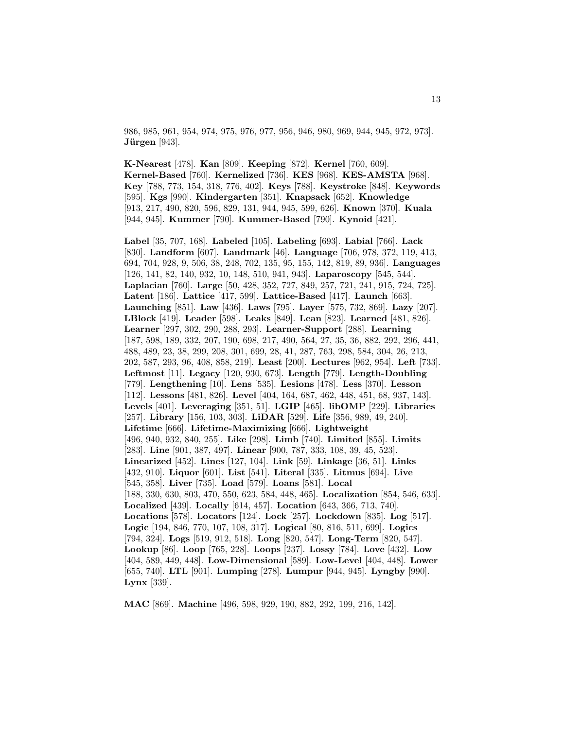986, 985, 961, 954, 974, 975, 976, 977, 956, 946, 980, 969, 944, 945, 972, 973]. **Jürgen** [943].

**K-Nearest** [478]. **Kan** [809]. **Keeping** [872]. **Kernel** [760, 609]. **Kernel-Based** [760]. **Kernelized** [736]. **KES** [968]. **KES-AMSTA** [968]. **Key** [788, 773, 154, 318, 776, 402]. **Keys** [788]. **Keystroke** [848]. **Keywords** [595]. **Kgs** [990]. **Kindergarten** [351]. **Knapsack** [652]. **Knowledge** [913, 217, 490, 820, 596, 829, 131, 944, 945, 599, 626]. **Known** [370]. **Kuala** [944, 945]. **Kummer** [790]. **Kummer-Based** [790]. **Kynoid** [421].

**Label** [35, 707, 168]. **Labeled** [105]. **Labeling** [693]. **Labial** [766]. **Lack** [830]. **Landform** [607]. **Landmark** [46]. **Language** [706, 978, 372, 119, 413, 694, 704, 928, 9, 506, 38, 248, 702, 135, 95, 155, 142, 819, 89, 936]. **Languages** [126, 141, 82, 140, 932, 10, 148, 510, 941, 943]. **Laparoscopy** [545, 544]. **Laplacian** [760]. **Large** [50, 428, 352, 727, 849, 257, 721, 241, 915, 724, 725]. **Latent** [186]. **Lattice** [417, 599]. **Lattice-Based** [417]. **Launch** [663]. **Launching** [851]. **Law** [436]. **Laws** [795]. **Layer** [575, 732, 869]. **Lazy** [207]. **LBlock** [419]. **Leader** [598]. **Leaks** [849]. **Lean** [823]. **Learned** [481, 826]. **Learner** [297, 302, 290, 288, 293]. **Learner-Support** [288]. **Learning** [187, 598, 189, 332, 207, 190, 698, 217, 490, 564, 27, 35, 36, 882, 292, 296, 441, 488, 489, 23, 38, 299, 208, 301, 699, 28, 41, 287, 763, 298, 584, 304, 26, 213, 202, 587, 293, 96, 408, 858, 219]. **Least** [200]. **Lectures** [962, 954]. **Left** [733]. **Leftmost** [11]. **Legacy** [120, 930, 673]. **Length** [779]. **Length-Doubling** [779]. **Lengthening** [10]. **Lens** [535]. **Lesions** [478]. **Less** [370]. **Lesson** [112]. **Lessons** [481, 826]. **Level** [404, 164, 687, 462, 448, 451, 68, 937, 143]. **Levels** [401]. **Leveraging** [351, 51]. **LGIP** [465]. **libOMP** [229]. **Libraries** [257]. **Library** [156, 103, 303]. **LiDAR** [529]. **Life** [356, 989, 49, 240]. **Lifetime** [666]. **Lifetime-Maximizing** [666]. **Lightweight** [496, 940, 932, 840, 255]. **Like** [298]. **Limb** [740]. **Limited** [855]. **Limits** [283]. **Line** [901, 387, 497]. **Linear** [900, 787, 333, 108, 39, 45, 523]. **Linearized** [452]. **Lines** [127, 104]. **Link** [59]. **Linkage** [36, 51]. **Links** [432, 910]. **Liquor** [601]. **List** [541]. **Literal** [335]. **Litmus** [694]. **Live** [545, 358]. **Liver** [735]. **Load** [579]. **Loans** [581]. **Local** [188, 330, 630, 803, 470, 550, 623, 584, 448, 465]. **Localization** [854, 546, 633]. **Localized** [439]. **Locally** [614, 457]. **Location** [643, 366, 713, 740]. **Locations** [578]. **Locators** [124]. **Lock** [257]. **Lockdown** [835]. **Log** [517]. **Logic** [194, 846, 770, 107, 108, 317]. **Logical** [80, 816, 511, 699]. **Logics** [794, 324]. **Logs** [519, 912, 518]. **Long** [820, 547]. **Long-Term** [820, 547]. **Lookup** [86]. **Loop** [765, 228]. **Loops** [237]. **Lossy** [784]. **Love** [432]. **Low** [404, 589, 449, 448]. **Low-Dimensional** [589]. **Low-Level** [404, 448]. **Lower** [655, 740]. **LTL** [901]. **Lumping** [278]. **Lumpur** [944, 945]. **Lyngby** [990]. **Lynx** [339].

**MAC** [869]. **Machine** [496, 598, 929, 190, 882, 292, 199, 216, 142].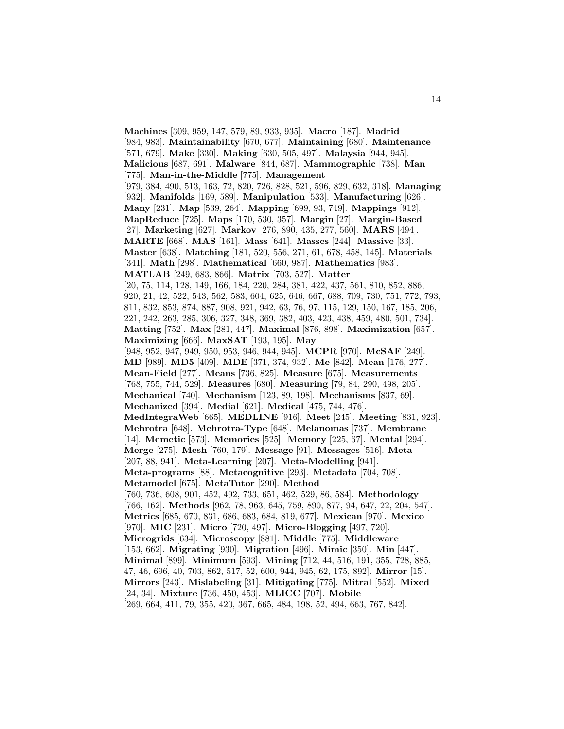**Machines** [309, 959, 147, 579, 89, 933, 935]. **Macro** [187]. **Madrid** [984, 983]. **Maintainability** [670, 677]. **Maintaining** [680]. **Maintenance** [571, 679]. **Make** [330]. **Making** [630, 505, 497]. **Malaysia** [944, 945]. **Malicious** [687, 691]. **Malware** [844, 687]. **Mammographic** [738]. **Man** [775]. **Man-in-the-Middle** [775]. **Management** [979, 384, 490, 513, 163, 72, 820, 726, 828, 521, 596, 829, 632, 318]. **Managing** [932]. **Manifolds** [169, 589]. **Manipulation** [533]. **Manufacturing** [626]. **Many** [231]. **Map** [539, 264]. **Mapping** [699, 93, 749]. **Mappings** [912]. **MapReduce** [725]. **Maps** [170, 530, 357]. **Margin** [27]. **Margin-Based** [27]. **Marketing** [627]. **Markov** [276, 890, 435, 277, 560]. **MARS** [494]. **MARTE** [668]. **MAS** [161]. **Mass** [641]. **Masses** [244]. **Massive** [33]. **Master** [638]. **Matching** [181, 520, 556, 271, 61, 678, 458, 145]. **Materials** [341]. **Math** [298]. **Mathematical** [660, 987]. **Mathematics** [983]. **MATLAB** [249, 683, 866]. **Matrix** [703, 527]. **Matter** [20, 75, 114, 128, 149, 166, 184, 220, 284, 381, 422, 437, 561, 810, 852, 886, 920, 21, 42, 522, 543, 562, 583, 604, 625, 646, 667, 688, 709, 730, 751, 772, 793, 811, 832, 853, 874, 887, 908, 921, 942, 63, 76, 97, 115, 129, 150, 167, 185, 206, 221, 242, 263, 285, 306, 327, 348, 369, 382, 403, 423, 438, 459, 480, 501, 734]. **Matting** [752]. **Max** [281, 447]. **Maximal** [876, 898]. **Maximization** [657]. **Maximizing** [666]. **MaxSAT** [193, 195]. **May** [948, 952, 947, 949, 950, 953, 946, 944, 945]. **MCPR** [970]. **McSAF** [249]. **MD** [989]. **MD5** [409]. **MDE** [371, 374, 932]. **Me** [842]. **Mean** [176, 277]. **Mean-Field** [277]. **Means** [736, 825]. **Measure** [675]. **Measurements** [768, 755, 744, 529]. **Measures** [680]. **Measuring** [79, 84, 290, 498, 205]. **Mechanical** [740]. **Mechanism** [123, 89, 198]. **Mechanisms** [837, 69]. **Mechanized** [394]. **Medial** [621]. **Medical** [475, 744, 476]. **MedIntegraWeb** [665]. **MEDLINE** [916]. **Meet** [245]. **Meeting** [831, 923]. **Mehrotra** [648]. **Mehrotra-Type** [648]. **Melanomas** [737]. **Membrane** [14]. **Memetic** [573]. **Memories** [525]. **Memory** [225, 67]. **Mental** [294]. **Merge** [275]. **Mesh** [760, 179]. **Message** [91]. **Messages** [516]. **Meta** [207, 88, 941]. **Meta-Learning** [207]. **Meta-Modelling** [941]. **Meta-programs** [88]. **Metacognitive** [293]. **Metadata** [704, 708]. **Metamodel** [675]. **MetaTutor** [290]. **Method** [760, 736, 608, 901, 452, 492, 733, 651, 462, 529, 86, 584]. **Methodology** [766, 162]. **Methods** [962, 78, 963, 645, 759, 890, 877, 94, 647, 22, 204, 547]. **Metrics** [685, 670, 831, 686, 683, 684, 819, 677]. **Mexican** [970]. **Mexico** [970]. **MIC** [231]. **Micro** [720, 497]. **Micro-Blogging** [497, 720]. **Microgrids** [634]. **Microscopy** [881]. **Middle** [775]. **Middleware** [153, 662]. **Migrating** [930]. **Migration** [496]. **Mimic** [350]. **Min** [447]. **Minimal** [899]. **Minimum** [593]. **Mining** [712, 44, 516, 191, 355, 728, 885, 47, 46, 696, 40, 703, 862, 517, 52, 600, 944, 945, 62, 175, 892]. **Mirror** [15]. **Mirrors** [243]. **Mislabeling** [31]. **Mitigating** [775]. **Mitral** [552]. **Mixed** [24, 34]. **Mixture** [736, 450, 453]. **MLICC** [707]. **Mobile** [269, 664, 411, 79, 355, 420, 367, 665, 484, 198, 52, 494, 663, 767, 842].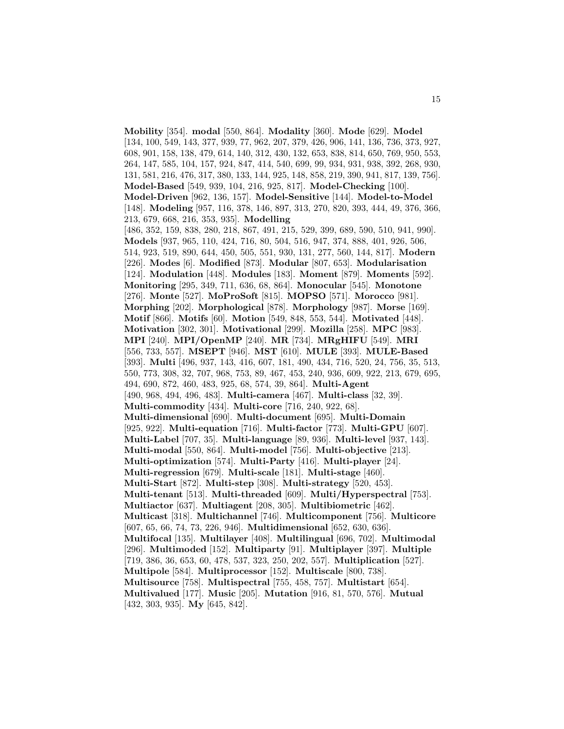**Mobility** [354]. **modal** [550, 864]. **Modality** [360]. **Mode** [629]. **Model** [134, 100, 549, 143, 377, 939, 77, 962, 207, 379, 426, 906, 141, 136, 736, 373, 927, 608, 901, 158, 138, 479, 614, 140, 312, 430, 132, 653, 838, 814, 650, 769, 950, 553, 264, 147, 585, 104, 157, 924, 847, 414, 540, 699, 99, 934, 931, 938, 392, 268, 930, 131, 581, 216, 476, 317, 380, 133, 144, 925, 148, 858, 219, 390, 941, 817, 139, 756]. **Model-Based** [549, 939, 104, 216, 925, 817]. **Model-Checking** [100]. **Model-Driven** [962, 136, 157]. **Model-Sensitive** [144]. **Model-to-Model** [148]. **Modeling** [957, 116, 378, 146, 897, 313, 270, 820, 393, 444, 49, 376, 366, 213, 679, 668, 216, 353, 935]. **Modelling** [486, 352, 159, 838, 280, 218, 867, 491, 215, 529, 399, 689, 590, 510, 941, 990]. **Models** [937, 965, 110, 424, 716, 80, 504, 516, 947, 374, 888, 401, 926, 506, 514, 923, 519, 890, 644, 450, 505, 551, 930, 131, 277, 560, 144, 817]. **Modern** [226]. **Modes** [6]. **Modified** [873]. **Modular** [807, 653]. **Modularisation** [124]. **Modulation** [448]. **Modules** [183]. **Moment** [879]. **Moments** [592]. **Monitoring** [295, 349, 711, 636, 68, 864]. **Monocular** [545]. **Monotone** [276]. **Monte** [527]. **MoProSoft** [815]. **MOPSO** [571]. **Morocco** [981]. **Morphing** [202]. **Morphological** [878]. **Morphology** [987]. **Morse** [169]. **Motif** [866]. **Motifs** [60]. **Motion** [549, 848, 553, 544]. **Motivated** [448]. **Motivation** [302, 301]. **Motivational** [299]. **Mozilla** [258]. **MPC** [983]. **MPI** [240]. **MPI/OpenMP** [240]. **MR** [734]. **MRgHIFU** [549]. **MRI** [556, 733, 557]. **MSEPT** [946]. **MST** [610]. **MULE** [393]. **MULE-Based** [393]. **Multi** [496, 937, 143, 416, 607, 181, 490, 434, 716, 520, 24, 756, 35, 513, 550, 773, 308, 32, 707, 968, 753, 89, 467, 453, 240, 936, 609, 922, 213, 679, 695, 494, 690, 872, 460, 483, 925, 68, 574, 39, 864]. **Multi-Agent** [490, 968, 494, 496, 483]. **Multi-camera** [467]. **Multi-class** [32, 39]. **Multi-commodity** [434]. **Multi-core** [716, 240, 922, 68]. **Multi-dimensional** [690]. **Multi-document** [695]. **Multi-Domain** [925, 922]. **Multi-equation** [716]. **Multi-factor** [773]. **Multi-GPU** [607]. **Multi-Label** [707, 35]. **Multi-language** [89, 936]. **Multi-level** [937, 143]. **Multi-modal** [550, 864]. **Multi-model** [756]. **Multi-objective** [213]. **Multi-optimization** [574]. **Multi-Party** [416]. **Multi-player** [24]. **Multi-regression** [679]. **Multi-scale** [181]. **Multi-stage** [460]. **Multi-Start** [872]. **Multi-step** [308]. **Multi-strategy** [520, 453]. **Multi-tenant** [513]. **Multi-threaded** [609]. **Multi/Hyperspectral** [753]. **Multiactor** [637]. **Multiagent** [208, 305]. **Multibiometric** [462]. **Multicast** [318]. **Multichannel** [746]. **Multicomponent** [756]. **Multicore** [607, 65, 66, 74, 73, 226, 946]. **Multidimensional** [652, 630, 636]. **Multifocal** [135]. **Multilayer** [408]. **Multilingual** [696, 702]. **Multimodal** [296]. **Multimoded** [152]. **Multiparty** [91]. **Multiplayer** [397]. **Multiple** [719, 386, 36, 653, 60, 478, 537, 323, 250, 202, 557]. **Multiplication** [527]. **Multipole** [584]. **Multiprocessor** [152]. **Multiscale** [800, 738]. **Multisource** [758]. **Multispectral** [755, 458, 757]. **Multistart** [654]. **Multivalued** [177]. **Music** [205]. **Mutation** [916, 81, 570, 576]. **Mutual** [432, 303, 935]. **My** [645, 842].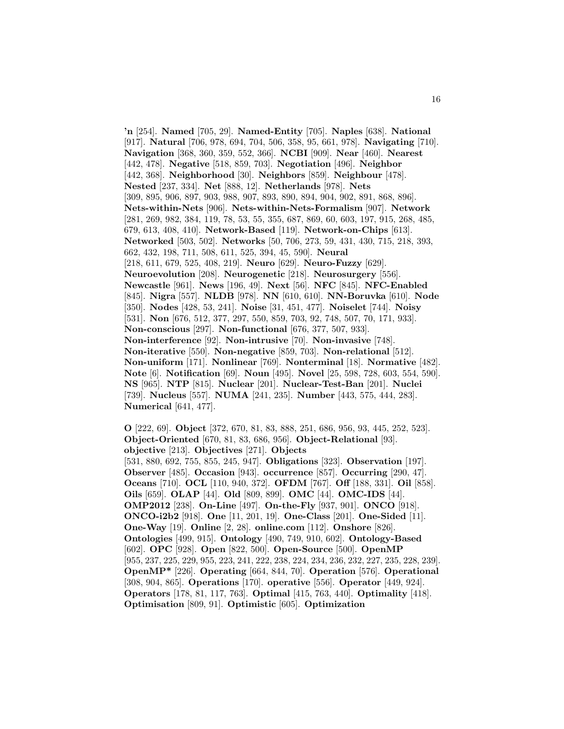**'n** [254]. **Named** [705, 29]. **Named-Entity** [705]. **Naples** [638]. **National** [917]. **Natural** [706, 978, 694, 704, 506, 358, 95, 661, 978]. **Navigating** [710]. **Navigation** [368, 360, 359, 552, 366]. **NCBI** [909]. **Near** [460]. **Nearest** [442, 478]. **Negative** [518, 859, 703]. **Negotiation** [496]. **Neighbor** [442, 368]. **Neighborhood** [30]. **Neighbors** [859]. **Neighbour** [478]. **Nested** [237, 334]. **Net** [888, 12]. **Netherlands** [978]. **Nets** [309, 895, 906, 897, 903, 988, 907, 893, 890, 894, 904, 902, 891, 868, 896]. **Nets-within-Nets** [906]. **Nets-within-Nets-Formalism** [907]. **Network** [281, 269, 982, 384, 119, 78, 53, 55, 355, 687, 869, 60, 603, 197, 915, 268, 485, 679, 613, 408, 410]. **Network-Based** [119]. **Network-on-Chips** [613]. **Networked** [503, 502]. **Networks** [50, 706, 273, 59, 431, 430, 715, 218, 393, 662, 432, 198, 711, 508, 611, 525, 394, 45, 590]. **Neural** [218, 611, 679, 525, 408, 219]. **Neuro** [629]. **Neuro-Fuzzy** [629]. **Neuroevolution** [208]. **Neurogenetic** [218]. **Neurosurgery** [556]. **Newcastle** [961]. **News** [196, 49]. **Next** [56]. **NFC** [845]. **NFC-Enabled** [845]. **Nigra** [557]. **NLDB** [978]. **NN** [610, 610]. **NN-Boruvka** [610]. **Node** [350]. **Nodes** [428, 53, 241]. **Noise** [31, 451, 477]. **Noiselet** [744]. **Noisy** [531]. **Non** [676, 512, 377, 297, 550, 859, 703, 92, 748, 507, 70, 171, 933]. **Non-conscious** [297]. **Non-functional** [676, 377, 507, 933]. **Non-interference** [92]. **Non-intrusive** [70]. **Non-invasive** [748]. **Non-iterative** [550]. **Non-negative** [859, 703]. **Non-relational** [512]. **Non-uniform** [171]. **Nonlinear** [769]. **Nonterminal** [18]. **Normative** [482]. **Note** [6]. **Notification** [69]. **Noun** [495]. **Novel** [25, 598, 728, 603, 554, 590]. **NS** [965]. **NTP** [815]. **Nuclear** [201]. **Nuclear-Test-Ban** [201]. **Nuclei** [739]. **Nucleus** [557]. **NUMA** [241, 235]. **Number** [443, 575, 444, 283]. **Numerical** [641, 477].

**O** [222, 69]. **Object** [372, 670, 81, 83, 888, 251, 686, 956, 93, 445, 252, 523]. **Object-Oriented** [670, 81, 83, 686, 956]. **Object-Relational** [93]. **objective** [213]. **Objectives** [271]. **Objects** [531, 880, 692, 755, 855, 245, 947]. **Obligations** [323]. **Observation** [197]. **Observer** [485]. **Occasion** [943]. **occurrence** [857]. **Occurring** [290, 47]. **Oceans** [710]. **OCL** [110, 940, 372]. **OFDM** [767]. **Off** [188, 331]. **Oil** [858]. **Oils** [659]. **OLAP** [44]. **Old** [809, 899]. **OMC** [44]. **OMC-IDS** [44]. **OMP2012** [238]. **On-Line** [497]. **On-the-Fly** [937, 901]. **ONCO** [918]. **ONCO-i2b2** [918]. **One** [11, 201, 19]. **One-Class** [201]. **One-Sided** [11]. **One-Way** [19]. **Online** [2, 28]. **online.com** [112]. **Onshore** [826]. **Ontologies** [499, 915]. **Ontology** [490, 749, 910, 602]. **Ontology-Based** [602]. **OPC** [928]. **Open** [822, 500]. **Open-Source** [500]. **OpenMP** [955, 237, 225, 229, 955, 223, 241, 222, 238, 224, 234, 236, 232, 227, 235, 228, 239]. **OpenMP\*** [226]. **Operating** [664, 844, 70]. **Operation** [576]. **Operational** [308, 904, 865]. **Operations** [170]. **operative** [556]. **Operator** [449, 924]. **Operators** [178, 81, 117, 763]. **Optimal** [415, 763, 440]. **Optimality** [418]. **Optimisation** [809, 91]. **Optimistic** [605]. **Optimization**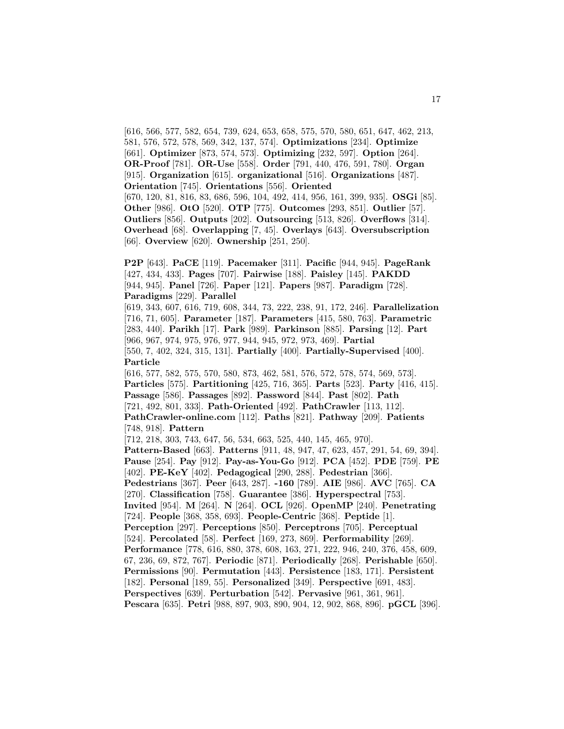[616, 566, 577, 582, 654, 739, 624, 653, 658, 575, 570, 580, 651, 647, 462, 213, 581, 576, 572, 578, 569, 342, 137, 574]. **Optimizations** [234]. **Optimize** [661]. **Optimizer** [873, 574, 573]. **Optimizing** [232, 597]. **Option** [264]. **OR-Proof** [781]. **OR-Use** [558]. **Order** [791, 440, 476, 591, 780]. **Organ** [915]. **Organization** [615]. **organizational** [516]. **Organizations** [487]. **Orientation** [745]. **Orientations** [556]. **Oriented** [670, 120, 81, 816, 83, 686, 596, 104, 492, 414, 956, 161, 399, 935]. **OSGi** [85]. **Other** [986]. **OtO** [520]. **OTP** [775]. **Outcomes** [293, 851]. **Outlier** [57]. **Outliers** [856]. **Outputs** [202]. **Outsourcing** [513, 826]. **Overflows** [314]. **Overhead** [68]. **Overlapping** [7, 45]. **Overlays** [643]. **Oversubscription** [66]. **Overview** [620]. **Ownership** [251, 250].

**P2P** [643]. **PaCE** [119]. **Pacemaker** [311]. **Pacific** [944, 945]. **PageRank** [427, 434, 433]. **Pages** [707]. **Pairwise** [188]. **Paisley** [145]. **PAKDD** [944, 945]. **Panel** [726]. **Paper** [121]. **Papers** [987]. **Paradigm** [728]. **Paradigms** [229]. **Parallel**

[619, 343, 607, 616, 719, 608, 344, 73, 222, 238, 91, 172, 246]. **Parallelization** [716, 71, 605]. **Parameter** [187]. **Parameters** [415, 580, 763]. **Parametric** [283, 440]. **Parikh** [17]. **Park** [989]. **Parkinson** [885]. **Parsing** [12]. **Part** [966, 967, 974, 975, 976, 977, 944, 945, 972, 973, 469]. **Partial** [550, 7, 402, 324, 315, 131]. **Partially** [400]. **Partially-Supervised** [400]. **Particle**

[616, 577, 582, 575, 570, 580, 873, 462, 581, 576, 572, 578, 574, 569, 573]. **Particles** [575]. **Partitioning** [425, 716, 365]. **Parts** [523]. **Party** [416, 415]. **Passage** [586]. **Passages** [892]. **Password** [844]. **Past** [802]. **Path** [721, 492, 801, 333]. **Path-Oriented** [492]. **PathCrawler** [113, 112]. **PathCrawler-online.com** [112]. **Paths** [821]. **Pathway** [209]. **Patients** [748, 918]. **Pattern**

[712, 218, 303, 743, 647, 56, 534, 663, 525, 440, 145, 465, 970]. **Pattern-Based** [663]. **Patterns** [911, 48, 947, 47, 623, 457, 291, 54, 69, 394]. **Pause** [254]. **Pay** [912]. **Pay-as-You-Go** [912]. **PCA** [452]. **PDE** [759]. **PE** [402]. **PE-KeY** [402]. **Pedagogical** [290, 288]. **Pedestrian** [366]. **Pedestrians** [367]. **Peer** [643, 287]. **-160** [789]. **AIE** [986]. **AVC** [765]. **CA** [270]. **Classification** [758]. **Guarantee** [386]. **Hyperspectral** [753]. **Invited** [954]. **M** [264]. **N** [264]. **OCL** [926]. **OpenMP** [240]. **Penetrating**

[724]. **People** [368, 358, 693]. **People-Centric** [368]. **Peptide** [1]. **Perception** [297]. **Perceptions** [850]. **Perceptrons** [705]. **Perceptual** [524]. **Percolated** [58]. **Perfect** [169, 273, 869]. **Performability** [269]. **Performance** [778, 616, 880, 378, 608, 163, 271, 222, 946, 240, 376, 458, 609, 67, 236, 69, 872, 767]. **Periodic** [871]. **Periodically** [268]. **Perishable** [650]. **Permissions** [90]. **Permutation** [443]. **Persistence** [183, 171]. **Persistent**

[182]. **Personal** [189, 55]. **Personalized** [349]. **Perspective** [691, 483].

**Perspectives** [639]. **Perturbation** [542]. **Pervasive** [961, 361, 961]. **Pescara** [635]. **Petri** [988, 897, 903, 890, 904, 12, 902, 868, 896]. **pGCL** [396].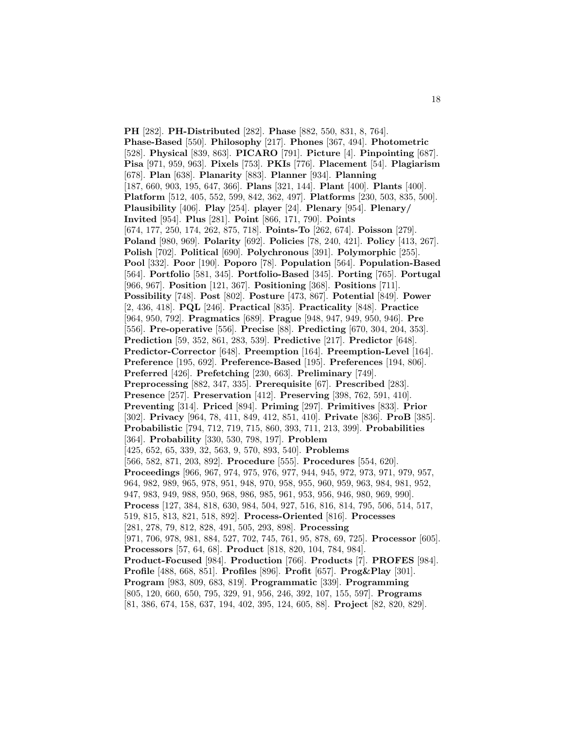**PH** [282]. **PH-Distributed** [282]. **Phase** [882, 550, 831, 8, 764]. **Phase-Based** [550]. **Philosophy** [217]. **Phones** [367, 494]. **Photometric** [528]. **Physical** [839, 863]. **PICARO** [791]. **Picture** [4]. **Pinpointing** [687]. **Pisa** [971, 959, 963]. **Pixels** [753]. **PKIs** [776]. **Placement** [54]. **Plagiarism** [678]. **Plan** [638]. **Planarity** [883]. **Planner** [934]. **Planning** [187, 660, 903, 195, 647, 366]. **Plans** [321, 144]. **Plant** [400]. **Plants** [400]. **Platform** [512, 405, 552, 599, 842, 362, 497]. **Platforms** [230, 503, 835, 500]. **Plausibility** [406]. **Play** [254]. **player** [24]. **Plenary** [954]. **Plenary/ Invited** [954]. **Plus** [281]. **Point** [866, 171, 790]. **Points** [674, 177, 250, 174, 262, 875, 718]. **Points-To** [262, 674]. **Poisson** [279]. **Poland** [980, 969]. **Polarity** [692]. **Policies** [78, 240, 421]. **Policy** [413, 267]. **Polish** [702]. **Political** [690]. **Polychronous** [391]. **Polymorphic** [255]. **Pool** [332]. **Poor** [190]. **Poporo** [78]. **Population** [564]. **Population-Based** [564]. **Portfolio** [581, 345]. **Portfolio-Based** [345]. **Porting** [765]. **Portugal** [966, 967]. **Position** [121, 367]. **Positioning** [368]. **Positions** [711]. **Possibility** [748]. **Post** [802]. **Posture** [473, 867]. **Potential** [849]. **Power** [2, 436, 418]. **PQL** [246]. **Practical** [835]. **Practicality** [848]. **Practice** [964, 950, 792]. **Pragmatics** [689]. **Prague** [948, 947, 949, 950, 946]. **Pre** [556]. **Pre-operative** [556]. **Precise** [88]. **Predicting** [670, 304, 204, 353]. **Prediction** [59, 352, 861, 283, 539]. **Predictive** [217]. **Predictor** [648]. **Predictor-Corrector** [648]. **Preemption** [164]. **Preemption-Level** [164]. **Preference** [195, 692]. **Preference-Based** [195]. **Preferences** [194, 806]. **Preferred** [426]. **Prefetching** [230, 663]. **Preliminary** [749]. **Preprocessing** [882, 347, 335]. **Prerequisite** [67]. **Prescribed** [283]. **Presence** [257]. **Preservation** [412]. **Preserving** [398, 762, 591, 410]. **Preventing** [314]. **Priced** [894]. **Priming** [297]. **Primitives** [833]. **Prior** [302]. **Privacy** [964, 78, 411, 849, 412, 851, 410]. **Private** [836]. **ProB** [385]. **Probabilistic** [794, 712, 719, 715, 860, 393, 711, 213, 399]. **Probabilities** [364]. **Probability** [330, 530, 798, 197]. **Problem** [425, 652, 65, 339, 32, 563, 9, 570, 893, 540]. **Problems** [566, 582, 871, 203, 892]. **Procedure** [555]. **Procedures** [554, 620]. **Proceedings** [966, 967, 974, 975, 976, 977, 944, 945, 972, 973, 971, 979, 957, 964, 982, 989, 965, 978, 951, 948, 970, 958, 955, 960, 959, 963, 984, 981, 952, 947, 983, 949, 988, 950, 968, 986, 985, 961, 953, 956, 946, 980, 969, 990]. **Process** [127, 384, 818, 630, 984, 504, 927, 516, 816, 814, 795, 506, 514, 517, 519, 815, 813, 821, 518, 892]. **Process-Oriented** [816]. **Processes** [281, 278, 79, 812, 828, 491, 505, 293, 898]. **Processing** [971, 706, 978, 981, 884, 527, 702, 745, 761, 95, 878, 69, 725]. **Processor** [605]. **Processors** [57, 64, 68]. **Product** [818, 820, 104, 784, 984]. **Product-Focused** [984]. **Production** [766]. **Products** [7]. **PROFES** [984]. **Profile** [488, 668, 851]. **Profiles** [896]. **Profit** [657]. **Prog&Play** [301]. **Program** [983, 809, 683, 819]. **Programmatic** [339]. **Programming** [805, 120, 660, 650, 795, 329, 91, 956, 246, 392, 107, 155, 597]. **Programs** [81, 386, 674, 158, 637, 194, 402, 395, 124, 605, 88]. **Project** [82, 820, 829].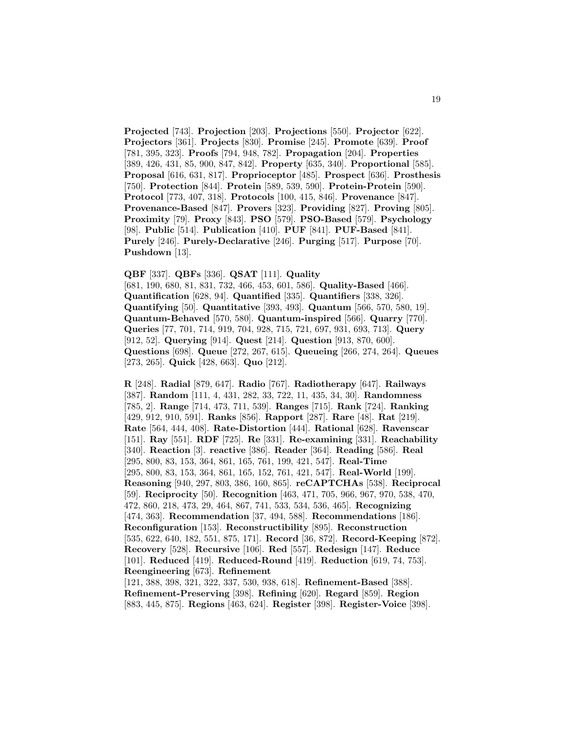**Projected** [743]. **Projection** [203]. **Projections** [550]. **Projector** [622]. **Projectors** [361]. **Projects** [830]. **Promise** [245]. **Promote** [639]. **Proof** [781, 395, 323]. **Proofs** [794, 948, 782]. **Propagation** [204]. **Properties** [389, 426, 431, 85, 900, 847, 842]. **Property** [635, 340]. **Proportional** [585]. **Proposal** [616, 631, 817]. **Proprioceptor** [485]. **Prospect** [636]. **Prosthesis** [750]. **Protection** [844]. **Protein** [589, 539, 590]. **Protein-Protein** [590]. **Protocol** [773, 407, 318]. **Protocols** [100, 415, 846]. **Provenance** [847]. **Provenance-Based** [847]. **Provers** [323]. **Providing** [827]. **Proving** [805]. **Proximity** [79]. **Proxy** [843]. **PSO** [579]. **PSO-Based** [579]. **Psychology** [98]. **Public** [514]. **Publication** [410]. **PUF** [841]. **PUF-Based** [841]. **Purely** [246]. **Purely-Declarative** [246]. **Purging** [517]. **Purpose** [70]. **Pushdown** [13].

#### **QBF** [337]. **QBFs** [336]. **QSAT** [111]. **Quality**

[681, 190, 680, 81, 831, 732, 466, 453, 601, 586]. **Quality-Based** [466]. **Quantification** [628, 94]. **Quantified** [335]. **Quantifiers** [338, 326]. **Quantifying** [50]. **Quantitative** [393, 493]. **Quantum** [566, 570, 580, 19]. **Quantum-Behaved** [570, 580]. **Quantum-inspired** [566]. **Quarry** [770]. **Queries** [77, 701, 714, 919, 704, 928, 715, 721, 697, 931, 693, 713]. **Query** [912, 52]. **Querying** [914]. **Quest** [214]. **Question** [913, 870, 600]. **Questions** [698]. **Queue** [272, 267, 615]. **Queueing** [266, 274, 264]. **Queues** [273, 265]. **Quick** [428, 663]. **Quo** [212].

**R** [248]. **Radial** [879, 647]. **Radio** [767]. **Radiotherapy** [647]. **Railways** [387]. **Random** [111, 4, 431, 282, 33, 722, 11, 435, 34, 30]. **Randomness** [785, 2]. **Range** [714, 473, 711, 539]. **Ranges** [715]. **Rank** [724]. **Ranking** [429, 912, 910, 591]. **Ranks** [856]. **Rapport** [287]. **Rare** [48]. **Rat** [219]. **Rate** [564, 444, 408]. **Rate-Distortion** [444]. **Rational** [628]. **Ravenscar** [151]. **Ray** [551]. **RDF** [725]. **Re** [331]. **Re-examining** [331]. **Reachability** [340]. **Reaction** [3]. **reactive** [386]. **Reader** [364]. **Reading** [586]. **Real** [295, 800, 83, 153, 364, 861, 165, 761, 199, 421, 547]. **Real-Time** [295, 800, 83, 153, 364, 861, 165, 152, 761, 421, 547]. **Real-World** [199]. **Reasoning** [940, 297, 803, 386, 160, 865]. **reCAPTCHAs** [538]. **Reciprocal** [59]. **Reciprocity** [50]. **Recognition** [463, 471, 705, 966, 967, 970, 538, 470, 472, 860, 218, 473, 29, 464, 867, 741, 533, 534, 536, 465]. **Recognizing** [474, 363]. **Recommendation** [37, 494, 588]. **Recommendations** [186]. **Reconfiguration** [153]. **Reconstructibility** [895]. **Reconstruction** [535, 622, 640, 182, 551, 875, 171]. **Record** [36, 872]. **Record-Keeping** [872]. **Recovery** [528]. **Recursive** [106]. **Red** [557]. **Redesign** [147]. **Reduce** [101]. **Reduced** [419]. **Reduced-Round** [419]. **Reduction** [619, 74, 753]. **Reengineering** [673]. **Refinement** [121, 388, 398, 321, 322, 337, 530, 938, 618]. **Refinement-Based** [388].

**Refinement-Preserving** [398]. **Refining** [620]. **Regard** [859]. **Region** [883, 445, 875]. **Regions** [463, 624]. **Register** [398]. **Register-Voice** [398].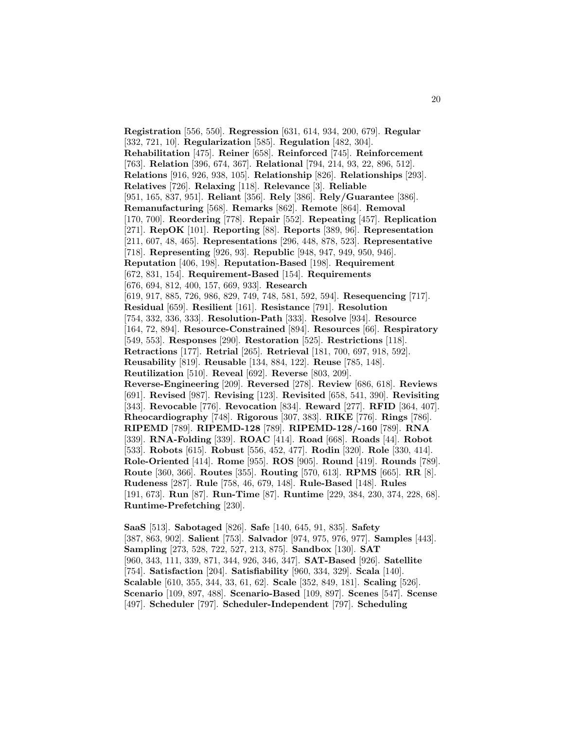**Registration** [556, 550]. **Regression** [631, 614, 934, 200, 679]. **Regular** [332, 721, 10]. **Regularization** [585]. **Regulation** [482, 304]. **Rehabilitation** [475]. **Reiner** [658]. **Reinforced** [745]. **Reinforcement** [763]. **Relation** [396, 674, 367]. **Relational** [794, 214, 93, 22, 896, 512]. **Relations** [916, 926, 938, 105]. **Relationship** [826]. **Relationships** [293]. **Relatives** [726]. **Relaxing** [118]. **Relevance** [3]. **Reliable** [951, 165, 837, 951]. **Reliant** [356]. **Rely** [386]. **Rely/Guarantee** [386]. **Remanufacturing** [568]. **Remarks** [862]. **Remote** [864]. **Removal** [170, 700]. **Reordering** [778]. **Repair** [552]. **Repeating** [457]. **Replication** [271]. **RepOK** [101]. **Reporting** [88]. **Reports** [389, 96]. **Representation** [211, 607, 48, 465]. **Representations** [296, 448, 878, 523]. **Representative** [718]. **Representing** [926, 93]. **Republic** [948, 947, 949, 950, 946]. **Reputation** [406, 198]. **Reputation-Based** [198]. **Requirement** [672, 831, 154]. **Requirement-Based** [154]. **Requirements** [676, 694, 812, 400, 157, 669, 933]. **Research** [619, 917, 885, 726, 986, 829, 749, 748, 581, 592, 594]. **Resequencing** [717]. **Residual** [659]. **Resilient** [161]. **Resistance** [791]. **Resolution** [754, 332, 336, 333]. **Resolution-Path** [333]. **Resolve** [934]. **Resource** [164, 72, 894]. **Resource-Constrained** [894]. **Resources** [66]. **Respiratory** [549, 553]. **Responses** [290]. **Restoration** [525]. **Restrictions** [118]. **Retractions** [177]. **Retrial** [265]. **Retrieval** [181, 700, 697, 918, 592]. **Reusability** [819]. **Reusable** [134, 884, 122]. **Reuse** [785, 148]. **Reutilization** [510]. **Reveal** [692]. **Reverse** [803, 209]. **Reverse-Engineering** [209]. **Reversed** [278]. **Review** [686, 618]. **Reviews** [691]. **Revised** [987]. **Revising** [123]. **Revisited** [658, 541, 390]. **Revisiting** [343]. **Revocable** [776]. **Revocation** [834]. **Reward** [277]. **RFID** [364, 407]. **Rheocardiography** [748]. **Rigorous** [307, 383]. **RIKE** [776]. **Rings** [786]. **RIPEMD** [789]. **RIPEMD-128** [789]. **RIPEMD-128/-160** [789]. **RNA** [339]. **RNA-Folding** [339]. **ROAC** [414]. **Road** [668]. **Roads** [44]. **Robot** [533]. **Robots** [615]. **Robust** [556, 452, 477]. **Rodin** [320]. **Role** [330, 414]. **Role-Oriented** [414]. **Rome** [955]. **ROS** [905]. **Round** [419]. **Rounds** [789]. **Route** [360, 366]. **Routes** [355]. **Routing** [570, 613]. **RPMS** [665]. **RR** [8]. **Rudeness** [287]. **Rule** [758, 46, 679, 148]. **Rule-Based** [148]. **Rules** [191, 673]. **Run** [87]. **Run-Time** [87]. **Runtime** [229, 384, 230, 374, 228, 68]. **Runtime-Prefetching** [230].

**SaaS** [513]. **Sabotaged** [826]. **Safe** [140, 645, 91, 835]. **Safety** [387, 863, 902]. **Salient** [753]. **Salvador** [974, 975, 976, 977]. **Samples** [443]. **Sampling** [273, 528, 722, 527, 213, 875]. **Sandbox** [130]. **SAT** [960, 343, 111, 339, 871, 344, 926, 346, 347]. **SAT-Based** [926]. **Satellite** [754]. **Satisfaction** [204]. **Satisfiability** [960, 334, 329]. **Scala** [140]. **Scalable** [610, 355, 344, 33, 61, 62]. **Scale** [352, 849, 181]. **Scaling** [526]. **Scenario** [109, 897, 488]. **Scenario-Based** [109, 897]. **Scenes** [547]. **Scense** [497]. **Scheduler** [797]. **Scheduler-Independent** [797]. **Scheduling**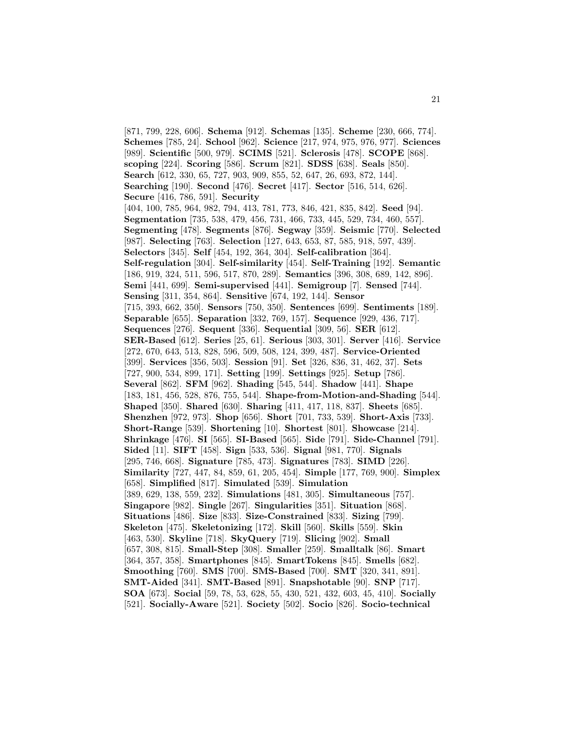[871, 799, 228, 606]. **Schema** [912]. **Schemas** [135]. **Scheme** [230, 666, 774]. **Schemes** [785, 24]. **School** [962]. **Science** [217, 974, 975, 976, 977]. **Sciences** [989]. **Scientific** [500, 979]. **SCIMS** [521]. **Sclerosis** [478]. **SCOPE** [868]. **scoping** [224]. **Scoring** [586]. **Scrum** [821]. **SDSS** [638]. **Seals** [850]. **Search** [612, 330, 65, 727, 903, 909, 855, 52, 647, 26, 693, 872, 144]. **Searching** [190]. **Second** [476]. **Secret** [417]. **Sector** [516, 514, 626]. **Secure** [416, 786, 591]. **Security** [404, 100, 785, 964, 982, 794, 413, 781, 773, 846, 421, 835, 842]. **Seed** [94]. **Segmentation** [735, 538, 479, 456, 731, 466, 733, 445, 529, 734, 460, 557]. **Segmenting** [478]. **Segments** [876]. **Segway** [359]. **Seismic** [770]. **Selected** [987]. **Selecting** [763]. **Selection** [127, 643, 653, 87, 585, 918, 597, 439]. **Selectors** [345]. **Self** [454, 192, 364, 304]. **Self-calibration** [364]. **Self-regulation** [304]. **Self-similarity** [454]. **Self-Training** [192]. **Semantic** [186, 919, 324, 511, 596, 517, 870, 289]. **Semantics** [396, 308, 689, 142, 896]. **Semi** [441, 699]. **Semi-supervised** [441]. **Semigroup** [7]. **Sensed** [744]. **Sensing** [311, 354, 864]. **Sensitive** [674, 192, 144]. **Sensor** [715, 393, 662, 350]. **Sensors** [750, 350]. **Sentences** [699]. **Sentiments** [189]. **Separable** [655]. **Separation** [332, 769, 157]. **Sequence** [929, 436, 717]. **Sequences** [276]. **Sequent** [336]. **Sequential** [309, 56]. **SER** [612]. **SER-Based** [612]. **Series** [25, 61]. **Serious** [303, 301]. **Server** [416]. **Service** [272, 670, 643, 513, 828, 596, 509, 508, 124, 399, 487]. **Service-Oriented** [399]. **Services** [356, 503]. **Session** [91]. **Set** [326, 836, 31, 462, 37]. **Sets** [727, 900, 534, 899, 171]. **Setting** [199]. **Settings** [925]. **Setup** [786]. **Several** [862]. **SFM** [962]. **Shading** [545, 544]. **Shadow** [441]. **Shape** [183, 181, 456, 528, 876, 755, 544]. **Shape-from-Motion-and-Shading** [544]. **Shaped** [350]. **Shared** [630]. **Sharing** [411, 417, 118, 837]. **Sheets** [685]. **Shenzhen** [972, 973]. **Shop** [656]. **Short** [701, 733, 539]. **Short-Axis** [733]. **Short-Range** [539]. **Shortening** [10]. **Shortest** [801]. **Showcase** [214]. **Shrinkage** [476]. **SI** [565]. **SI-Based** [565]. **Side** [791]. **Side-Channel** [791]. **Sided** [11]. **SIFT** [458]. **Sign** [533, 536]. **Signal** [981, 770]. **Signals** [295, 746, 668]. **Signature** [785, 473]. **Signatures** [783]. **SIMD** [226]. **Similarity** [727, 447, 84, 859, 61, 205, 454]. **Simple** [177, 769, 900]. **Simplex** [658]. **Simplified** [817]. **Simulated** [539]. **Simulation** [389, 629, 138, 559, 232]. **Simulations** [481, 305]. **Simultaneous** [757]. **Singapore** [982]. **Single** [267]. **Singularities** [351]. **Situation** [868]. **Situations** [486]. **Size** [833]. **Size-Constrained** [833]. **Sizing** [799]. **Skeleton** [475]. **Skeletonizing** [172]. **Skill** [560]. **Skills** [559]. **Skin** [463, 530]. **Skyline** [718]. **SkyQuery** [719]. **Slicing** [902]. **Small** [657, 308, 815]. **Small-Step** [308]. **Smaller** [259]. **Smalltalk** [86]. **Smart** [364, 357, 358]. **Smartphones** [845]. **SmartTokens** [845]. **Smells** [682]. **Smoothing** [760]. **SMS** [700]. **SMS-Based** [700]. **SMT** [320, 341, 891]. **SMT-Aided** [341]. **SMT-Based** [891]. **Snapshotable** [90]. **SNP** [717]. **SOA** [673]. **Social** [59, 78, 53, 628, 55, 430, 521, 432, 603, 45, 410]. **Socially** [521]. **Socially-Aware** [521]. **Society** [502]. **Socio** [826]. **Socio-technical**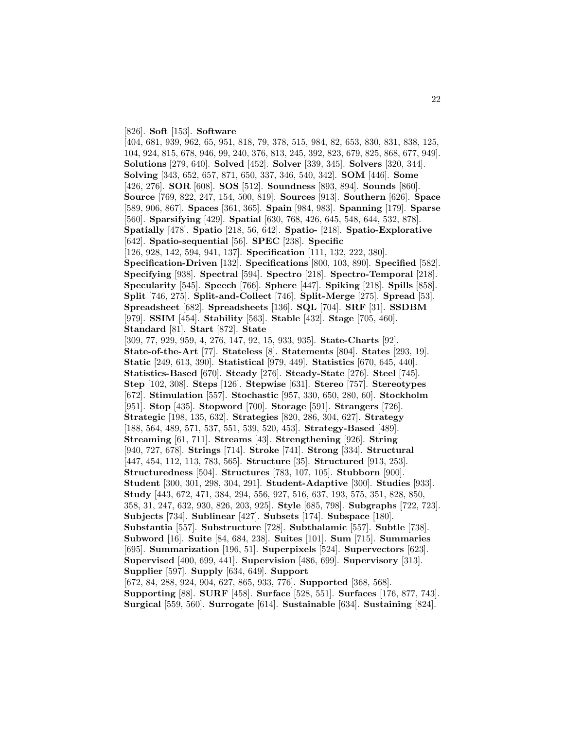[826]. **Soft** [153]. **Software**

[404, 681, 939, 962, 65, 951, 818, 79, 378, 515, 984, 82, 653, 830, 831, 838, 125, 104, 924, 815, 678, 946, 99, 240, 376, 813, 245, 392, 823, 679, 825, 868, 677, 949]. **Solutions** [279, 640]. **Solved** [452]. **Solver** [339, 345]. **Solvers** [320, 344]. **Solving** [343, 652, 657, 871, 650, 337, 346, 540, 342]. **SOM** [446]. **Some** [426, 276]. **SOR** [608]. **SOS** [512]. **Soundness** [893, 894]. **Sounds** [860]. **Source** [769, 822, 247, 154, 500, 819]. **Sources** [913]. **Southern** [626]. **Space** [589, 906, 867]. **Spaces** [361, 365]. **Spain** [984, 983]. **Spanning** [179]. **Sparse** [560]. **Sparsifying** [429]. **Spatial** [630, 768, 426, 645, 548, 644, 532, 878]. **Spatially** [478]. **Spatio** [218, 56, 642]. **Spatio-** [218]. **Spatio-Explorative** [642]. **Spatio-sequential** [56]. **SPEC** [238]. **Specific** [126, 928, 142, 594, 941, 137]. **Specification** [111, 132, 222, 380]. **Specification-Driven** [132]. **Specifications** [800, 103, 890]. **Specified** [582]. **Specifying** [938]. **Spectral** [594]. **Spectro** [218]. **Spectro-Temporal** [218]. **Specularity** [545]. **Speech** [766]. **Sphere** [447]. **Spiking** [218]. **Spills** [858]. **Split** [746, 275]. **Split-and-Collect** [746]. **Split-Merge** [275]. **Spread** [53]. **Spreadsheet** [682]. **Spreadsheets** [136]. **SQL** [704]. **SRF** [31]. **SSDBM** [979]. **SSIM** [454]. **Stability** [563]. **Stable** [432]. **Stage** [705, 460]. **Standard** [81]. **Start** [872]. **State** [309, 77, 929, 959, 4, 276, 147, 92, 15, 933, 935]. **State-Charts** [92]. **State-of-the-Art** [77]. **Stateless** [8]. **Statements** [804]. **States** [293, 19]. **Static** [249, 613, 390]. **Statistical** [979, 449]. **Statistics** [670, 645, 440]. **Statistics-Based** [670]. **Steady** [276]. **Steady-State** [276]. **Steel** [745]. **Step** [102, 308]. **Steps** [126]. **Stepwise** [631]. **Stereo** [757]. **Stereotypes** [672]. **Stimulation** [557]. **Stochastic** [957, 330, 650, 280, 60]. **Stockholm** [951]. **Stop** [435]. **Stopword** [700]. **Storage** [591]. **Strangers** [726]. **Strategic** [198, 135, 632]. **Strategies** [820, 286, 304, 627]. **Strategy** [188, 564, 489, 571, 537, 551, 539, 520, 453]. **Strategy-Based** [489]. **Streaming** [61, 711]. **Streams** [43]. **Strengthening** [926]. **String** [940, 727, 678]. **Strings** [714]. **Stroke** [741]. **Strong** [334]. **Structural** [447, 454, 112, 113, 783, 565]. **Structure** [35]. **Structured** [913, 253]. **Structuredness** [504]. **Structures** [783, 107, 105]. **Stubborn** [900]. **Student** [300, 301, 298, 304, 291]. **Student-Adaptive** [300]. **Studies** [933]. **Study** [443, 672, 471, 384, 294, 556, 927, 516, 637, 193, 575, 351, 828, 850, 358, 31, 247, 632, 930, 826, 203, 925]. **Style** [685, 798]. **Subgraphs** [722, 723]. **Subjects** [734]. **Sublinear** [427]. **Subsets** [174]. **Subspace** [180]. **Substantia** [557]. **Substructure** [728]. **Subthalamic** [557]. **Subtle** [738]. **Subword** [16]. **Suite** [84, 684, 238]. **Suites** [101]. **Sum** [715]. **Summaries** [695]. **Summarization** [196, 51]. **Superpixels** [524]. **Supervectors** [623]. **Supervised** [400, 699, 441]. **Supervision** [486, 699]. **Supervisory** [313]. **Supplier** [597]. **Supply** [634, 649]. **Support** [672, 84, 288, 924, 904, 627, 865, 933, 776]. **Supported** [368, 568]. **Supporting** [88]. **SURF** [458]. **Surface** [528, 551]. **Surfaces** [176, 877, 743].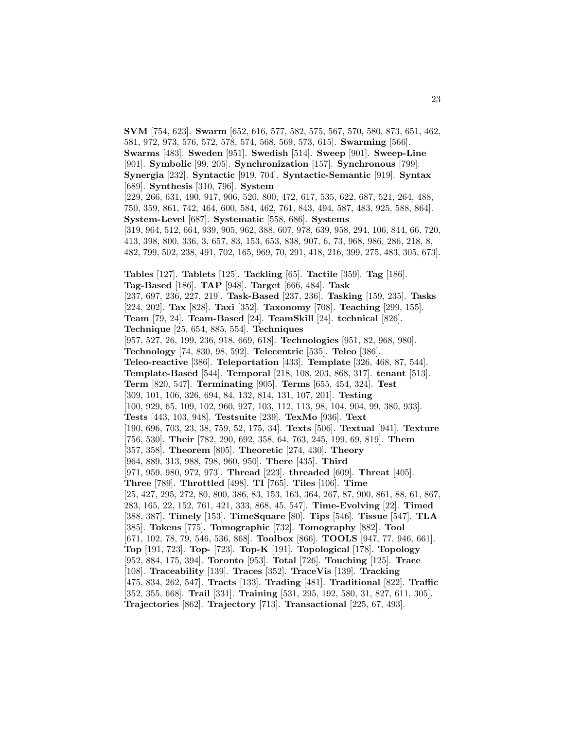**SVM** [754, 623]. **Swarm** [652, 616, 577, 582, 575, 567, 570, 580, 873, 651, 462, 581, 972, 973, 576, 572, 578, 574, 568, 569, 573, 615]. **Swarming** [566]. **Swarms** [483]. **Sweden** [951]. **Swedish** [514]. **Sweep** [901]. **Sweep-Line** [901]. **Symbolic** [99, 205]. **Synchronization** [157]. **Synchronous** [799]. **Synergia** [232]. **Syntactic** [919, 704]. **Syntactic-Semantic** [919]. **Syntax** [689]. **Synthesis** [310, 796]. **System** [229, 266, 631, 490, 917, 906, 520, 800, 472, 617, 535, 622, 687, 521, 264, 488, 750, 359, 861, 742, 464, 600, 584, 462, 761, 843, 494, 587, 483, 925, 588, 864]. **System-Level** [687]. **Systematic** [558, 686]. **Systems** [319, 964, 512, 664, 939, 905, 962, 388, 607, 978, 639, 958, 294, 106, 844, 66, 720, 413, 398, 800, 336, 3, 657, 83, 153, 653, 838, 907, 6, 73, 968, 986, 286, 218, 8, 482, 799, 502, 238, 491, 702, 165, 969, 70, 291, 418, 216, 399, 275, 483, 305, 673]. **Tables** [127]. **Tablets** [125]. **Tackling** [65]. **Tactile** [359]. **Tag** [186]. **Tag-Based** [186]. **TAP** [948]. **Target** [666, 484]. **Task** [237, 697, 236, 227, 219]. **Task-Based** [237, 236]. **Tasking** [159, 235]. **Tasks** [224, 202]. **Tax** [828]. **Taxi** [352]. **Taxonomy** [708]. **Teaching** [299, 155]. **Team** [79, 24]. **Team-Based** [24]. **TeamSkill** [24]. **technical** [826]. **Technique** [25, 654, 885, 554]. **Techniques** [957, 527, 26, 199, 236, 918, 669, 618]. **Technologies** [951, 82, 968, 980]. **Technology** [74, 830, 98, 592]. **Telecentric** [535]. **Teleo** [386]. **Teleo-reactive** [386]. **Teleportation** [433]. **Template** [326, 468, 87, 544]. **Template-Based** [544]. **Temporal** [218, 108, 203, 868, 317]. **tenant** [513]. **Term** [820, 547]. **Terminating** [905]. **Terms** [655, 454, 324]. **Test** [309, 101, 106, 326, 694, 84, 132, 814, 131, 107, 201]. **Testing** [100, 929, 65, 109, 102, 960, 927, 103, 112, 113, 98, 104, 904, 99, 380, 933]. **Tests** [443, 103, 948]. **Testsuite** [239]. **TexMo** [936]. **Text** [190, 696, 703, 23, 38, 759, 52, 175, 34]. **Texts** [506]. **Textual** [941]. **Texture** [756, 530]. **Their** [782, 290, 692, 358, 64, 763, 245, 199, 69, 819]. **Them** [357, 358]. **Theorem** [805]. **Theoretic** [274, 430]. **Theory** [964, 889, 313, 988, 798, 960, 950]. **There** [435]. **Third** [971, 959, 980, 972, 973]. **Thread** [223]. **threaded** [609]. **Threat** [405]. **Three** [789]. **Throttled** [498]. **TI** [765]. **Tiles** [106]. **Time** [25, 427, 295, 272, 80, 800, 386, 83, 153, 163, 364, 267, 87, 900, 861, 88, 61, 867, 283, 165, 22, 152, 761, 421, 333, 868, 45, 547]. **Time-Evolving** [22]. **Timed** [388, 387]. **Timely** [153]. **TimeSquare** [80]. **Tips** [546]. **Tissue** [547]. **TLA** [385]. **Tokens** [775]. **Tomographic** [732]. **Tomography** [882]. **Tool** [671, 102, 78, 79, 546, 536, 868]. **Toolbox** [866]. **TOOLS** [947, 77, 946, 661]. **Top** [191, 723]. **Top-** [723]. **Top-K** [191]. **Topological** [178]. **Topology** [952, 884, 175, 394]. **Toronto** [953]. **Total** [726]. **Touching** [125]. **Trace** [108]. **Traceability** [139]. **Traces** [352]. **TraceVis** [139]. **Tracking** [475, 834, 262, 547]. **Tracts** [133]. **Trading** [481]. **Traditional** [822]. **Traffic** [352, 355, 668]. **Trail** [331]. **Training** [531, 295, 192, 580, 31, 827, 611, 305]. **Trajectories** [862]. **Trajectory** [713]. **Transactional** [225, 67, 493].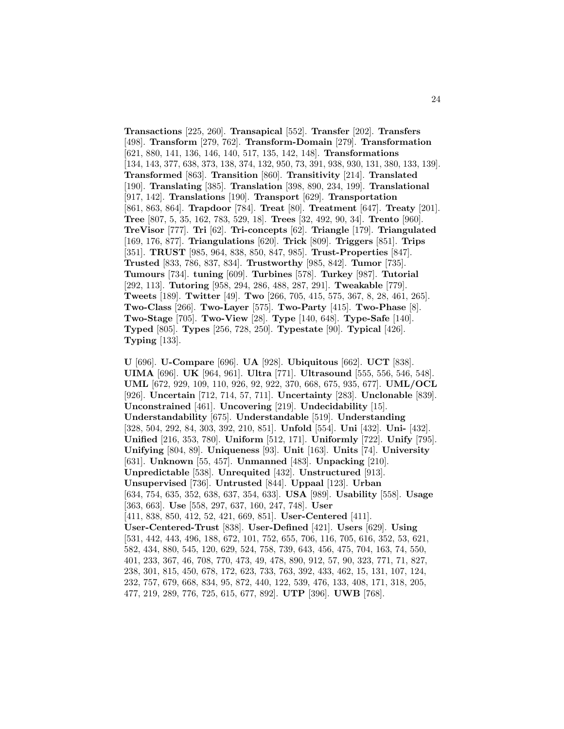**Transactions** [225, 260]. **Transapical** [552]. **Transfer** [202]. **Transfers** [498]. **Transform** [279, 762]. **Transform-Domain** [279]. **Transformation** [621, 880, 141, 136, 146, 140, 517, 135, 142, 148]. **Transformations** [134, 143, 377, 638, 373, 138, 374, 132, 950, 73, 391, 938, 930, 131, 380, 133, 139]. **Transformed** [863]. **Transition** [860]. **Transitivity** [214]. **Translated** [190]. **Translating** [385]. **Translation** [398, 890, 234, 199]. **Translational** [917, 142]. **Translations** [190]. **Transport** [629]. **Transportation** [861, 863, 864]. **Trapdoor** [784]. **Treat** [80]. **Treatment** [647]. **Treaty** [201]. **Tree** [807, 5, 35, 162, 783, 529, 18]. **Trees** [32, 492, 90, 34]. **Trento** [960]. **TreVisor** [777]. **Tri** [62]. **Tri-concepts** [62]. **Triangle** [179]. **Triangulated** [169, 176, 877]. **Triangulations** [620]. **Trick** [809]. **Triggers** [851]. **Trips** [351]. **TRUST** [985, 964, 838, 850, 847, 985]. **Trust-Properties** [847]. **Trusted** [833, 786, 837, 834]. **Trustworthy** [985, 842]. **Tumor** [735]. **Tumours** [734]. **tuning** [609]. **Turbines** [578]. **Turkey** [987]. **Tutorial** [292, 113]. **Tutoring** [958, 294, 286, 488, 287, 291]. **Tweakable** [779]. **Tweets** [189]. **Twitter** [49]. **Two** [266, 705, 415, 575, 367, 8, 28, 461, 265]. **Two-Class** [266]. **Two-Layer** [575]. **Two-Party** [415]. **Two-Phase** [8]. **Two-Stage** [705]. **Two-View** [28]. **Type** [140, 648]. **Type-Safe** [140]. **Typed** [805]. **Types** [256, 728, 250]. **Typestate** [90]. **Typical** [426]. **Typing** [133].

**U** [696]. **U-Compare** [696]. **UA** [928]. **Ubiquitous** [662]. **UCT** [838]. **UIMA** [696]. **UK** [964, 961]. **Ultra** [771]. **Ultrasound** [555, 556, 546, 548]. **UML** [672, 929, 109, 110, 926, 92, 922, 370, 668, 675, 935, 677]. **UML/OCL** [926]. **Uncertain** [712, 714, 57, 711]. **Uncertainty** [283]. **Unclonable** [839]. **Unconstrained** [461]. **Uncovering** [219]. **Undecidability** [15]. **Understandability** [675]. **Understandable** [519]. **Understanding** [328, 504, 292, 84, 303, 392, 210, 851]. **Unfold** [554]. **Uni** [432]. **Uni-** [432]. **Unified** [216, 353, 780]. **Uniform** [512, 171]. **Uniformly** [722]. **Unify** [795]. **Unifying** [804, 89]. **Uniqueness** [93]. **Unit** [163]. **Units** [74]. **University** [631]. **Unknown** [55, 457]. **Unmanned** [483]. **Unpacking** [210]. **Unpredictable** [538]. **Unrequited** [432]. **Unstructured** [913]. **Unsupervised** [736]. **Untrusted** [844]. **Uppaal** [123]. **Urban** [634, 754, 635, 352, 638, 637, 354, 633]. **USA** [989]. **Usability** [558]. **Usage** [363, 663]. **Use** [558, 297, 637, 160, 247, 748]. **User** [411, 838, 850, 412, 52, 421, 669, 851]. **User-Centered** [411]. **User-Centered-Trust** [838]. **User-Defined** [421]. **Users** [629]. **Using** [531, 442, 443, 496, 188, 672, 101, 752, 655, 706, 116, 705, 616, 352, 53, 621, 582, 434, 880, 545, 120, 629, 524, 758, 739, 643, 456, 475, 704, 163, 74, 550, 401, 233, 367, 46, 708, 770, 473, 49, 478, 890, 912, 57, 90, 323, 771, 71, 827, 238, 301, 815, 450, 678, 172, 623, 733, 763, 392, 433, 462, 15, 131, 107, 124, 232, 757, 679, 668, 834, 95, 872, 440, 122, 539, 476, 133, 408, 171, 318, 205, 477, 219, 289, 776, 725, 615, 677, 892]. **UTP** [396]. **UWB** [768].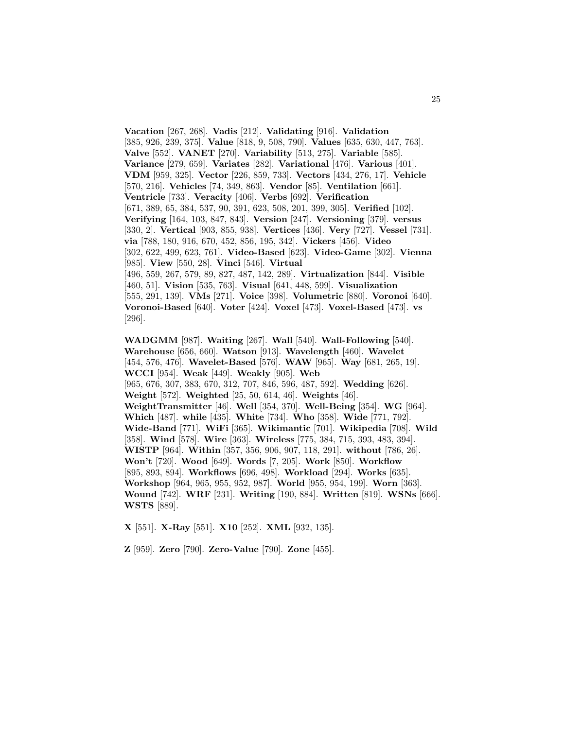**Vacation** [267, 268]. **Vadis** [212]. **Validating** [916]. **Validation** [385, 926, 239, 375]. **Value** [818, 9, 508, 790]. **Values** [635, 630, 447, 763]. **Valve** [552]. **VANET** [270]. **Variability** [513, 275]. **Variable** [585]. **Variance** [279, 659]. **Variates** [282]. **Variational** [476]. **Various** [401]. **VDM** [959, 325]. **Vector** [226, 859, 733]. **Vectors** [434, 276, 17]. **Vehicle** [570, 216]. **Vehicles** [74, 349, 863]. **Vendor** [85]. **Ventilation** [661]. **Ventricle** [733]. **Veracity** [406]. **Verbs** [692]. **Verification** [671, 389, 65, 384, 537, 90, 391, 623, 508, 201, 399, 305]. **Verified** [102]. **Verifying** [164, 103, 847, 843]. **Version** [247]. **Versioning** [379]. **versus** [330, 2]. **Vertical** [903, 855, 938]. **Vertices** [436]. **Very** [727]. **Vessel** [731]. **via** [788, 180, 916, 670, 452, 856, 195, 342]. **Vickers** [456]. **Video** [302, 622, 499, 623, 761]. **Video-Based** [623]. **Video-Game** [302]. **Vienna** [985]. **View** [550, 28]. **Vinci** [546]. **Virtual** [496, 559, 267, 579, 89, 827, 487, 142, 289]. **Virtualization** [844]. **Visible** [460, 51]. **Vision** [535, 763]. **Visual** [641, 448, 599]. **Visualization** [555, 291, 139]. **VMs** [271]. **Voice** [398]. **Volumetric** [880]. **Voronoi** [640]. **Voronoi-Based** [640]. **Voter** [424]. **Voxel** [473]. **Voxel-Based** [473]. **vs** [296]. **WADGMM** [987]. **Waiting** [267]. **Wall** [540]. **Wall-Following** [540]. **Warehouse** [656, 660]. **Watson** [913]. **Wavelength** [460]. **Wavelet**

[454, 576, 476]. **Wavelet-Based** [576]. **WAW** [965]. **Way** [681, 265, 19]. **WCCI** [954]. **Weak** [449]. **Weakly** [905]. **Web** [965, 676, 307, 383, 670, 312, 707, 846, 596, 487, 592]. **Wedding** [626]. **Weight** [572]. **Weighted** [25, 50, 614, 46]. **Weights** [46]. **WeightTransmitter** [46]. **Well** [354, 370]. **Well-Being** [354]. **WG** [964]. **Which** [487]. **while** [435]. **White** [734]. **Who** [358]. **Wide** [771, 792]. **Wide-Band** [771]. **WiFi** [365]. **Wikimantic** [701]. **Wikipedia** [708]. **Wild** [358]. **Wind** [578]. **Wire** [363]. **Wireless** [775, 384, 715, 393, 483, 394]. **WISTP** [964]. **Within** [357, 356, 906, 907, 118, 291]. **without** [786, 26]. **Won't** [720]. **Wood** [649]. **Words** [7, 205]. **Work** [850]. **Workflow** [895, 893, 894]. **Workflows** [696, 498]. **Workload** [294]. **Works** [635]. **Workshop** [964, 965, 955, 952, 987]. **World** [955, 954, 199]. **Worn** [363]. **Wound** [742]. **WRF** [231]. **Writing** [190, 884]. **Written** [819]. **WSNs** [666]. **WSTS** [889].

**X** [551]. **X-Ray** [551]. **X10** [252]. **XML** [932, 135].

**Z** [959]. **Zero** [790]. **Zero-Value** [790]. **Zone** [455].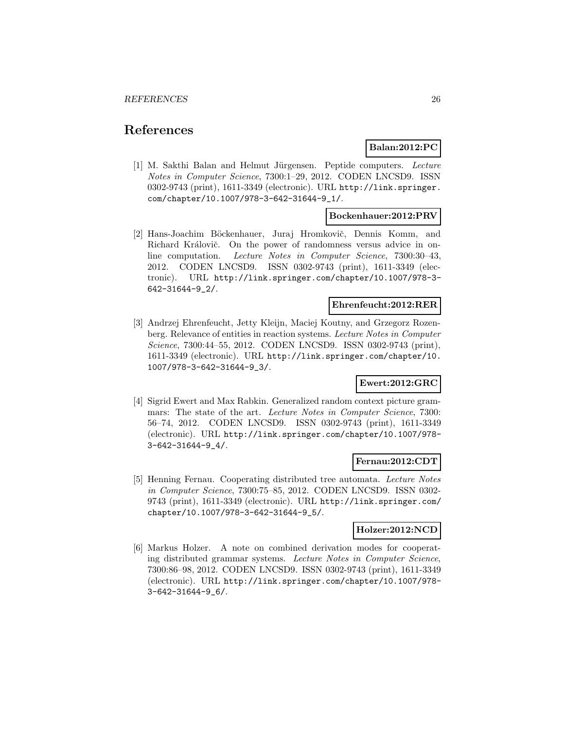# **References**

# **Balan:2012:PC**

[1] M. Sakthi Balan and Helmut Jürgensen. Peptide computers. Lecture Notes in Computer Science, 7300:1–29, 2012. CODEN LNCSD9. ISSN 0302-9743 (print), 1611-3349 (electronic). URL http://link.springer. com/chapter/10.1007/978-3-642-31644-9\_1/.

### **Bockenhauer:2012:PRV**

[2] Hans-Joachim Böckenhauer, Juraj Hromkovič, Dennis Komm, and Richard Královič. On the power of randomness versus advice in online computation. Lecture Notes in Computer Science, 7300:30–43, 2012. CODEN LNCSD9. ISSN 0302-9743 (print), 1611-3349 (electronic). URL http://link.springer.com/chapter/10.1007/978-3- 642-31644-9\_2/.

# **Ehrenfeucht:2012:RER**

[3] Andrzej Ehrenfeucht, Jetty Kleijn, Maciej Koutny, and Grzegorz Rozenberg. Relevance of entities in reaction systems. Lecture Notes in Computer Science, 7300:44–55, 2012. CODEN LNCSD9. ISSN 0302-9743 (print), 1611-3349 (electronic). URL http://link.springer.com/chapter/10. 1007/978-3-642-31644-9\_3/.

#### **Ewert:2012:GRC**

[4] Sigrid Ewert and Max Rabkin. Generalized random context picture grammars: The state of the art. *Lecture Notes in Computer Science*, 7300: 56–74, 2012. CODEN LNCSD9. ISSN 0302-9743 (print), 1611-3349 (electronic). URL http://link.springer.com/chapter/10.1007/978- 3-642-31644-9\_4/.

#### **Fernau:2012:CDT**

[5] Henning Fernau. Cooperating distributed tree automata. Lecture Notes in Computer Science, 7300:75–85, 2012. CODEN LNCSD9. ISSN 0302- 9743 (print), 1611-3349 (electronic). URL http://link.springer.com/ chapter/10.1007/978-3-642-31644-9\_5/.

#### **Holzer:2012:NCD**

[6] Markus Holzer. A note on combined derivation modes for cooperating distributed grammar systems. Lecture Notes in Computer Science, 7300:86–98, 2012. CODEN LNCSD9. ISSN 0302-9743 (print), 1611-3349 (electronic). URL http://link.springer.com/chapter/10.1007/978- 3-642-31644-9\_6/.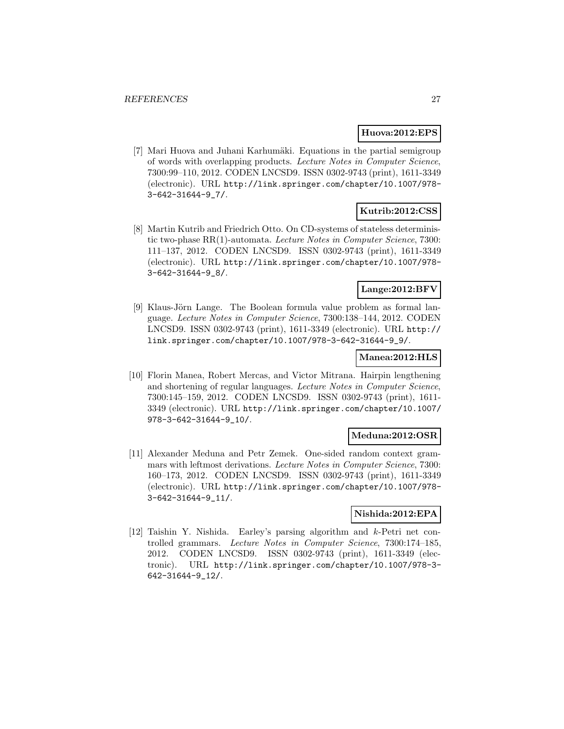#### **Huova:2012:EPS**

[7] Mari Huova and Juhani Karhumäki. Equations in the partial semigroup of words with overlapping products. Lecture Notes in Computer Science, 7300:99–110, 2012. CODEN LNCSD9. ISSN 0302-9743 (print), 1611-3349 (electronic). URL http://link.springer.com/chapter/10.1007/978- 3-642-31644-9\_7/.

# **Kutrib:2012:CSS**

[8] Martin Kutrib and Friedrich Otto. On CD-systems of stateless deterministic two-phase RR(1)-automata. Lecture Notes in Computer Science, 7300: 111–137, 2012. CODEN LNCSD9. ISSN 0302-9743 (print), 1611-3349 (electronic). URL http://link.springer.com/chapter/10.1007/978- 3-642-31644-9\_8/.

# **Lange:2012:BFV**

[9] Klaus-Jörn Lange. The Boolean formula value problem as formal language. Lecture Notes in Computer Science, 7300:138–144, 2012. CODEN LNCSD9. ISSN 0302-9743 (print), 1611-3349 (electronic). URL http:// link.springer.com/chapter/10.1007/978-3-642-31644-9\_9/.

#### **Manea:2012:HLS**

[10] Florin Manea, Robert Mercas, and Victor Mitrana. Hairpin lengthening and shortening of regular languages. Lecture Notes in Computer Science, 7300:145–159, 2012. CODEN LNCSD9. ISSN 0302-9743 (print), 1611- 3349 (electronic). URL http://link.springer.com/chapter/10.1007/ 978-3-642-31644-9\_10/.

#### **Meduna:2012:OSR**

[11] Alexander Meduna and Petr Zemek. One-sided random context grammars with leftmost derivations. Lecture Notes in Computer Science, 7300: 160–173, 2012. CODEN LNCSD9. ISSN 0302-9743 (print), 1611-3349 (electronic). URL http://link.springer.com/chapter/10.1007/978- 3-642-31644-9\_11/.

### **Nishida:2012:EPA**

[12] Taishin Y. Nishida. Earley's parsing algorithm and k-Petri net controlled grammars. Lecture Notes in Computer Science, 7300:174–185, 2012. CODEN LNCSD9. ISSN 0302-9743 (print), 1611-3349 (electronic). URL http://link.springer.com/chapter/10.1007/978-3- 642-31644-9\_12/.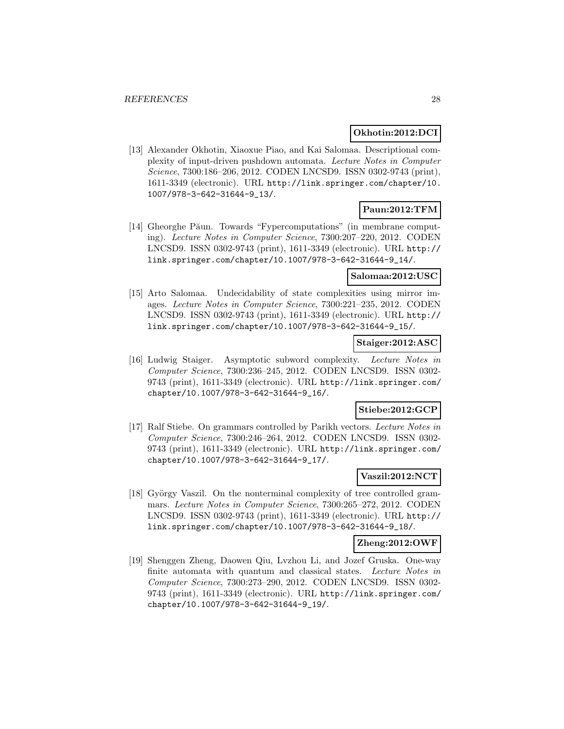### **Okhotin:2012:DCI**

[13] Alexander Okhotin, Xiaoxue Piao, and Kai Salomaa. Descriptional complexity of input-driven pushdown automata. Lecture Notes in Computer Science, 7300:186–206, 2012. CODEN LNCSD9. ISSN 0302-9743 (print), 1611-3349 (electronic). URL http://link.springer.com/chapter/10. 1007/978-3-642-31644-9\_13/.

# **Paun:2012:TFM**

[14] Gheorghe Păun. Towards "Fypercomputations" (in membrane computing). Lecture Notes in Computer Science, 7300:207–220, 2012. CODEN LNCSD9. ISSN 0302-9743 (print), 1611-3349 (electronic). URL http:// link.springer.com/chapter/10.1007/978-3-642-31644-9\_14/.

#### **Salomaa:2012:USC**

[15] Arto Salomaa. Undecidability of state complexities using mirror images. Lecture Notes in Computer Science, 7300:221–235, 2012. CODEN LNCSD9. ISSN 0302-9743 (print), 1611-3349 (electronic). URL http:// link.springer.com/chapter/10.1007/978-3-642-31644-9\_15/.

### **Staiger:2012:ASC**

[16] Ludwig Staiger. Asymptotic subword complexity. Lecture Notes in Computer Science, 7300:236–245, 2012. CODEN LNCSD9. ISSN 0302- 9743 (print), 1611-3349 (electronic). URL http://link.springer.com/ chapter/10.1007/978-3-642-31644-9\_16/.

# **Stiebe:2012:GCP**

[17] Ralf Stiebe. On grammars controlled by Parikh vectors. Lecture Notes in Computer Science, 7300:246–264, 2012. CODEN LNCSD9. ISSN 0302- 9743 (print), 1611-3349 (electronic). URL http://link.springer.com/ chapter/10.1007/978-3-642-31644-9\_17/.

# **Vaszil:2012:NCT**

[18] György Vaszil. On the nonterminal complexity of tree controlled grammars. Lecture Notes in Computer Science, 7300:265–272, 2012. CODEN LNCSD9. ISSN 0302-9743 (print), 1611-3349 (electronic). URL http:// link.springer.com/chapter/10.1007/978-3-642-31644-9\_18/.

#### **Zheng:2012:OWF**

[19] Shenggen Zheng, Daowen Qiu, Lvzhou Li, and Jozef Gruska. One-way finite automata with quantum and classical states. Lecture Notes in Computer Science, 7300:273–290, 2012. CODEN LNCSD9. ISSN 0302- 9743 (print), 1611-3349 (electronic). URL http://link.springer.com/ chapter/10.1007/978-3-642-31644-9\_19/.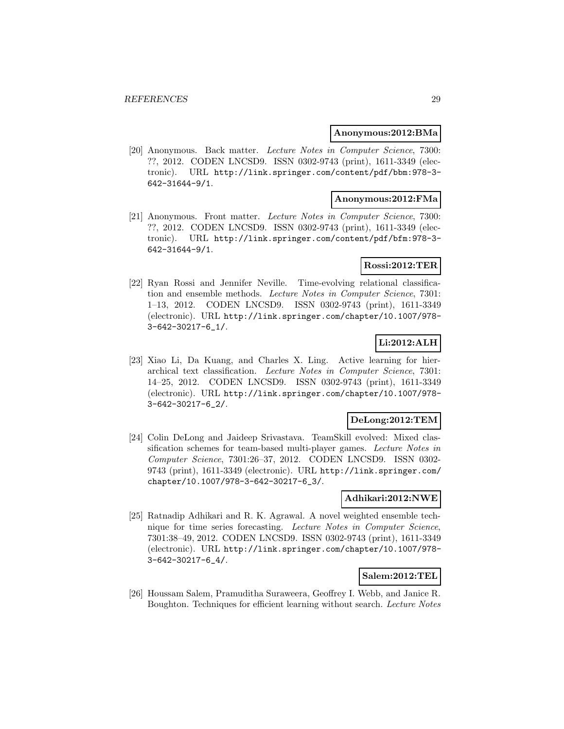#### **Anonymous:2012:BMa**

[20] Anonymous. Back matter. Lecture Notes in Computer Science, 7300: ??, 2012. CODEN LNCSD9. ISSN 0302-9743 (print), 1611-3349 (electronic). URL http://link.springer.com/content/pdf/bbm:978-3- 642-31644-9/1.

# **Anonymous:2012:FMa**

[21] Anonymous. Front matter. Lecture Notes in Computer Science, 7300: ??, 2012. CODEN LNCSD9. ISSN 0302-9743 (print), 1611-3349 (electronic). URL http://link.springer.com/content/pdf/bfm:978-3- 642-31644-9/1.

# **Rossi:2012:TER**

[22] Ryan Rossi and Jennifer Neville. Time-evolving relational classification and ensemble methods. Lecture Notes in Computer Science, 7301: 1–13, 2012. CODEN LNCSD9. ISSN 0302-9743 (print), 1611-3349 (electronic). URL http://link.springer.com/chapter/10.1007/978- 3-642-30217-6\_1/.

# **Li:2012:ALH**

[23] Xiao Li, Da Kuang, and Charles X. Ling. Active learning for hierarchical text classification. Lecture Notes in Computer Science, 7301: 14–25, 2012. CODEN LNCSD9. ISSN 0302-9743 (print), 1611-3349 (electronic). URL http://link.springer.com/chapter/10.1007/978- 3-642-30217-6\_2/.

#### **DeLong:2012:TEM**

[24] Colin DeLong and Jaideep Srivastava. TeamSkill evolved: Mixed classification schemes for team-based multi-player games. Lecture Notes in Computer Science, 7301:26–37, 2012. CODEN LNCSD9. ISSN 0302- 9743 (print), 1611-3349 (electronic). URL http://link.springer.com/ chapter/10.1007/978-3-642-30217-6\_3/.

#### **Adhikari:2012:NWE**

[25] Ratnadip Adhikari and R. K. Agrawal. A novel weighted ensemble technique for time series forecasting. Lecture Notes in Computer Science, 7301:38–49, 2012. CODEN LNCSD9. ISSN 0302-9743 (print), 1611-3349 (electronic). URL http://link.springer.com/chapter/10.1007/978- 3-642-30217-6\_4/.

# **Salem:2012:TEL**

[26] Houssam Salem, Pramuditha Suraweera, Geoffrey I. Webb, and Janice R. Boughton. Techniques for efficient learning without search. Lecture Notes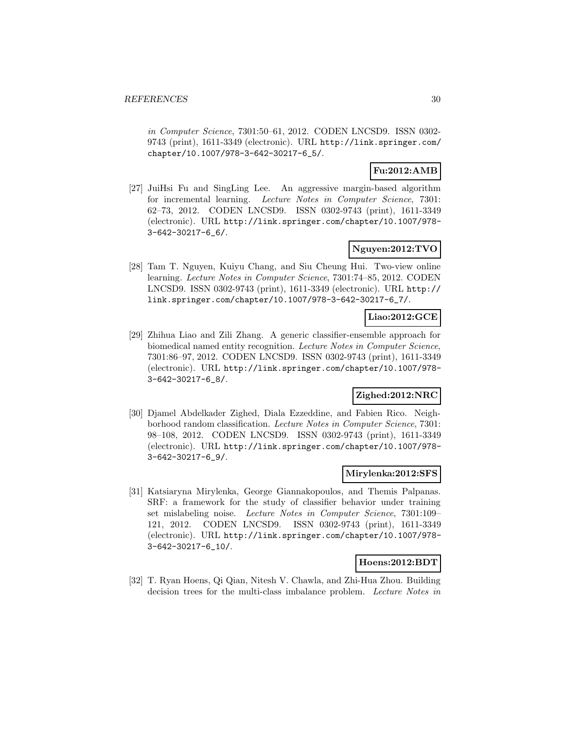in Computer Science, 7301:50–61, 2012. CODEN LNCSD9. ISSN 0302- 9743 (print), 1611-3349 (electronic). URL http://link.springer.com/ chapter/10.1007/978-3-642-30217-6\_5/.

# **Fu:2012:AMB**

[27] JuiHsi Fu and SingLing Lee. An aggressive margin-based algorithm for incremental learning. Lecture Notes in Computer Science, 7301: 62–73, 2012. CODEN LNCSD9. ISSN 0302-9743 (print), 1611-3349 (electronic). URL http://link.springer.com/chapter/10.1007/978- 3-642-30217-6\_6/.

### **Nguyen:2012:TVO**

[28] Tam T. Nguyen, Kuiyu Chang, and Siu Cheung Hui. Two-view online learning. Lecture Notes in Computer Science, 7301:74–85, 2012. CODEN LNCSD9. ISSN 0302-9743 (print), 1611-3349 (electronic). URL http:// link.springer.com/chapter/10.1007/978-3-642-30217-6\_7/.

# **Liao:2012:GCE**

[29] Zhihua Liao and Zili Zhang. A generic classifier-ensemble approach for biomedical named entity recognition. Lecture Notes in Computer Science, 7301:86–97, 2012. CODEN LNCSD9. ISSN 0302-9743 (print), 1611-3349 (electronic). URL http://link.springer.com/chapter/10.1007/978- 3-642-30217-6\_8/.

# **Zighed:2012:NRC**

[30] Djamel Abdelkader Zighed, Diala Ezzeddine, and Fabien Rico. Neighborhood random classification. Lecture Notes in Computer Science, 7301: 98–108, 2012. CODEN LNCSD9. ISSN 0302-9743 (print), 1611-3349 (electronic). URL http://link.springer.com/chapter/10.1007/978- 3-642-30217-6\_9/.

## **Mirylenka:2012:SFS**

[31] Katsiaryna Mirylenka, George Giannakopoulos, and Themis Palpanas. SRF: a framework for the study of classifier behavior under training set mislabeling noise. Lecture Notes in Computer Science, 7301:109– 121, 2012. CODEN LNCSD9. ISSN 0302-9743 (print), 1611-3349 (electronic). URL http://link.springer.com/chapter/10.1007/978- 3-642-30217-6\_10/.

#### **Hoens:2012:BDT**

[32] T. Ryan Hoens, Qi Qian, Nitesh V. Chawla, and Zhi-Hua Zhou. Building decision trees for the multi-class imbalance problem. Lecture Notes in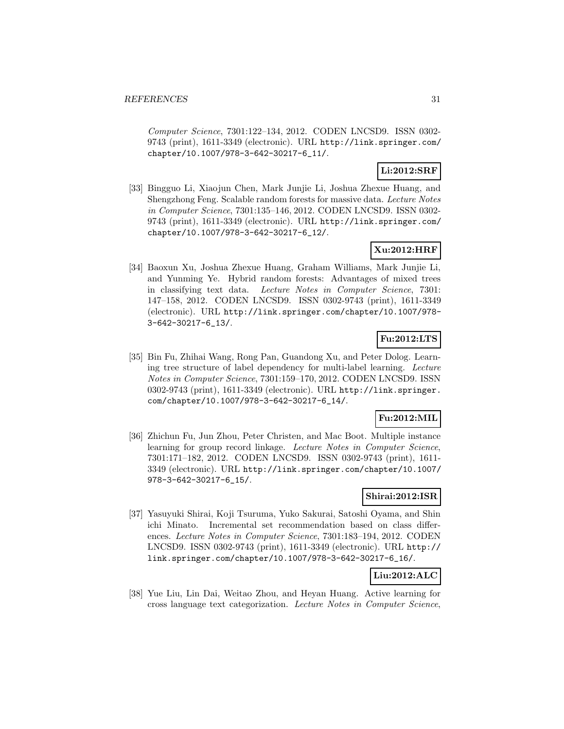Computer Science, 7301:122–134, 2012. CODEN LNCSD9. ISSN 0302- 9743 (print), 1611-3349 (electronic). URL http://link.springer.com/ chapter/10.1007/978-3-642-30217-6\_11/.

# **Li:2012:SRF**

[33] Bingguo Li, Xiaojun Chen, Mark Junjie Li, Joshua Zhexue Huang, and Shengzhong Feng. Scalable random forests for massive data. Lecture Notes in Computer Science, 7301:135–146, 2012. CODEN LNCSD9. ISSN 0302- 9743 (print), 1611-3349 (electronic). URL http://link.springer.com/ chapter/10.1007/978-3-642-30217-6\_12/.

# **Xu:2012:HRF**

[34] Baoxun Xu, Joshua Zhexue Huang, Graham Williams, Mark Junjie Li, and Yunming Ye. Hybrid random forests: Advantages of mixed trees in classifying text data. Lecture Notes in Computer Science, 7301: 147–158, 2012. CODEN LNCSD9. ISSN 0302-9743 (print), 1611-3349 (electronic). URL http://link.springer.com/chapter/10.1007/978- 3-642-30217-6\_13/.

# **Fu:2012:LTS**

[35] Bin Fu, Zhihai Wang, Rong Pan, Guandong Xu, and Peter Dolog. Learning tree structure of label dependency for multi-label learning. Lecture Notes in Computer Science, 7301:159–170, 2012. CODEN LNCSD9. ISSN 0302-9743 (print), 1611-3349 (electronic). URL http://link.springer. com/chapter/10.1007/978-3-642-30217-6\_14/.

# **Fu:2012:MIL**

[36] Zhichun Fu, Jun Zhou, Peter Christen, and Mac Boot. Multiple instance learning for group record linkage. Lecture Notes in Computer Science, 7301:171–182, 2012. CODEN LNCSD9. ISSN 0302-9743 (print), 1611- 3349 (electronic). URL http://link.springer.com/chapter/10.1007/ 978-3-642-30217-6\_15/.

# **Shirai:2012:ISR**

[37] Yasuyuki Shirai, Koji Tsuruma, Yuko Sakurai, Satoshi Oyama, and Shin ichi Minato. Incremental set recommendation based on class differences. Lecture Notes in Computer Science, 7301:183–194, 2012. CODEN LNCSD9. ISSN 0302-9743 (print), 1611-3349 (electronic). URL http:// link.springer.com/chapter/10.1007/978-3-642-30217-6\_16/.

# **Liu:2012:ALC**

[38] Yue Liu, Lin Dai, Weitao Zhou, and Heyan Huang. Active learning for cross language text categorization. Lecture Notes in Computer Science,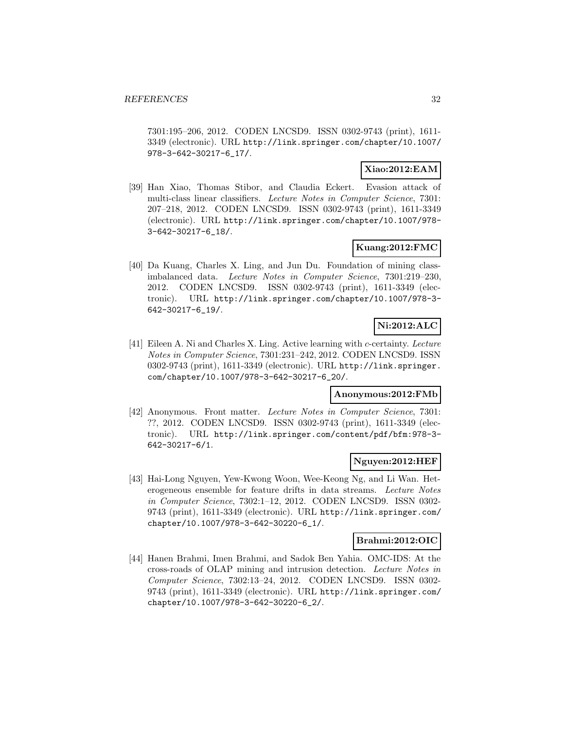7301:195–206, 2012. CODEN LNCSD9. ISSN 0302-9743 (print), 1611- 3349 (electronic). URL http://link.springer.com/chapter/10.1007/ 978-3-642-30217-6\_17/.

## **Xiao:2012:EAM**

[39] Han Xiao, Thomas Stibor, and Claudia Eckert. Evasion attack of multi-class linear classifiers. Lecture Notes in Computer Science, 7301: 207–218, 2012. CODEN LNCSD9. ISSN 0302-9743 (print), 1611-3349 (electronic). URL http://link.springer.com/chapter/10.1007/978- 3-642-30217-6\_18/.

## **Kuang:2012:FMC**

[40] Da Kuang, Charles X. Ling, and Jun Du. Foundation of mining classimbalanced data. Lecture Notes in Computer Science, 7301:219–230, 2012. CODEN LNCSD9. ISSN 0302-9743 (print), 1611-3349 (electronic). URL http://link.springer.com/chapter/10.1007/978-3- 642-30217-6\_19/.

# **Ni:2012:ALC**

[41] Eileen A. Ni and Charles X. Ling. Active learning with c-certainty. Lecture Notes in Computer Science, 7301:231–242, 2012. CODEN LNCSD9. ISSN 0302-9743 (print), 1611-3349 (electronic). URL http://link.springer. com/chapter/10.1007/978-3-642-30217-6\_20/.

# **Anonymous:2012:FMb**

[42] Anonymous. Front matter. Lecture Notes in Computer Science, 7301: ??, 2012. CODEN LNCSD9. ISSN 0302-9743 (print), 1611-3349 (electronic). URL http://link.springer.com/content/pdf/bfm:978-3- 642-30217-6/1.

#### **Nguyen:2012:HEF**

[43] Hai-Long Nguyen, Yew-Kwong Woon, Wee-Keong Ng, and Li Wan. Heterogeneous ensemble for feature drifts in data streams. Lecture Notes in Computer Science, 7302:1–12, 2012. CODEN LNCSD9. ISSN 0302- 9743 (print), 1611-3349 (electronic). URL http://link.springer.com/ chapter/10.1007/978-3-642-30220-6\_1/.

#### **Brahmi:2012:OIC**

[44] Hanen Brahmi, Imen Brahmi, and Sadok Ben Yahia. OMC-IDS: At the cross-roads of OLAP mining and intrusion detection. Lecture Notes in Computer Science, 7302:13–24, 2012. CODEN LNCSD9. ISSN 0302- 9743 (print), 1611-3349 (electronic). URL http://link.springer.com/ chapter/10.1007/978-3-642-30220-6\_2/.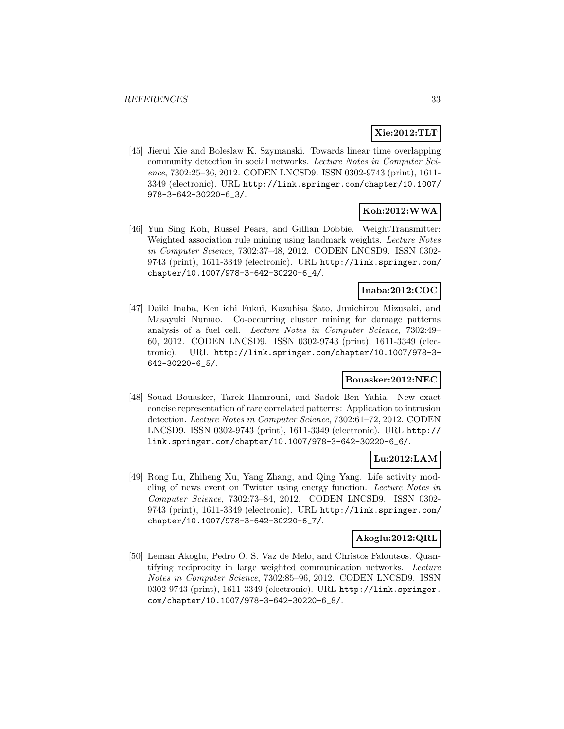# **Xie:2012:TLT**

[45] Jierui Xie and Boleslaw K. Szymanski. Towards linear time overlapping community detection in social networks. Lecture Notes in Computer Science, 7302:25–36, 2012. CODEN LNCSD9. ISSN 0302-9743 (print), 1611- 3349 (electronic). URL http://link.springer.com/chapter/10.1007/ 978-3-642-30220-6\_3/.

# **Koh:2012:WWA**

[46] Yun Sing Koh, Russel Pears, and Gillian Dobbie. WeightTransmitter: Weighted association rule mining using landmark weights. Lecture Notes in Computer Science, 7302:37–48, 2012. CODEN LNCSD9. ISSN 0302- 9743 (print), 1611-3349 (electronic). URL http://link.springer.com/ chapter/10.1007/978-3-642-30220-6\_4/.

## **Inaba:2012:COC**

[47] Daiki Inaba, Ken ichi Fukui, Kazuhisa Sato, Junichirou Mizusaki, and Masayuki Numao. Co-occurring cluster mining for damage patterns analysis of a fuel cell. Lecture Notes in Computer Science, 7302:49– 60, 2012. CODEN LNCSD9. ISSN 0302-9743 (print), 1611-3349 (electronic). URL http://link.springer.com/chapter/10.1007/978-3- 642-30220-6\_5/.

# **Bouasker:2012:NEC**

[48] Souad Bouasker, Tarek Hamrouni, and Sadok Ben Yahia. New exact concise representation of rare correlated patterns: Application to intrusion detection. Lecture Notes in Computer Science, 7302:61–72, 2012. CODEN LNCSD9. ISSN 0302-9743 (print), 1611-3349 (electronic). URL http:// link.springer.com/chapter/10.1007/978-3-642-30220-6\_6/.

# **Lu:2012:LAM**

[49] Rong Lu, Zhiheng Xu, Yang Zhang, and Qing Yang. Life activity modeling of news event on Twitter using energy function. Lecture Notes in Computer Science, 7302:73–84, 2012. CODEN LNCSD9. ISSN 0302- 9743 (print), 1611-3349 (electronic). URL http://link.springer.com/ chapter/10.1007/978-3-642-30220-6\_7/.

### **Akoglu:2012:QRL**

[50] Leman Akoglu, Pedro O. S. Vaz de Melo, and Christos Faloutsos. Quantifying reciprocity in large weighted communication networks. Lecture Notes in Computer Science, 7302:85–96, 2012. CODEN LNCSD9. ISSN 0302-9743 (print), 1611-3349 (electronic). URL http://link.springer. com/chapter/10.1007/978-3-642-30220-6\_8/.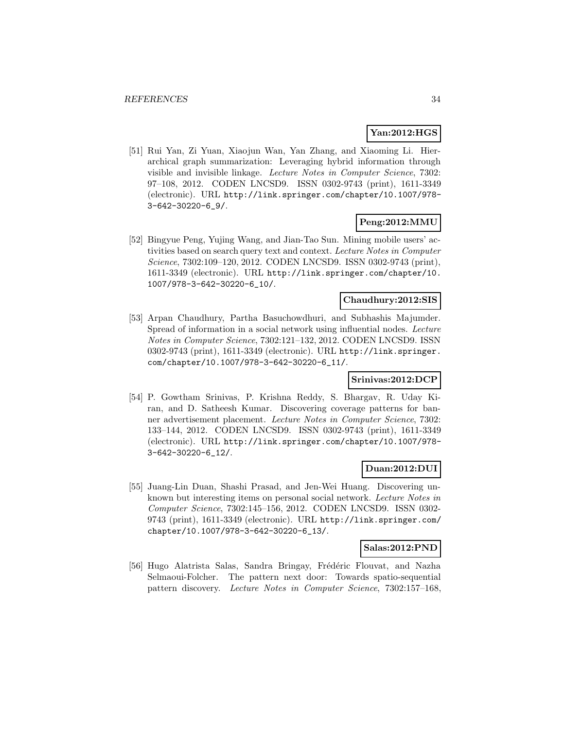# **Yan:2012:HGS**

[51] Rui Yan, Zi Yuan, Xiaojun Wan, Yan Zhang, and Xiaoming Li. Hierarchical graph summarization: Leveraging hybrid information through visible and invisible linkage. Lecture Notes in Computer Science, 7302: 97–108, 2012. CODEN LNCSD9. ISSN 0302-9743 (print), 1611-3349 (electronic). URL http://link.springer.com/chapter/10.1007/978- 3-642-30220-6\_9/.

# **Peng:2012:MMU**

[52] Bingyue Peng, Yujing Wang, and Jian-Tao Sun. Mining mobile users' activities based on search query text and context. Lecture Notes in Computer Science, 7302:109–120, 2012. CODEN LNCSD9. ISSN 0302-9743 (print), 1611-3349 (electronic). URL http://link.springer.com/chapter/10. 1007/978-3-642-30220-6\_10/.

## **Chaudhury:2012:SIS**

[53] Arpan Chaudhury, Partha Basuchowdhuri, and Subhashis Majumder. Spread of information in a social network using influential nodes. Lecture Notes in Computer Science, 7302:121–132, 2012. CODEN LNCSD9. ISSN 0302-9743 (print), 1611-3349 (electronic). URL http://link.springer. com/chapter/10.1007/978-3-642-30220-6\_11/.

# **Srinivas:2012:DCP**

[54] P. Gowtham Srinivas, P. Krishna Reddy, S. Bhargav, R. Uday Kiran, and D. Satheesh Kumar. Discovering coverage patterns for banner advertisement placement. Lecture Notes in Computer Science, 7302: 133–144, 2012. CODEN LNCSD9. ISSN 0302-9743 (print), 1611-3349 (electronic). URL http://link.springer.com/chapter/10.1007/978- 3-642-30220-6\_12/.

# **Duan:2012:DUI**

[55] Juang-Lin Duan, Shashi Prasad, and Jen-Wei Huang. Discovering unknown but interesting items on personal social network. Lecture Notes in Computer Science, 7302:145–156, 2012. CODEN LNCSD9. ISSN 0302- 9743 (print), 1611-3349 (electronic). URL http://link.springer.com/ chapter/10.1007/978-3-642-30220-6\_13/.

#### **Salas:2012:PND**

[56] Hugo Alatrista Salas, Sandra Bringay, Frédéric Flouvat, and Nazha Selmaoui-Folcher. The pattern next door: Towards spatio-sequential pattern discovery. Lecture Notes in Computer Science, 7302:157–168,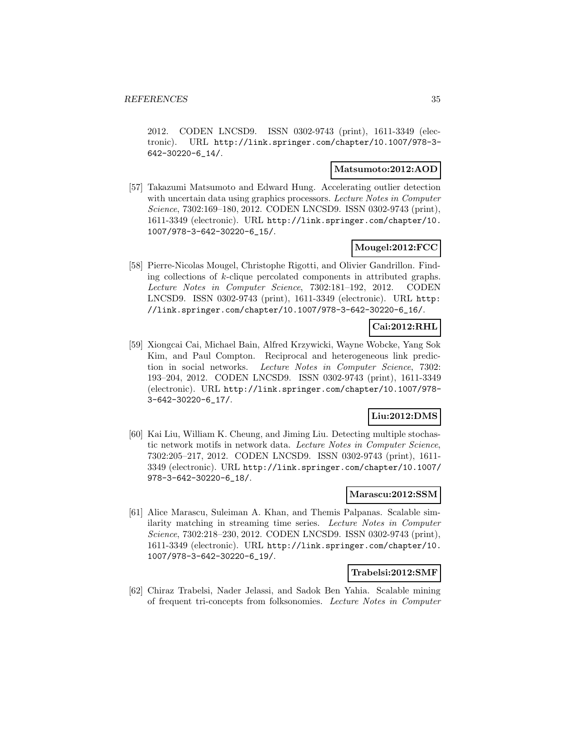2012. CODEN LNCSD9. ISSN 0302-9743 (print), 1611-3349 (electronic). URL http://link.springer.com/chapter/10.1007/978-3- 642-30220-6\_14/.

#### **Matsumoto:2012:AOD**

[57] Takazumi Matsumoto and Edward Hung. Accelerating outlier detection with uncertain data using graphics processors. Lecture Notes in Computer Science, 7302:169–180, 2012. CODEN LNCSD9. ISSN 0302-9743 (print), 1611-3349 (electronic). URL http://link.springer.com/chapter/10. 1007/978-3-642-30220-6\_15/.

# **Mougel:2012:FCC**

[58] Pierre-Nicolas Mougel, Christophe Rigotti, and Olivier Gandrillon. Finding collections of k-clique percolated components in attributed graphs. Lecture Notes in Computer Science, 7302:181–192, 2012. CODEN LNCSD9. ISSN 0302-9743 (print), 1611-3349 (electronic). URL http: //link.springer.com/chapter/10.1007/978-3-642-30220-6\_16/.

# **Cai:2012:RHL**

[59] Xiongcai Cai, Michael Bain, Alfred Krzywicki, Wayne Wobcke, Yang Sok Kim, and Paul Compton. Reciprocal and heterogeneous link prediction in social networks. Lecture Notes in Computer Science, 7302: 193–204, 2012. CODEN LNCSD9. ISSN 0302-9743 (print), 1611-3349 (electronic). URL http://link.springer.com/chapter/10.1007/978- 3-642-30220-6\_17/.

# **Liu:2012:DMS**

[60] Kai Liu, William K. Cheung, and Jiming Liu. Detecting multiple stochastic network motifs in network data. Lecture Notes in Computer Science, 7302:205–217, 2012. CODEN LNCSD9. ISSN 0302-9743 (print), 1611- 3349 (electronic). URL http://link.springer.com/chapter/10.1007/ 978-3-642-30220-6\_18/.

### **Marascu:2012:SSM**

[61] Alice Marascu, Suleiman A. Khan, and Themis Palpanas. Scalable similarity matching in streaming time series. Lecture Notes in Computer Science, 7302:218–230, 2012. CODEN LNCSD9. ISSN 0302-9743 (print), 1611-3349 (electronic). URL http://link.springer.com/chapter/10. 1007/978-3-642-30220-6\_19/.

### **Trabelsi:2012:SMF**

[62] Chiraz Trabelsi, Nader Jelassi, and Sadok Ben Yahia. Scalable mining of frequent tri-concepts from folksonomies. Lecture Notes in Computer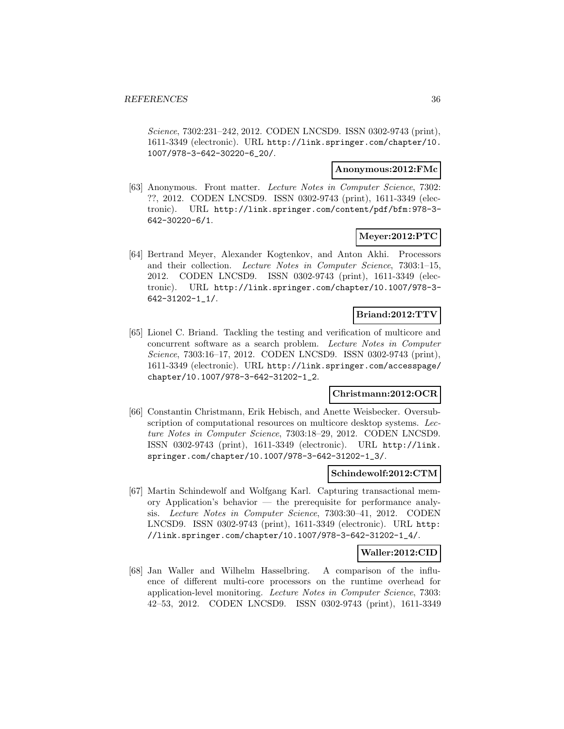Science, 7302:231–242, 2012. CODEN LNCSD9. ISSN 0302-9743 (print), 1611-3349 (electronic). URL http://link.springer.com/chapter/10. 1007/978-3-642-30220-6\_20/.

### **Anonymous:2012:FMc**

[63] Anonymous. Front matter. Lecture Notes in Computer Science, 7302: ??, 2012. CODEN LNCSD9. ISSN 0302-9743 (print), 1611-3349 (electronic). URL http://link.springer.com/content/pdf/bfm:978-3- 642-30220-6/1.

### **Meyer:2012:PTC**

[64] Bertrand Meyer, Alexander Kogtenkov, and Anton Akhi. Processors and their collection. Lecture Notes in Computer Science, 7303:1–15, 2012. CODEN LNCSD9. ISSN 0302-9743 (print), 1611-3349 (electronic). URL http://link.springer.com/chapter/10.1007/978-3- 642-31202-1\_1/.

### **Briand:2012:TTV**

[65] Lionel C. Briand. Tackling the testing and verification of multicore and concurrent software as a search problem. Lecture Notes in Computer Science, 7303:16–17, 2012. CODEN LNCSD9. ISSN 0302-9743 (print), 1611-3349 (electronic). URL http://link.springer.com/accesspage/ chapter/10.1007/978-3-642-31202-1\_2.

# **Christmann:2012:OCR**

[66] Constantin Christmann, Erik Hebisch, and Anette Weisbecker. Oversubscription of computational resources on multicore desktop systems. Lecture Notes in Computer Science, 7303:18–29, 2012. CODEN LNCSD9. ISSN 0302-9743 (print), 1611-3349 (electronic). URL http://link. springer.com/chapter/10.1007/978-3-642-31202-1\_3/.

#### **Schindewolf:2012:CTM**

[67] Martin Schindewolf and Wolfgang Karl. Capturing transactional memory Application's behavior — the prerequisite for performance analysis. Lecture Notes in Computer Science, 7303:30–41, 2012. CODEN LNCSD9. ISSN 0302-9743 (print), 1611-3349 (electronic). URL http: //link.springer.com/chapter/10.1007/978-3-642-31202-1\_4/.

# **Waller:2012:CID**

[68] Jan Waller and Wilhelm Hasselbring. A comparison of the influence of different multi-core processors on the runtime overhead for application-level monitoring. Lecture Notes in Computer Science, 7303: 42–53, 2012. CODEN LNCSD9. ISSN 0302-9743 (print), 1611-3349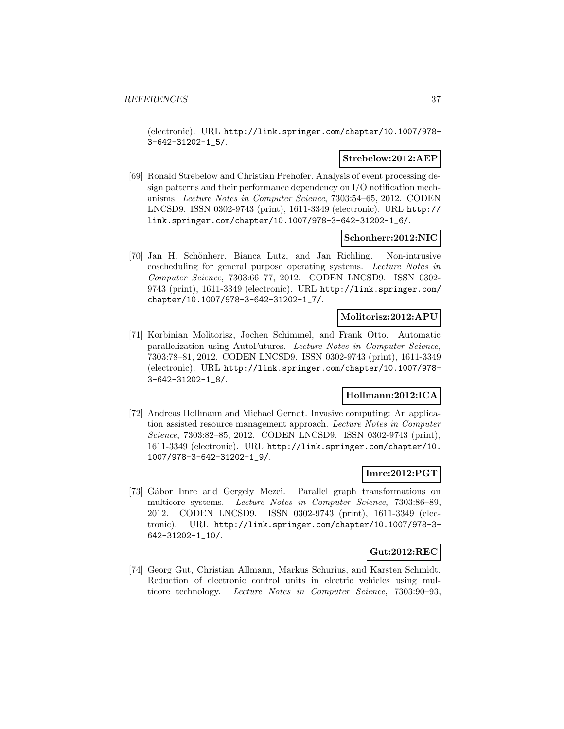(electronic). URL http://link.springer.com/chapter/10.1007/978- 3-642-31202-1\_5/.

#### **Strebelow:2012:AEP**

[69] Ronald Strebelow and Christian Prehofer. Analysis of event processing design patterns and their performance dependency on I/O notification mechanisms. Lecture Notes in Computer Science, 7303:54–65, 2012. CODEN LNCSD9. ISSN 0302-9743 (print), 1611-3349 (electronic). URL http:// link.springer.com/chapter/10.1007/978-3-642-31202-1\_6/.

#### **Schonherr:2012:NIC**

[70] Jan H. Schönherr, Bianca Lutz, and Jan Richling. Non-intrusive coscheduling for general purpose operating systems. Lecture Notes in Computer Science, 7303:66–77, 2012. CODEN LNCSD9. ISSN 0302- 9743 (print), 1611-3349 (electronic). URL http://link.springer.com/ chapter/10.1007/978-3-642-31202-1\_7/.

### **Molitorisz:2012:APU**

[71] Korbinian Molitorisz, Jochen Schimmel, and Frank Otto. Automatic parallelization using AutoFutures. Lecture Notes in Computer Science, 7303:78–81, 2012. CODEN LNCSD9. ISSN 0302-9743 (print), 1611-3349 (electronic). URL http://link.springer.com/chapter/10.1007/978- 3-642-31202-1\_8/.

# **Hollmann:2012:ICA**

[72] Andreas Hollmann and Michael Gerndt. Invasive computing: An application assisted resource management approach. Lecture Notes in Computer Science, 7303:82–85, 2012. CODEN LNCSD9. ISSN 0302-9743 (print), 1611-3349 (electronic). URL http://link.springer.com/chapter/10. 1007/978-3-642-31202-1\_9/.

### **Imre:2012:PGT**

[73] Gábor Imre and Gergely Mezei. Parallel graph transformations on multicore systems. Lecture Notes in Computer Science, 7303:86–89, 2012. CODEN LNCSD9. ISSN 0302-9743 (print), 1611-3349 (electronic). URL http://link.springer.com/chapter/10.1007/978-3- 642-31202-1\_10/.

# **Gut:2012:REC**

[74] Georg Gut, Christian Allmann, Markus Schurius, and Karsten Schmidt. Reduction of electronic control units in electric vehicles using multicore technology. Lecture Notes in Computer Science, 7303:90–93,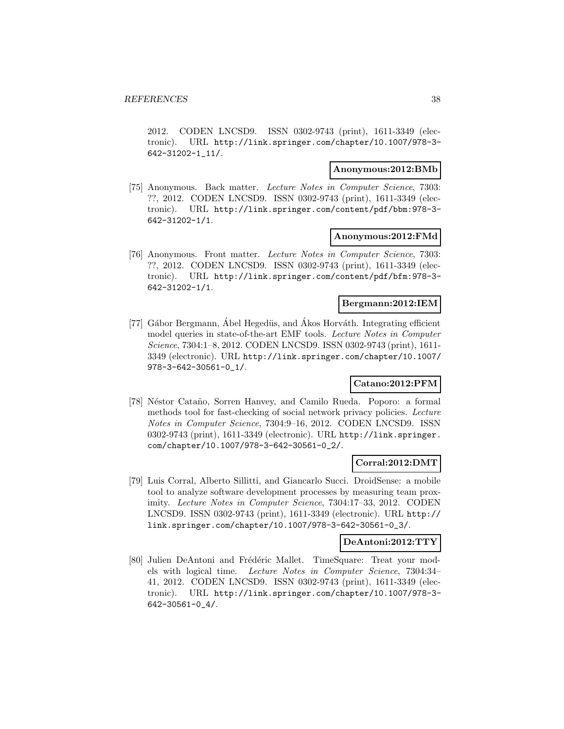2012. CODEN LNCSD9. ISSN 0302-9743 (print), 1611-3349 (electronic). URL http://link.springer.com/chapter/10.1007/978-3- 642-31202-1\_11/.

#### **Anonymous:2012:BMb**

[75] Anonymous. Back matter. Lecture Notes in Computer Science, 7303: ??, 2012. CODEN LNCSD9. ISSN 0302-9743 (print), 1611-3349 (electronic). URL http://link.springer.com/content/pdf/bbm:978-3- 642-31202-1/1.

#### **Anonymous:2012:FMd**

[76] Anonymous. Front matter. Lecture Notes in Computer Science, 7303: ??, 2012. CODEN LNCSD9. ISSN 0302-9743 (print), 1611-3349 (electronic). URL http://link.springer.com/content/pdf/bfm:978-3- 642-31202-1/1.

# **Bergmann:2012:IEM**

[77] Gábor Bergmann, Ábel Hegedüs, and Ákos Horváth. Integrating efficient model queries in state-of-the-art EMF tools. Lecture Notes in Computer Science, 7304:1–8, 2012. CODEN LNCSD9. ISSN 0302-9743 (print), 1611- 3349 (electronic). URL http://link.springer.com/chapter/10.1007/ 978-3-642-30561-0\_1/.

### **Catano:2012:PFM**

[78] Néstor Cataño, Sorren Hanvey, and Camilo Rueda. Poporo: a formal methods tool for fast-checking of social network privacy policies. Lecture Notes in Computer Science, 7304:9–16, 2012. CODEN LNCSD9. ISSN 0302-9743 (print), 1611-3349 (electronic). URL http://link.springer. com/chapter/10.1007/978-3-642-30561-0\_2/.

# **Corral:2012:DMT**

[79] Luis Corral, Alberto Sillitti, and Giancarlo Succi. DroidSense: a mobile tool to analyze software development processes by measuring team proximity. Lecture Notes in Computer Science, 7304:17–33, 2012. CODEN LNCSD9. ISSN 0302-9743 (print), 1611-3349 (electronic). URL http:// link.springer.com/chapter/10.1007/978-3-642-30561-0\_3/.

#### **DeAntoni:2012:TTY**

[80] Julien DeAntoni and Frédéric Mallet. TimeSquare: Treat your models with logical time. Lecture Notes in Computer Science, 7304:34– 41, 2012. CODEN LNCSD9. ISSN 0302-9743 (print), 1611-3349 (electronic). URL http://link.springer.com/chapter/10.1007/978-3- 642-30561-0\_4/.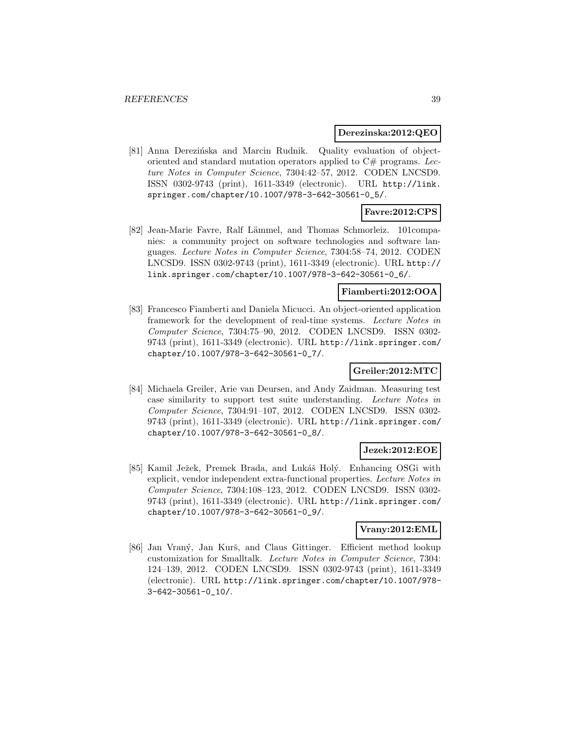### **Derezinska:2012:QEO**

[81] Anna Derezińska and Marcin Rudnik. Quality evaluation of objectoriented and standard mutation operators applied to  $C#$  programs. Lecture Notes in Computer Science, 7304:42–57, 2012. CODEN LNCSD9. ISSN 0302-9743 (print), 1611-3349 (electronic). URL http://link. springer.com/chapter/10.1007/978-3-642-30561-0\_5/.

# **Favre:2012:CPS**

[82] Jean-Marie Favre, Ralf Lämmel, and Thomas Schmorleiz. 101companies: a community project on software technologies and software languages. Lecture Notes in Computer Science, 7304:58–74, 2012. CODEN LNCSD9. ISSN 0302-9743 (print), 1611-3349 (electronic). URL http:// link.springer.com/chapter/10.1007/978-3-642-30561-0\_6/.

# **Fiamberti:2012:OOA**

[83] Francesco Fiamberti and Daniela Micucci. An object-oriented application framework for the development of real-time systems. Lecture Notes in Computer Science, 7304:75–90, 2012. CODEN LNCSD9. ISSN 0302- 9743 (print), 1611-3349 (electronic). URL http://link.springer.com/ chapter/10.1007/978-3-642-30561-0\_7/.

# **Greiler:2012:MTC**

[84] Michaela Greiler, Arie van Deursen, and Andy Zaidman. Measuring test case similarity to support test suite understanding. Lecture Notes in Computer Science, 7304:91–107, 2012. CODEN LNCSD9. ISSN 0302- 9743 (print), 1611-3349 (electronic). URL http://link.springer.com/ chapter/10.1007/978-3-642-30561-0\_8/.

### **Jezek:2012:EOE**

[85] Kamil Ježek, Premek Brada, and Lukáš Holý. Enhancing OSGi with explicit, vendor independent extra-functional properties. Lecture Notes in Computer Science, 7304:108–123, 2012. CODEN LNCSD9. ISSN 0302- 9743 (print), 1611-3349 (electronic). URL http://link.springer.com/ chapter/10.1007/978-3-642-30561-0\_9/.

### **Vrany:2012:EML**

[86] Jan Vraný, Jan Kurš, and Claus Gittinger. Efficient method lookup customization for Smalltalk. Lecture Notes in Computer Science, 7304: 124–139, 2012. CODEN LNCSD9. ISSN 0302-9743 (print), 1611-3349 (electronic). URL http://link.springer.com/chapter/10.1007/978- 3-642-30561-0\_10/.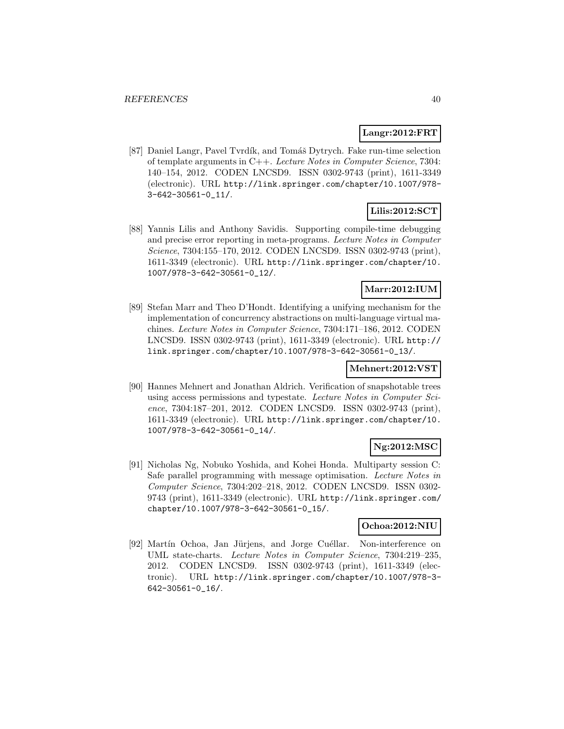# **Langr:2012:FRT**

[87] Daniel Langr, Pavel Tvrdík, and Tomáš Dytrych. Fake run-time selection of template arguments in C++. Lecture Notes in Computer Science, 7304: 140–154, 2012. CODEN LNCSD9. ISSN 0302-9743 (print), 1611-3349 (electronic). URL http://link.springer.com/chapter/10.1007/978- 3-642-30561-0\_11/.

# **Lilis:2012:SCT**

[88] Yannis Lilis and Anthony Savidis. Supporting compile-time debugging and precise error reporting in meta-programs. Lecture Notes in Computer Science, 7304:155–170, 2012. CODEN LNCSD9. ISSN 0302-9743 (print), 1611-3349 (electronic). URL http://link.springer.com/chapter/10. 1007/978-3-642-30561-0\_12/.

# **Marr:2012:IUM**

[89] Stefan Marr and Theo D'Hondt. Identifying a unifying mechanism for the implementation of concurrency abstractions on multi-language virtual machines. Lecture Notes in Computer Science, 7304:171–186, 2012. CODEN LNCSD9. ISSN 0302-9743 (print), 1611-3349 (electronic). URL http:// link.springer.com/chapter/10.1007/978-3-642-30561-0\_13/.

# **Mehnert:2012:VST**

[90] Hannes Mehnert and Jonathan Aldrich. Verification of snapshotable trees using access permissions and typestate. Lecture Notes in Computer Science, 7304:187–201, 2012. CODEN LNCSD9. ISSN 0302-9743 (print), 1611-3349 (electronic). URL http://link.springer.com/chapter/10. 1007/978-3-642-30561-0\_14/.

# **Ng:2012:MSC**

[91] Nicholas Ng, Nobuko Yoshida, and Kohei Honda. Multiparty session C: Safe parallel programming with message optimisation. Lecture Notes in Computer Science, 7304:202–218, 2012. CODEN LNCSD9. ISSN 0302- 9743 (print), 1611-3349 (electronic). URL http://link.springer.com/ chapter/10.1007/978-3-642-30561-0\_15/.

# **Ochoa:2012:NIU**

[92] Martín Ochoa, Jan Jürjens, and Jorge Cuéllar. Non-interference on UML state-charts. Lecture Notes in Computer Science, 7304:219–235, 2012. CODEN LNCSD9. ISSN 0302-9743 (print), 1611-3349 (electronic). URL http://link.springer.com/chapter/10.1007/978-3- 642-30561-0\_16/.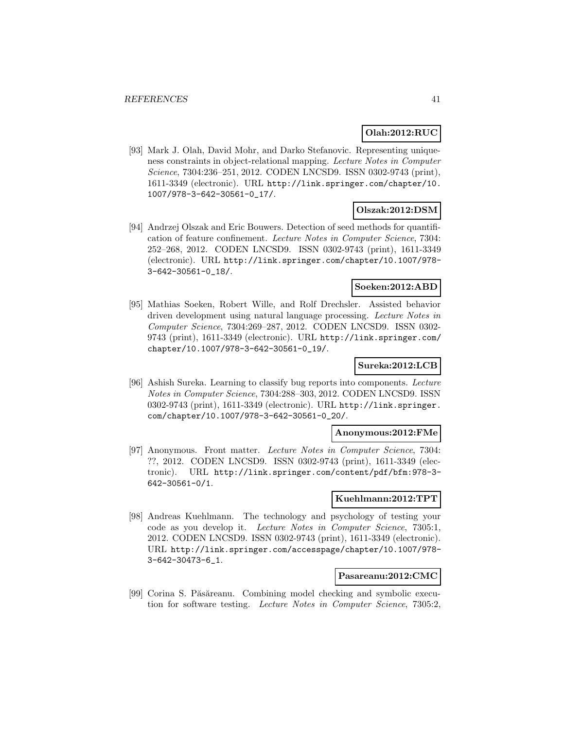# **Olah:2012:RUC**

[93] Mark J. Olah, David Mohr, and Darko Stefanovic. Representing uniqueness constraints in object-relational mapping. Lecture Notes in Computer Science, 7304:236–251, 2012. CODEN LNCSD9. ISSN 0302-9743 (print), 1611-3349 (electronic). URL http://link.springer.com/chapter/10. 1007/978-3-642-30561-0\_17/.

### **Olszak:2012:DSM**

[94] Andrzej Olszak and Eric Bouwers. Detection of seed methods for quantification of feature confinement. Lecture Notes in Computer Science, 7304: 252–268, 2012. CODEN LNCSD9. ISSN 0302-9743 (print), 1611-3349 (electronic). URL http://link.springer.com/chapter/10.1007/978- 3-642-30561-0\_18/.

### **Soeken:2012:ABD**

[95] Mathias Soeken, Robert Wille, and Rolf Drechsler. Assisted behavior driven development using natural language processing. Lecture Notes in Computer Science, 7304:269–287, 2012. CODEN LNCSD9. ISSN 0302- 9743 (print), 1611-3349 (electronic). URL http://link.springer.com/ chapter/10.1007/978-3-642-30561-0\_19/.

# **Sureka:2012:LCB**

[96] Ashish Sureka. Learning to classify bug reports into components. Lecture Notes in Computer Science, 7304:288–303, 2012. CODEN LNCSD9. ISSN 0302-9743 (print), 1611-3349 (electronic). URL http://link.springer. com/chapter/10.1007/978-3-642-30561-0\_20/.

#### **Anonymous:2012:FMe**

[97] Anonymous. Front matter. Lecture Notes in Computer Science, 7304: ??, 2012. CODEN LNCSD9. ISSN 0302-9743 (print), 1611-3349 (electronic). URL http://link.springer.com/content/pdf/bfm:978-3- 642-30561-0/1.

#### **Kuehlmann:2012:TPT**

[98] Andreas Kuehlmann. The technology and psychology of testing your code as you develop it. Lecture Notes in Computer Science, 7305:1, 2012. CODEN LNCSD9. ISSN 0302-9743 (print), 1611-3349 (electronic). URL http://link.springer.com/accesspage/chapter/10.1007/978- 3-642-30473-6\_1.

### **Pasareanu:2012:CMC**

[99] Corina S. Păsăreanu. Combining model checking and symbolic execution for software testing. Lecture Notes in Computer Science, 7305:2,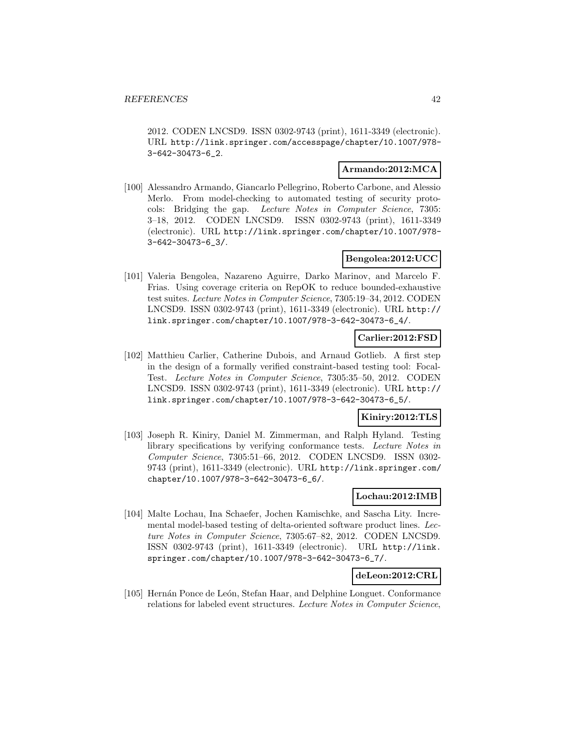2012. CODEN LNCSD9. ISSN 0302-9743 (print), 1611-3349 (electronic). URL http://link.springer.com/accesspage/chapter/10.1007/978- 3-642-30473-6\_2.

### **Armando:2012:MCA**

[100] Alessandro Armando, Giancarlo Pellegrino, Roberto Carbone, and Alessio Merlo. From model-checking to automated testing of security protocols: Bridging the gap. Lecture Notes in Computer Science, 7305: 3–18, 2012. CODEN LNCSD9. ISSN 0302-9743 (print), 1611-3349 (electronic). URL http://link.springer.com/chapter/10.1007/978- 3-642-30473-6\_3/.

## **Bengolea:2012:UCC**

[101] Valeria Bengolea, Nazareno Aguirre, Darko Marinov, and Marcelo F. Frias. Using coverage criteria on RepOK to reduce bounded-exhaustive test suites. Lecture Notes in Computer Science, 7305:19–34, 2012. CODEN LNCSD9. ISSN 0302-9743 (print), 1611-3349 (electronic). URL http:// link.springer.com/chapter/10.1007/978-3-642-30473-6\_4/.

### **Carlier:2012:FSD**

[102] Matthieu Carlier, Catherine Dubois, and Arnaud Gotlieb. A first step in the design of a formally verified constraint-based testing tool: Focal-Test. Lecture Notes in Computer Science, 7305:35–50, 2012. CODEN LNCSD9. ISSN 0302-9743 (print), 1611-3349 (electronic). URL http:// link.springer.com/chapter/10.1007/978-3-642-30473-6\_5/.

### **Kiniry:2012:TLS**

[103] Joseph R. Kiniry, Daniel M. Zimmerman, and Ralph Hyland. Testing library specifications by verifying conformance tests. Lecture Notes in Computer Science, 7305:51–66, 2012. CODEN LNCSD9. ISSN 0302- 9743 (print), 1611-3349 (electronic). URL http://link.springer.com/ chapter/10.1007/978-3-642-30473-6\_6/.

# **Lochau:2012:IMB**

[104] Malte Lochau, Ina Schaefer, Jochen Kamischke, and Sascha Lity. Incremental model-based testing of delta-oriented software product lines. Lecture Notes in Computer Science, 7305:67–82, 2012. CODEN LNCSD9. ISSN 0302-9743 (print), 1611-3349 (electronic). URL http://link. springer.com/chapter/10.1007/978-3-642-30473-6\_7/.

# **deLeon:2012:CRL**

[105] Hernán Ponce de León, Stefan Haar, and Delphine Longuet. Conformance relations for labeled event structures. Lecture Notes in Computer Science,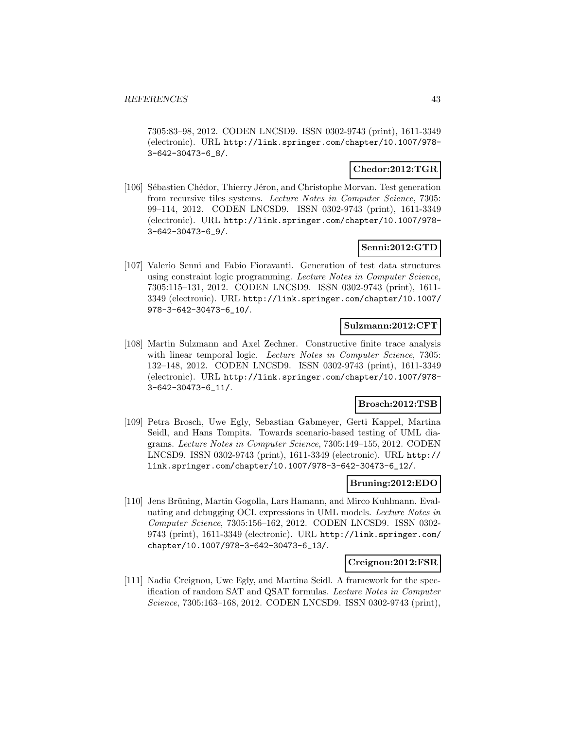7305:83–98, 2012. CODEN LNCSD9. ISSN 0302-9743 (print), 1611-3349 (electronic). URL http://link.springer.com/chapter/10.1007/978- 3-642-30473-6\_8/.

### **Chedor:2012:TGR**

[106] Sébastien Chédor, Thierry Jéron, and Christophe Morvan. Test generation from recursive tiles systems. Lecture Notes in Computer Science, 7305: 99–114, 2012. CODEN LNCSD9. ISSN 0302-9743 (print), 1611-3349 (electronic). URL http://link.springer.com/chapter/10.1007/978- 3-642-30473-6\_9/.

# **Senni:2012:GTD**

[107] Valerio Senni and Fabio Fioravanti. Generation of test data structures using constraint logic programming. Lecture Notes in Computer Science, 7305:115–131, 2012. CODEN LNCSD9. ISSN 0302-9743 (print), 1611- 3349 (electronic). URL http://link.springer.com/chapter/10.1007/ 978-3-642-30473-6\_10/.

### **Sulzmann:2012:CFT**

[108] Martin Sulzmann and Axel Zechner. Constructive finite trace analysis with linear temporal logic. Lecture Notes in Computer Science, 7305: 132–148, 2012. CODEN LNCSD9. ISSN 0302-9743 (print), 1611-3349 (electronic). URL http://link.springer.com/chapter/10.1007/978- 3-642-30473-6\_11/.

# **Brosch:2012:TSB**

[109] Petra Brosch, Uwe Egly, Sebastian Gabmeyer, Gerti Kappel, Martina Seidl, and Hans Tompits. Towards scenario-based testing of UML diagrams. Lecture Notes in Computer Science, 7305:149–155, 2012. CODEN LNCSD9. ISSN 0302-9743 (print), 1611-3349 (electronic). URL http:// link.springer.com/chapter/10.1007/978-3-642-30473-6\_12/.

#### **Bruning:2012:EDO**

[110] Jens Brüning, Martin Gogolla, Lars Hamann, and Mirco Kuhlmann. Evaluating and debugging OCL expressions in UML models. Lecture Notes in Computer Science, 7305:156–162, 2012. CODEN LNCSD9. ISSN 0302- 9743 (print), 1611-3349 (electronic). URL http://link.springer.com/ chapter/10.1007/978-3-642-30473-6\_13/.

### **Creignou:2012:FSR**

[111] Nadia Creignou, Uwe Egly, and Martina Seidl. A framework for the specification of random SAT and QSAT formulas. Lecture Notes in Computer Science, 7305:163–168, 2012. CODEN LNCSD9. ISSN 0302-9743 (print),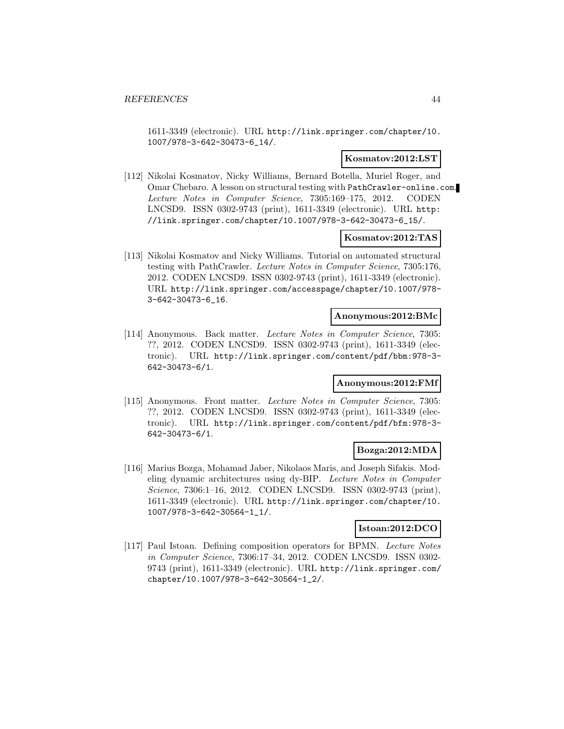1611-3349 (electronic). URL http://link.springer.com/chapter/10. 1007/978-3-642-30473-6\_14/.

### **Kosmatov:2012:LST**

[112] Nikolai Kosmatov, Nicky Williams, Bernard Botella, Muriel Roger, and Omar Chebaro. A lesson on structural testing with PathCrawler-online.com. Lecture Notes in Computer Science, 7305:169–175, 2012. CODEN LNCSD9. ISSN 0302-9743 (print), 1611-3349 (electronic). URL http: //link.springer.com/chapter/10.1007/978-3-642-30473-6\_15/.

# **Kosmatov:2012:TAS**

[113] Nikolai Kosmatov and Nicky Williams. Tutorial on automated structural testing with PathCrawler. Lecture Notes in Computer Science, 7305:176, 2012. CODEN LNCSD9. ISSN 0302-9743 (print), 1611-3349 (electronic). URL http://link.springer.com/accesspage/chapter/10.1007/978- 3-642-30473-6\_16.

#### **Anonymous:2012:BMc**

[114] Anonymous. Back matter. Lecture Notes in Computer Science, 7305: ??, 2012. CODEN LNCSD9. ISSN 0302-9743 (print), 1611-3349 (electronic). URL http://link.springer.com/content/pdf/bbm:978-3- 642-30473-6/1.

# **Anonymous:2012:FMf**

[115] Anonymous. Front matter. Lecture Notes in Computer Science, 7305: ??, 2012. CODEN LNCSD9. ISSN 0302-9743 (print), 1611-3349 (electronic). URL http://link.springer.com/content/pdf/bfm:978-3- 642-30473-6/1.

# **Bozga:2012:MDA**

[116] Marius Bozga, Mohamad Jaber, Nikolaos Maris, and Joseph Sifakis. Modeling dynamic architectures using dy-BIP. Lecture Notes in Computer Science, 7306:1-16, 2012. CODEN LNCSD9. ISSN 0302-9743 (print), 1611-3349 (electronic). URL http://link.springer.com/chapter/10. 1007/978-3-642-30564-1\_1/.

#### **Istoan:2012:DCO**

[117] Paul Istoan. Defining composition operators for BPMN. Lecture Notes in Computer Science, 7306:17–34, 2012. CODEN LNCSD9. ISSN 0302- 9743 (print), 1611-3349 (electronic). URL http://link.springer.com/ chapter/10.1007/978-3-642-30564-1\_2/.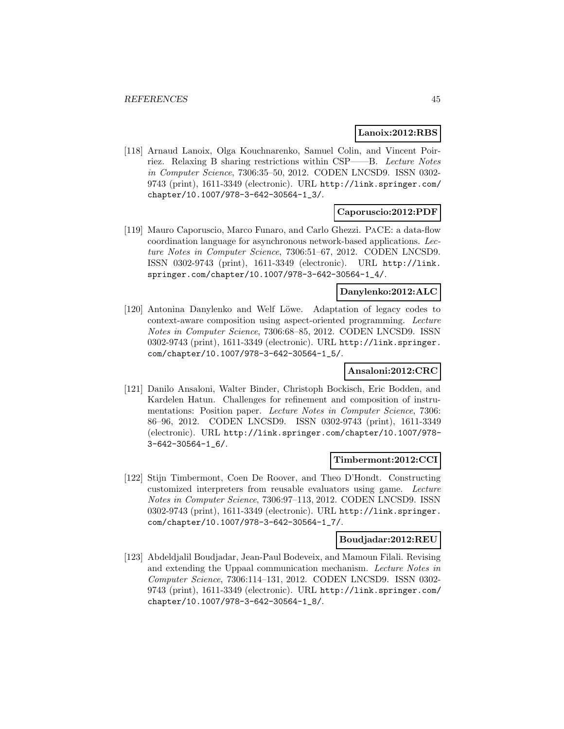#### **Lanoix:2012:RBS**

[118] Arnaud Lanoix, Olga Kouchnarenko, Samuel Colin, and Vincent Poirriez. Relaxing B sharing restrictions within CSP——B. Lecture Notes in Computer Science, 7306:35–50, 2012. CODEN LNCSD9. ISSN 0302- 9743 (print), 1611-3349 (electronic). URL http://link.springer.com/ chapter/10.1007/978-3-642-30564-1\_3/.

# **Caporuscio:2012:PDF**

[119] Mauro Caporuscio, Marco Funaro, and Carlo Ghezzi. PaCE: a data-flow coordination language for asynchronous network-based applications. Lecture Notes in Computer Science, 7306:51–67, 2012. CODEN LNCSD9. ISSN 0302-9743 (print), 1611-3349 (electronic). URL http://link. springer.com/chapter/10.1007/978-3-642-30564-1\_4/.

# **Danylenko:2012:ALC**

[120] Antonina Danylenko and Welf Löwe. Adaptation of legacy codes to context-aware composition using aspect-oriented programming. Lecture Notes in Computer Science, 7306:68–85, 2012. CODEN LNCSD9. ISSN 0302-9743 (print), 1611-3349 (electronic). URL http://link.springer. com/chapter/10.1007/978-3-642-30564-1\_5/.

#### **Ansaloni:2012:CRC**

[121] Danilo Ansaloni, Walter Binder, Christoph Bockisch, Eric Bodden, and Kardelen Hatun. Challenges for refinement and composition of instrumentations: Position paper. Lecture Notes in Computer Science, 7306: 86–96, 2012. CODEN LNCSD9. ISSN 0302-9743 (print), 1611-3349 (electronic). URL http://link.springer.com/chapter/10.1007/978- 3-642-30564-1\_6/.

#### **Timbermont:2012:CCI**

[122] Stijn Timbermont, Coen De Roover, and Theo D'Hondt. Constructing customized interpreters from reusable evaluators using game. Lecture Notes in Computer Science, 7306:97–113, 2012. CODEN LNCSD9. ISSN 0302-9743 (print), 1611-3349 (electronic). URL http://link.springer. com/chapter/10.1007/978-3-642-30564-1\_7/.

#### **Boudjadar:2012:REU**

[123] Abdeldjalil Boudjadar, Jean-Paul Bodeveix, and Mamoun Filali. Revising and extending the Uppaal communication mechanism. Lecture Notes in Computer Science, 7306:114–131, 2012. CODEN LNCSD9. ISSN 0302- 9743 (print), 1611-3349 (electronic). URL http://link.springer.com/ chapter/10.1007/978-3-642-30564-1\_8/.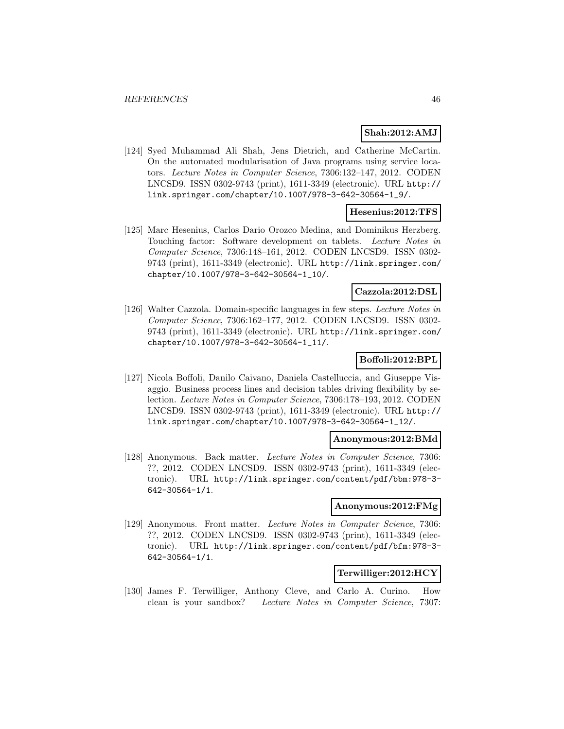### **Shah:2012:AMJ**

[124] Syed Muhammad Ali Shah, Jens Dietrich, and Catherine McCartin. On the automated modularisation of Java programs using service locators. Lecture Notes in Computer Science, 7306:132–147, 2012. CODEN LNCSD9. ISSN 0302-9743 (print), 1611-3349 (electronic). URL http:// link.springer.com/chapter/10.1007/978-3-642-30564-1\_9/.

## **Hesenius:2012:TFS**

[125] Marc Hesenius, Carlos Dario Orozco Medina, and Dominikus Herzberg. Touching factor: Software development on tablets. Lecture Notes in Computer Science, 7306:148–161, 2012. CODEN LNCSD9. ISSN 0302- 9743 (print), 1611-3349 (electronic). URL http://link.springer.com/ chapter/10.1007/978-3-642-30564-1\_10/.

### **Cazzola:2012:DSL**

[126] Walter Cazzola. Domain-specific languages in few steps. Lecture Notes in Computer Science, 7306:162–177, 2012. CODEN LNCSD9. ISSN 0302- 9743 (print), 1611-3349 (electronic). URL http://link.springer.com/ chapter/10.1007/978-3-642-30564-1\_11/.

# **Boffoli:2012:BPL**

[127] Nicola Boffoli, Danilo Caivano, Daniela Castelluccia, and Giuseppe Visaggio. Business process lines and decision tables driving flexibility by selection. Lecture Notes in Computer Science, 7306:178–193, 2012. CODEN LNCSD9. ISSN 0302-9743 (print), 1611-3349 (electronic). URL http:// link.springer.com/chapter/10.1007/978-3-642-30564-1\_12/.

#### **Anonymous:2012:BMd**

[128] Anonymous. Back matter. Lecture Notes in Computer Science, 7306: ??, 2012. CODEN LNCSD9. ISSN 0302-9743 (print), 1611-3349 (electronic). URL http://link.springer.com/content/pdf/bbm:978-3- 642-30564-1/1.

### **Anonymous:2012:FMg**

[129] Anonymous. Front matter. Lecture Notes in Computer Science, 7306: ??, 2012. CODEN LNCSD9. ISSN 0302-9743 (print), 1611-3349 (electronic). URL http://link.springer.com/content/pdf/bfm:978-3- 642-30564-1/1.

#### **Terwilliger:2012:HCY**

[130] James F. Terwilliger, Anthony Cleve, and Carlo A. Curino. How clean is your sandbox? Lecture Notes in Computer Science, 7307: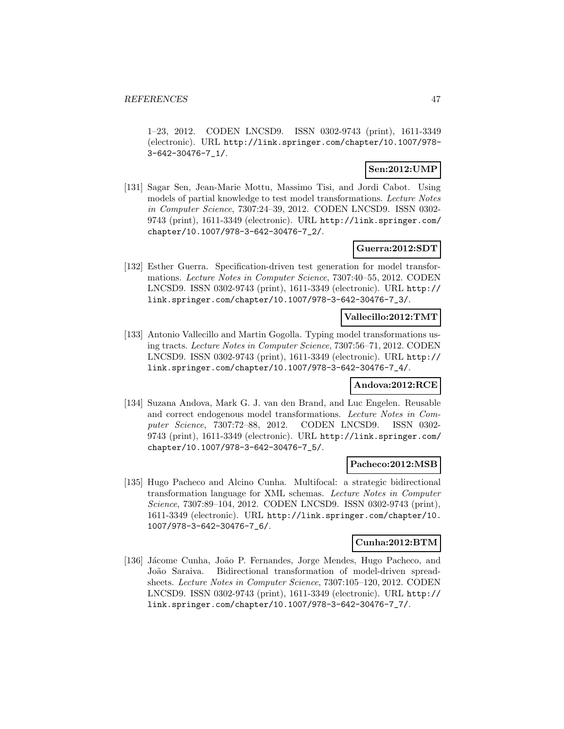1–23, 2012. CODEN LNCSD9. ISSN 0302-9743 (print), 1611-3349 (electronic). URL http://link.springer.com/chapter/10.1007/978- 3-642-30476-7\_1/.

### **Sen:2012:UMP**

[131] Sagar Sen, Jean-Marie Mottu, Massimo Tisi, and Jordi Cabot. Using models of partial knowledge to test model transformations. Lecture Notes in Computer Science, 7307:24–39, 2012. CODEN LNCSD9. ISSN 0302- 9743 (print), 1611-3349 (electronic). URL http://link.springer.com/ chapter/10.1007/978-3-642-30476-7\_2/.

### **Guerra:2012:SDT**

[132] Esther Guerra. Specification-driven test generation for model transformations. Lecture Notes in Computer Science, 7307:40–55, 2012. CODEN LNCSD9. ISSN 0302-9743 (print), 1611-3349 (electronic). URL http:// link.springer.com/chapter/10.1007/978-3-642-30476-7\_3/.

### **Vallecillo:2012:TMT**

[133] Antonio Vallecillo and Martin Gogolla. Typing model transformations using tracts. Lecture Notes in Computer Science, 7307:56–71, 2012. CODEN LNCSD9. ISSN 0302-9743 (print), 1611-3349 (electronic). URL http:// link.springer.com/chapter/10.1007/978-3-642-30476-7\_4/.

#### **Andova:2012:RCE**

[134] Suzana Andova, Mark G. J. van den Brand, and Luc Engelen. Reusable and correct endogenous model transformations. Lecture Notes in Computer Science, 7307:72–88, 2012. CODEN LNCSD9. ISSN 0302- 9743 (print), 1611-3349 (electronic). URL http://link.springer.com/ chapter/10.1007/978-3-642-30476-7\_5/.

#### **Pacheco:2012:MSB**

[135] Hugo Pacheco and Alcino Cunha. Multifocal: a strategic bidirectional transformation language for XML schemas. Lecture Notes in Computer Science, 7307:89–104, 2012. CODEN LNCSD9. ISSN 0302-9743 (print), 1611-3349 (electronic). URL http://link.springer.com/chapter/10. 1007/978-3-642-30476-7\_6/.

#### **Cunha:2012:BTM**

[136] Jácome Cunha, João P. Fernandes, Jorge Mendes, Hugo Pacheco, and João Saraiva. Bidirectional transformation of model-driven spreadsheets. Lecture Notes in Computer Science, 7307:105–120, 2012. CODEN LNCSD9. ISSN 0302-9743 (print), 1611-3349 (electronic). URL http:// link.springer.com/chapter/10.1007/978-3-642-30476-7\_7/.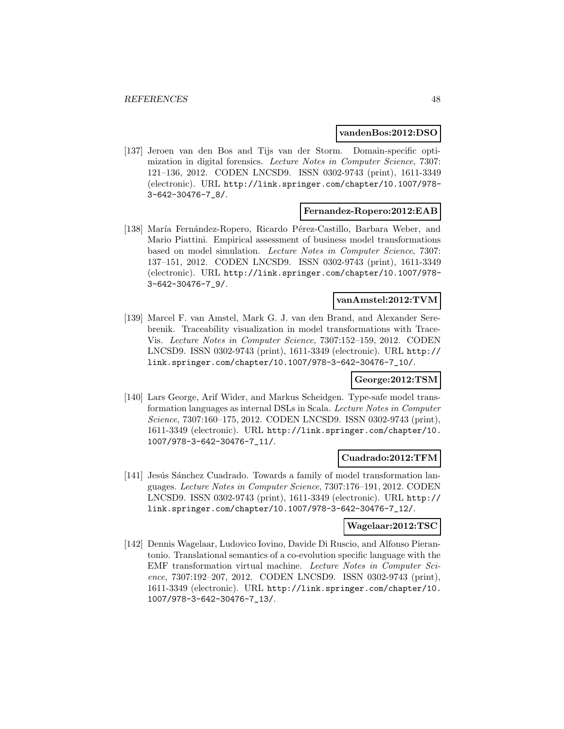#### **vandenBos:2012:DSO**

[137] Jeroen van den Bos and Tijs van der Storm. Domain-specific optimization in digital forensics. Lecture Notes in Computer Science, 7307: 121–136, 2012. CODEN LNCSD9. ISSN 0302-9743 (print), 1611-3349 (electronic). URL http://link.springer.com/chapter/10.1007/978- 3-642-30476-7\_8/.

#### **Fernandez-Ropero:2012:EAB**

[138] María Fernández-Ropero, Ricardo Pérez-Castillo, Barbara Weber, and Mario Piattini. Empirical assessment of business model transformations based on model simulation. Lecture Notes in Computer Science, 7307: 137–151, 2012. CODEN LNCSD9. ISSN 0302-9743 (print), 1611-3349 (electronic). URL http://link.springer.com/chapter/10.1007/978- 3-642-30476-7\_9/.

### **vanAmstel:2012:TVM**

[139] Marcel F. van Amstel, Mark G. J. van den Brand, and Alexander Serebrenik. Traceability visualization in model transformations with Trace-Vis. Lecture Notes in Computer Science, 7307:152–159, 2012. CODEN LNCSD9. ISSN 0302-9743 (print), 1611-3349 (electronic). URL http:// link.springer.com/chapter/10.1007/978-3-642-30476-7\_10/.

### **George:2012:TSM**

[140] Lars George, Arif Wider, and Markus Scheidgen. Type-safe model transformation languages as internal DSLs in Scala. Lecture Notes in Computer Science, 7307:160–175, 2012. CODEN LNCSD9. ISSN 0302-9743 (print), 1611-3349 (electronic). URL http://link.springer.com/chapter/10. 1007/978-3-642-30476-7\_11/.

### **Cuadrado:2012:TFM**

[141] Jesús Sánchez Cuadrado. Towards a family of model transformation languages. Lecture Notes in Computer Science, 7307:176–191, 2012. CODEN LNCSD9. ISSN 0302-9743 (print), 1611-3349 (electronic). URL http:// link.springer.com/chapter/10.1007/978-3-642-30476-7\_12/.

#### **Wagelaar:2012:TSC**

[142] Dennis Wagelaar, Ludovico Iovino, Davide Di Ruscio, and Alfonso Pierantonio. Translational semantics of a co-evolution specific language with the EMF transformation virtual machine. Lecture Notes in Computer Science, 7307:192–207, 2012. CODEN LNCSD9. ISSN 0302-9743 (print), 1611-3349 (electronic). URL http://link.springer.com/chapter/10. 1007/978-3-642-30476-7\_13/.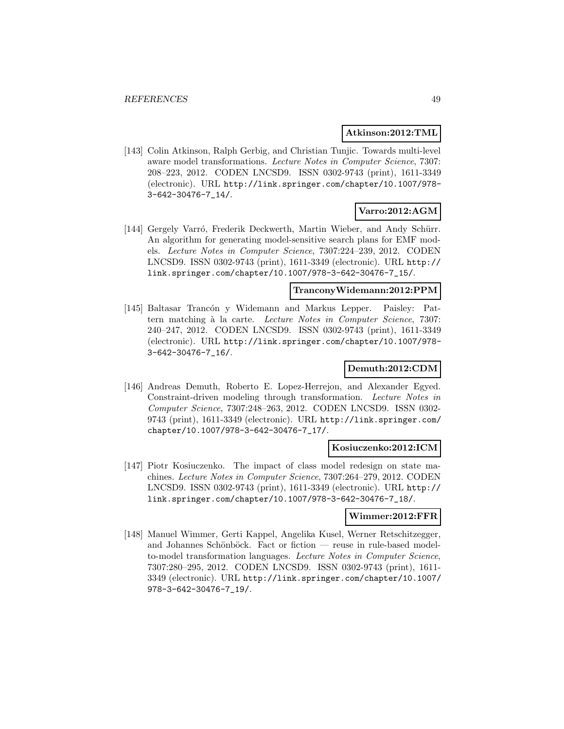#### **Atkinson:2012:TML**

[143] Colin Atkinson, Ralph Gerbig, and Christian Tunjic. Towards multi-level aware model transformations. Lecture Notes in Computer Science, 7307: 208–223, 2012. CODEN LNCSD9. ISSN 0302-9743 (print), 1611-3349 (electronic). URL http://link.springer.com/chapter/10.1007/978- 3-642-30476-7\_14/.

# **Varro:2012:AGM**

[144] Gergely Varró, Frederik Deckwerth, Martin Wieber, and Andy Schürr. An algorithm for generating model-sensitive search plans for EMF models. Lecture Notes in Computer Science, 7307:224–239, 2012. CODEN LNCSD9. ISSN 0302-9743 (print), 1611-3349 (electronic). URL http:// link.springer.com/chapter/10.1007/978-3-642-30476-7\_15/.

### **TranconyWidemann:2012:PPM**

[145] Baltasar Trancón y Widemann and Markus Lepper. Paisley: Pattern matching à la carte. Lecture Notes in Computer Science, 7307: 240–247, 2012. CODEN LNCSD9. ISSN 0302-9743 (print), 1611-3349 (electronic). URL http://link.springer.com/chapter/10.1007/978- 3-642-30476-7\_16/.

# **Demuth:2012:CDM**

[146] Andreas Demuth, Roberto E. Lopez-Herrejon, and Alexander Egyed. Constraint-driven modeling through transformation. Lecture Notes in Computer Science, 7307:248–263, 2012. CODEN LNCSD9. ISSN 0302- 9743 (print), 1611-3349 (electronic). URL http://link.springer.com/ chapter/10.1007/978-3-642-30476-7\_17/.

#### **Kosiuczenko:2012:ICM**

[147] Piotr Kosiuczenko. The impact of class model redesign on state machines. Lecture Notes in Computer Science, 7307:264–279, 2012. CODEN LNCSD9. ISSN 0302-9743 (print), 1611-3349 (electronic). URL http:// link.springer.com/chapter/10.1007/978-3-642-30476-7\_18/.

### **Wimmer:2012:FFR**

[148] Manuel Wimmer, Gerti Kappel, Angelika Kusel, Werner Retschitzegger, and Johannes Schönböck. Fact or fiction — reuse in rule-based modelto-model transformation languages. Lecture Notes in Computer Science, 7307:280–295, 2012. CODEN LNCSD9. ISSN 0302-9743 (print), 1611- 3349 (electronic). URL http://link.springer.com/chapter/10.1007/ 978-3-642-30476-7\_19/.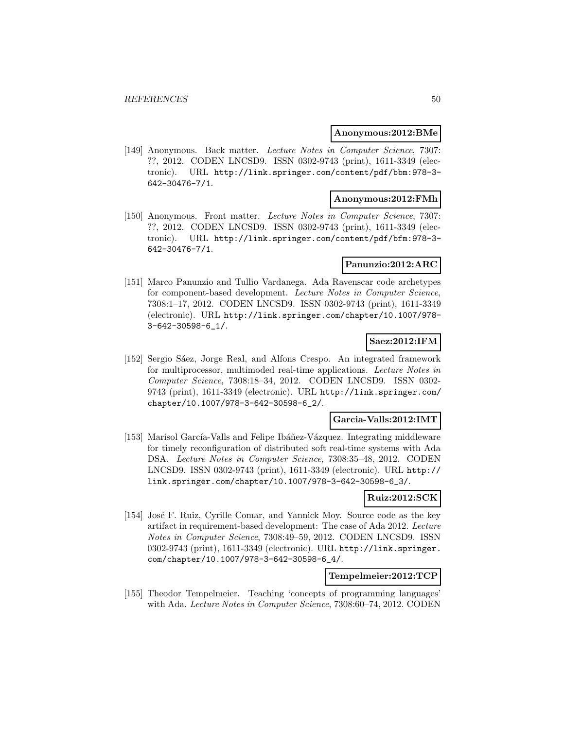#### **Anonymous:2012:BMe**

[149] Anonymous. Back matter. Lecture Notes in Computer Science, 7307: ??, 2012. CODEN LNCSD9. ISSN 0302-9743 (print), 1611-3349 (electronic). URL http://link.springer.com/content/pdf/bbm:978-3- 642-30476-7/1.

#### **Anonymous:2012:FMh**

[150] Anonymous. Front matter. Lecture Notes in Computer Science, 7307: ??, 2012. CODEN LNCSD9. ISSN 0302-9743 (print), 1611-3349 (electronic). URL http://link.springer.com/content/pdf/bfm:978-3- 642-30476-7/1.

#### **Panunzio:2012:ARC**

[151] Marco Panunzio and Tullio Vardanega. Ada Ravenscar code archetypes for component-based development. Lecture Notes in Computer Science, 7308:1–17, 2012. CODEN LNCSD9. ISSN 0302-9743 (print), 1611-3349 (electronic). URL http://link.springer.com/chapter/10.1007/978- 3-642-30598-6\_1/.

### **Saez:2012:IFM**

[152] Sergio Sáez, Jorge Real, and Alfons Crespo. An integrated framework for multiprocessor, multimoded real-time applications. Lecture Notes in Computer Science, 7308:18–34, 2012. CODEN LNCSD9. ISSN 0302- 9743 (print), 1611-3349 (electronic). URL http://link.springer.com/ chapter/10.1007/978-3-642-30598-6\_2/.

### **Garcia-Valls:2012:IMT**

[153] Marisol García-Valls and Felipe Ibáñez-Vázquez. Integrating middleware for timely reconfiguration of distributed soft real-time systems with Ada DSA. Lecture Notes in Computer Science, 7308:35–48, 2012. CODEN LNCSD9. ISSN 0302-9743 (print), 1611-3349 (electronic). URL http:// link.springer.com/chapter/10.1007/978-3-642-30598-6\_3/.

### **Ruiz:2012:SCK**

[154] José F. Ruiz, Cyrille Comar, and Yannick Moy. Source code as the key artifact in requirement-based development: The case of Ada 2012. Lecture Notes in Computer Science, 7308:49–59, 2012. CODEN LNCSD9. ISSN 0302-9743 (print), 1611-3349 (electronic). URL http://link.springer. com/chapter/10.1007/978-3-642-30598-6\_4/.

# **Tempelmeier:2012:TCP**

[155] Theodor Tempelmeier. Teaching 'concepts of programming languages' with Ada. Lecture Notes in Computer Science, 7308:60–74, 2012. CODEN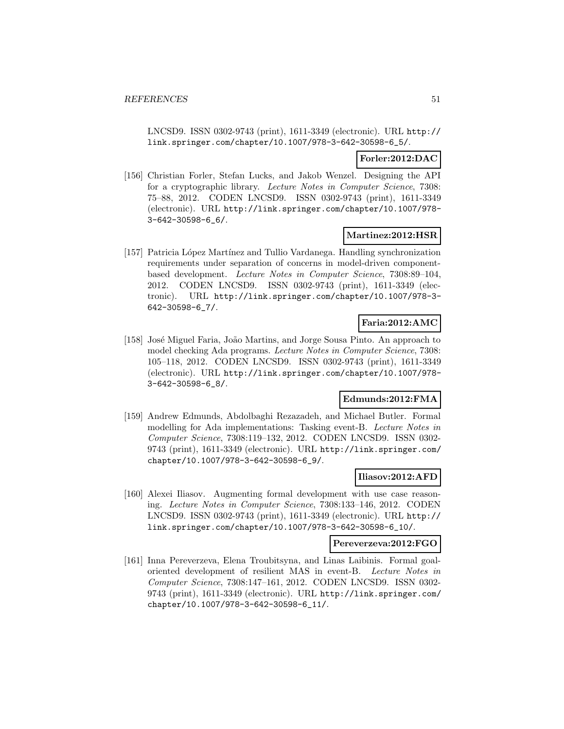LNCSD9. ISSN 0302-9743 (print), 1611-3349 (electronic). URL http:// link.springer.com/chapter/10.1007/978-3-642-30598-6\_5/.

### **Forler:2012:DAC**

[156] Christian Forler, Stefan Lucks, and Jakob Wenzel. Designing the API for a cryptographic library. Lecture Notes in Computer Science, 7308: 75–88, 2012. CODEN LNCSD9. ISSN 0302-9743 (print), 1611-3349 (electronic). URL http://link.springer.com/chapter/10.1007/978- 3-642-30598-6\_6/.

#### **Martinez:2012:HSR**

[157] Patricia L´opez Mart´ınez and Tullio Vardanega. Handling synchronization requirements under separation of concerns in model-driven componentbased development. Lecture Notes in Computer Science, 7308:89–104, 2012. CODEN LNCSD9. ISSN 0302-9743 (print), 1611-3349 (electronic). URL http://link.springer.com/chapter/10.1007/978-3- 642-30598-6\_7/.

# **Faria:2012:AMC**

[158] José Miguel Faria, João Martins, and Jorge Sousa Pinto. An approach to model checking Ada programs. Lecture Notes in Computer Science, 7308: 105–118, 2012. CODEN LNCSD9. ISSN 0302-9743 (print), 1611-3349 (electronic). URL http://link.springer.com/chapter/10.1007/978- 3-642-30598-6\_8/.

# **Edmunds:2012:FMA**

[159] Andrew Edmunds, Abdolbaghi Rezazadeh, and Michael Butler. Formal modelling for Ada implementations: Tasking event-B. Lecture Notes in Computer Science, 7308:119–132, 2012. CODEN LNCSD9. ISSN 0302- 9743 (print), 1611-3349 (electronic). URL http://link.springer.com/ chapter/10.1007/978-3-642-30598-6\_9/.

# **Iliasov:2012:AFD**

[160] Alexei Iliasov. Augmenting formal development with use case reasoning. Lecture Notes in Computer Science, 7308:133–146, 2012. CODEN LNCSD9. ISSN 0302-9743 (print), 1611-3349 (electronic). URL http:// link.springer.com/chapter/10.1007/978-3-642-30598-6\_10/.

#### **Pereverzeva:2012:FGO**

[161] Inna Pereverzeva, Elena Troubitsyna, and Linas Laibinis. Formal goaloriented development of resilient MAS in event-B. Lecture Notes in Computer Science, 7308:147–161, 2012. CODEN LNCSD9. ISSN 0302- 9743 (print), 1611-3349 (electronic). URL http://link.springer.com/ chapter/10.1007/978-3-642-30598-6\_11/.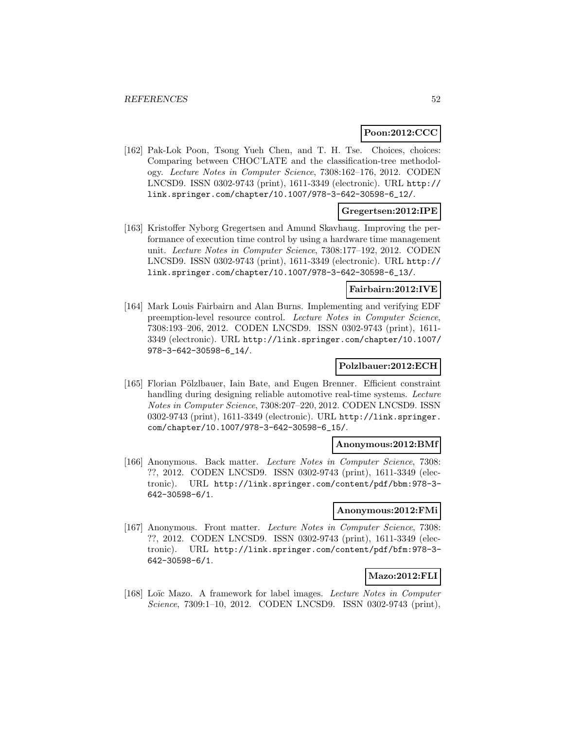# **Poon:2012:CCC**

[162] Pak-Lok Poon, Tsong Yueh Chen, and T. H. Tse. Choices, choices: Comparing between CHOC'LATE and the classification-tree methodology. Lecture Notes in Computer Science, 7308:162–176, 2012. CODEN LNCSD9. ISSN 0302-9743 (print), 1611-3349 (electronic). URL http:// link.springer.com/chapter/10.1007/978-3-642-30598-6\_12/.

# **Gregertsen:2012:IPE**

[163] Kristoffer Nyborg Gregertsen and Amund Skavhaug. Improving the performance of execution time control by using a hardware time management unit. Lecture Notes in Computer Science, 7308:177–192, 2012. CODEN LNCSD9. ISSN 0302-9743 (print), 1611-3349 (electronic). URL http:// link.springer.com/chapter/10.1007/978-3-642-30598-6\_13/.

# **Fairbairn:2012:IVE**

[164] Mark Louis Fairbairn and Alan Burns. Implementing and verifying EDF preemption-level resource control. Lecture Notes in Computer Science, 7308:193–206, 2012. CODEN LNCSD9. ISSN 0302-9743 (print), 1611- 3349 (electronic). URL http://link.springer.com/chapter/10.1007/ 978-3-642-30598-6\_14/.

# **Polzlbauer:2012:ECH**

[165] Florian Pölzlbauer, Iain Bate, and Eugen Brenner. Efficient constraint handling during designing reliable automotive real-time systems. Lecture Notes in Computer Science, 7308:207–220, 2012. CODEN LNCSD9. ISSN 0302-9743 (print), 1611-3349 (electronic). URL http://link.springer. com/chapter/10.1007/978-3-642-30598-6\_15/.

### **Anonymous:2012:BMf**

[166] Anonymous. Back matter. Lecture Notes in Computer Science, 7308: ??, 2012. CODEN LNCSD9. ISSN 0302-9743 (print), 1611-3349 (electronic). URL http://link.springer.com/content/pdf/bbm:978-3- 642-30598-6/1.

#### **Anonymous:2012:FMi**

[167] Anonymous. Front matter. Lecture Notes in Computer Science, 7308: ??, 2012. CODEN LNCSD9. ISSN 0302-9743 (print), 1611-3349 (electronic). URL http://link.springer.com/content/pdf/bfm:978-3- 642-30598-6/1.

# **Mazo:2012:FLI**

[168] Loïc Mazo. A framework for label images. Lecture Notes in Computer Science, 7309:1–10, 2012. CODEN LNCSD9. ISSN 0302-9743 (print),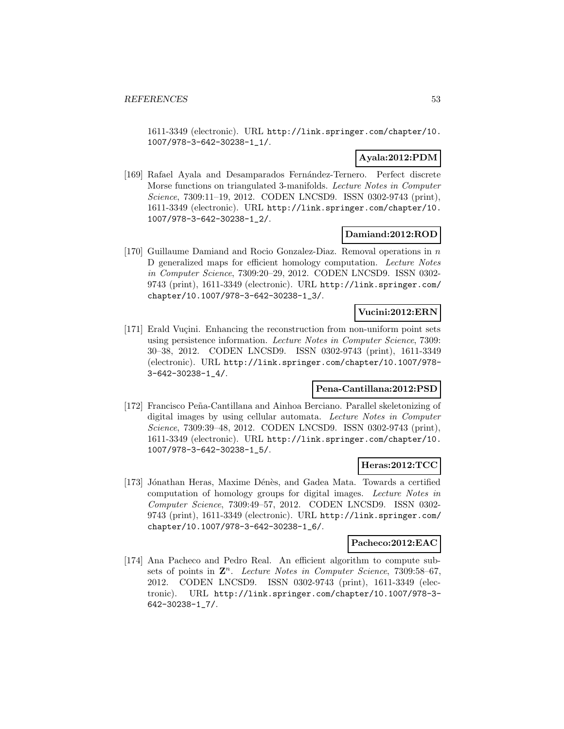1611-3349 (electronic). URL http://link.springer.com/chapter/10. 1007/978-3-642-30238-1\_1/.

# **Ayala:2012:PDM**

[169] Rafael Ayala and Desamparados Fernández-Ternero. Perfect discrete Morse functions on triangulated 3-manifolds. Lecture Notes in Computer Science, 7309:11–19, 2012. CODEN LNCSD9. ISSN 0302-9743 (print), 1611-3349 (electronic). URL http://link.springer.com/chapter/10. 1007/978-3-642-30238-1\_2/.

# **Damiand:2012:ROD**

[170] Guillaume Damiand and Rocio Gonzalez-Diaz. Removal operations in n D generalized maps for efficient homology computation. Lecture Notes in Computer Science, 7309:20–29, 2012. CODEN LNCSD9. ISSN 0302- 9743 (print), 1611-3349 (electronic). URL http://link.springer.com/ chapter/10.1007/978-3-642-30238-1\_3/.

# **Vucini:2012:ERN**

[171] Erald Vuçini. Enhancing the reconstruction from non-uniform point sets using persistence information. Lecture Notes in Computer Science, 7309: 30–38, 2012. CODEN LNCSD9. ISSN 0302-9743 (print), 1611-3349 (electronic). URL http://link.springer.com/chapter/10.1007/978- 3-642-30238-1\_4/.

# **Pena-Cantillana:2012:PSD**

[172] Francisco Peña-Cantillana and Ainhoa Berciano. Parallel skeletonizing of digital images by using cellular automata. Lecture Notes in Computer Science, 7309:39–48, 2012. CODEN LNCSD9. ISSN 0302-9743 (print), 1611-3349 (electronic). URL http://link.springer.com/chapter/10. 1007/978-3-642-30238-1\_5/.

# **Heras:2012:TCC**

[173] Jónathan Heras, Maxime Dénès, and Gadea Mata. Towards a certified computation of homology groups for digital images. Lecture Notes in Computer Science, 7309:49–57, 2012. CODEN LNCSD9. ISSN 0302- 9743 (print), 1611-3349 (electronic). URL http://link.springer.com/ chapter/10.1007/978-3-642-30238-1\_6/.

#### **Pacheco:2012:EAC**

[174] Ana Pacheco and Pedro Real. An efficient algorithm to compute subsets of points in  $\mathbb{Z}^n$ . Lecture Notes in Computer Science, 7309:58–67, 2012. CODEN LNCSD9. ISSN 0302-9743 (print), 1611-3349 (electronic). URL http://link.springer.com/chapter/10.1007/978-3- 642-30238-1\_7/.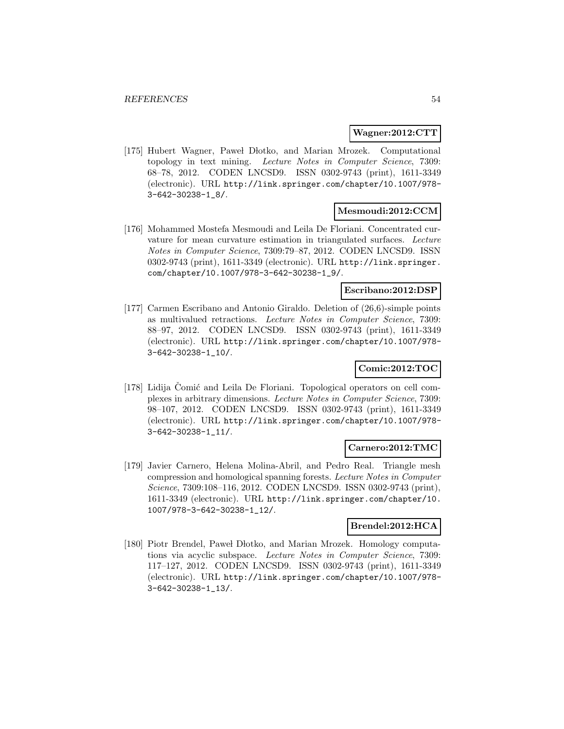#### **Wagner:2012:CTT**

[175] Hubert Wagner, Pawel Dłotko, and Marian Mrozek. Computational topology in text mining. Lecture Notes in Computer Science, 7309: 68–78, 2012. CODEN LNCSD9. ISSN 0302-9743 (print), 1611-3349 (electronic). URL http://link.springer.com/chapter/10.1007/978- 3-642-30238-1\_8/.

### **Mesmoudi:2012:CCM**

[176] Mohammed Mostefa Mesmoudi and Leila De Floriani. Concentrated curvature for mean curvature estimation in triangulated surfaces. Lecture Notes in Computer Science, 7309:79–87, 2012. CODEN LNCSD9. ISSN 0302-9743 (print), 1611-3349 (electronic). URL http://link.springer. com/chapter/10.1007/978-3-642-30238-1\_9/.

#### **Escribano:2012:DSP**

[177] Carmen Escribano and Antonio Giraldo. Deletion of (26,6)-simple points as multivalued retractions. Lecture Notes in Computer Science, 7309: 88–97, 2012. CODEN LNCSD9. ISSN 0302-9743 (print), 1611-3349 (electronic). URL http://link.springer.com/chapter/10.1007/978- 3-642-30238-1\_10/.

# **Comic:2012:TOC**

[178] Lidija Comić and Leila De Floriani. Topological operators on cell complexes in arbitrary dimensions. Lecture Notes in Computer Science, 7309: 98–107, 2012. CODEN LNCSD9. ISSN 0302-9743 (print), 1611-3349 (electronic). URL http://link.springer.com/chapter/10.1007/978- 3-642-30238-1\_11/.

#### **Carnero:2012:TMC**

[179] Javier Carnero, Helena Molina-Abril, and Pedro Real. Triangle mesh compression and homological spanning forests. Lecture Notes in Computer Science, 7309:108–116, 2012. CODEN LNCSD9. ISSN 0302-9743 (print), 1611-3349 (electronic). URL http://link.springer.com/chapter/10. 1007/978-3-642-30238-1\_12/.

### **Brendel:2012:HCA**

[180] Piotr Brendel, Pawel Dłotko, and Marian Mrozek. Homology computations via acyclic subspace. Lecture Notes in Computer Science, 7309: 117–127, 2012. CODEN LNCSD9. ISSN 0302-9743 (print), 1611-3349 (electronic). URL http://link.springer.com/chapter/10.1007/978- 3-642-30238-1\_13/.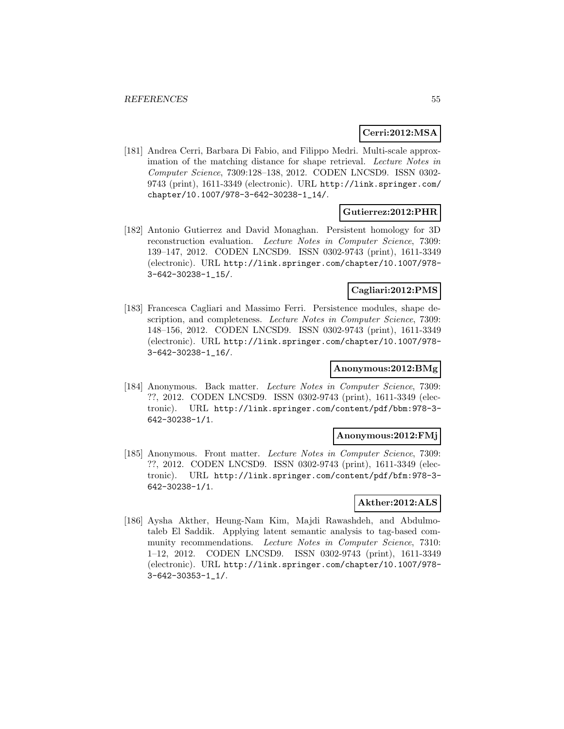# **Cerri:2012:MSA**

[181] Andrea Cerri, Barbara Di Fabio, and Filippo Medri. Multi-scale approximation of the matching distance for shape retrieval. Lecture Notes in Computer Science, 7309:128–138, 2012. CODEN LNCSD9. ISSN 0302- 9743 (print), 1611-3349 (electronic). URL http://link.springer.com/ chapter/10.1007/978-3-642-30238-1\_14/.

#### **Gutierrez:2012:PHR**

[182] Antonio Gutierrez and David Monaghan. Persistent homology for 3D reconstruction evaluation. Lecture Notes in Computer Science, 7309: 139–147, 2012. CODEN LNCSD9. ISSN 0302-9743 (print), 1611-3349 (electronic). URL http://link.springer.com/chapter/10.1007/978- 3-642-30238-1\_15/.

#### **Cagliari:2012:PMS**

[183] Francesca Cagliari and Massimo Ferri. Persistence modules, shape description, and completeness. Lecture Notes in Computer Science, 7309: 148–156, 2012. CODEN LNCSD9. ISSN 0302-9743 (print), 1611-3349 (electronic). URL http://link.springer.com/chapter/10.1007/978- 3-642-30238-1\_16/.

### **Anonymous:2012:BMg**

[184] Anonymous. Back matter. Lecture Notes in Computer Science, 7309: ??, 2012. CODEN LNCSD9. ISSN 0302-9743 (print), 1611-3349 (electronic). URL http://link.springer.com/content/pdf/bbm:978-3- 642-30238-1/1.

#### **Anonymous:2012:FMj**

[185] Anonymous. Front matter. Lecture Notes in Computer Science, 7309: ??, 2012. CODEN LNCSD9. ISSN 0302-9743 (print), 1611-3349 (electronic). URL http://link.springer.com/content/pdf/bfm:978-3- 642-30238-1/1.

### **Akther:2012:ALS**

[186] Aysha Akther, Heung-Nam Kim, Majdi Rawashdeh, and Abdulmotaleb El Saddik. Applying latent semantic analysis to tag-based community recommendations. Lecture Notes in Computer Science, 7310: 1–12, 2012. CODEN LNCSD9. ISSN 0302-9743 (print), 1611-3349 (electronic). URL http://link.springer.com/chapter/10.1007/978- 3-642-30353-1\_1/.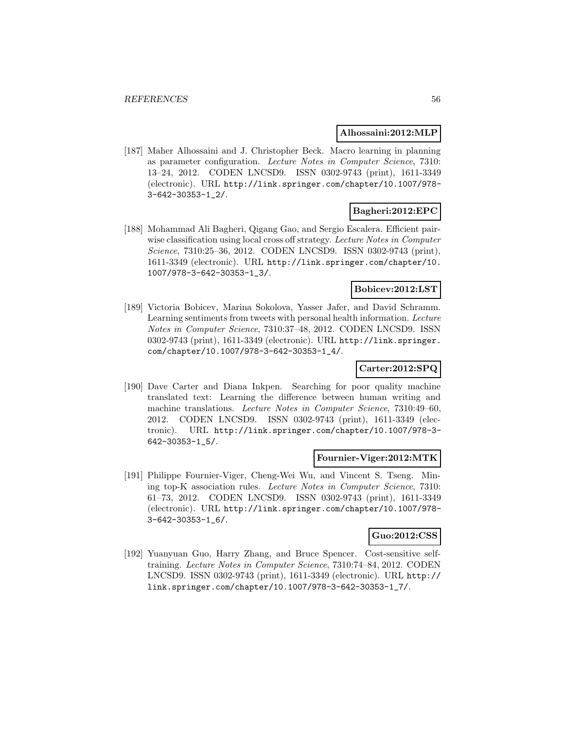#### **Alhossaini:2012:MLP**

[187] Maher Alhossaini and J. Christopher Beck. Macro learning in planning as parameter configuration. Lecture Notes in Computer Science, 7310: 13–24, 2012. CODEN LNCSD9. ISSN 0302-9743 (print), 1611-3349 (electronic). URL http://link.springer.com/chapter/10.1007/978- 3-642-30353-1\_2/.

# **Bagheri:2012:EPC**

[188] Mohammad Ali Bagheri, Qigang Gao, and Sergio Escalera. Efficient pairwise classification using local cross off strategy. Lecture Notes in Computer Science, 7310:25–36, 2012. CODEN LNCSD9. ISSN 0302-9743 (print), 1611-3349 (electronic). URL http://link.springer.com/chapter/10. 1007/978-3-642-30353-1\_3/.

### **Bobicev:2012:LST**

[189] Victoria Bobicev, Marina Sokolova, Yasser Jafer, and David Schramm. Learning sentiments from tweets with personal health information. Lecture Notes in Computer Science, 7310:37–48, 2012. CODEN LNCSD9. ISSN 0302-9743 (print), 1611-3349 (electronic). URL http://link.springer. com/chapter/10.1007/978-3-642-30353-1\_4/.

# **Carter:2012:SPQ**

[190] Dave Carter and Diana Inkpen. Searching for poor quality machine translated text: Learning the difference between human writing and machine translations. Lecture Notes in Computer Science, 7310:49–60, 2012. CODEN LNCSD9. ISSN 0302-9743 (print), 1611-3349 (electronic). URL http://link.springer.com/chapter/10.1007/978-3- 642-30353-1\_5/.

#### **Fournier-Viger:2012:MTK**

[191] Philippe Fournier-Viger, Cheng-Wei Wu, and Vincent S. Tseng. Mining top-K association rules. Lecture Notes in Computer Science, 7310: 61–73, 2012. CODEN LNCSD9. ISSN 0302-9743 (print), 1611-3349 (electronic). URL http://link.springer.com/chapter/10.1007/978- 3-642-30353-1\_6/.

# **Guo:2012:CSS**

[192] Yuanyuan Guo, Harry Zhang, and Bruce Spencer. Cost-sensitive selftraining. Lecture Notes in Computer Science, 7310:74–84, 2012. CODEN LNCSD9. ISSN 0302-9743 (print), 1611-3349 (electronic). URL http:// link.springer.com/chapter/10.1007/978-3-642-30353-1\_7/.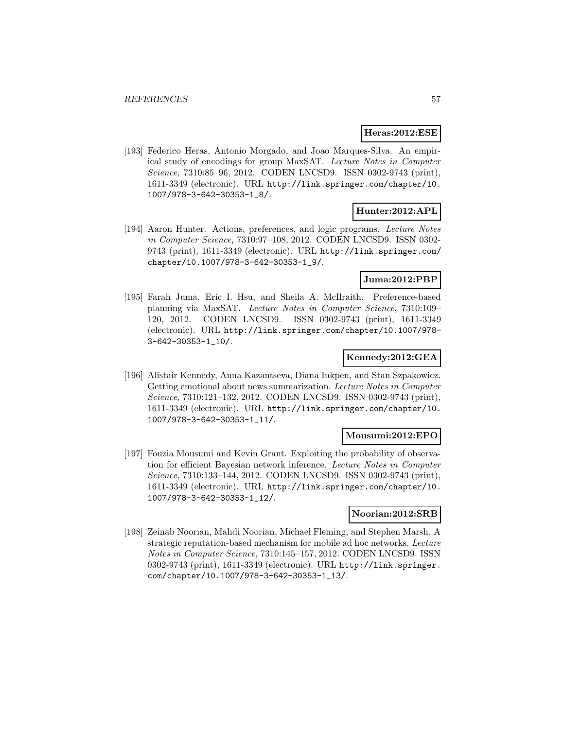#### **Heras:2012:ESE**

[193] Federico Heras, Antonio Morgado, and Joao Marques-Silva. An empirical study of encodings for group MaxSAT. Lecture Notes in Computer Science, 7310:85-96, 2012. CODEN LNCSD9. ISSN 0302-9743 (print), 1611-3349 (electronic). URL http://link.springer.com/chapter/10. 1007/978-3-642-30353-1\_8/.

# **Hunter:2012:APL**

[194] Aaron Hunter. Actions, preferences, and logic programs. Lecture Notes in Computer Science, 7310:97–108, 2012. CODEN LNCSD9. ISSN 0302- 9743 (print), 1611-3349 (electronic). URL http://link.springer.com/ chapter/10.1007/978-3-642-30353-1\_9/.

# **Juma:2012:PBP**

[195] Farah Juma, Eric I. Hsu, and Sheila A. McIlraith. Preference-based planning via MaxSAT. Lecture Notes in Computer Science, 7310:109– 120, 2012. CODEN LNCSD9. ISSN 0302-9743 (print), 1611-3349 (electronic). URL http://link.springer.com/chapter/10.1007/978- 3-642-30353-1\_10/.

### **Kennedy:2012:GEA**

[196] Alistair Kennedy, Anna Kazantseva, Diana Inkpen, and Stan Szpakowicz. Getting emotional about news summarization. Lecture Notes in Computer Science, 7310:121–132, 2012. CODEN LNCSD9. ISSN 0302-9743 (print), 1611-3349 (electronic). URL http://link.springer.com/chapter/10. 1007/978-3-642-30353-1\_11/.

#### **Mousumi:2012:EPO**

[197] Fouzia Mousumi and Kevin Grant. Exploiting the probability of observation for efficient Bayesian network inference. Lecture Notes in Computer Science, 7310:133–144, 2012. CODEN LNCSD9. ISSN 0302-9743 (print), 1611-3349 (electronic). URL http://link.springer.com/chapter/10. 1007/978-3-642-30353-1\_12/.

### **Noorian:2012:SRB**

[198] Zeinab Noorian, Mahdi Noorian, Michael Fleming, and Stephen Marsh. A strategic reputation-based mechanism for mobile ad hoc networks. Lecture Notes in Computer Science, 7310:145–157, 2012. CODEN LNCSD9. ISSN 0302-9743 (print), 1611-3349 (electronic). URL http://link.springer. com/chapter/10.1007/978-3-642-30353-1\_13/.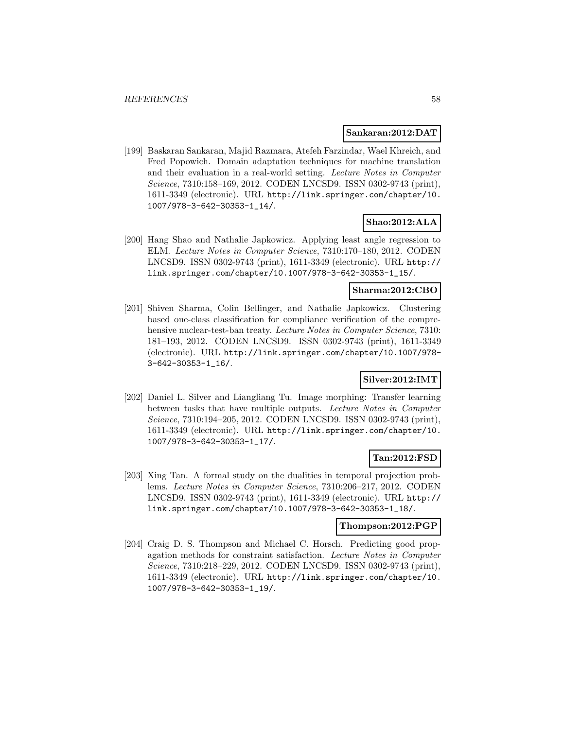#### **Sankaran:2012:DAT**

[199] Baskaran Sankaran, Majid Razmara, Atefeh Farzindar, Wael Khreich, and Fred Popowich. Domain adaptation techniques for machine translation and their evaluation in a real-world setting. Lecture Notes in Computer Science, 7310:158–169, 2012. CODEN LNCSD9. ISSN 0302-9743 (print), 1611-3349 (electronic). URL http://link.springer.com/chapter/10. 1007/978-3-642-30353-1\_14/.

### **Shao:2012:ALA**

[200] Hang Shao and Nathalie Japkowicz. Applying least angle regression to ELM. Lecture Notes in Computer Science, 7310:170–180, 2012. CODEN LNCSD9. ISSN 0302-9743 (print), 1611-3349 (electronic). URL http:// link.springer.com/chapter/10.1007/978-3-642-30353-1\_15/.

### **Sharma:2012:CBO**

[201] Shiven Sharma, Colin Bellinger, and Nathalie Japkowicz. Clustering based one-class classification for compliance verification of the comprehensive nuclear-test-ban treaty. Lecture Notes in Computer Science, 7310: 181–193, 2012. CODEN LNCSD9. ISSN 0302-9743 (print), 1611-3349 (electronic). URL http://link.springer.com/chapter/10.1007/978- 3-642-30353-1\_16/.

# **Silver:2012:IMT**

[202] Daniel L. Silver and Liangliang Tu. Image morphing: Transfer learning between tasks that have multiple outputs. Lecture Notes in Computer Science, 7310:194–205, 2012. CODEN LNCSD9. ISSN 0302-9743 (print), 1611-3349 (electronic). URL http://link.springer.com/chapter/10. 1007/978-3-642-30353-1\_17/.

### **Tan:2012:FSD**

[203] Xing Tan. A formal study on the dualities in temporal projection problems. Lecture Notes in Computer Science, 7310:206–217, 2012. CODEN LNCSD9. ISSN 0302-9743 (print), 1611-3349 (electronic). URL http:// link.springer.com/chapter/10.1007/978-3-642-30353-1\_18/.

#### **Thompson:2012:PGP**

[204] Craig D. S. Thompson and Michael C. Horsch. Predicting good propagation methods for constraint satisfaction. Lecture Notes in Computer Science, 7310:218–229, 2012. CODEN LNCSD9. ISSN 0302-9743 (print), 1611-3349 (electronic). URL http://link.springer.com/chapter/10. 1007/978-3-642-30353-1\_19/.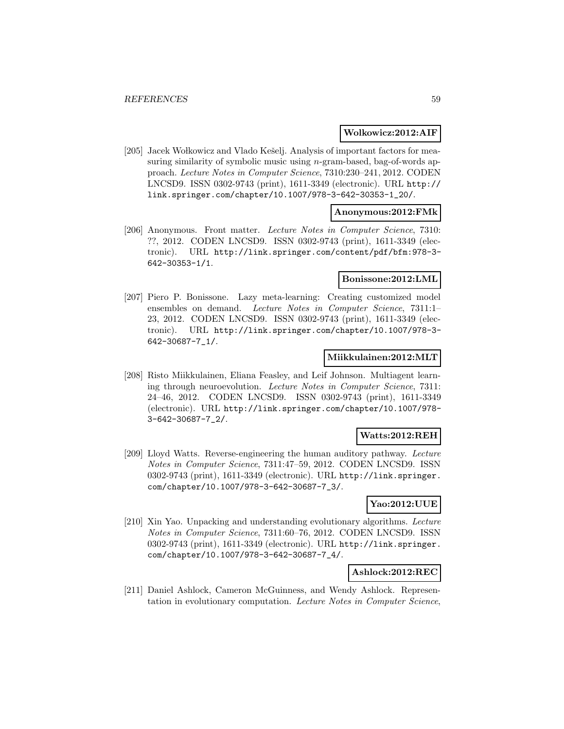#### **Wolkowicz:2012:AIF**

[205] Jacek Wołkowicz and Vlado Kešelj. Analysis of important factors for measuring similarity of symbolic music using *n*-gram-based, bag-of-words approach. Lecture Notes in Computer Science, 7310:230–241, 2012. CODEN LNCSD9. ISSN 0302-9743 (print), 1611-3349 (electronic). URL http:// link.springer.com/chapter/10.1007/978-3-642-30353-1\_20/.

#### **Anonymous:2012:FMk**

[206] Anonymous. Front matter. Lecture Notes in Computer Science, 7310: ??, 2012. CODEN LNCSD9. ISSN 0302-9743 (print), 1611-3349 (electronic). URL http://link.springer.com/content/pdf/bfm:978-3- 642-30353-1/1.

### **Bonissone:2012:LML**

[207] Piero P. Bonissone. Lazy meta-learning: Creating customized model ensembles on demand. Lecture Notes in Computer Science, 7311:1– 23, 2012. CODEN LNCSD9. ISSN 0302-9743 (print), 1611-3349 (electronic). URL http://link.springer.com/chapter/10.1007/978-3- 642-30687-7\_1/.

#### **Miikkulainen:2012:MLT**

[208] Risto Miikkulainen, Eliana Feasley, and Leif Johnson. Multiagent learning through neuroevolution. Lecture Notes in Computer Science, 7311: 24–46, 2012. CODEN LNCSD9. ISSN 0302-9743 (print), 1611-3349 (electronic). URL http://link.springer.com/chapter/10.1007/978- 3-642-30687-7\_2/.

#### **Watts:2012:REH**

[209] Lloyd Watts. Reverse-engineering the human auditory pathway. Lecture Notes in Computer Science, 7311:47–59, 2012. CODEN LNCSD9. ISSN 0302-9743 (print), 1611-3349 (electronic). URL http://link.springer. com/chapter/10.1007/978-3-642-30687-7\_3/.

## **Yao:2012:UUE**

[210] Xin Yao. Unpacking and understanding evolutionary algorithms. Lecture Notes in Computer Science, 7311:60–76, 2012. CODEN LNCSD9. ISSN 0302-9743 (print), 1611-3349 (electronic). URL http://link.springer. com/chapter/10.1007/978-3-642-30687-7\_4/.

#### **Ashlock:2012:REC**

[211] Daniel Ashlock, Cameron McGuinness, and Wendy Ashlock. Representation in evolutionary computation. Lecture Notes in Computer Science,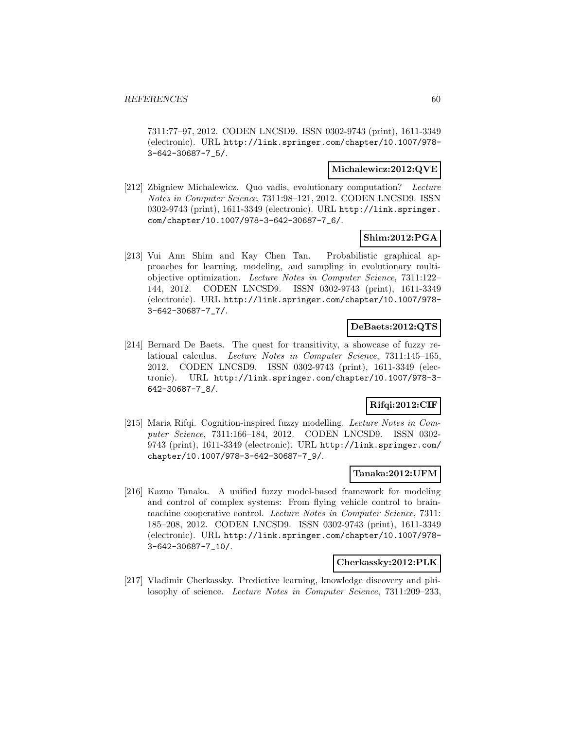7311:77–97, 2012. CODEN LNCSD9. ISSN 0302-9743 (print), 1611-3349 (electronic). URL http://link.springer.com/chapter/10.1007/978- 3-642-30687-7\_5/.

#### **Michalewicz:2012:QVE**

[212] Zbigniew Michalewicz. Quo vadis, evolutionary computation? Lecture Notes in Computer Science, 7311:98–121, 2012. CODEN LNCSD9. ISSN 0302-9743 (print), 1611-3349 (electronic). URL http://link.springer. com/chapter/10.1007/978-3-642-30687-7\_6/.

# **Shim:2012:PGA**

[213] Vui Ann Shim and Kay Chen Tan. Probabilistic graphical approaches for learning, modeling, and sampling in evolutionary multiobjective optimization. Lecture Notes in Computer Science, 7311:122– 144, 2012. CODEN LNCSD9. ISSN 0302-9743 (print), 1611-3349 (electronic). URL http://link.springer.com/chapter/10.1007/978- 3-642-30687-7\_7/.

### **DeBaets:2012:QTS**

[214] Bernard De Baets. The quest for transitivity, a showcase of fuzzy relational calculus. Lecture Notes in Computer Science, 7311:145–165, 2012. CODEN LNCSD9. ISSN 0302-9743 (print), 1611-3349 (electronic). URL http://link.springer.com/chapter/10.1007/978-3- 642-30687-7\_8/.

# **Rifqi:2012:CIF**

[215] Maria Rifqi. Cognition-inspired fuzzy modelling. Lecture Notes in Computer Science, 7311:166–184, 2012. CODEN LNCSD9. ISSN 0302- 9743 (print), 1611-3349 (electronic). URL http://link.springer.com/ chapter/10.1007/978-3-642-30687-7\_9/.

#### **Tanaka:2012:UFM**

[216] Kazuo Tanaka. A unified fuzzy model-based framework for modeling and control of complex systems: From flying vehicle control to brainmachine cooperative control. Lecture Notes in Computer Science, 7311: 185–208, 2012. CODEN LNCSD9. ISSN 0302-9743 (print), 1611-3349 (electronic). URL http://link.springer.com/chapter/10.1007/978- 3-642-30687-7\_10/.

#### **Cherkassky:2012:PLK**

[217] Vladimir Cherkassky. Predictive learning, knowledge discovery and philosophy of science. Lecture Notes in Computer Science, 7311:209–233,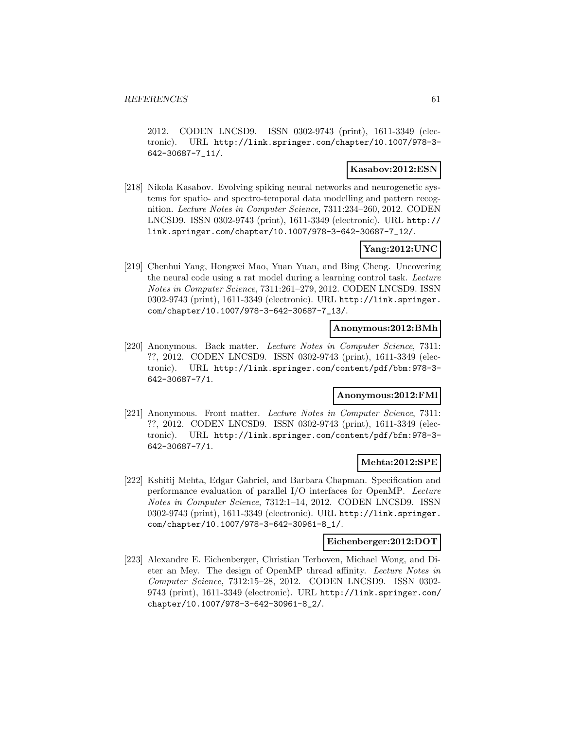2012. CODEN LNCSD9. ISSN 0302-9743 (print), 1611-3349 (electronic). URL http://link.springer.com/chapter/10.1007/978-3- 642-30687-7\_11/.

#### **Kasabov:2012:ESN**

[218] Nikola Kasabov. Evolving spiking neural networks and neurogenetic systems for spatio- and spectro-temporal data modelling and pattern recognition. Lecture Notes in Computer Science, 7311:234–260, 2012. CODEN LNCSD9. ISSN 0302-9743 (print), 1611-3349 (electronic). URL http:// link.springer.com/chapter/10.1007/978-3-642-30687-7\_12/.

# **Yang:2012:UNC**

[219] Chenhui Yang, Hongwei Mao, Yuan Yuan, and Bing Cheng. Uncovering the neural code using a rat model during a learning control task. Lecture Notes in Computer Science, 7311:261–279, 2012. CODEN LNCSD9. ISSN 0302-9743 (print), 1611-3349 (electronic). URL http://link.springer. com/chapter/10.1007/978-3-642-30687-7\_13/.

#### **Anonymous:2012:BMh**

[220] Anonymous. Back matter. Lecture Notes in Computer Science, 7311: ??, 2012. CODEN LNCSD9. ISSN 0302-9743 (print), 1611-3349 (electronic). URL http://link.springer.com/content/pdf/bbm:978-3- 642-30687-7/1.

# **Anonymous:2012:FMl**

[221] Anonymous. Front matter. Lecture Notes in Computer Science, 7311: ??, 2012. CODEN LNCSD9. ISSN 0302-9743 (print), 1611-3349 (electronic). URL http://link.springer.com/content/pdf/bfm:978-3- 642-30687-7/1.

# **Mehta:2012:SPE**

[222] Kshitij Mehta, Edgar Gabriel, and Barbara Chapman. Specification and performance evaluation of parallel I/O interfaces for OpenMP. Lecture Notes in Computer Science, 7312:1–14, 2012. CODEN LNCSD9. ISSN 0302-9743 (print), 1611-3349 (electronic). URL http://link.springer. com/chapter/10.1007/978-3-642-30961-8\_1/.

#### **Eichenberger:2012:DOT**

[223] Alexandre E. Eichenberger, Christian Terboven, Michael Wong, and Dieter an Mey. The design of OpenMP thread affinity. Lecture Notes in Computer Science, 7312:15–28, 2012. CODEN LNCSD9. ISSN 0302- 9743 (print), 1611-3349 (electronic). URL http://link.springer.com/ chapter/10.1007/978-3-642-30961-8\_2/.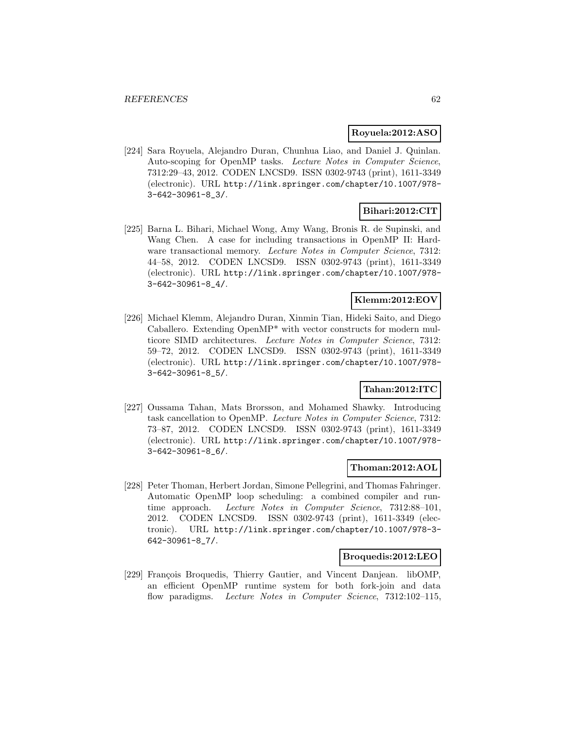#### **Royuela:2012:ASO**

[224] Sara Royuela, Alejandro Duran, Chunhua Liao, and Daniel J. Quinlan. Auto-scoping for OpenMP tasks. Lecture Notes in Computer Science, 7312:29–43, 2012. CODEN LNCSD9. ISSN 0302-9743 (print), 1611-3349 (electronic). URL http://link.springer.com/chapter/10.1007/978- 3-642-30961-8\_3/.

# **Bihari:2012:CIT**

[225] Barna L. Bihari, Michael Wong, Amy Wang, Bronis R. de Supinski, and Wang Chen. A case for including transactions in OpenMP II: Hardware transactional memory. Lecture Notes in Computer Science, 7312: 44–58, 2012. CODEN LNCSD9. ISSN 0302-9743 (print), 1611-3349 (electronic). URL http://link.springer.com/chapter/10.1007/978- 3-642-30961-8\_4/.

# **Klemm:2012:EOV**

[226] Michael Klemm, Alejandro Duran, Xinmin Tian, Hideki Saito, and Diego Caballero. Extending OpenMP\* with vector constructs for modern multicore SIMD architectures. Lecture Notes in Computer Science, 7312: 59–72, 2012. CODEN LNCSD9. ISSN 0302-9743 (print), 1611-3349 (electronic). URL http://link.springer.com/chapter/10.1007/978- 3-642-30961-8\_5/.

### **Tahan:2012:ITC**

[227] Oussama Tahan, Mats Brorsson, and Mohamed Shawky. Introducing task cancellation to OpenMP. Lecture Notes in Computer Science, 7312: 73–87, 2012. CODEN LNCSD9. ISSN 0302-9743 (print), 1611-3349 (electronic). URL http://link.springer.com/chapter/10.1007/978- 3-642-30961-8\_6/.

### **Thoman:2012:AOL**

[228] Peter Thoman, Herbert Jordan, Simone Pellegrini, and Thomas Fahringer. Automatic OpenMP loop scheduling: a combined compiler and runtime approach. Lecture Notes in Computer Science, 7312:88–101, 2012. CODEN LNCSD9. ISSN 0302-9743 (print), 1611-3349 (electronic). URL http://link.springer.com/chapter/10.1007/978-3- 642-30961-8\_7/.

### **Broquedis:2012:LEO**

[229] François Broquedis, Thierry Gautier, and Vincent Danjean. libOMP, an efficient OpenMP runtime system for both fork-join and data flow paradigms. Lecture Notes in Computer Science, 7312:102-115,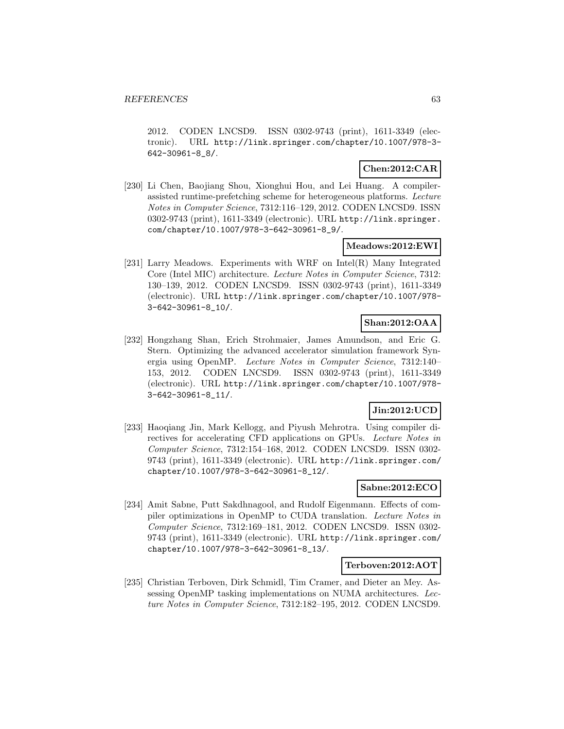2012. CODEN LNCSD9. ISSN 0302-9743 (print), 1611-3349 (electronic). URL http://link.springer.com/chapter/10.1007/978-3- 642-30961-8\_8/.

# **Chen:2012:CAR**

[230] Li Chen, Baojiang Shou, Xionghui Hou, and Lei Huang. A compilerassisted runtime-prefetching scheme for heterogeneous platforms. Lecture Notes in Computer Science, 7312:116–129, 2012. CODEN LNCSD9. ISSN 0302-9743 (print), 1611-3349 (electronic). URL http://link.springer. com/chapter/10.1007/978-3-642-30961-8\_9/.

# **Meadows:2012:EWI**

[231] Larry Meadows. Experiments with WRF on Intel(R) Many Integrated Core (Intel MIC) architecture. Lecture Notes in Computer Science, 7312: 130–139, 2012. CODEN LNCSD9. ISSN 0302-9743 (print), 1611-3349 (electronic). URL http://link.springer.com/chapter/10.1007/978- 3-642-30961-8\_10/.

# **Shan:2012:OAA**

[232] Hongzhang Shan, Erich Strohmaier, James Amundson, and Eric G. Stern. Optimizing the advanced accelerator simulation framework Synergia using OpenMP. Lecture Notes in Computer Science, 7312:140– 153, 2012. CODEN LNCSD9. ISSN 0302-9743 (print), 1611-3349 (electronic). URL http://link.springer.com/chapter/10.1007/978- 3-642-30961-8\_11/.

# **Jin:2012:UCD**

[233] Haoqiang Jin, Mark Kellogg, and Piyush Mehrotra. Using compiler directives for accelerating CFD applications on GPUs. Lecture Notes in Computer Science, 7312:154–168, 2012. CODEN LNCSD9. ISSN 0302- 9743 (print), 1611-3349 (electronic). URL http://link.springer.com/ chapter/10.1007/978-3-642-30961-8\_12/.

# **Sabne:2012:ECO**

[234] Amit Sabne, Putt Sakdhnagool, and Rudolf Eigenmann. Effects of compiler optimizations in OpenMP to CUDA translation. Lecture Notes in Computer Science, 7312:169–181, 2012. CODEN LNCSD9. ISSN 0302- 9743 (print), 1611-3349 (electronic). URL http://link.springer.com/ chapter/10.1007/978-3-642-30961-8\_13/.

### **Terboven:2012:AOT**

[235] Christian Terboven, Dirk Schmidl, Tim Cramer, and Dieter an Mey. Assessing OpenMP tasking implementations on NUMA architectures. Lecture Notes in Computer Science, 7312:182–195, 2012. CODEN LNCSD9.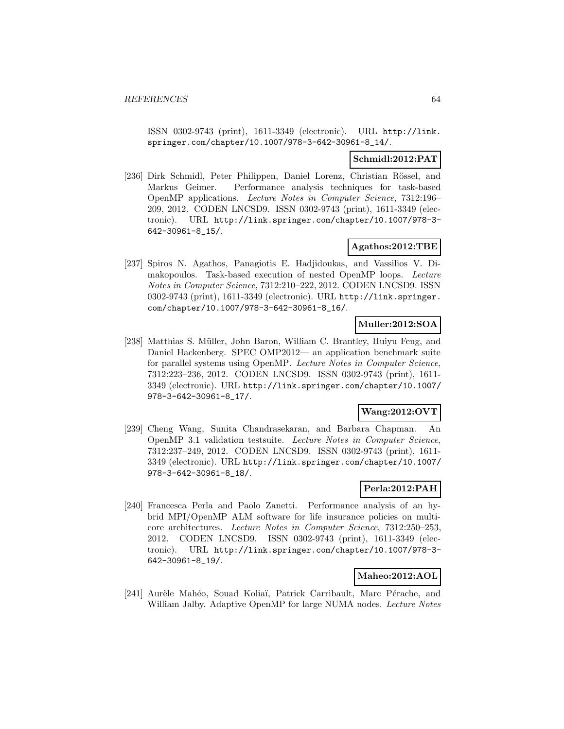ISSN 0302-9743 (print), 1611-3349 (electronic). URL http://link. springer.com/chapter/10.1007/978-3-642-30961-8\_14/.

# **Schmidl:2012:PAT**

[236] Dirk Schmidl, Peter Philippen, Daniel Lorenz, Christian Rössel, and Markus Geimer. Performance analysis techniques for task-based OpenMP applications. Lecture Notes in Computer Science, 7312:196– 209, 2012. CODEN LNCSD9. ISSN 0302-9743 (print), 1611-3349 (electronic). URL http://link.springer.com/chapter/10.1007/978-3- 642-30961-8\_15/.

# **Agathos:2012:TBE**

[237] Spiros N. Agathos, Panagiotis E. Hadjidoukas, and Vassilios V. Dimakopoulos. Task-based execution of nested OpenMP loops. Lecture Notes in Computer Science, 7312:210–222, 2012. CODEN LNCSD9. ISSN 0302-9743 (print), 1611-3349 (electronic). URL http://link.springer. com/chapter/10.1007/978-3-642-30961-8\_16/.

# **Muller:2012:SOA**

[238] Matthias S. Müller, John Baron, William C. Brantley, Huiyu Feng, and Daniel Hackenberg. SPEC OMP2012— an application benchmark suite for parallel systems using OpenMP. Lecture Notes in Computer Science, 7312:223–236, 2012. CODEN LNCSD9. ISSN 0302-9743 (print), 1611- 3349 (electronic). URL http://link.springer.com/chapter/10.1007/ 978-3-642-30961-8\_17/.

# **Wang:2012:OVT**

[239] Cheng Wang, Sunita Chandrasekaran, and Barbara Chapman. An OpenMP 3.1 validation testsuite. Lecture Notes in Computer Science, 7312:237–249, 2012. CODEN LNCSD9. ISSN 0302-9743 (print), 1611- 3349 (electronic). URL http://link.springer.com/chapter/10.1007/ 978-3-642-30961-8\_18/.

# **Perla:2012:PAH**

[240] Francesca Perla and Paolo Zanetti. Performance analysis of an hybrid MPI/OpenMP ALM software for life insurance policies on multicore architectures. Lecture Notes in Computer Science, 7312:250–253, 2012. CODEN LNCSD9. ISSN 0302-9743 (print), 1611-3349 (electronic). URL http://link.springer.com/chapter/10.1007/978-3- 642-30961-8\_19/.

# **Maheo:2012:AOL**

[241] Aurèle Mahéo, Souad Koliaï, Patrick Carribault, Marc Pérache, and William Jalby. Adaptive OpenMP for large NUMA nodes. Lecture Notes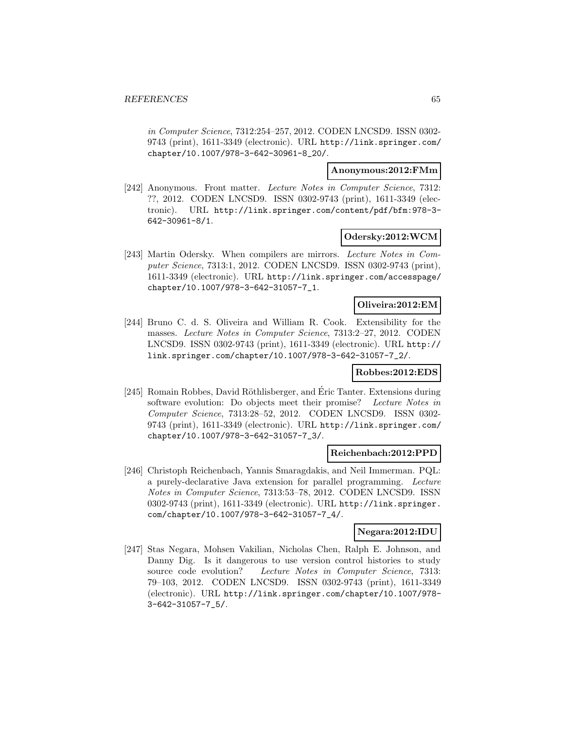in Computer Science, 7312:254–257, 2012. CODEN LNCSD9. ISSN 0302- 9743 (print), 1611-3349 (electronic). URL http://link.springer.com/ chapter/10.1007/978-3-642-30961-8\_20/.

### **Anonymous:2012:FMm**

[242] Anonymous. Front matter. Lecture Notes in Computer Science, 7312: ??, 2012. CODEN LNCSD9. ISSN 0302-9743 (print), 1611-3349 (electronic). URL http://link.springer.com/content/pdf/bfm:978-3- 642-30961-8/1.

#### **Odersky:2012:WCM**

[243] Martin Odersky. When compilers are mirrors. Lecture Notes in Computer Science, 7313:1, 2012. CODEN LNCSD9. ISSN 0302-9743 (print), 1611-3349 (electronic). URL http://link.springer.com/accesspage/ chapter/10.1007/978-3-642-31057-7\_1.

# **Oliveira:2012:EM**

[244] Bruno C. d. S. Oliveira and William R. Cook. Extensibility for the masses. Lecture Notes in Computer Science, 7313:2–27, 2012. CODEN LNCSD9. ISSN 0302-9743 (print), 1611-3349 (electronic). URL http:// link.springer.com/chapter/10.1007/978-3-642-31057-7\_2/.

#### **Robbes:2012:EDS**

[245] Romain Robbes, David Röthlisberger, and Eric Tanter. Extensions during software evolution: Do objects meet their promise? Lecture Notes in Computer Science, 7313:28–52, 2012. CODEN LNCSD9. ISSN 0302- 9743 (print), 1611-3349 (electronic). URL http://link.springer.com/ chapter/10.1007/978-3-642-31057-7\_3/.

#### **Reichenbach:2012:PPD**

[246] Christoph Reichenbach, Yannis Smaragdakis, and Neil Immerman. PQL: a purely-declarative Java extension for parallel programming. Lecture Notes in Computer Science, 7313:53–78, 2012. CODEN LNCSD9. ISSN 0302-9743 (print), 1611-3349 (electronic). URL http://link.springer. com/chapter/10.1007/978-3-642-31057-7\_4/.

# **Negara:2012:IDU**

[247] Stas Negara, Mohsen Vakilian, Nicholas Chen, Ralph E. Johnson, and Danny Dig. Is it dangerous to use version control histories to study source code evolution? Lecture Notes in Computer Science, 7313: 79–103, 2012. CODEN LNCSD9. ISSN 0302-9743 (print), 1611-3349 (electronic). URL http://link.springer.com/chapter/10.1007/978- 3-642-31057-7\_5/.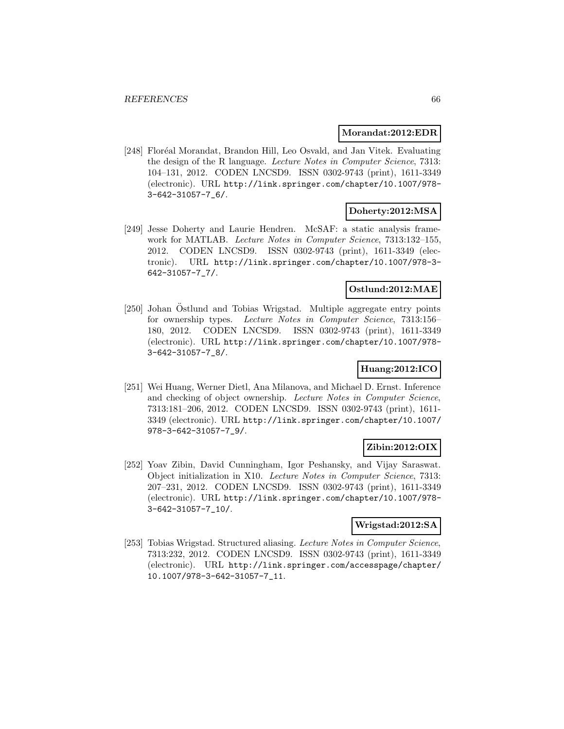#### **Morandat:2012:EDR**

[248] Floréal Morandat, Brandon Hill, Leo Osvald, and Jan Vitek. Evaluating the design of the R language. Lecture Notes in Computer Science, 7313: 104–131, 2012. CODEN LNCSD9. ISSN 0302-9743 (print), 1611-3349 (electronic). URL http://link.springer.com/chapter/10.1007/978- 3-642-31057-7\_6/.

# **Doherty:2012:MSA**

[249] Jesse Doherty and Laurie Hendren. McSAF: a static analysis framework for MATLAB. Lecture Notes in Computer Science, 7313:132-155, 2012. CODEN LNCSD9. ISSN 0302-9743 (print), 1611-3349 (electronic). URL http://link.springer.com/chapter/10.1007/978-3- 642-31057-7\_7/.

# **Ostlund:2012:MAE**

[250] Johan Östlund and Tobias Wrigstad. Multiple aggregate entry points for ownership types. Lecture Notes in Computer Science, 7313:156– 180, 2012. CODEN LNCSD9. ISSN 0302-9743 (print), 1611-3349 (electronic). URL http://link.springer.com/chapter/10.1007/978- 3-642-31057-7\_8/.

# **Huang:2012:ICO**

[251] Wei Huang, Werner Dietl, Ana Milanova, and Michael D. Ernst. Inference and checking of object ownership. Lecture Notes in Computer Science, 7313:181–206, 2012. CODEN LNCSD9. ISSN 0302-9743 (print), 1611- 3349 (electronic). URL http://link.springer.com/chapter/10.1007/ 978-3-642-31057-7\_9/.

# **Zibin:2012:OIX**

[252] Yoav Zibin, David Cunningham, Igor Peshansky, and Vijay Saraswat. Object initialization in X10. Lecture Notes in Computer Science, 7313: 207–231, 2012. CODEN LNCSD9. ISSN 0302-9743 (print), 1611-3349 (electronic). URL http://link.springer.com/chapter/10.1007/978- 3-642-31057-7\_10/.

### **Wrigstad:2012:SA**

[253] Tobias Wrigstad. Structured aliasing. Lecture Notes in Computer Science, 7313:232, 2012. CODEN LNCSD9. ISSN 0302-9743 (print), 1611-3349 (electronic). URL http://link.springer.com/accesspage/chapter/ 10.1007/978-3-642-31057-7\_11.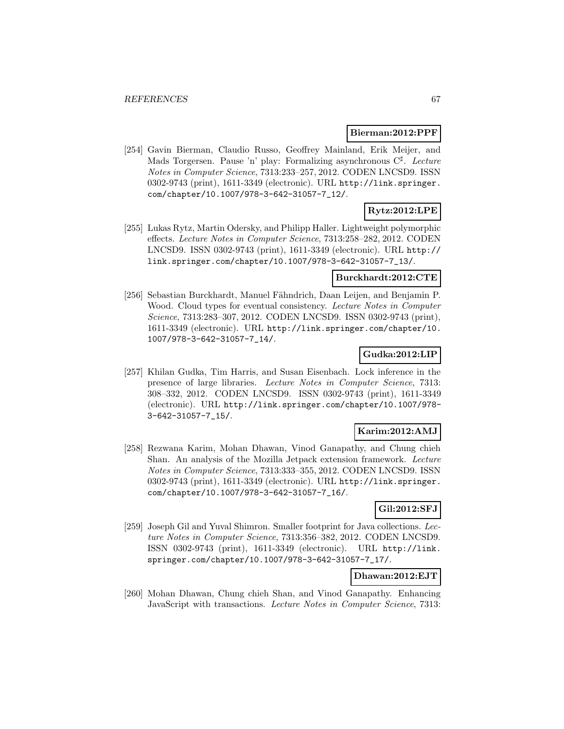### **Bierman:2012:PPF**

[254] Gavin Bierman, Claudio Russo, Geoffrey Mainland, Erik Meijer, and Mads Torgersen. Pause 'n' play: Formalizing asynchronous  $C^{\sharp}$ . Lecture Notes in Computer Science, 7313:233–257, 2012. CODEN LNCSD9. ISSN 0302-9743 (print), 1611-3349 (electronic). URL http://link.springer. com/chapter/10.1007/978-3-642-31057-7\_12/.

# **Rytz:2012:LPE**

[255] Lukas Rytz, Martin Odersky, and Philipp Haller. Lightweight polymorphic effects. Lecture Notes in Computer Science, 7313:258–282, 2012. CODEN LNCSD9. ISSN 0302-9743 (print), 1611-3349 (electronic). URL http:// link.springer.com/chapter/10.1007/978-3-642-31057-7\_13/.

# **Burckhardt:2012:CTE**

[256] Sebastian Burckhardt, Manuel Fähndrich, Daan Leijen, and Benjamin P. Wood. Cloud types for eventual consistency. Lecture Notes in Computer Science, 7313:283–307, 2012. CODEN LNCSD9. ISSN 0302-9743 (print), 1611-3349 (electronic). URL http://link.springer.com/chapter/10. 1007/978-3-642-31057-7\_14/.

## **Gudka:2012:LIP**

[257] Khilan Gudka, Tim Harris, and Susan Eisenbach. Lock inference in the presence of large libraries. Lecture Notes in Computer Science, 7313: 308–332, 2012. CODEN LNCSD9. ISSN 0302-9743 (print), 1611-3349 (electronic). URL http://link.springer.com/chapter/10.1007/978- 3-642-31057-7\_15/.

### **Karim:2012:AMJ**

[258] Rezwana Karim, Mohan Dhawan, Vinod Ganapathy, and Chung chieh Shan. An analysis of the Mozilla Jetpack extension framework. Lecture Notes in Computer Science, 7313:333–355, 2012. CODEN LNCSD9. ISSN 0302-9743 (print), 1611-3349 (electronic). URL http://link.springer. com/chapter/10.1007/978-3-642-31057-7\_16/.

### **Gil:2012:SFJ**

[259] Joseph Gil and Yuval Shimron. Smaller footprint for Java collections. Lecture Notes in Computer Science, 7313:356–382, 2012. CODEN LNCSD9. ISSN 0302-9743 (print), 1611-3349 (electronic). URL http://link. springer.com/chapter/10.1007/978-3-642-31057-7\_17/.

# **Dhawan:2012:EJT**

[260] Mohan Dhawan, Chung chieh Shan, and Vinod Ganapathy. Enhancing JavaScript with transactions. Lecture Notes in Computer Science, 7313: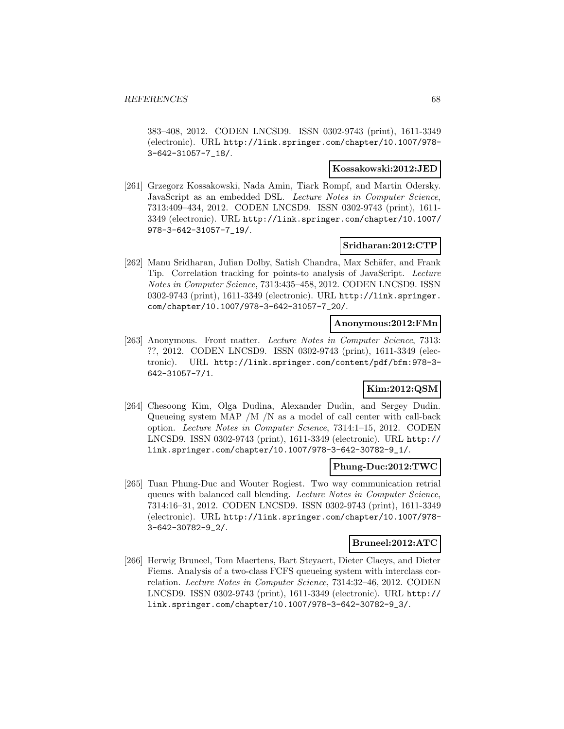383–408, 2012. CODEN LNCSD9. ISSN 0302-9743 (print), 1611-3349 (electronic). URL http://link.springer.com/chapter/10.1007/978- 3-642-31057-7\_18/.

### **Kossakowski:2012:JED**

[261] Grzegorz Kossakowski, Nada Amin, Tiark Rompf, and Martin Odersky. JavaScript as an embedded DSL. Lecture Notes in Computer Science, 7313:409–434, 2012. CODEN LNCSD9. ISSN 0302-9743 (print), 1611- 3349 (electronic). URL http://link.springer.com/chapter/10.1007/ 978-3-642-31057-7\_19/.

# **Sridharan:2012:CTP**

[262] Manu Sridharan, Julian Dolby, Satish Chandra, Max Schäfer, and Frank Tip. Correlation tracking for points-to analysis of JavaScript. Lecture Notes in Computer Science, 7313:435–458, 2012. CODEN LNCSD9. ISSN 0302-9743 (print), 1611-3349 (electronic). URL http://link.springer. com/chapter/10.1007/978-3-642-31057-7\_20/.

### **Anonymous:2012:FMn**

[263] Anonymous. Front matter. Lecture Notes in Computer Science, 7313: ??, 2012. CODEN LNCSD9. ISSN 0302-9743 (print), 1611-3349 (electronic). URL http://link.springer.com/content/pdf/bfm:978-3- 642-31057-7/1.

# **Kim:2012:QSM**

[264] Chesoong Kim, Olga Dudina, Alexander Dudin, and Sergey Dudin. Queueing system MAP /M /N as a model of call center with call-back option. Lecture Notes in Computer Science, 7314:1–15, 2012. CODEN LNCSD9. ISSN 0302-9743 (print), 1611-3349 (electronic). URL http:// link.springer.com/chapter/10.1007/978-3-642-30782-9\_1/.

# **Phung-Duc:2012:TWC**

[265] Tuan Phung-Duc and Wouter Rogiest. Two way communication retrial queues with balanced call blending. Lecture Notes in Computer Science, 7314:16–31, 2012. CODEN LNCSD9. ISSN 0302-9743 (print), 1611-3349 (electronic). URL http://link.springer.com/chapter/10.1007/978- 3-642-30782-9\_2/.

#### **Bruneel:2012:ATC**

[266] Herwig Bruneel, Tom Maertens, Bart Steyaert, Dieter Claeys, and Dieter Fiems. Analysis of a two-class FCFS queueing system with interclass correlation. Lecture Notes in Computer Science, 7314:32–46, 2012. CODEN LNCSD9. ISSN 0302-9743 (print), 1611-3349 (electronic). URL http:// link.springer.com/chapter/10.1007/978-3-642-30782-9\_3/.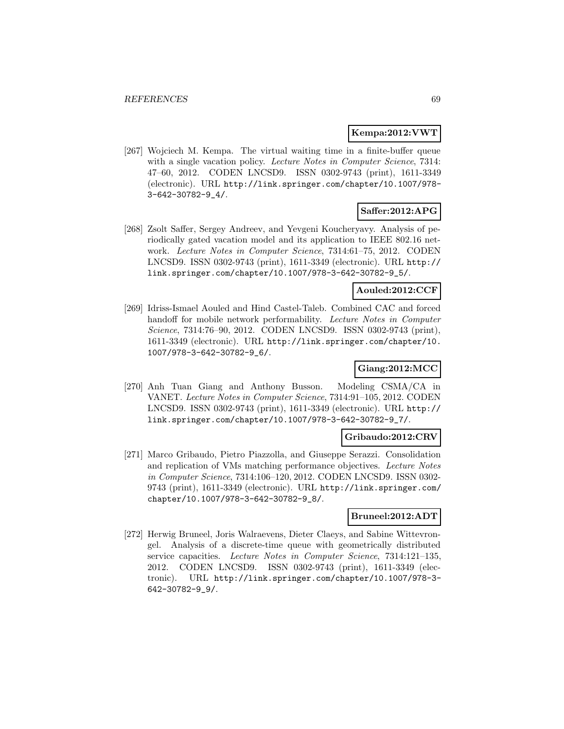#### **Kempa:2012:VWT**

[267] Wojciech M. Kempa. The virtual waiting time in a finite-buffer queue with a single vacation policy. Lecture Notes in Computer Science, 7314: 47–60, 2012. CODEN LNCSD9. ISSN 0302-9743 (print), 1611-3349 (electronic). URL http://link.springer.com/chapter/10.1007/978- 3-642-30782-9\_4/.

# **Saffer:2012:APG**

[268] Zsolt Saffer, Sergey Andreev, and Yevgeni Koucheryavy. Analysis of periodically gated vacation model and its application to IEEE 802.16 network. Lecture Notes in Computer Science, 7314:61–75, 2012. CODEN LNCSD9. ISSN 0302-9743 (print), 1611-3349 (electronic). URL http:// link.springer.com/chapter/10.1007/978-3-642-30782-9\_5/.

#### **Aouled:2012:CCF**

[269] Idriss-Ismael Aouled and Hind Castel-Taleb. Combined CAC and forced handoff for mobile network performability. Lecture Notes in Computer Science, 7314:76–90, 2012. CODEN LNCSD9. ISSN 0302-9743 (print), 1611-3349 (electronic). URL http://link.springer.com/chapter/10. 1007/978-3-642-30782-9\_6/.

# **Giang:2012:MCC**

[270] Anh Tuan Giang and Anthony Busson. Modeling CSMA/CA in VANET. Lecture Notes in Computer Science, 7314:91–105, 2012. CODEN LNCSD9. ISSN 0302-9743 (print), 1611-3349 (electronic). URL http:// link.springer.com/chapter/10.1007/978-3-642-30782-9\_7/.

#### **Gribaudo:2012:CRV**

[271] Marco Gribaudo, Pietro Piazzolla, and Giuseppe Serazzi. Consolidation and replication of VMs matching performance objectives. Lecture Notes in Computer Science, 7314:106–120, 2012. CODEN LNCSD9. ISSN 0302- 9743 (print), 1611-3349 (electronic). URL http://link.springer.com/ chapter/10.1007/978-3-642-30782-9\_8/.

# **Bruneel:2012:ADT**

[272] Herwig Bruneel, Joris Walraevens, Dieter Claeys, and Sabine Wittevrongel. Analysis of a discrete-time queue with geometrically distributed service capacities. Lecture Notes in Computer Science, 7314:121–135, 2012. CODEN LNCSD9. ISSN 0302-9743 (print), 1611-3349 (electronic). URL http://link.springer.com/chapter/10.1007/978-3- 642-30782-9\_9/.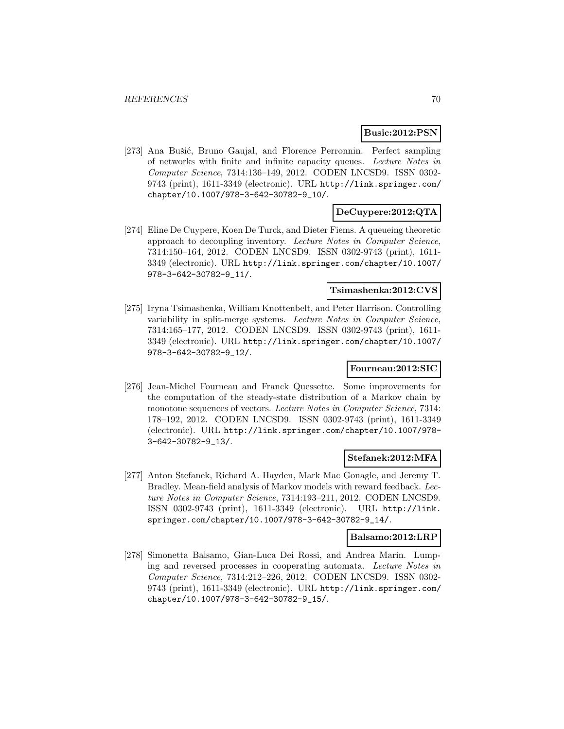#### **Busic:2012:PSN**

[273] Ana Bušić, Bruno Gaujal, and Florence Perronnin. Perfect sampling of networks with finite and infinite capacity queues. Lecture Notes in Computer Science, 7314:136–149, 2012. CODEN LNCSD9. ISSN 0302- 9743 (print), 1611-3349 (electronic). URL http://link.springer.com/ chapter/10.1007/978-3-642-30782-9\_10/.

# **DeCuypere:2012:QTA**

[274] Eline De Cuypere, Koen De Turck, and Dieter Fiems. A queueing theoretic approach to decoupling inventory. Lecture Notes in Computer Science, 7314:150–164, 2012. CODEN LNCSD9. ISSN 0302-9743 (print), 1611- 3349 (electronic). URL http://link.springer.com/chapter/10.1007/ 978-3-642-30782-9\_11/.

#### **Tsimashenka:2012:CVS**

[275] Iryna Tsimashenka, William Knottenbelt, and Peter Harrison. Controlling variability in split-merge systems. Lecture Notes in Computer Science, 7314:165–177, 2012. CODEN LNCSD9. ISSN 0302-9743 (print), 1611- 3349 (electronic). URL http://link.springer.com/chapter/10.1007/ 978-3-642-30782-9\_12/.

# **Fourneau:2012:SIC**

[276] Jean-Michel Fourneau and Franck Quessette. Some improvements for the computation of the steady-state distribution of a Markov chain by monotone sequences of vectors. Lecture Notes in Computer Science, 7314: 178–192, 2012. CODEN LNCSD9. ISSN 0302-9743 (print), 1611-3349 (electronic). URL http://link.springer.com/chapter/10.1007/978- 3-642-30782-9\_13/.

### **Stefanek:2012:MFA**

[277] Anton Stefanek, Richard A. Hayden, Mark Mac Gonagle, and Jeremy T. Bradley. Mean-field analysis of Markov models with reward feedback. Lecture Notes in Computer Science, 7314:193–211, 2012. CODEN LNCSD9. ISSN 0302-9743 (print), 1611-3349 (electronic). URL http://link. springer.com/chapter/10.1007/978-3-642-30782-9\_14/.

#### **Balsamo:2012:LRP**

[278] Simonetta Balsamo, Gian-Luca Dei Rossi, and Andrea Marin. Lumping and reversed processes in cooperating automata. Lecture Notes in Computer Science, 7314:212–226, 2012. CODEN LNCSD9. ISSN 0302- 9743 (print), 1611-3349 (electronic). URL http://link.springer.com/ chapter/10.1007/978-3-642-30782-9\_15/.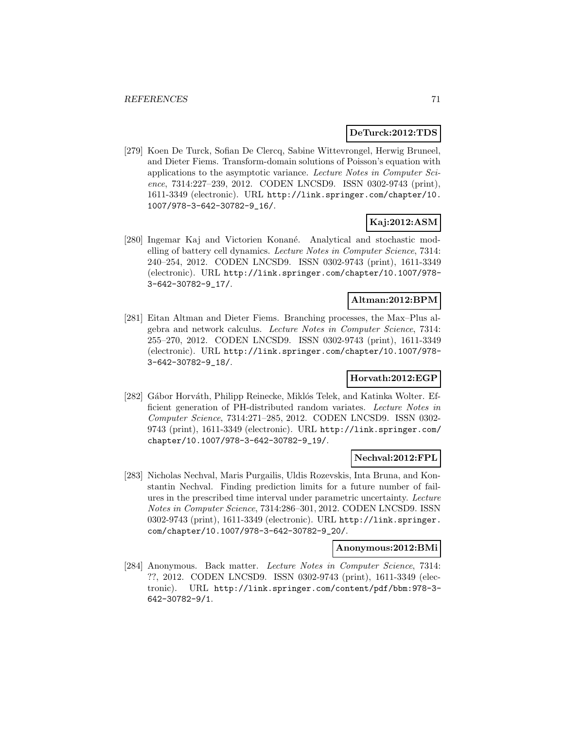### **DeTurck:2012:TDS**

[279] Koen De Turck, Sofian De Clercq, Sabine Wittevrongel, Herwig Bruneel, and Dieter Fiems. Transform-domain solutions of Poisson's equation with applications to the asymptotic variance. Lecture Notes in Computer Science, 7314:227–239, 2012. CODEN LNCSD9. ISSN 0302-9743 (print), 1611-3349 (electronic). URL http://link.springer.com/chapter/10. 1007/978-3-642-30782-9\_16/.

# **Kaj:2012:ASM**

[280] Ingemar Kaj and Victorien Konané. Analytical and stochastic modelling of battery cell dynamics. Lecture Notes in Computer Science, 7314: 240–254, 2012. CODEN LNCSD9. ISSN 0302-9743 (print), 1611-3349 (electronic). URL http://link.springer.com/chapter/10.1007/978- 3-642-30782-9\_17/.

# **Altman:2012:BPM**

[281] Eitan Altman and Dieter Fiems. Branching processes, the Max–Plus algebra and network calculus. Lecture Notes in Computer Science, 7314: 255–270, 2012. CODEN LNCSD9. ISSN 0302-9743 (print), 1611-3349 (electronic). URL http://link.springer.com/chapter/10.1007/978- 3-642-30782-9\_18/.

# **Horvath:2012:EGP**

[282] Gábor Horváth, Philipp Reinecke, Miklós Telek, and Katinka Wolter. Efficient generation of PH-distributed random variates. Lecture Notes in Computer Science, 7314:271–285, 2012. CODEN LNCSD9. ISSN 0302- 9743 (print), 1611-3349 (electronic). URL http://link.springer.com/ chapter/10.1007/978-3-642-30782-9\_19/.

### **Nechval:2012:FPL**

[283] Nicholas Nechval, Maris Purgailis, Uldis Rozevskis, Inta Bruna, and Konstantin Nechval. Finding prediction limits for a future number of failures in the prescribed time interval under parametric uncertainty. Lecture Notes in Computer Science, 7314:286–301, 2012. CODEN LNCSD9. ISSN 0302-9743 (print), 1611-3349 (electronic). URL http://link.springer. com/chapter/10.1007/978-3-642-30782-9\_20/.

### **Anonymous:2012:BMi**

[284] Anonymous. Back matter. Lecture Notes in Computer Science, 7314: ??, 2012. CODEN LNCSD9. ISSN 0302-9743 (print), 1611-3349 (electronic). URL http://link.springer.com/content/pdf/bbm:978-3- 642-30782-9/1.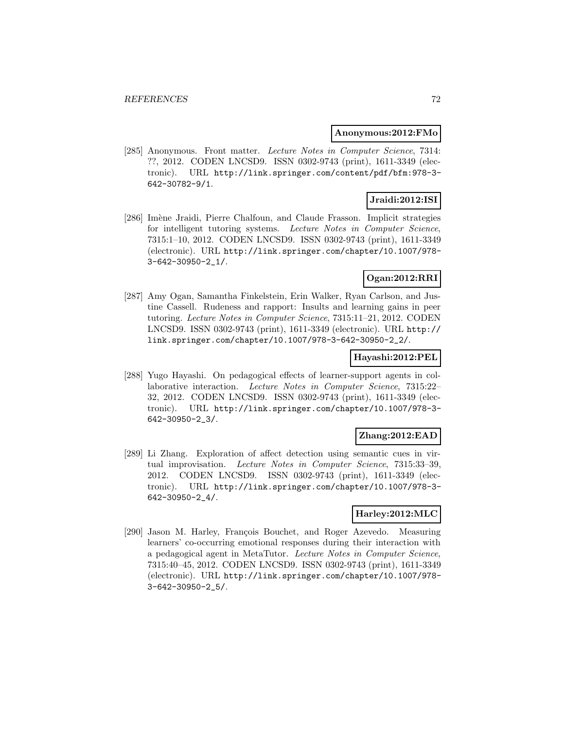#### **Anonymous:2012:FMo**

[285] Anonymous. Front matter. Lecture Notes in Computer Science, 7314: ??, 2012. CODEN LNCSD9. ISSN 0302-9743 (print), 1611-3349 (electronic). URL http://link.springer.com/content/pdf/bfm:978-3- 642-30782-9/1.

# **Jraidi:2012:ISI**

[286] Imène Jraidi, Pierre Chalfoun, and Claude Frasson. Implicit strategies for intelligent tutoring systems. Lecture Notes in Computer Science, 7315:1–10, 2012. CODEN LNCSD9. ISSN 0302-9743 (print), 1611-3349 (electronic). URL http://link.springer.com/chapter/10.1007/978- 3-642-30950-2\_1/.

# **Ogan:2012:RRI**

[287] Amy Ogan, Samantha Finkelstein, Erin Walker, Ryan Carlson, and Justine Cassell. Rudeness and rapport: Insults and learning gains in peer tutoring. Lecture Notes in Computer Science, 7315:11–21, 2012. CODEN LNCSD9. ISSN 0302-9743 (print), 1611-3349 (electronic). URL http:// link.springer.com/chapter/10.1007/978-3-642-30950-2\_2/.

#### **Hayashi:2012:PEL**

[288] Yugo Hayashi. On pedagogical effects of learner-support agents in collaborative interaction. Lecture Notes in Computer Science, 7315:22– 32, 2012. CODEN LNCSD9. ISSN 0302-9743 (print), 1611-3349 (electronic). URL http://link.springer.com/chapter/10.1007/978-3- 642-30950-2\_3/.

# **Zhang:2012:EAD**

[289] Li Zhang. Exploration of affect detection using semantic cues in virtual improvisation. Lecture Notes in Computer Science, 7315:33–39, 2012. CODEN LNCSD9. ISSN 0302-9743 (print), 1611-3349 (electronic). URL http://link.springer.com/chapter/10.1007/978-3- 642-30950-2\_4/.

#### **Harley:2012:MLC**

[290] Jason M. Harley, François Bouchet, and Roger Azevedo. Measuring learners' co-occurring emotional responses during their interaction with a pedagogical agent in MetaTutor. Lecture Notes in Computer Science, 7315:40–45, 2012. CODEN LNCSD9. ISSN 0302-9743 (print), 1611-3349 (electronic). URL http://link.springer.com/chapter/10.1007/978- 3-642-30950-2\_5/.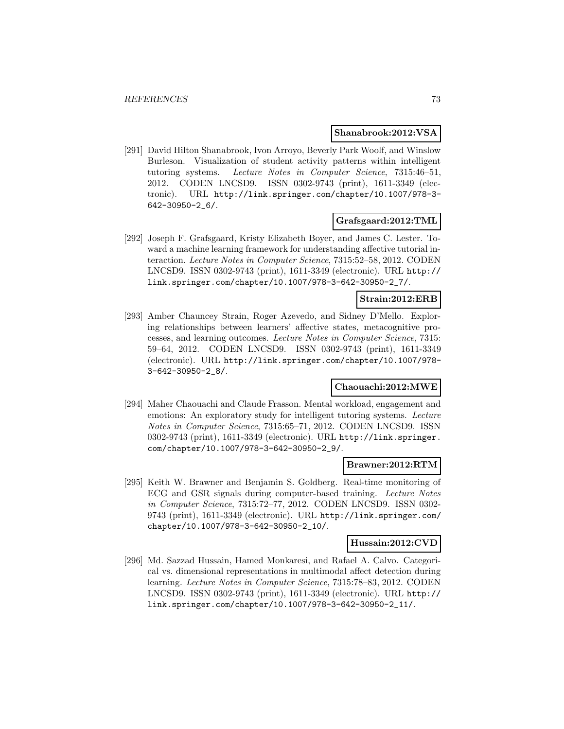#### **Shanabrook:2012:VSA**

[291] David Hilton Shanabrook, Ivon Arroyo, Beverly Park Woolf, and Winslow Burleson. Visualization of student activity patterns within intelligent tutoring systems. Lecture Notes in Computer Science, 7315:46–51, 2012. CODEN LNCSD9. ISSN 0302-9743 (print), 1611-3349 (electronic). URL http://link.springer.com/chapter/10.1007/978-3- 642-30950-2\_6/.

### **Grafsgaard:2012:TML**

[292] Joseph F. Grafsgaard, Kristy Elizabeth Boyer, and James C. Lester. Toward a machine learning framework for understanding affective tutorial interaction. Lecture Notes in Computer Science, 7315:52–58, 2012. CODEN LNCSD9. ISSN 0302-9743 (print), 1611-3349 (electronic). URL http:// link.springer.com/chapter/10.1007/978-3-642-30950-2\_7/.

### **Strain:2012:ERB**

[293] Amber Chauncey Strain, Roger Azevedo, and Sidney D'Mello. Exploring relationships between learners' affective states, metacognitive processes, and learning outcomes. Lecture Notes in Computer Science, 7315: 59–64, 2012. CODEN LNCSD9. ISSN 0302-9743 (print), 1611-3349 (electronic). URL http://link.springer.com/chapter/10.1007/978- 3-642-30950-2\_8/.

### **Chaouachi:2012:MWE**

[294] Maher Chaouachi and Claude Frasson. Mental workload, engagement and emotions: An exploratory study for intelligent tutoring systems. Lecture Notes in Computer Science, 7315:65–71, 2012. CODEN LNCSD9. ISSN 0302-9743 (print), 1611-3349 (electronic). URL http://link.springer. com/chapter/10.1007/978-3-642-30950-2\_9/.

#### **Brawner:2012:RTM**

[295] Keith W. Brawner and Benjamin S. Goldberg. Real-time monitoring of ECG and GSR signals during computer-based training. Lecture Notes in Computer Science, 7315:72–77, 2012. CODEN LNCSD9. ISSN 0302- 9743 (print), 1611-3349 (electronic). URL http://link.springer.com/ chapter/10.1007/978-3-642-30950-2\_10/.

#### **Hussain:2012:CVD**

[296] Md. Sazzad Hussain, Hamed Monkaresi, and Rafael A. Calvo. Categorical vs. dimensional representations in multimodal affect detection during learning. Lecture Notes in Computer Science, 7315:78–83, 2012. CODEN LNCSD9. ISSN 0302-9743 (print), 1611-3349 (electronic). URL http:// link.springer.com/chapter/10.1007/978-3-642-30950-2\_11/.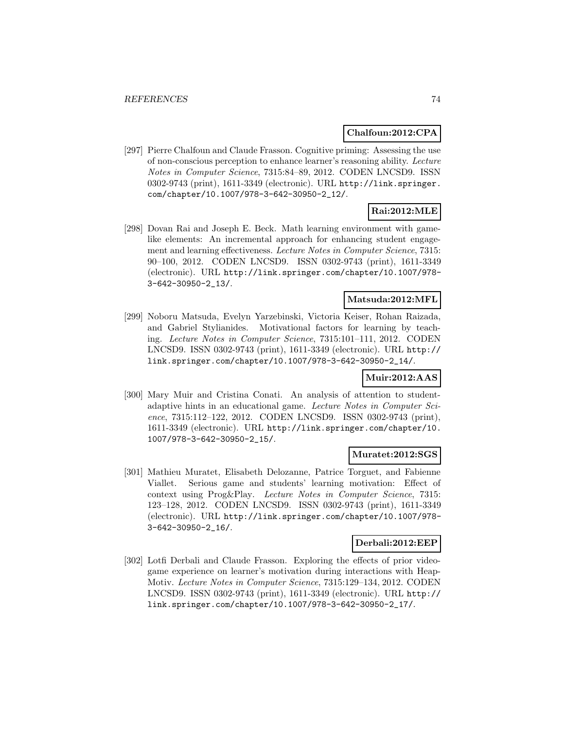#### **Chalfoun:2012:CPA**

[297] Pierre Chalfoun and Claude Frasson. Cognitive priming: Assessing the use of non-conscious perception to enhance learner's reasoning ability. Lecture Notes in Computer Science, 7315:84–89, 2012. CODEN LNCSD9. ISSN 0302-9743 (print), 1611-3349 (electronic). URL http://link.springer. com/chapter/10.1007/978-3-642-30950-2\_12/.

# **Rai:2012:MLE**

[298] Dovan Rai and Joseph E. Beck. Math learning environment with gamelike elements: An incremental approach for enhancing student engagement and learning effectiveness. Lecture Notes in Computer Science, 7315: 90–100, 2012. CODEN LNCSD9. ISSN 0302-9743 (print), 1611-3349 (electronic). URL http://link.springer.com/chapter/10.1007/978- 3-642-30950-2\_13/.

### **Matsuda:2012:MFL**

[299] Noboru Matsuda, Evelyn Yarzebinski, Victoria Keiser, Rohan Raizada, and Gabriel Stylianides. Motivational factors for learning by teaching. Lecture Notes in Computer Science, 7315:101–111, 2012. CODEN LNCSD9. ISSN 0302-9743 (print), 1611-3349 (electronic). URL http:// link.springer.com/chapter/10.1007/978-3-642-30950-2\_14/.

## **Muir:2012:AAS**

[300] Mary Muir and Cristina Conati. An analysis of attention to studentadaptive hints in an educational game. Lecture Notes in Computer Science, 7315:112–122, 2012. CODEN LNCSD9. ISSN 0302-9743 (print), 1611-3349 (electronic). URL http://link.springer.com/chapter/10. 1007/978-3-642-30950-2\_15/.

#### **Muratet:2012:SGS**

[301] Mathieu Muratet, Elisabeth Delozanne, Patrice Torguet, and Fabienne Viallet. Serious game and students' learning motivation: Effect of context using Prog&Play. Lecture Notes in Computer Science, 7315: 123–128, 2012. CODEN LNCSD9. ISSN 0302-9743 (print), 1611-3349 (electronic). URL http://link.springer.com/chapter/10.1007/978- 3-642-30950-2\_16/.

#### **Derbali:2012:EEP**

[302] Lotfi Derbali and Claude Frasson. Exploring the effects of prior videogame experience on learner's motivation during interactions with Heap-Motiv. Lecture Notes in Computer Science, 7315:129–134, 2012. CODEN LNCSD9. ISSN 0302-9743 (print), 1611-3349 (electronic). URL http:// link.springer.com/chapter/10.1007/978-3-642-30950-2\_17/.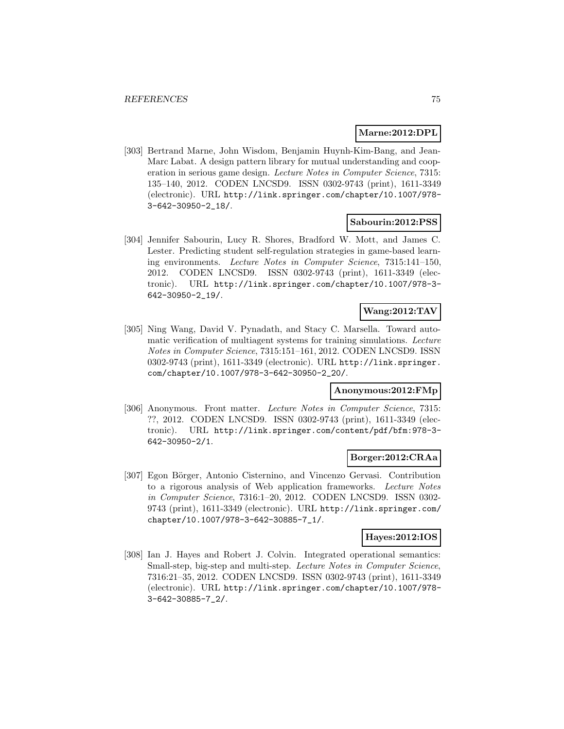#### **Marne:2012:DPL**

[303] Bertrand Marne, John Wisdom, Benjamin Huynh-Kim-Bang, and Jean-Marc Labat. A design pattern library for mutual understanding and cooperation in serious game design. Lecture Notes in Computer Science, 7315: 135–140, 2012. CODEN LNCSD9. ISSN 0302-9743 (print), 1611-3349 (electronic). URL http://link.springer.com/chapter/10.1007/978- 3-642-30950-2\_18/.

### **Sabourin:2012:PSS**

[304] Jennifer Sabourin, Lucy R. Shores, Bradford W. Mott, and James C. Lester. Predicting student self-regulation strategies in game-based learning environments. Lecture Notes in Computer Science, 7315:141–150, 2012. CODEN LNCSD9. ISSN 0302-9743 (print), 1611-3349 (electronic). URL http://link.springer.com/chapter/10.1007/978-3- 642-30950-2\_19/.

## **Wang:2012:TAV**

[305] Ning Wang, David V. Pynadath, and Stacy C. Marsella. Toward automatic verification of multiagent systems for training simulations. Lecture Notes in Computer Science, 7315:151–161, 2012. CODEN LNCSD9. ISSN 0302-9743 (print), 1611-3349 (electronic). URL http://link.springer. com/chapter/10.1007/978-3-642-30950-2\_20/.

#### **Anonymous:2012:FMp**

[306] Anonymous. Front matter. Lecture Notes in Computer Science, 7315: ??, 2012. CODEN LNCSD9. ISSN 0302-9743 (print), 1611-3349 (electronic). URL http://link.springer.com/content/pdf/bfm:978-3- 642-30950-2/1.

### **Borger:2012:CRAa**

[307] Egon Börger, Antonio Cisternino, and Vincenzo Gervasi. Contribution to a rigorous analysis of Web application frameworks. Lecture Notes in Computer Science, 7316:1–20, 2012. CODEN LNCSD9. ISSN 0302- 9743 (print), 1611-3349 (electronic). URL http://link.springer.com/ chapter/10.1007/978-3-642-30885-7\_1/.

#### **Hayes:2012:IOS**

[308] Ian J. Hayes and Robert J. Colvin. Integrated operational semantics: Small-step, big-step and multi-step. Lecture Notes in Computer Science, 7316:21–35, 2012. CODEN LNCSD9. ISSN 0302-9743 (print), 1611-3349 (electronic). URL http://link.springer.com/chapter/10.1007/978- 3-642-30885-7\_2/.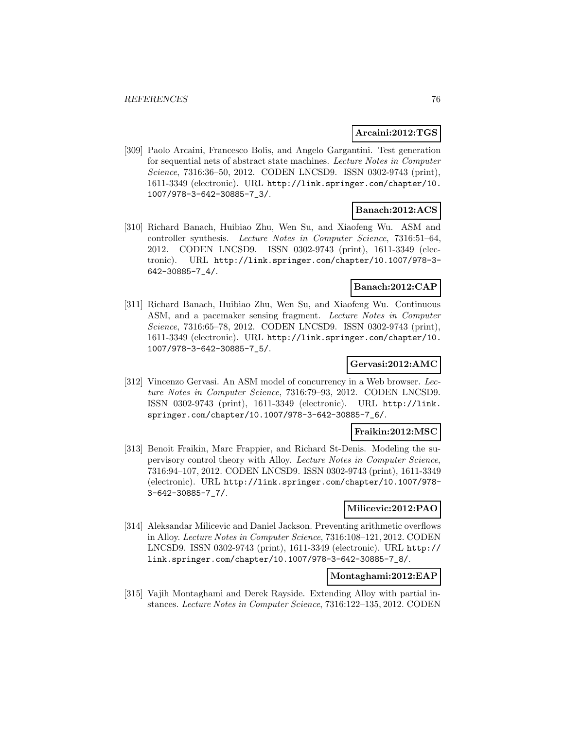### **Arcaini:2012:TGS**

[309] Paolo Arcaini, Francesco Bolis, and Angelo Gargantini. Test generation for sequential nets of abstract state machines. Lecture Notes in Computer Science, 7316:36–50, 2012. CODEN LNCSD9. ISSN 0302-9743 (print), 1611-3349 (electronic). URL http://link.springer.com/chapter/10. 1007/978-3-642-30885-7\_3/.

#### **Banach:2012:ACS**

[310] Richard Banach, Huibiao Zhu, Wen Su, and Xiaofeng Wu. ASM and controller synthesis. Lecture Notes in Computer Science, 7316:51–64, 2012. CODEN LNCSD9. ISSN 0302-9743 (print), 1611-3349 (electronic). URL http://link.springer.com/chapter/10.1007/978-3- 642-30885-7\_4/.

### **Banach:2012:CAP**

[311] Richard Banach, Huibiao Zhu, Wen Su, and Xiaofeng Wu. Continuous ASM, and a pacemaker sensing fragment. Lecture Notes in Computer Science, 7316:65–78, 2012. CODEN LNCSD9. ISSN 0302-9743 (print), 1611-3349 (electronic). URL http://link.springer.com/chapter/10. 1007/978-3-642-30885-7\_5/.

## **Gervasi:2012:AMC**

[312] Vincenzo Gervasi. An ASM model of concurrency in a Web browser. Lecture Notes in Computer Science, 7316:79–93, 2012. CODEN LNCSD9. ISSN 0302-9743 (print), 1611-3349 (electronic). URL http://link. springer.com/chapter/10.1007/978-3-642-30885-7\_6/.

#### **Fraikin:2012:MSC**

[313] Benoît Fraikin, Marc Frappier, and Richard St-Denis. Modeling the supervisory control theory with Alloy. Lecture Notes in Computer Science, 7316:94–107, 2012. CODEN LNCSD9. ISSN 0302-9743 (print), 1611-3349 (electronic). URL http://link.springer.com/chapter/10.1007/978- 3-642-30885-7\_7/.

#### **Milicevic:2012:PAO**

[314] Aleksandar Milicevic and Daniel Jackson. Preventing arithmetic overflows in Alloy. Lecture Notes in Computer Science, 7316:108–121, 2012. CODEN LNCSD9. ISSN 0302-9743 (print), 1611-3349 (electronic). URL http:// link.springer.com/chapter/10.1007/978-3-642-30885-7\_8/.

# **Montaghami:2012:EAP**

[315] Vajih Montaghami and Derek Rayside. Extending Alloy with partial instances. Lecture Notes in Computer Science, 7316:122–135, 2012. CODEN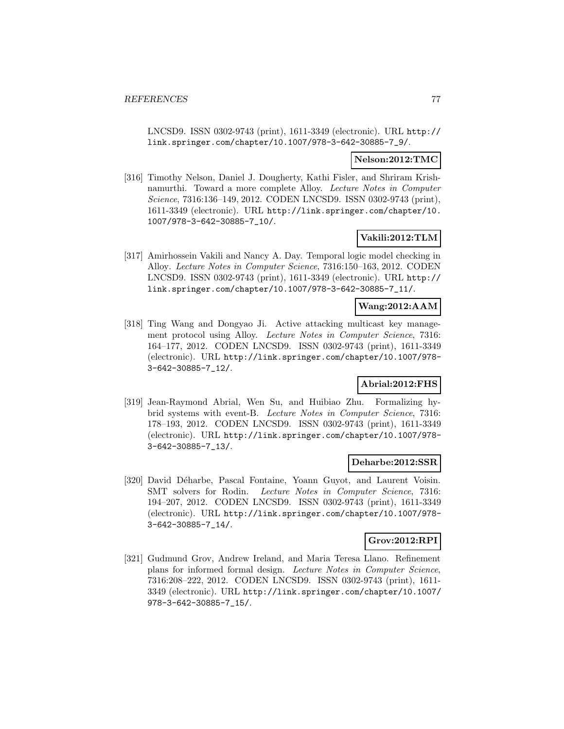LNCSD9. ISSN 0302-9743 (print), 1611-3349 (electronic). URL http:// link.springer.com/chapter/10.1007/978-3-642-30885-7\_9/.

#### **Nelson:2012:TMC**

[316] Timothy Nelson, Daniel J. Dougherty, Kathi Fisler, and Shriram Krishnamurthi. Toward a more complete Alloy. Lecture Notes in Computer Science, 7316:136–149, 2012. CODEN LNCSD9. ISSN 0302-9743 (print), 1611-3349 (electronic). URL http://link.springer.com/chapter/10. 1007/978-3-642-30885-7\_10/.

### **Vakili:2012:TLM**

[317] Amirhossein Vakili and Nancy A. Day. Temporal logic model checking in Alloy. Lecture Notes in Computer Science, 7316:150–163, 2012. CODEN LNCSD9. ISSN 0302-9743 (print), 1611-3349 (electronic). URL http:// link.springer.com/chapter/10.1007/978-3-642-30885-7\_11/.

### **Wang:2012:AAM**

[318] Ting Wang and Dongyao Ji. Active attacking multicast key management protocol using Alloy. Lecture Notes in Computer Science, 7316: 164–177, 2012. CODEN LNCSD9. ISSN 0302-9743 (print), 1611-3349 (electronic). URL http://link.springer.com/chapter/10.1007/978- 3-642-30885-7\_12/.

## **Abrial:2012:FHS**

[319] Jean-Raymond Abrial, Wen Su, and Huibiao Zhu. Formalizing hybrid systems with event-B. Lecture Notes in Computer Science, 7316: 178–193, 2012. CODEN LNCSD9. ISSN 0302-9743 (print), 1611-3349 (electronic). URL http://link.springer.com/chapter/10.1007/978- 3-642-30885-7\_13/.

#### **Deharbe:2012:SSR**

[320] David Déharbe, Pascal Fontaine, Yoann Guyot, and Laurent Voisin. SMT solvers for Rodin. Lecture Notes in Computer Science, 7316: 194–207, 2012. CODEN LNCSD9. ISSN 0302-9743 (print), 1611-3349 (electronic). URL http://link.springer.com/chapter/10.1007/978- 3-642-30885-7\_14/.

### **Grov:2012:RPI**

[321] Gudmund Grov, Andrew Ireland, and Maria Teresa Llano. Refinement plans for informed formal design. Lecture Notes in Computer Science, 7316:208–222, 2012. CODEN LNCSD9. ISSN 0302-9743 (print), 1611- 3349 (electronic). URL http://link.springer.com/chapter/10.1007/ 978-3-642-30885-7\_15/.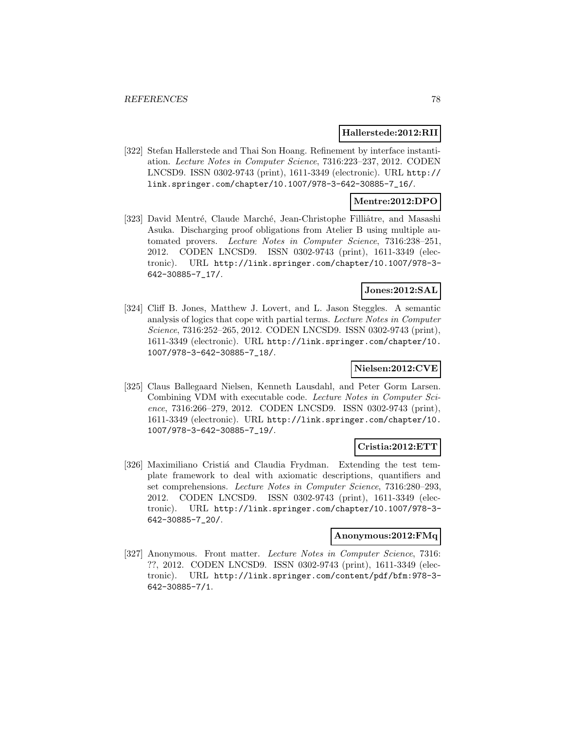#### **Hallerstede:2012:RII**

[322] Stefan Hallerstede and Thai Son Hoang. Refinement by interface instantiation. Lecture Notes in Computer Science, 7316:223–237, 2012. CODEN LNCSD9. ISSN 0302-9743 (print), 1611-3349 (electronic). URL http:// link.springer.com/chapter/10.1007/978-3-642-30885-7\_16/.

#### **Mentre:2012:DPO**

[323] David Mentré, Claude Marché, Jean-Christophe Filliâtre, and Masashi Asuka. Discharging proof obligations from Atelier B using multiple automated provers. Lecture Notes in Computer Science, 7316:238–251, 2012. CODEN LNCSD9. ISSN 0302-9743 (print), 1611-3349 (electronic). URL http://link.springer.com/chapter/10.1007/978-3- 642-30885-7\_17/.

#### **Jones:2012:SAL**

[324] Cliff B. Jones, Matthew J. Lovert, and L. Jason Steggles. A semantic analysis of logics that cope with partial terms. Lecture Notes in Computer Science, 7316:252–265, 2012. CODEN LNCSD9. ISSN 0302-9743 (print), 1611-3349 (electronic). URL http://link.springer.com/chapter/10. 1007/978-3-642-30885-7\_18/.

### **Nielsen:2012:CVE**

[325] Claus Ballegaard Nielsen, Kenneth Lausdahl, and Peter Gorm Larsen. Combining VDM with executable code. Lecture Notes in Computer Science, 7316:266–279, 2012. CODEN LNCSD9. ISSN 0302-9743 (print), 1611-3349 (electronic). URL http://link.springer.com/chapter/10. 1007/978-3-642-30885-7\_19/.

#### **Cristia:2012:ETT**

[326] Maximiliano Cristiá and Claudia Frydman. Extending the test template framework to deal with axiomatic descriptions, quantifiers and set comprehensions. Lecture Notes in Computer Science, 7316:280–293, 2012. CODEN LNCSD9. ISSN 0302-9743 (print), 1611-3349 (electronic). URL http://link.springer.com/chapter/10.1007/978-3- 642-30885-7\_20/.

### **Anonymous:2012:FMq**

[327] Anonymous. Front matter. Lecture Notes in Computer Science, 7316: ??, 2012. CODEN LNCSD9. ISSN 0302-9743 (print), 1611-3349 (electronic). URL http://link.springer.com/content/pdf/bfm:978-3- 642-30885-7/1.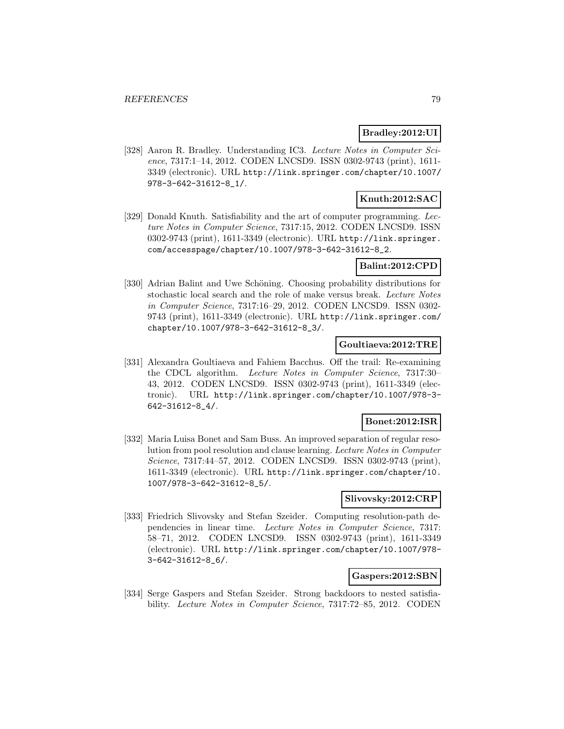### **Bradley:2012:UI**

[328] Aaron R. Bradley. Understanding IC3. Lecture Notes in Computer Science, 7317:1–14, 2012. CODEN LNCSD9. ISSN 0302-9743 (print), 1611- 3349 (electronic). URL http://link.springer.com/chapter/10.1007/ 978-3-642-31612-8\_1/.

## **Knuth:2012:SAC**

[329] Donald Knuth. Satisfiability and the art of computer programming. Lecture Notes in Computer Science, 7317:15, 2012. CODEN LNCSD9. ISSN 0302-9743 (print), 1611-3349 (electronic). URL http://link.springer. com/accesspage/chapter/10.1007/978-3-642-31612-8\_2.

### **Balint:2012:CPD**

[330] Adrian Balint and Uwe Schöning. Choosing probability distributions for stochastic local search and the role of make versus break. Lecture Notes in Computer Science, 7317:16–29, 2012. CODEN LNCSD9. ISSN 0302- 9743 (print), 1611-3349 (electronic). URL http://link.springer.com/ chapter/10.1007/978-3-642-31612-8\_3/.

### **Goultiaeva:2012:TRE**

[331] Alexandra Goultiaeva and Fahiem Bacchus. Off the trail: Re-examining the CDCL algorithm. Lecture Notes in Computer Science, 7317:30– 43, 2012. CODEN LNCSD9. ISSN 0302-9743 (print), 1611-3349 (electronic). URL http://link.springer.com/chapter/10.1007/978-3- 642-31612-8\_4/.

### **Bonet:2012:ISR**

[332] Maria Luisa Bonet and Sam Buss. An improved separation of regular resolution from pool resolution and clause learning. Lecture Notes in Computer Science, 7317:44–57, 2012. CODEN LNCSD9. ISSN 0302-9743 (print), 1611-3349 (electronic). URL http://link.springer.com/chapter/10. 1007/978-3-642-31612-8\_5/.

#### **Slivovsky:2012:CRP**

[333] Friedrich Slivovsky and Stefan Szeider. Computing resolution-path dependencies in linear time. Lecture Notes in Computer Science, 7317: 58–71, 2012. CODEN LNCSD9. ISSN 0302-9743 (print), 1611-3349 (electronic). URL http://link.springer.com/chapter/10.1007/978- 3-642-31612-8\_6/.

### **Gaspers:2012:SBN**

[334] Serge Gaspers and Stefan Szeider. Strong backdoors to nested satisfiability. Lecture Notes in Computer Science, 7317:72–85, 2012. CODEN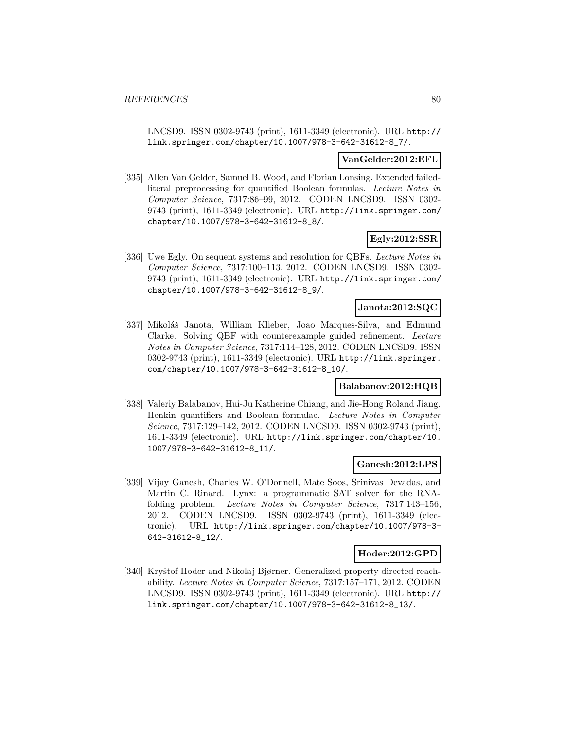LNCSD9. ISSN 0302-9743 (print), 1611-3349 (electronic). URL http:// link.springer.com/chapter/10.1007/978-3-642-31612-8\_7/.

#### **VanGelder:2012:EFL**

[335] Allen Van Gelder, Samuel B. Wood, and Florian Lonsing. Extended failedliteral preprocessing for quantified Boolean formulas. Lecture Notes in Computer Science, 7317:86–99, 2012. CODEN LNCSD9. ISSN 0302- 9743 (print), 1611-3349 (electronic). URL http://link.springer.com/ chapter/10.1007/978-3-642-31612-8\_8/.

### **Egly:2012:SSR**

[336] Uwe Egly. On sequent systems and resolution for QBFs. Lecture Notes in Computer Science, 7317:100–113, 2012. CODEN LNCSD9. ISSN 0302- 9743 (print), 1611-3349 (electronic). URL http://link.springer.com/ chapter/10.1007/978-3-642-31612-8\_9/.

### **Janota:2012:SQC**

[337] Mikoláš Janota, William Klieber, Joao Marques-Silva, and Edmund Clarke. Solving QBF with counterexample guided refinement. Lecture Notes in Computer Science, 7317:114–128, 2012. CODEN LNCSD9. ISSN 0302-9743 (print), 1611-3349 (electronic). URL http://link.springer. com/chapter/10.1007/978-3-642-31612-8\_10/.

#### **Balabanov:2012:HQB**

[338] Valeriy Balabanov, Hui-Ju Katherine Chiang, and Jie-Hong Roland Jiang. Henkin quantifiers and Boolean formulae. Lecture Notes in Computer Science, 7317:129–142, 2012. CODEN LNCSD9. ISSN 0302-9743 (print), 1611-3349 (electronic). URL http://link.springer.com/chapter/10. 1007/978-3-642-31612-8\_11/.

#### **Ganesh:2012:LPS**

[339] Vijay Ganesh, Charles W. O'Donnell, Mate Soos, Srinivas Devadas, and Martin C. Rinard. Lynx: a programmatic SAT solver for the RNAfolding problem. Lecture Notes in Computer Science, 7317:143–156, 2012. CODEN LNCSD9. ISSN 0302-9743 (print), 1611-3349 (electronic). URL http://link.springer.com/chapter/10.1007/978-3- 642-31612-8\_12/.

#### **Hoder:2012:GPD**

[340] Kryštof Hoder and Nikolaj Bjørner. Generalized property directed reachability. Lecture Notes in Computer Science, 7317:157–171, 2012. CODEN LNCSD9. ISSN 0302-9743 (print), 1611-3349 (electronic). URL http:// link.springer.com/chapter/10.1007/978-3-642-31612-8\_13/.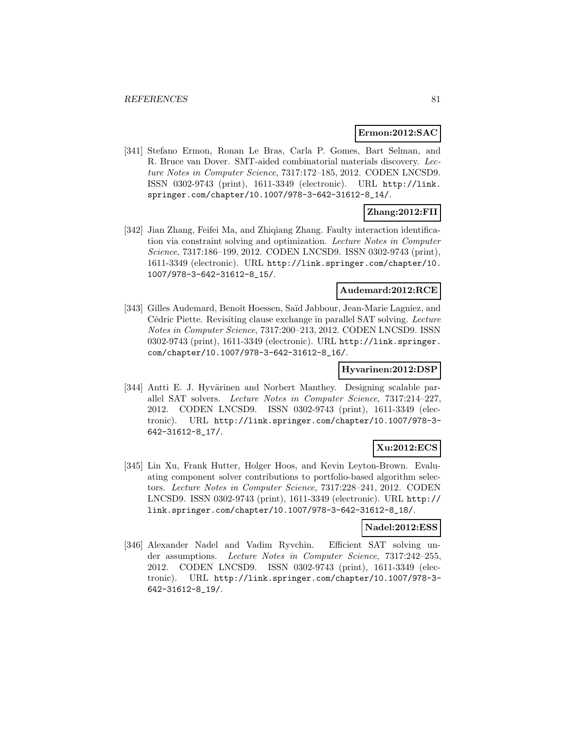#### **Ermon:2012:SAC**

[341] Stefano Ermon, Ronan Le Bras, Carla P. Gomes, Bart Selman, and R. Bruce van Dover. SMT-aided combinatorial materials discovery. Lecture Notes in Computer Science, 7317:172–185, 2012. CODEN LNCSD9. ISSN 0302-9743 (print), 1611-3349 (electronic). URL http://link. springer.com/chapter/10.1007/978-3-642-31612-8\_14/.

## **Zhang:2012:FII**

[342] Jian Zhang, Feifei Ma, and Zhiqiang Zhang. Faulty interaction identification via constraint solving and optimization. Lecture Notes in Computer Science, 7317:186–199, 2012. CODEN LNCSD9. ISSN 0302-9743 (print), 1611-3349 (electronic). URL http://link.springer.com/chapter/10. 1007/978-3-642-31612-8\_15/.

#### **Audemard:2012:RCE**

[343] Gilles Audemard, Benoît Hoessen, Saïd Jabbour, Jean-Marie Lagniez, and Cédric Piette. Revisiting clause exchange in parallel SAT solving. Lecture Notes in Computer Science, 7317:200–213, 2012. CODEN LNCSD9. ISSN 0302-9743 (print), 1611-3349 (electronic). URL http://link.springer. com/chapter/10.1007/978-3-642-31612-8\_16/.

### **Hyvarinen:2012:DSP**

[344] Antti E. J. Hyvärinen and Norbert Manthey. Designing scalable parallel SAT solvers. Lecture Notes in Computer Science, 7317:214–227, 2012. CODEN LNCSD9. ISSN 0302-9743 (print), 1611-3349 (electronic). URL http://link.springer.com/chapter/10.1007/978-3- 642-31612-8\_17/.

#### **Xu:2012:ECS**

[345] Lin Xu, Frank Hutter, Holger Hoos, and Kevin Leyton-Brown. Evaluating component solver contributions to portfolio-based algorithm selectors. Lecture Notes in Computer Science, 7317:228–241, 2012. CODEN LNCSD9. ISSN 0302-9743 (print), 1611-3349 (electronic). URL http:// link.springer.com/chapter/10.1007/978-3-642-31612-8\_18/.

### **Nadel:2012:ESS**

[346] Alexander Nadel and Vadim Ryvchin. Efficient SAT solving under assumptions. Lecture Notes in Computer Science, 7317:242–255, 2012. CODEN LNCSD9. ISSN 0302-9743 (print), 1611-3349 (electronic). URL http://link.springer.com/chapter/10.1007/978-3- 642-31612-8\_19/.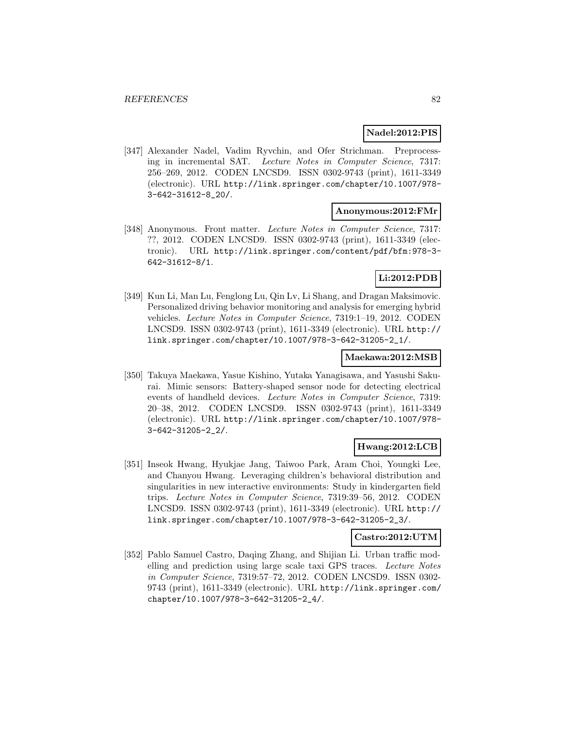#### **Nadel:2012:PIS**

[347] Alexander Nadel, Vadim Ryvchin, and Ofer Strichman. Preprocessing in incremental SAT. Lecture Notes in Computer Science, 7317: 256–269, 2012. CODEN LNCSD9. ISSN 0302-9743 (print), 1611-3349 (electronic). URL http://link.springer.com/chapter/10.1007/978- 3-642-31612-8\_20/.

#### **Anonymous:2012:FMr**

[348] Anonymous. Front matter. Lecture Notes in Computer Science, 7317: ??, 2012. CODEN LNCSD9. ISSN 0302-9743 (print), 1611-3349 (electronic). URL http://link.springer.com/content/pdf/bfm:978-3- 642-31612-8/1.

# **Li:2012:PDB**

[349] Kun Li, Man Lu, Fenglong Lu, Qin Lv, Li Shang, and Dragan Maksimovic. Personalized driving behavior monitoring and analysis for emerging hybrid vehicles. Lecture Notes in Computer Science, 7319:1–19, 2012. CODEN LNCSD9. ISSN 0302-9743 (print), 1611-3349 (electronic). URL http:// link.springer.com/chapter/10.1007/978-3-642-31205-2\_1/.

#### **Maekawa:2012:MSB**

[350] Takuya Maekawa, Yasue Kishino, Yutaka Yanagisawa, and Yasushi Sakurai. Mimic sensors: Battery-shaped sensor node for detecting electrical events of handheld devices. Lecture Notes in Computer Science, 7319: 20–38, 2012. CODEN LNCSD9. ISSN 0302-9743 (print), 1611-3349 (electronic). URL http://link.springer.com/chapter/10.1007/978- 3-642-31205-2\_2/.

### **Hwang:2012:LCB**

[351] Inseok Hwang, Hyukjae Jang, Taiwoo Park, Aram Choi, Youngki Lee, and Chanyou Hwang. Leveraging children's behavioral distribution and singularities in new interactive environments: Study in kindergarten field trips. Lecture Notes in Computer Science, 7319:39–56, 2012. CODEN LNCSD9. ISSN 0302-9743 (print), 1611-3349 (electronic). URL http:// link.springer.com/chapter/10.1007/978-3-642-31205-2\_3/.

#### **Castro:2012:UTM**

[352] Pablo Samuel Castro, Daqing Zhang, and Shijian Li. Urban traffic modelling and prediction using large scale taxi GPS traces. Lecture Notes in Computer Science, 7319:57–72, 2012. CODEN LNCSD9. ISSN 0302- 9743 (print), 1611-3349 (electronic). URL http://link.springer.com/ chapter/10.1007/978-3-642-31205-2\_4/.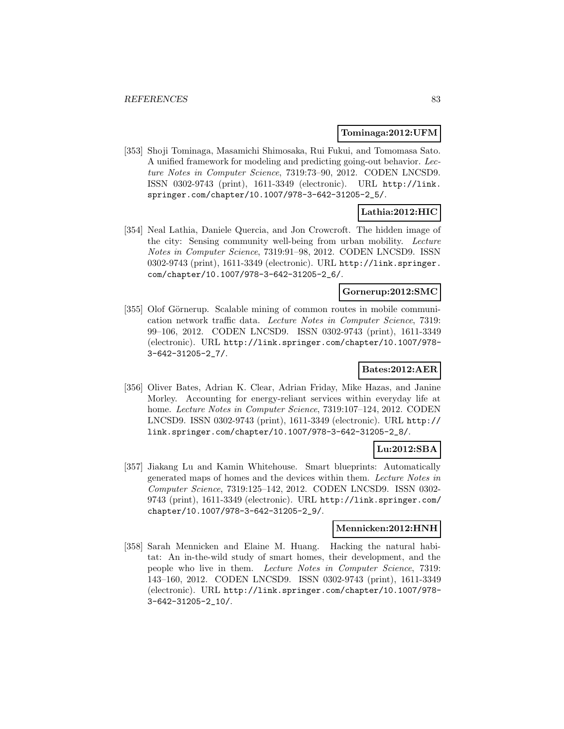#### **Tominaga:2012:UFM**

[353] Shoji Tominaga, Masamichi Shimosaka, Rui Fukui, and Tomomasa Sato. A unified framework for modeling and predicting going-out behavior. Lecture Notes in Computer Science, 7319:73–90, 2012. CODEN LNCSD9. ISSN 0302-9743 (print), 1611-3349 (electronic). URL http://link. springer.com/chapter/10.1007/978-3-642-31205-2\_5/.

# **Lathia:2012:HIC**

[354] Neal Lathia, Daniele Quercia, and Jon Crowcroft. The hidden image of the city: Sensing community well-being from urban mobility. Lecture Notes in Computer Science, 7319:91–98, 2012. CODEN LNCSD9. ISSN 0302-9743 (print), 1611-3349 (electronic). URL http://link.springer. com/chapter/10.1007/978-3-642-31205-2\_6/.

#### **Gornerup:2012:SMC**

[355] Olof Görnerup. Scalable mining of common routes in mobile communication network traffic data. Lecture Notes in Computer Science, 7319: 99–106, 2012. CODEN LNCSD9. ISSN 0302-9743 (print), 1611-3349 (electronic). URL http://link.springer.com/chapter/10.1007/978- 3-642-31205-2\_7/.

### **Bates:2012:AER**

[356] Oliver Bates, Adrian K. Clear, Adrian Friday, Mike Hazas, and Janine Morley. Accounting for energy-reliant services within everyday life at home. Lecture Notes in Computer Science, 7319:107-124, 2012. CODEN LNCSD9. ISSN 0302-9743 (print), 1611-3349 (electronic). URL http:// link.springer.com/chapter/10.1007/978-3-642-31205-2\_8/.

### **Lu:2012:SBA**

[357] Jiakang Lu and Kamin Whitehouse. Smart blueprints: Automatically generated maps of homes and the devices within them. Lecture Notes in Computer Science, 7319:125–142, 2012. CODEN LNCSD9. ISSN 0302- 9743 (print), 1611-3349 (electronic). URL http://link.springer.com/ chapter/10.1007/978-3-642-31205-2\_9/.

#### **Mennicken:2012:HNH**

[358] Sarah Mennicken and Elaine M. Huang. Hacking the natural habitat: An in-the-wild study of smart homes, their development, and the people who live in them. Lecture Notes in Computer Science, 7319: 143–160, 2012. CODEN LNCSD9. ISSN 0302-9743 (print), 1611-3349 (electronic). URL http://link.springer.com/chapter/10.1007/978- 3-642-31205-2\_10/.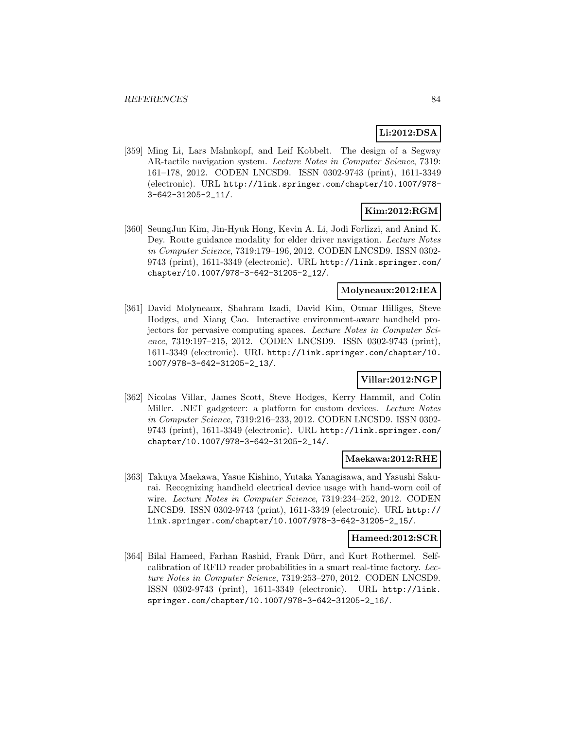# **Li:2012:DSA**

[359] Ming Li, Lars Mahnkopf, and Leif Kobbelt. The design of a Segway AR-tactile navigation system. Lecture Notes in Computer Science, 7319: 161–178, 2012. CODEN LNCSD9. ISSN 0302-9743 (print), 1611-3349 (electronic). URL http://link.springer.com/chapter/10.1007/978- 3-642-31205-2\_11/.

## **Kim:2012:RGM**

[360] SeungJun Kim, Jin-Hyuk Hong, Kevin A. Li, Jodi Forlizzi, and Anind K. Dey. Route guidance modality for elder driver navigation. Lecture Notes in Computer Science, 7319:179–196, 2012. CODEN LNCSD9. ISSN 0302- 9743 (print), 1611-3349 (electronic). URL http://link.springer.com/ chapter/10.1007/978-3-642-31205-2\_12/.

#### **Molyneaux:2012:IEA**

[361] David Molyneaux, Shahram Izadi, David Kim, Otmar Hilliges, Steve Hodges, and Xiang Cao. Interactive environment-aware handheld projectors for pervasive computing spaces. Lecture Notes in Computer Science, 7319:197–215, 2012. CODEN LNCSD9. ISSN 0302-9743 (print), 1611-3349 (electronic). URL http://link.springer.com/chapter/10. 1007/978-3-642-31205-2\_13/.

## **Villar:2012:NGP**

[362] Nicolas Villar, James Scott, Steve Hodges, Kerry Hammil, and Colin Miller. .NET gadgeteer: a platform for custom devices. Lecture Notes in Computer Science, 7319:216–233, 2012. CODEN LNCSD9. ISSN 0302- 9743 (print), 1611-3349 (electronic). URL http://link.springer.com/ chapter/10.1007/978-3-642-31205-2\_14/.

#### **Maekawa:2012:RHE**

[363] Takuya Maekawa, Yasue Kishino, Yutaka Yanagisawa, and Yasushi Sakurai. Recognizing handheld electrical device usage with hand-worn coil of wire. Lecture Notes in Computer Science, 7319:234–252, 2012. CODEN LNCSD9. ISSN 0302-9743 (print), 1611-3349 (electronic). URL http:// link.springer.com/chapter/10.1007/978-3-642-31205-2\_15/.

#### **Hameed:2012:SCR**

[364] Bilal Hameed, Farhan Rashid, Frank Dürr, and Kurt Rothermel. Selfcalibration of RFID reader probabilities in a smart real-time factory. Lecture Notes in Computer Science, 7319:253–270, 2012. CODEN LNCSD9. ISSN 0302-9743 (print), 1611-3349 (electronic). URL http://link. springer.com/chapter/10.1007/978-3-642-31205-2\_16/.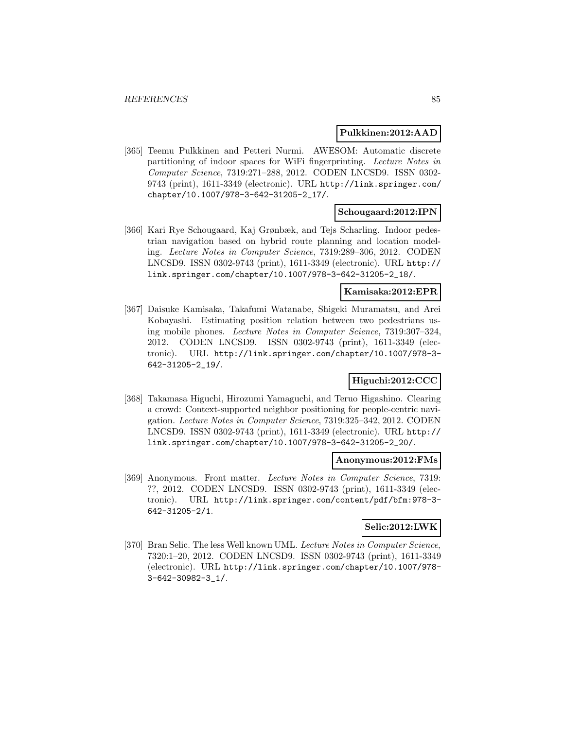#### **Pulkkinen:2012:AAD**

[365] Teemu Pulkkinen and Petteri Nurmi. AWESOM: Automatic discrete partitioning of indoor spaces for WiFi fingerprinting. Lecture Notes in Computer Science, 7319:271–288, 2012. CODEN LNCSD9. ISSN 0302- 9743 (print), 1611-3349 (electronic). URL http://link.springer.com/ chapter/10.1007/978-3-642-31205-2\_17/.

### **Schougaard:2012:IPN**

[366] Kari Rye Schougaard, Kaj Grønbæk, and Tejs Scharling. Indoor pedestrian navigation based on hybrid route planning and location modeling. Lecture Notes in Computer Science, 7319:289–306, 2012. CODEN LNCSD9. ISSN 0302-9743 (print), 1611-3349 (electronic). URL http:// link.springer.com/chapter/10.1007/978-3-642-31205-2\_18/.

### **Kamisaka:2012:EPR**

[367] Daisuke Kamisaka, Takafumi Watanabe, Shigeki Muramatsu, and Arei Kobayashi. Estimating position relation between two pedestrians using mobile phones. Lecture Notes in Computer Science, 7319:307–324, 2012. CODEN LNCSD9. ISSN 0302-9743 (print), 1611-3349 (electronic). URL http://link.springer.com/chapter/10.1007/978-3- 642-31205-2\_19/.

## **Higuchi:2012:CCC**

[368] Takamasa Higuchi, Hirozumi Yamaguchi, and Teruo Higashino. Clearing a crowd: Context-supported neighbor positioning for people-centric navigation. Lecture Notes in Computer Science, 7319:325–342, 2012. CODEN LNCSD9. ISSN 0302-9743 (print), 1611-3349 (electronic). URL http:// link.springer.com/chapter/10.1007/978-3-642-31205-2\_20/.

#### **Anonymous:2012:FMs**

[369] Anonymous. Front matter. Lecture Notes in Computer Science, 7319: ??, 2012. CODEN LNCSD9. ISSN 0302-9743 (print), 1611-3349 (electronic). URL http://link.springer.com/content/pdf/bfm:978-3- 642-31205-2/1.

#### **Selic:2012:LWK**

[370] Bran Selic. The less Well known UML. Lecture Notes in Computer Science, 7320:1–20, 2012. CODEN LNCSD9. ISSN 0302-9743 (print), 1611-3349 (electronic). URL http://link.springer.com/chapter/10.1007/978- 3-642-30982-3\_1/.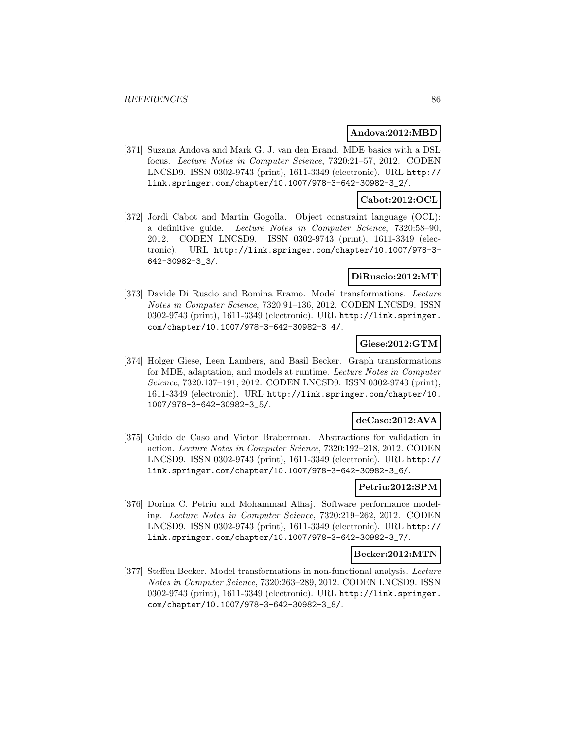### **Andova:2012:MBD**

[371] Suzana Andova and Mark G. J. van den Brand. MDE basics with a DSL focus. Lecture Notes in Computer Science, 7320:21–57, 2012. CODEN LNCSD9. ISSN 0302-9743 (print), 1611-3349 (electronic). URL http:// link.springer.com/chapter/10.1007/978-3-642-30982-3\_2/.

### **Cabot:2012:OCL**

[372] Jordi Cabot and Martin Gogolla. Object constraint language (OCL): a definitive guide. Lecture Notes in Computer Science, 7320:58–90, 2012. CODEN LNCSD9. ISSN 0302-9743 (print), 1611-3349 (electronic). URL http://link.springer.com/chapter/10.1007/978-3- 642-30982-3\_3/.

### **DiRuscio:2012:MT**

[373] Davide Di Ruscio and Romina Eramo. Model transformations. Lecture Notes in Computer Science, 7320:91–136, 2012. CODEN LNCSD9. ISSN 0302-9743 (print), 1611-3349 (electronic). URL http://link.springer. com/chapter/10.1007/978-3-642-30982-3\_4/.

### **Giese:2012:GTM**

[374] Holger Giese, Leen Lambers, and Basil Becker. Graph transformations for MDE, adaptation, and models at runtime. Lecture Notes in Computer Science, 7320:137–191, 2012. CODEN LNCSD9. ISSN 0302-9743 (print), 1611-3349 (electronic). URL http://link.springer.com/chapter/10. 1007/978-3-642-30982-3\_5/.

#### **deCaso:2012:AVA**

[375] Guido de Caso and Victor Braberman. Abstractions for validation in action. Lecture Notes in Computer Science, 7320:192–218, 2012. CODEN LNCSD9. ISSN 0302-9743 (print), 1611-3349 (electronic). URL http:// link.springer.com/chapter/10.1007/978-3-642-30982-3\_6/.

### **Petriu:2012:SPM**

[376] Dorina C. Petriu and Mohammad Alhaj. Software performance modeling. Lecture Notes in Computer Science, 7320:219–262, 2012. CODEN LNCSD9. ISSN 0302-9743 (print), 1611-3349 (electronic). URL http:// link.springer.com/chapter/10.1007/978-3-642-30982-3\_7/.

#### **Becker:2012:MTN**

[377] Steffen Becker. Model transformations in non-functional analysis. Lecture Notes in Computer Science, 7320:263–289, 2012. CODEN LNCSD9. ISSN 0302-9743 (print), 1611-3349 (electronic). URL http://link.springer. com/chapter/10.1007/978-3-642-30982-3\_8/.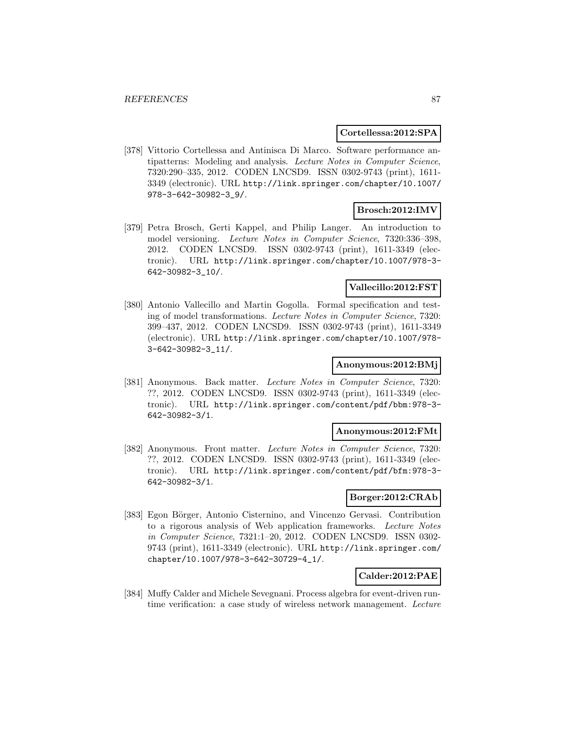#### **Cortellessa:2012:SPA**

[378] Vittorio Cortellessa and Antinisca Di Marco. Software performance antipatterns: Modeling and analysis. Lecture Notes in Computer Science, 7320:290–335, 2012. CODEN LNCSD9. ISSN 0302-9743 (print), 1611- 3349 (electronic). URL http://link.springer.com/chapter/10.1007/ 978-3-642-30982-3\_9/.

### **Brosch:2012:IMV**

[379] Petra Brosch, Gerti Kappel, and Philip Langer. An introduction to model versioning. Lecture Notes in Computer Science, 7320:336–398, 2012. CODEN LNCSD9. ISSN 0302-9743 (print), 1611-3349 (electronic). URL http://link.springer.com/chapter/10.1007/978-3- 642-30982-3\_10/.

## **Vallecillo:2012:FST**

[380] Antonio Vallecillo and Martin Gogolla. Formal specification and testing of model transformations. Lecture Notes in Computer Science, 7320: 399–437, 2012. CODEN LNCSD9. ISSN 0302-9743 (print), 1611-3349 (electronic). URL http://link.springer.com/chapter/10.1007/978- 3-642-30982-3\_11/.

### **Anonymous:2012:BMj**

[381] Anonymous. Back matter. Lecture Notes in Computer Science, 7320: ??, 2012. CODEN LNCSD9. ISSN 0302-9743 (print), 1611-3349 (electronic). URL http://link.springer.com/content/pdf/bbm:978-3- 642-30982-3/1.

#### **Anonymous:2012:FMt**

[382] Anonymous. Front matter. Lecture Notes in Computer Science, 7320: ??, 2012. CODEN LNCSD9. ISSN 0302-9743 (print), 1611-3349 (electronic). URL http://link.springer.com/content/pdf/bfm:978-3- 642-30982-3/1.

#### **Borger:2012:CRAb**

[383] Egon Börger, Antonio Cisternino, and Vincenzo Gervasi. Contribution to a rigorous analysis of Web application frameworks. Lecture Notes in Computer Science, 7321:1–20, 2012. CODEN LNCSD9. ISSN 0302- 9743 (print), 1611-3349 (electronic). URL http://link.springer.com/ chapter/10.1007/978-3-642-30729-4\_1/.

### **Calder:2012:PAE**

[384] Muffy Calder and Michele Sevegnani. Process algebra for event-driven runtime verification: a case study of wireless network management. Lecture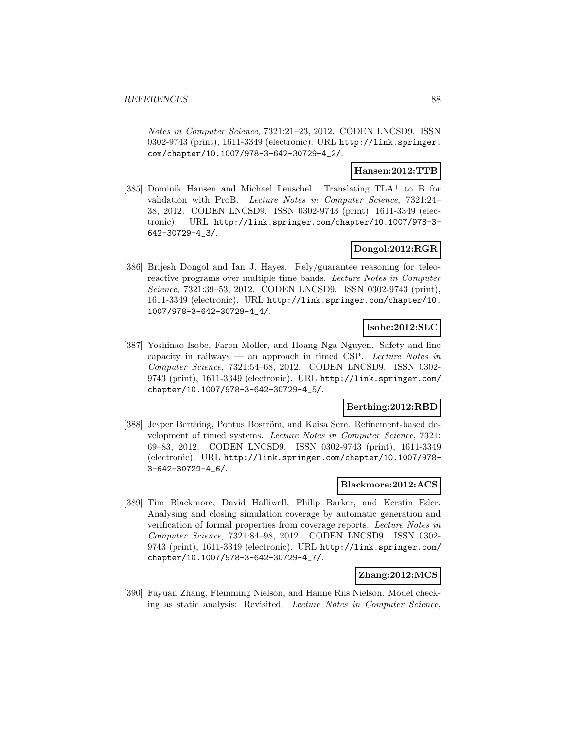Notes in Computer Science, 7321:21–23, 2012. CODEN LNCSD9. ISSN 0302-9743 (print), 1611-3349 (electronic). URL http://link.springer. com/chapter/10.1007/978-3-642-30729-4\_2/.

## **Hansen:2012:TTB**

[385] Dominik Hansen and Michael Leuschel. Translating TLA<sup>+</sup> to B for validation with ProB. Lecture Notes in Computer Science, 7321:24– 38, 2012. CODEN LNCSD9. ISSN 0302-9743 (print), 1611-3349 (electronic). URL http://link.springer.com/chapter/10.1007/978-3- 642-30729-4\_3/.

### **Dongol:2012:RGR**

[386] Brijesh Dongol and Ian J. Hayes. Rely/guarantee reasoning for teleoreactive programs over multiple time bands. Lecture Notes in Computer Science, 7321:39–53, 2012. CODEN LNCSD9. ISSN 0302-9743 (print), 1611-3349 (electronic). URL http://link.springer.com/chapter/10. 1007/978-3-642-30729-4\_4/.

### **Isobe:2012:SLC**

[387] Yoshinao Isobe, Faron Moller, and Hoang Nga Nguyen. Safety and line capacity in railways — an approach in timed CSP. Lecture Notes in Computer Science, 7321:54–68, 2012. CODEN LNCSD9. ISSN 0302- 9743 (print), 1611-3349 (electronic). URL http://link.springer.com/ chapter/10.1007/978-3-642-30729-4\_5/.

### **Berthing:2012:RBD**

[388] Jesper Berthing, Pontus Boström, and Kaisa Sere. Refinement-based development of timed systems. Lecture Notes in Computer Science, 7321: 69–83, 2012. CODEN LNCSD9. ISSN 0302-9743 (print), 1611-3349 (electronic). URL http://link.springer.com/chapter/10.1007/978- 3-642-30729-4\_6/.

#### **Blackmore:2012:ACS**

[389] Tim Blackmore, David Halliwell, Philip Barker, and Kerstin Eder. Analysing and closing simulation coverage by automatic generation and verification of formal properties from coverage reports. Lecture Notes in Computer Science, 7321:84–98, 2012. CODEN LNCSD9. ISSN 0302- 9743 (print), 1611-3349 (electronic). URL http://link.springer.com/ chapter/10.1007/978-3-642-30729-4\_7/.

#### **Zhang:2012:MCS**

[390] Fuyuan Zhang, Flemming Nielson, and Hanne Riis Nielson. Model checking as static analysis: Revisited. Lecture Notes in Computer Science,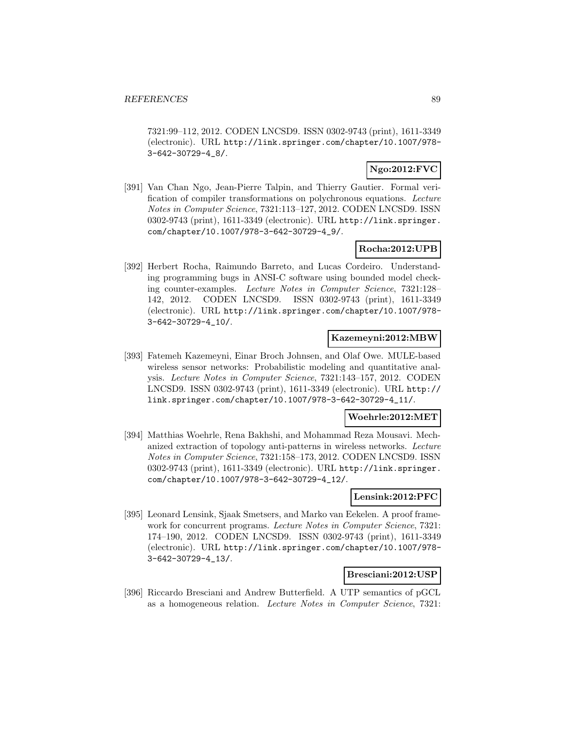7321:99–112, 2012. CODEN LNCSD9. ISSN 0302-9743 (print), 1611-3349 (electronic). URL http://link.springer.com/chapter/10.1007/978- 3-642-30729-4\_8/.

# **Ngo:2012:FVC**

[391] Van Chan Ngo, Jean-Pierre Talpin, and Thierry Gautier. Formal verification of compiler transformations on polychronous equations. Lecture Notes in Computer Science, 7321:113–127, 2012. CODEN LNCSD9. ISSN 0302-9743 (print), 1611-3349 (electronic). URL http://link.springer. com/chapter/10.1007/978-3-642-30729-4\_9/.

### **Rocha:2012:UPB**

[392] Herbert Rocha, Raimundo Barreto, and Lucas Cordeiro. Understanding programming bugs in ANSI-C software using bounded model checking counter-examples. Lecture Notes in Computer Science, 7321:128– 142, 2012. CODEN LNCSD9. ISSN 0302-9743 (print), 1611-3349 (electronic). URL http://link.springer.com/chapter/10.1007/978- 3-642-30729-4\_10/.

### **Kazemeyni:2012:MBW**

[393] Fatemeh Kazemeyni, Einar Broch Johnsen, and Olaf Owe. MULE-based wireless sensor networks: Probabilistic modeling and quantitative analysis. Lecture Notes in Computer Science, 7321:143–157, 2012. CODEN LNCSD9. ISSN 0302-9743 (print), 1611-3349 (electronic). URL http:// link.springer.com/chapter/10.1007/978-3-642-30729-4\_11/.

#### **Woehrle:2012:MET**

[394] Matthias Woehrle, Rena Bakhshi, and Mohammad Reza Mousavi. Mechanized extraction of topology anti-patterns in wireless networks. Lecture Notes in Computer Science, 7321:158–173, 2012. CODEN LNCSD9. ISSN 0302-9743 (print), 1611-3349 (electronic). URL http://link.springer. com/chapter/10.1007/978-3-642-30729-4\_12/.

### **Lensink:2012:PFC**

[395] Leonard Lensink, Sjaak Smetsers, and Marko van Eekelen. A proof framework for concurrent programs. Lecture Notes in Computer Science, 7321: 174–190, 2012. CODEN LNCSD9. ISSN 0302-9743 (print), 1611-3349 (electronic). URL http://link.springer.com/chapter/10.1007/978- 3-642-30729-4\_13/.

#### **Bresciani:2012:USP**

[396] Riccardo Bresciani and Andrew Butterfield. A UTP semantics of pGCL as a homogeneous relation. Lecture Notes in Computer Science, 7321: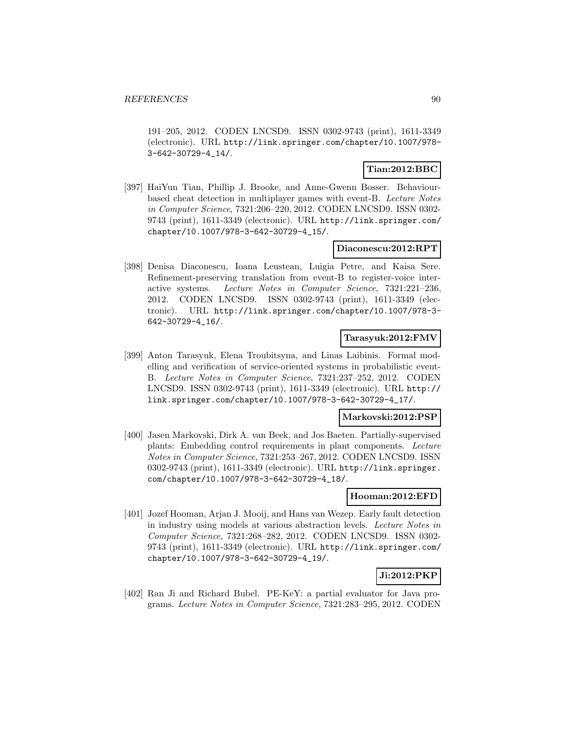191–205, 2012. CODEN LNCSD9. ISSN 0302-9743 (print), 1611-3349 (electronic). URL http://link.springer.com/chapter/10.1007/978- 3-642-30729-4\_14/.

## **Tian:2012:BBC**

[397] HaiYun Tian, Phillip J. Brooke, and Anne-Gwenn Bosser. Behaviourbased cheat detection in multiplayer games with event-B. Lecture Notes in Computer Science, 7321:206–220, 2012. CODEN LNCSD9. ISSN 0302- 9743 (print), 1611-3349 (electronic). URL http://link.springer.com/ chapter/10.1007/978-3-642-30729-4\_15/.

### **Diaconescu:2012:RPT**

[398] Denisa Diaconescu, Ioana Leustean, Luigia Petre, and Kaisa Sere. Refinement-preserving translation from event-B to register-voice interactive systems. Lecture Notes in Computer Science, 7321:221–236, 2012. CODEN LNCSD9. ISSN 0302-9743 (print), 1611-3349 (electronic). URL http://link.springer.com/chapter/10.1007/978-3- 642-30729-4\_16/.

### **Tarasyuk:2012:FMV**

[399] Anton Tarasyuk, Elena Troubitsyna, and Linas Laibinis. Formal modelling and verification of service-oriented systems in probabilistic event-B. Lecture Notes in Computer Science, 7321:237–252, 2012. CODEN LNCSD9. ISSN 0302-9743 (print), 1611-3349 (electronic). URL http:// link.springer.com/chapter/10.1007/978-3-642-30729-4\_17/.

#### **Markovski:2012:PSP**

[400] Jasen Markovski, Dirk A. van Beek, and Jos Baeten. Partially-supervised plants: Embedding control requirements in plant components. Lecture Notes in Computer Science, 7321:253–267, 2012. CODEN LNCSD9. ISSN 0302-9743 (print), 1611-3349 (electronic). URL http://link.springer. com/chapter/10.1007/978-3-642-30729-4\_18/.

#### **Hooman:2012:EFD**

[401] Jozef Hooman, Arjan J. Mooij, and Hans van Wezep. Early fault detection in industry using models at various abstraction levels. Lecture Notes in Computer Science, 7321:268–282, 2012. CODEN LNCSD9. ISSN 0302- 9743 (print), 1611-3349 (electronic). URL http://link.springer.com/ chapter/10.1007/978-3-642-30729-4\_19/.

### **Ji:2012:PKP**

[402] Ran Ji and Richard Bubel. PE-KeY: a partial evaluator for Java programs. Lecture Notes in Computer Science, 7321:283–295, 2012. CODEN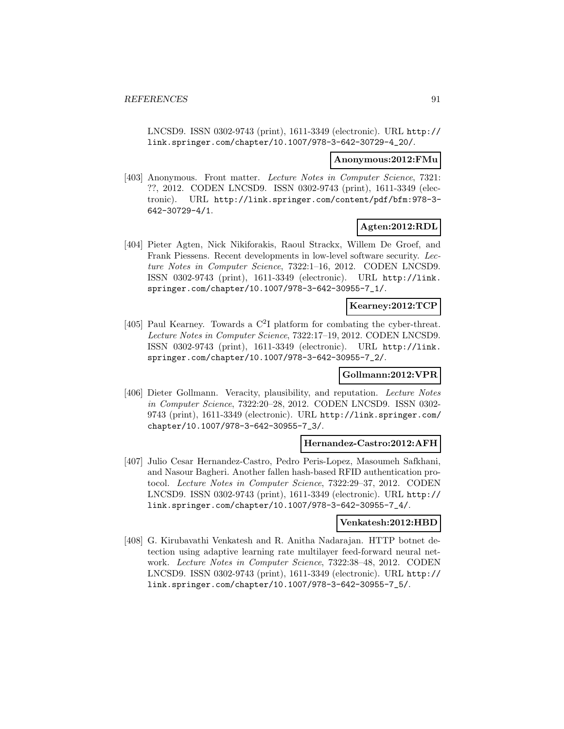LNCSD9. ISSN 0302-9743 (print), 1611-3349 (electronic). URL http:// link.springer.com/chapter/10.1007/978-3-642-30729-4\_20/.

#### **Anonymous:2012:FMu**

[403] Anonymous. Front matter. Lecture Notes in Computer Science, 7321: ??, 2012. CODEN LNCSD9. ISSN 0302-9743 (print), 1611-3349 (electronic). URL http://link.springer.com/content/pdf/bfm:978-3- 642-30729-4/1.

## **Agten:2012:RDL**

[404] Pieter Agten, Nick Nikiforakis, Raoul Strackx, Willem De Groef, and Frank Piessens. Recent developments in low-level software security. Lecture Notes in Computer Science, 7322:1–16, 2012. CODEN LNCSD9. ISSN 0302-9743 (print), 1611-3349 (electronic). URL http://link. springer.com/chapter/10.1007/978-3-642-30955-7\_1/.

#### **Kearney:2012:TCP**

[405] Paul Kearney. Towards a  $C^2I$  platform for combating the cyber-threat. Lecture Notes in Computer Science, 7322:17–19, 2012. CODEN LNCSD9. ISSN 0302-9743 (print), 1611-3349 (electronic). URL http://link. springer.com/chapter/10.1007/978-3-642-30955-7\_2/.

### **Gollmann:2012:VPR**

[406] Dieter Gollmann. Veracity, plausibility, and reputation. Lecture Notes in Computer Science, 7322:20–28, 2012. CODEN LNCSD9. ISSN 0302- 9743 (print), 1611-3349 (electronic). URL http://link.springer.com/ chapter/10.1007/978-3-642-30955-7\_3/.

#### **Hernandez-Castro:2012:AFH**

[407] Julio Cesar Hernandez-Castro, Pedro Peris-Lopez, Masoumeh Safkhani, and Nasour Bagheri. Another fallen hash-based RFID authentication protocol. Lecture Notes in Computer Science, 7322:29–37, 2012. CODEN LNCSD9. ISSN 0302-9743 (print), 1611-3349 (electronic). URL http:// link.springer.com/chapter/10.1007/978-3-642-30955-7\_4/.

#### **Venkatesh:2012:HBD**

[408] G. Kirubavathi Venkatesh and R. Anitha Nadarajan. HTTP botnet detection using adaptive learning rate multilayer feed-forward neural network. Lecture Notes in Computer Science, 7322:38–48, 2012. CODEN LNCSD9. ISSN 0302-9743 (print), 1611-3349 (electronic). URL http:// link.springer.com/chapter/10.1007/978-3-642-30955-7\_5/.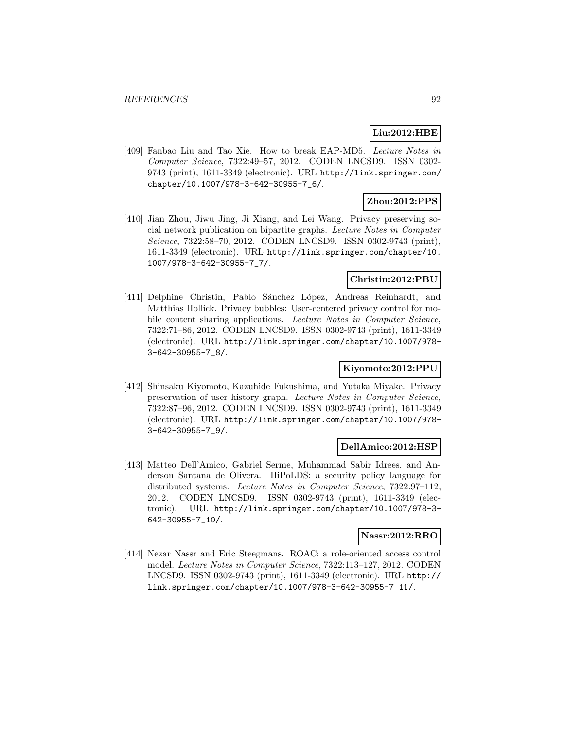## **Liu:2012:HBE**

[409] Fanbao Liu and Tao Xie. How to break EAP-MD5. Lecture Notes in Computer Science, 7322:49–57, 2012. CODEN LNCSD9. ISSN 0302- 9743 (print), 1611-3349 (electronic). URL http://link.springer.com/ chapter/10.1007/978-3-642-30955-7\_6/.

### **Zhou:2012:PPS**

[410] Jian Zhou, Jiwu Jing, Ji Xiang, and Lei Wang. Privacy preserving social network publication on bipartite graphs. Lecture Notes in Computer Science, 7322:58–70, 2012. CODEN LNCSD9. ISSN 0302-9743 (print), 1611-3349 (electronic). URL http://link.springer.com/chapter/10. 1007/978-3-642-30955-7\_7/.

### **Christin:2012:PBU**

[411] Delphine Christin, Pablo Sánchez López, Andreas Reinhardt, and Matthias Hollick. Privacy bubbles: User-centered privacy control for mobile content sharing applications. Lecture Notes in Computer Science, 7322:71–86, 2012. CODEN LNCSD9. ISSN 0302-9743 (print), 1611-3349 (electronic). URL http://link.springer.com/chapter/10.1007/978- 3-642-30955-7\_8/.

## **Kiyomoto:2012:PPU**

[412] Shinsaku Kiyomoto, Kazuhide Fukushima, and Yutaka Miyake. Privacy preservation of user history graph. Lecture Notes in Computer Science, 7322:87–96, 2012. CODEN LNCSD9. ISSN 0302-9743 (print), 1611-3349 (electronic). URL http://link.springer.com/chapter/10.1007/978- 3-642-30955-7\_9/.

### **DellAmico:2012:HSP**

[413] Matteo Dell'Amico, Gabriel Serme, Muhammad Sabir Idrees, and Anderson Santana de Olivera. HiPoLDS: a security policy language for distributed systems. Lecture Notes in Computer Science, 7322:97–112, 2012. CODEN LNCSD9. ISSN 0302-9743 (print), 1611-3349 (electronic). URL http://link.springer.com/chapter/10.1007/978-3- 642-30955-7\_10/.

### **Nassr:2012:RRO**

[414] Nezar Nassr and Eric Steegmans. ROAC: a role-oriented access control model. Lecture Notes in Computer Science, 7322:113–127, 2012. CODEN LNCSD9. ISSN 0302-9743 (print), 1611-3349 (electronic). URL http:// link.springer.com/chapter/10.1007/978-3-642-30955-7\_11/.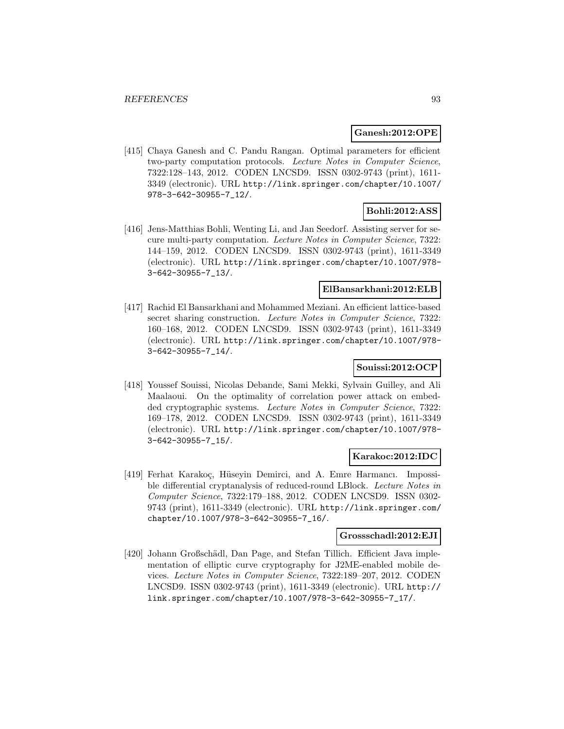#### **Ganesh:2012:OPE**

[415] Chaya Ganesh and C. Pandu Rangan. Optimal parameters for efficient two-party computation protocols. Lecture Notes in Computer Science, 7322:128–143, 2012. CODEN LNCSD9. ISSN 0302-9743 (print), 1611- 3349 (electronic). URL http://link.springer.com/chapter/10.1007/ 978-3-642-30955-7\_12/.

#### **Bohli:2012:ASS**

[416] Jens-Matthias Bohli, Wenting Li, and Jan Seedorf. Assisting server for secure multi-party computation. Lecture Notes in Computer Science, 7322: 144–159, 2012. CODEN LNCSD9. ISSN 0302-9743 (print), 1611-3349 (electronic). URL http://link.springer.com/chapter/10.1007/978- 3-642-30955-7\_13/.

### **ElBansarkhani:2012:ELB**

[417] Rachid El Bansarkhani and Mohammed Meziani. An efficient lattice-based secret sharing construction. Lecture Notes in Computer Science, 7322: 160–168, 2012. CODEN LNCSD9. ISSN 0302-9743 (print), 1611-3349 (electronic). URL http://link.springer.com/chapter/10.1007/978- 3-642-30955-7\_14/.

## **Souissi:2012:OCP**

[418] Youssef Souissi, Nicolas Debande, Sami Mekki, Sylvain Guilley, and Ali Maalaoui. On the optimality of correlation power attack on embedded cryptographic systems. Lecture Notes in Computer Science, 7322: 169–178, 2012. CODEN LNCSD9. ISSN 0302-9743 (print), 1611-3349 (electronic). URL http://link.springer.com/chapter/10.1007/978- 3-642-30955-7\_15/.

### **Karakoc:2012:IDC**

[419] Ferhat Karakoç, Hüseyin Demirci, and A. Emre Harmancı. Impossible differential cryptanalysis of reduced-round LBlock. Lecture Notes in Computer Science, 7322:179–188, 2012. CODEN LNCSD9. ISSN 0302- 9743 (print), 1611-3349 (electronic). URL http://link.springer.com/ chapter/10.1007/978-3-642-30955-7\_16/.

#### **Grossschadl:2012:EJI**

[420] Johann Großschädl, Dan Page, and Stefan Tillich. Efficient Java implementation of elliptic curve cryptography for J2ME-enabled mobile devices. Lecture Notes in Computer Science, 7322:189–207, 2012. CODEN LNCSD9. ISSN 0302-9743 (print), 1611-3349 (electronic). URL http:// link.springer.com/chapter/10.1007/978-3-642-30955-7\_17/.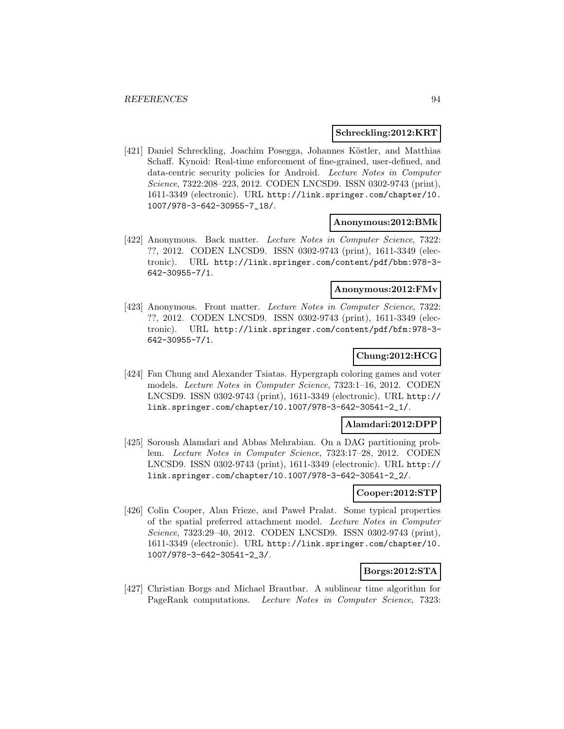#### **Schreckling:2012:KRT**

[421] Daniel Schreckling, Joachim Posegga, Johannes Köstler, and Matthias Schaff. Kynoid: Real-time enforcement of fine-grained, user-defined, and data-centric security policies for Android. Lecture Notes in Computer Science, 7322:208–223, 2012. CODEN LNCSD9. ISSN 0302-9743 (print), 1611-3349 (electronic). URL http://link.springer.com/chapter/10. 1007/978-3-642-30955-7\_18/.

#### **Anonymous:2012:BMk**

[422] Anonymous. Back matter. Lecture Notes in Computer Science, 7322: ??, 2012. CODEN LNCSD9. ISSN 0302-9743 (print), 1611-3349 (electronic). URL http://link.springer.com/content/pdf/bbm:978-3- 642-30955-7/1.

### **Anonymous:2012:FMv**

[423] Anonymous. Front matter. Lecture Notes in Computer Science, 7322: ??, 2012. CODEN LNCSD9. ISSN 0302-9743 (print), 1611-3349 (electronic). URL http://link.springer.com/content/pdf/bfm:978-3- 642-30955-7/1.

### **Chung:2012:HCG**

[424] Fan Chung and Alexander Tsiatas. Hypergraph coloring games and voter models. Lecture Notes in Computer Science, 7323:1–16, 2012. CODEN LNCSD9. ISSN 0302-9743 (print), 1611-3349 (electronic). URL http:// link.springer.com/chapter/10.1007/978-3-642-30541-2\_1/.

### **Alamdari:2012:DPP**

[425] Soroush Alamdari and Abbas Mehrabian. On a DAG partitioning problem. Lecture Notes in Computer Science, 7323:17–28, 2012. CODEN LNCSD9. ISSN 0302-9743 (print), 1611-3349 (electronic). URL http:// link.springer.com/chapter/10.1007/978-3-642-30541-2\_2/.

#### **Cooper:2012:STP**

[426] Colin Cooper, Alan Frieze, and Pawel Pralat. Some typical properties of the spatial preferred attachment model. Lecture Notes in Computer Science, 7323:29–40, 2012. CODEN LNCSD9. ISSN 0302-9743 (print), 1611-3349 (electronic). URL http://link.springer.com/chapter/10. 1007/978-3-642-30541-2\_3/.

### **Borgs:2012:STA**

[427] Christian Borgs and Michael Brautbar. A sublinear time algorithm for PageRank computations. Lecture Notes in Computer Science, 7323: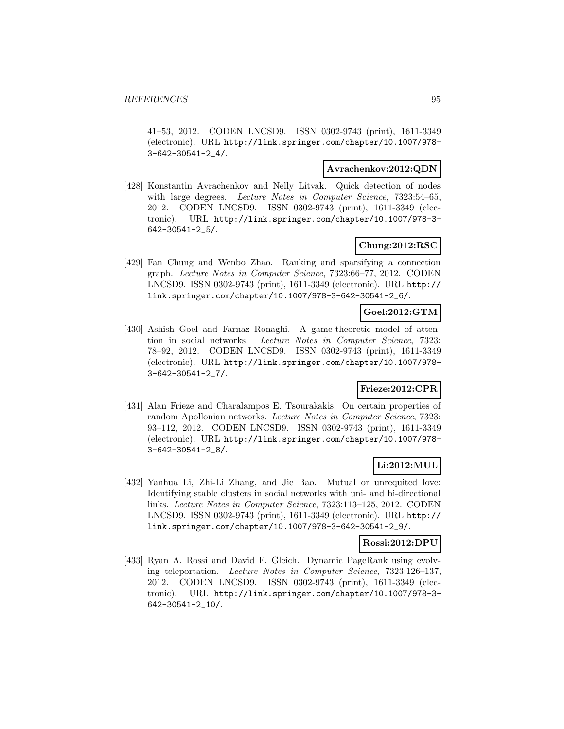41–53, 2012. CODEN LNCSD9. ISSN 0302-9743 (print), 1611-3349 (electronic). URL http://link.springer.com/chapter/10.1007/978- 3-642-30541-2\_4/.

#### **Avrachenkov:2012:QDN**

[428] Konstantin Avrachenkov and Nelly Litvak. Quick detection of nodes with large degrees. Lecture Notes in Computer Science, 7323:54–65, 2012. CODEN LNCSD9. ISSN 0302-9743 (print), 1611-3349 (electronic). URL http://link.springer.com/chapter/10.1007/978-3- 642-30541-2\_5/.

## **Chung:2012:RSC**

[429] Fan Chung and Wenbo Zhao. Ranking and sparsifying a connection graph. Lecture Notes in Computer Science, 7323:66–77, 2012. CODEN LNCSD9. ISSN 0302-9743 (print), 1611-3349 (electronic). URL http:// link.springer.com/chapter/10.1007/978-3-642-30541-2\_6/.

## **Goel:2012:GTM**

[430] Ashish Goel and Farnaz Ronaghi. A game-theoretic model of attention in social networks. Lecture Notes in Computer Science, 7323: 78–92, 2012. CODEN LNCSD9. ISSN 0302-9743 (print), 1611-3349 (electronic). URL http://link.springer.com/chapter/10.1007/978- 3-642-30541-2\_7/.

### **Frieze:2012:CPR**

[431] Alan Frieze and Charalampos E. Tsourakakis. On certain properties of random Apollonian networks. Lecture Notes in Computer Science, 7323: 93–112, 2012. CODEN LNCSD9. ISSN 0302-9743 (print), 1611-3349 (electronic). URL http://link.springer.com/chapter/10.1007/978- 3-642-30541-2\_8/.

## **Li:2012:MUL**

[432] Yanhua Li, Zhi-Li Zhang, and Jie Bao. Mutual or unrequited love: Identifying stable clusters in social networks with uni- and bi-directional links. Lecture Notes in Computer Science, 7323:113–125, 2012. CODEN LNCSD9. ISSN 0302-9743 (print), 1611-3349 (electronic). URL http:// link.springer.com/chapter/10.1007/978-3-642-30541-2\_9/.

### **Rossi:2012:DPU**

[433] Ryan A. Rossi and David F. Gleich. Dynamic PageRank using evolving teleportation. Lecture Notes in Computer Science, 7323:126–137, 2012. CODEN LNCSD9. ISSN 0302-9743 (print), 1611-3349 (electronic). URL http://link.springer.com/chapter/10.1007/978-3- 642-30541-2\_10/.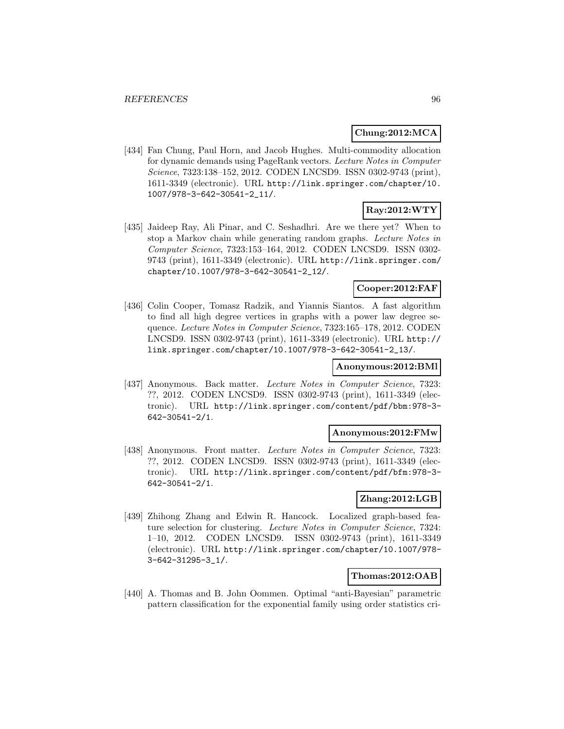### **Chung:2012:MCA**

[434] Fan Chung, Paul Horn, and Jacob Hughes. Multi-commodity allocation for dynamic demands using PageRank vectors. Lecture Notes in Computer Science, 7323:138–152, 2012. CODEN LNCSD9. ISSN 0302-9743 (print), 1611-3349 (electronic). URL http://link.springer.com/chapter/10. 1007/978-3-642-30541-2\_11/.

### **Ray:2012:WTY**

[435] Jaideep Ray, Ali Pinar, and C. Seshadhri. Are we there yet? When to stop a Markov chain while generating random graphs. Lecture Notes in Computer Science, 7323:153–164, 2012. CODEN LNCSD9. ISSN 0302- 9743 (print), 1611-3349 (electronic). URL http://link.springer.com/ chapter/10.1007/978-3-642-30541-2\_12/.

### **Cooper:2012:FAF**

[436] Colin Cooper, Tomasz Radzik, and Yiannis Siantos. A fast algorithm to find all high degree vertices in graphs with a power law degree sequence. Lecture Notes in Computer Science, 7323:165–178, 2012. CODEN LNCSD9. ISSN 0302-9743 (print), 1611-3349 (electronic). URL http:// link.springer.com/chapter/10.1007/978-3-642-30541-2\_13/.

### **Anonymous:2012:BMl**

[437] Anonymous. Back matter. Lecture Notes in Computer Science, 7323: ??, 2012. CODEN LNCSD9. ISSN 0302-9743 (print), 1611-3349 (electronic). URL http://link.springer.com/content/pdf/bbm:978-3- 642-30541-2/1.

#### **Anonymous:2012:FMw**

[438] Anonymous. Front matter. Lecture Notes in Computer Science, 7323: ??, 2012. CODEN LNCSD9. ISSN 0302-9743 (print), 1611-3349 (electronic). URL http://link.springer.com/content/pdf/bfm:978-3- 642-30541-2/1.

#### **Zhang:2012:LGB**

[439] Zhihong Zhang and Edwin R. Hancock. Localized graph-based feature selection for clustering. Lecture Notes in Computer Science, 7324: 1–10, 2012. CODEN LNCSD9. ISSN 0302-9743 (print), 1611-3349 (electronic). URL http://link.springer.com/chapter/10.1007/978- 3-642-31295-3\_1/.

## **Thomas:2012:OAB**

[440] A. Thomas and B. John Oommen. Optimal "anti-Bayesian" parametric pattern classification for the exponential family using order statistics cri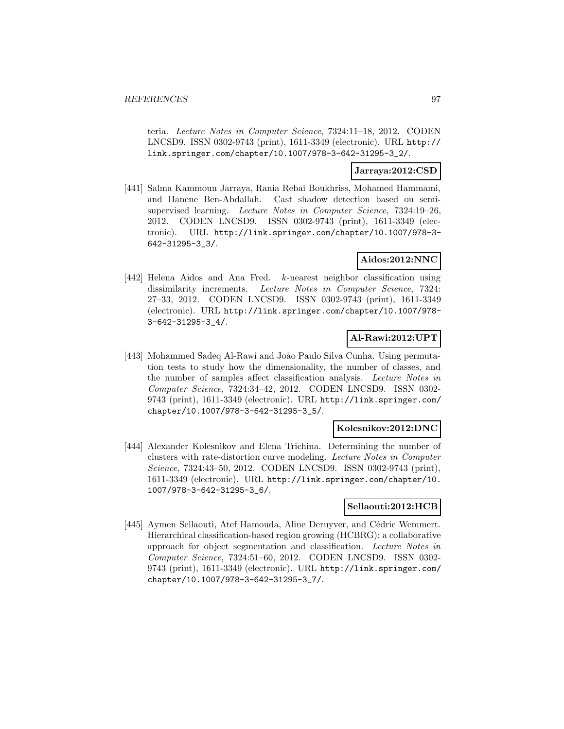teria. Lecture Notes in Computer Science, 7324:11–18, 2012. CODEN LNCSD9. ISSN 0302-9743 (print), 1611-3349 (electronic). URL http:// link.springer.com/chapter/10.1007/978-3-642-31295-3\_2/.

### **Jarraya:2012:CSD**

[441] Salma Kammoun Jarraya, Rania Rebai Boukhriss, Mohamed Hammami, and Hanene Ben-Abdallah. Cast shadow detection based on semisupervised learning. Lecture Notes in Computer Science, 7324:19–26, 2012. CODEN LNCSD9. ISSN 0302-9743 (print), 1611-3349 (electronic). URL http://link.springer.com/chapter/10.1007/978-3- 642-31295-3\_3/.

### **Aidos:2012:NNC**

[442] Helena Aidos and Ana Fred. k-nearest neighbor classification using dissimilarity increments. Lecture Notes in Computer Science, 7324: 27–33, 2012. CODEN LNCSD9. ISSN 0302-9743 (print), 1611-3349 (electronic). URL http://link.springer.com/chapter/10.1007/978- 3-642-31295-3\_4/.

# **Al-Rawi:2012:UPT**

[443] Mohammed Sadeq Al-Rawi and João Paulo Silva Cunha. Using permutation tests to study how the dimensionality, the number of classes, and the number of samples affect classification analysis. Lecture Notes in Computer Science, 7324:34–42, 2012. CODEN LNCSD9. ISSN 0302- 9743 (print), 1611-3349 (electronic). URL http://link.springer.com/ chapter/10.1007/978-3-642-31295-3\_5/.

### **Kolesnikov:2012:DNC**

[444] Alexander Kolesnikov and Elena Trichina. Determining the number of clusters with rate-distortion curve modeling. Lecture Notes in Computer Science, 7324:43–50, 2012. CODEN LNCSD9. ISSN 0302-9743 (print), 1611-3349 (electronic). URL http://link.springer.com/chapter/10. 1007/978-3-642-31295-3\_6/.

#### **Sellaouti:2012:HCB**

[445] Aymen Sellaouti, Atef Hamouda, Aline Deruyver, and Cédric Wemmert. Hierarchical classification-based region growing (HCBRG): a collaborative approach for object segmentation and classification. Lecture Notes in Computer Science, 7324:51–60, 2012. CODEN LNCSD9. ISSN 0302- 9743 (print), 1611-3349 (electronic). URL http://link.springer.com/ chapter/10.1007/978-3-642-31295-3\_7/.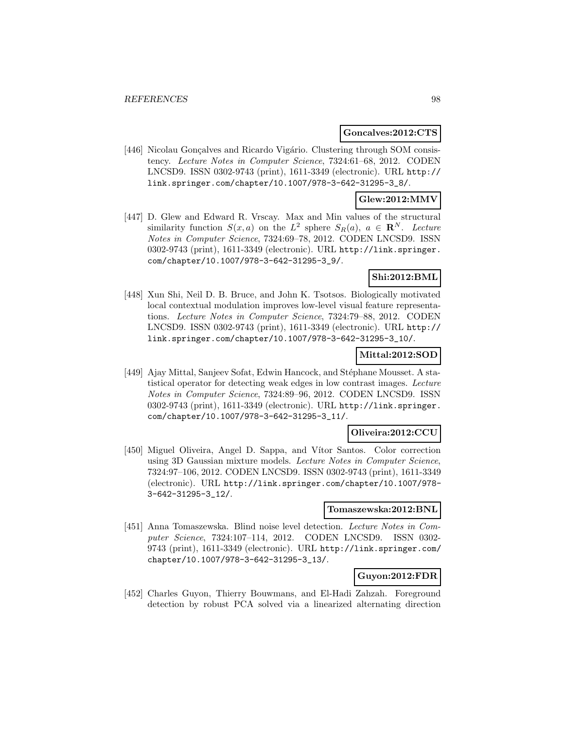#### **Goncalves:2012:CTS**

[446] Nicolau Gonçalves and Ricardo Vigário. Clustering through SOM consistency. Lecture Notes in Computer Science, 7324:61–68, 2012. CODEN LNCSD9. ISSN 0302-9743 (print), 1611-3349 (electronic). URL http:// link.springer.com/chapter/10.1007/978-3-642-31295-3\_8/.

### **Glew:2012:MMV**

[447] D. Glew and Edward R. Vrscay. Max and Min values of the structural similarity function  $S(x, a)$  on the  $L^2$  sphere  $S_R(a)$ ,  $a \in \mathbb{R}^N$ . Lecture Notes in Computer Science, 7324:69–78, 2012. CODEN LNCSD9. ISSN 0302-9743 (print), 1611-3349 (electronic). URL http://link.springer. com/chapter/10.1007/978-3-642-31295-3\_9/.

### **Shi:2012:BML**

[448] Xun Shi, Neil D. B. Bruce, and John K. Tsotsos. Biologically motivated local contextual modulation improves low-level visual feature representations. Lecture Notes in Computer Science, 7324:79–88, 2012. CODEN LNCSD9. ISSN 0302-9743 (print), 1611-3349 (electronic). URL http:// link.springer.com/chapter/10.1007/978-3-642-31295-3\_10/.

# **Mittal:2012:SOD**

[449] Ajay Mittal, Sanjeev Sofat, Edwin Hancock, and Stéphane Mousset. A statistical operator for detecting weak edges in low contrast images. Lecture Notes in Computer Science, 7324:89–96, 2012. CODEN LNCSD9. ISSN 0302-9743 (print), 1611-3349 (electronic). URL http://link.springer. com/chapter/10.1007/978-3-642-31295-3\_11/.

#### **Oliveira:2012:CCU**

[450] Miguel Oliveira, Angel D. Sappa, and Vítor Santos. Color correction using 3D Gaussian mixture models. Lecture Notes in Computer Science, 7324:97–106, 2012. CODEN LNCSD9. ISSN 0302-9743 (print), 1611-3349 (electronic). URL http://link.springer.com/chapter/10.1007/978- 3-642-31295-3\_12/.

#### **Tomaszewska:2012:BNL**

[451] Anna Tomaszewska. Blind noise level detection. Lecture Notes in Computer Science, 7324:107–114, 2012. CODEN LNCSD9. ISSN 0302- 9743 (print), 1611-3349 (electronic). URL http://link.springer.com/ chapter/10.1007/978-3-642-31295-3\_13/.

## **Guyon:2012:FDR**

[452] Charles Guyon, Thierry Bouwmans, and El-Hadi Zahzah. Foreground detection by robust PCA solved via a linearized alternating direction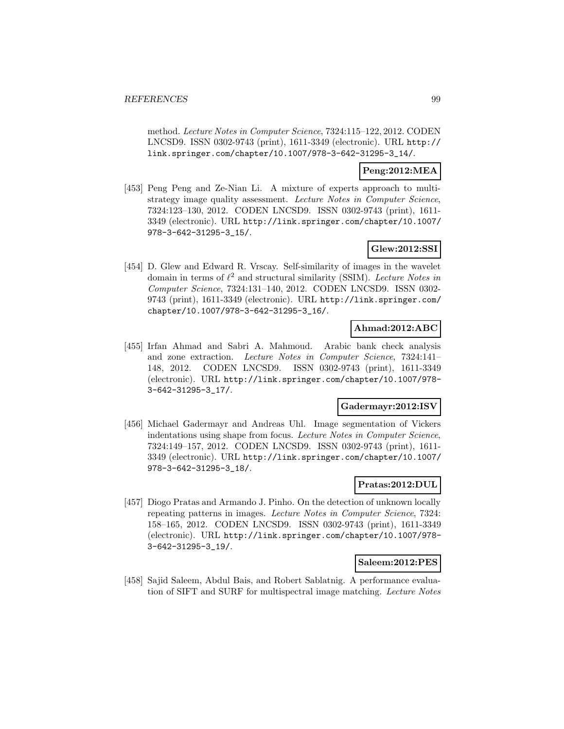method. Lecture Notes in Computer Science, 7324:115–122, 2012. CODEN LNCSD9. ISSN 0302-9743 (print), 1611-3349 (electronic). URL http:// link.springer.com/chapter/10.1007/978-3-642-31295-3\_14/.

### **Peng:2012:MEA**

[453] Peng Peng and Ze-Nian Li. A mixture of experts approach to multistrategy image quality assessment. Lecture Notes in Computer Science, 7324:123–130, 2012. CODEN LNCSD9. ISSN 0302-9743 (print), 1611- 3349 (electronic). URL http://link.springer.com/chapter/10.1007/ 978-3-642-31295-3\_15/.

## **Glew:2012:SSI**

[454] D. Glew and Edward R. Vrscay. Self-similarity of images in the wavelet domain in terms of  $\ell^2$  and structural similarity (SSIM). Lecture Notes in Computer Science, 7324:131–140, 2012. CODEN LNCSD9. ISSN 0302- 9743 (print), 1611-3349 (electronic). URL http://link.springer.com/ chapter/10.1007/978-3-642-31295-3\_16/.

### **Ahmad:2012:ABC**

[455] Irfan Ahmad and Sabri A. Mahmoud. Arabic bank check analysis and zone extraction. Lecture Notes in Computer Science, 7324:141– 148, 2012. CODEN LNCSD9. ISSN 0302-9743 (print), 1611-3349 (electronic). URL http://link.springer.com/chapter/10.1007/978- 3-642-31295-3\_17/.

#### **Gadermayr:2012:ISV**

[456] Michael Gadermayr and Andreas Uhl. Image segmentation of Vickers indentations using shape from focus. Lecture Notes in Computer Science, 7324:149–157, 2012. CODEN LNCSD9. ISSN 0302-9743 (print), 1611- 3349 (electronic). URL http://link.springer.com/chapter/10.1007/ 978-3-642-31295-3\_18/.

# **Pratas:2012:DUL**

[457] Diogo Pratas and Armando J. Pinho. On the detection of unknown locally repeating patterns in images. Lecture Notes in Computer Science, 7324: 158–165, 2012. CODEN LNCSD9. ISSN 0302-9743 (print), 1611-3349 (electronic). URL http://link.springer.com/chapter/10.1007/978- 3-642-31295-3\_19/.

#### **Saleem:2012:PES**

[458] Sajid Saleem, Abdul Bais, and Robert Sablatnig. A performance evaluation of SIFT and SURF for multispectral image matching. Lecture Notes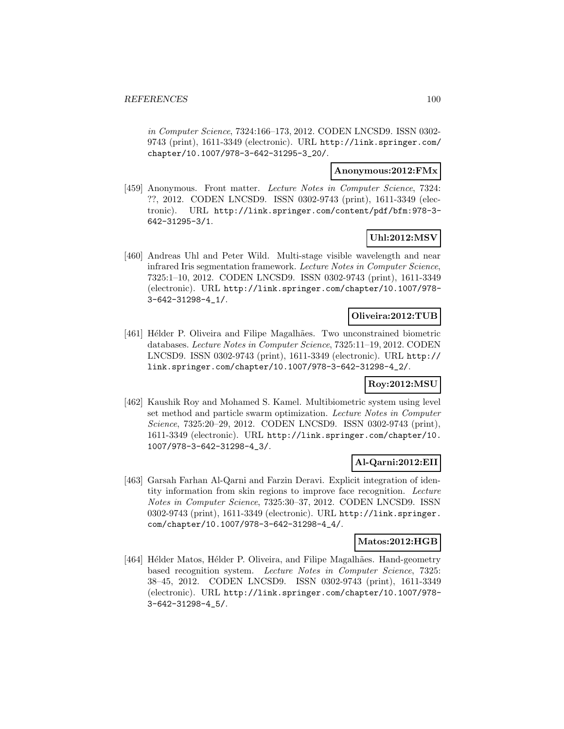in Computer Science, 7324:166–173, 2012. CODEN LNCSD9. ISSN 0302- 9743 (print), 1611-3349 (electronic). URL http://link.springer.com/ chapter/10.1007/978-3-642-31295-3\_20/.

### **Anonymous:2012:FMx**

[459] Anonymous. Front matter. Lecture Notes in Computer Science, 7324: ??, 2012. CODEN LNCSD9. ISSN 0302-9743 (print), 1611-3349 (electronic). URL http://link.springer.com/content/pdf/bfm:978-3- 642-31295-3/1.

## **Uhl:2012:MSV**

[460] Andreas Uhl and Peter Wild. Multi-stage visible wavelength and near infrared Iris segmentation framework. Lecture Notes in Computer Science, 7325:1–10, 2012. CODEN LNCSD9. ISSN 0302-9743 (print), 1611-3349 (electronic). URL http://link.springer.com/chapter/10.1007/978- 3-642-31298-4\_1/.

#### **Oliveira:2012:TUB**

[461] Hélder P. Oliveira and Filipe Magalhães. Two unconstrained biometric databases. Lecture Notes in Computer Science, 7325:11–19, 2012. CODEN LNCSD9. ISSN 0302-9743 (print), 1611-3349 (electronic). URL http:// link.springer.com/chapter/10.1007/978-3-642-31298-4\_2/.

### **Roy:2012:MSU**

[462] Kaushik Roy and Mohamed S. Kamel. Multibiometric system using level set method and particle swarm optimization. Lecture Notes in Computer Science, 7325:20–29, 2012. CODEN LNCSD9. ISSN 0302-9743 (print), 1611-3349 (electronic). URL http://link.springer.com/chapter/10. 1007/978-3-642-31298-4\_3/.

#### **Al-Qarni:2012:EII**

[463] Garsah Farhan Al-Qarni and Farzin Deravi. Explicit integration of identity information from skin regions to improve face recognition. Lecture Notes in Computer Science, 7325:30–37, 2012. CODEN LNCSD9. ISSN 0302-9743 (print), 1611-3349 (electronic). URL http://link.springer. com/chapter/10.1007/978-3-642-31298-4\_4/.

#### **Matos:2012:HGB**

[464] Hélder Matos, Hélder P. Oliveira, and Filipe Magalhães. Hand-geometry based recognition system. Lecture Notes in Computer Science, 7325: 38–45, 2012. CODEN LNCSD9. ISSN 0302-9743 (print), 1611-3349 (electronic). URL http://link.springer.com/chapter/10.1007/978- 3-642-31298-4\_5/.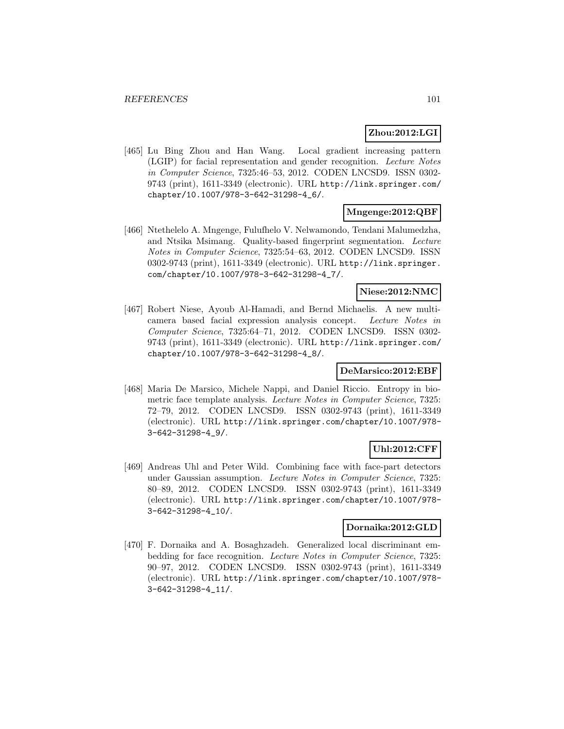## **Zhou:2012:LGI**

[465] Lu Bing Zhou and Han Wang. Local gradient increasing pattern (LGIP) for facial representation and gender recognition. Lecture Notes in Computer Science, 7325:46–53, 2012. CODEN LNCSD9. ISSN 0302- 9743 (print), 1611-3349 (electronic). URL http://link.springer.com/ chapter/10.1007/978-3-642-31298-4\_6/.

### **Mngenge:2012:QBF**

[466] Ntethelelo A. Mngenge, Fulufhelo V. Nelwamondo, Tendani Malumedzha, and Ntsika Msimang. Quality-based fingerprint segmentation. Lecture Notes in Computer Science, 7325:54–63, 2012. CODEN LNCSD9. ISSN 0302-9743 (print), 1611-3349 (electronic). URL http://link.springer. com/chapter/10.1007/978-3-642-31298-4\_7/.

### **Niese:2012:NMC**

[467] Robert Niese, Ayoub Al-Hamadi, and Bernd Michaelis. A new multicamera based facial expression analysis concept. Lecture Notes in Computer Science, 7325:64–71, 2012. CODEN LNCSD9. ISSN 0302- 9743 (print), 1611-3349 (electronic). URL http://link.springer.com/ chapter/10.1007/978-3-642-31298-4\_8/.

#### **DeMarsico:2012:EBF**

[468] Maria De Marsico, Michele Nappi, and Daniel Riccio. Entropy in biometric face template analysis. Lecture Notes in Computer Science, 7325: 72–79, 2012. CODEN LNCSD9. ISSN 0302-9743 (print), 1611-3349 (electronic). URL http://link.springer.com/chapter/10.1007/978- 3-642-31298-4\_9/.

# **Uhl:2012:CFF**

[469] Andreas Uhl and Peter Wild. Combining face with face-part detectors under Gaussian assumption. Lecture Notes in Computer Science, 7325: 80–89, 2012. CODEN LNCSD9. ISSN 0302-9743 (print), 1611-3349 (electronic). URL http://link.springer.com/chapter/10.1007/978- 3-642-31298-4\_10/.

### **Dornaika:2012:GLD**

[470] F. Dornaika and A. Bosaghzadeh. Generalized local discriminant embedding for face recognition. Lecture Notes in Computer Science, 7325: 90–97, 2012. CODEN LNCSD9. ISSN 0302-9743 (print), 1611-3349 (electronic). URL http://link.springer.com/chapter/10.1007/978- 3-642-31298-4\_11/.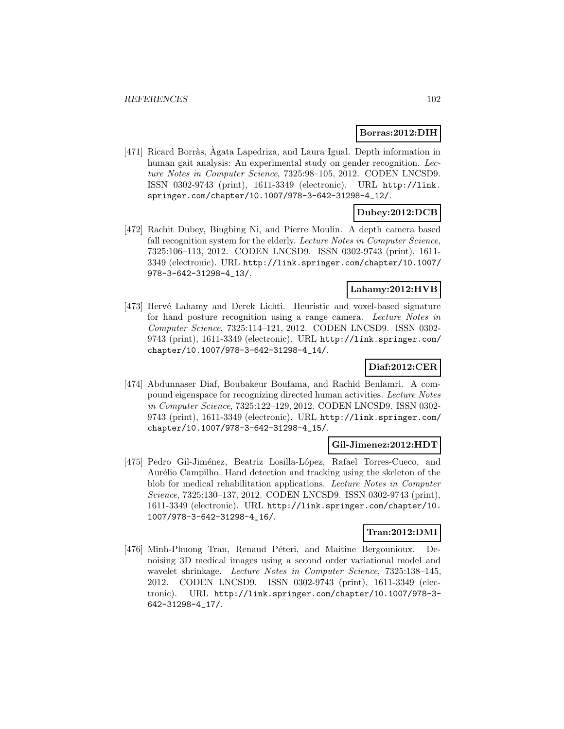#### **Borras:2012:DIH**

[471] Ricard Borràs, Agata Lapedriza, and Laura Igual. Depth information in human gait analysis: An experimental study on gender recognition. Lecture Notes in Computer Science, 7325:98–105, 2012. CODEN LNCSD9. ISSN 0302-9743 (print), 1611-3349 (electronic). URL http://link. springer.com/chapter/10.1007/978-3-642-31298-4\_12/.

## **Dubey:2012:DCB**

[472] Rachit Dubey, Bingbing Ni, and Pierre Moulin. A depth camera based fall recognition system for the elderly. Lecture Notes in Computer Science, 7325:106–113, 2012. CODEN LNCSD9. ISSN 0302-9743 (print), 1611- 3349 (electronic). URL http://link.springer.com/chapter/10.1007/ 978-3-642-31298-4\_13/.

### **Lahamy:2012:HVB**

[473] Hervé Lahamy and Derek Lichti. Heuristic and voxel-based signature for hand posture recognition using a range camera. Lecture Notes in Computer Science, 7325:114–121, 2012. CODEN LNCSD9. ISSN 0302- 9743 (print), 1611-3349 (electronic). URL http://link.springer.com/ chapter/10.1007/978-3-642-31298-4\_14/.

### **Diaf:2012:CER**

[474] Abdunnaser Diaf, Boubakeur Boufama, and Rachid Benlamri. A compound eigenspace for recognizing directed human activities. Lecture Notes in Computer Science, 7325:122–129, 2012. CODEN LNCSD9. ISSN 0302- 9743 (print), 1611-3349 (electronic). URL http://link.springer.com/ chapter/10.1007/978-3-642-31298-4\_15/.

### **Gil-Jimenez:2012:HDT**

[475] Pedro Gil-Jiménez, Beatriz Losilla-López, Rafael Torres-Cueco, and Aurélio Campilho. Hand detection and tracking using the skeleton of the blob for medical rehabilitation applications. Lecture Notes in Computer Science, 7325:130–137, 2012. CODEN LNCSD9. ISSN 0302-9743 (print), 1611-3349 (electronic). URL http://link.springer.com/chapter/10. 1007/978-3-642-31298-4\_16/.

### **Tran:2012:DMI**

[476] Minh-Phuong Tran, Renaud Péteri, and Maitine Bergounioux. Denoising 3D medical images using a second order variational model and wavelet shrinkage. Lecture Notes in Computer Science, 7325:138–145, 2012. CODEN LNCSD9. ISSN 0302-9743 (print), 1611-3349 (electronic). URL http://link.springer.com/chapter/10.1007/978-3- 642-31298-4\_17/.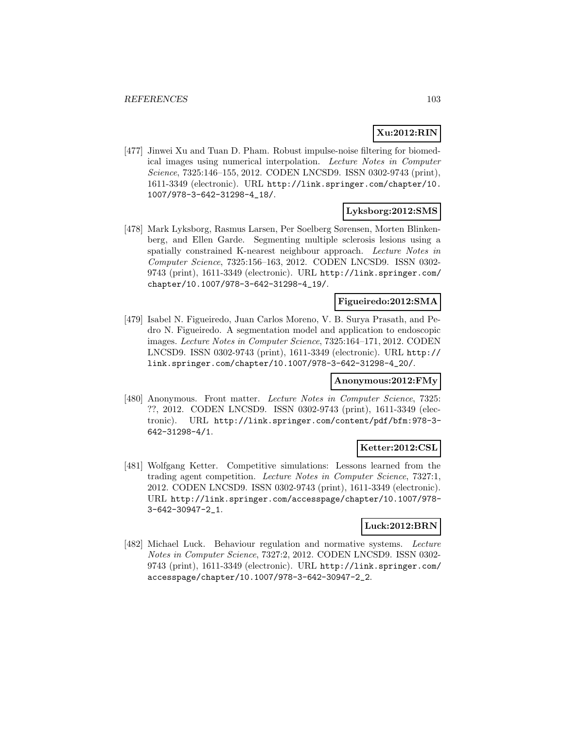## **Xu:2012:RIN**

[477] Jinwei Xu and Tuan D. Pham. Robust impulse-noise filtering for biomedical images using numerical interpolation. Lecture Notes in Computer Science, 7325:146–155, 2012. CODEN LNCSD9. ISSN 0302-9743 (print), 1611-3349 (electronic). URL http://link.springer.com/chapter/10. 1007/978-3-642-31298-4\_18/.

### **Lyksborg:2012:SMS**

[478] Mark Lyksborg, Rasmus Larsen, Per Soelberg Sørensen, Morten Blinkenberg, and Ellen Garde. Segmenting multiple sclerosis lesions using a spatially constrained K-nearest neighbour approach. Lecture Notes in Computer Science, 7325:156–163, 2012. CODEN LNCSD9. ISSN 0302- 9743 (print), 1611-3349 (electronic). URL http://link.springer.com/ chapter/10.1007/978-3-642-31298-4\_19/.

### **Figueiredo:2012:SMA**

[479] Isabel N. Figueiredo, Juan Carlos Moreno, V. B. Surya Prasath, and Pedro N. Figueiredo. A segmentation model and application to endoscopic images. Lecture Notes in Computer Science, 7325:164–171, 2012. CODEN LNCSD9. ISSN 0302-9743 (print), 1611-3349 (electronic). URL http:// link.springer.com/chapter/10.1007/978-3-642-31298-4\_20/.

#### **Anonymous:2012:FMy**

[480] Anonymous. Front matter. Lecture Notes in Computer Science, 7325: ??, 2012. CODEN LNCSD9. ISSN 0302-9743 (print), 1611-3349 (electronic). URL http://link.springer.com/content/pdf/bfm:978-3- 642-31298-4/1.

### **Ketter:2012:CSL**

[481] Wolfgang Ketter. Competitive simulations: Lessons learned from the trading agent competition. Lecture Notes in Computer Science, 7327:1, 2012. CODEN LNCSD9. ISSN 0302-9743 (print), 1611-3349 (electronic). URL http://link.springer.com/accesspage/chapter/10.1007/978- 3-642-30947-2\_1.

### **Luck:2012:BRN**

[482] Michael Luck. Behaviour regulation and normative systems. Lecture Notes in Computer Science, 7327:2, 2012. CODEN LNCSD9. ISSN 0302- 9743 (print), 1611-3349 (electronic). URL http://link.springer.com/ accesspage/chapter/10.1007/978-3-642-30947-2\_2.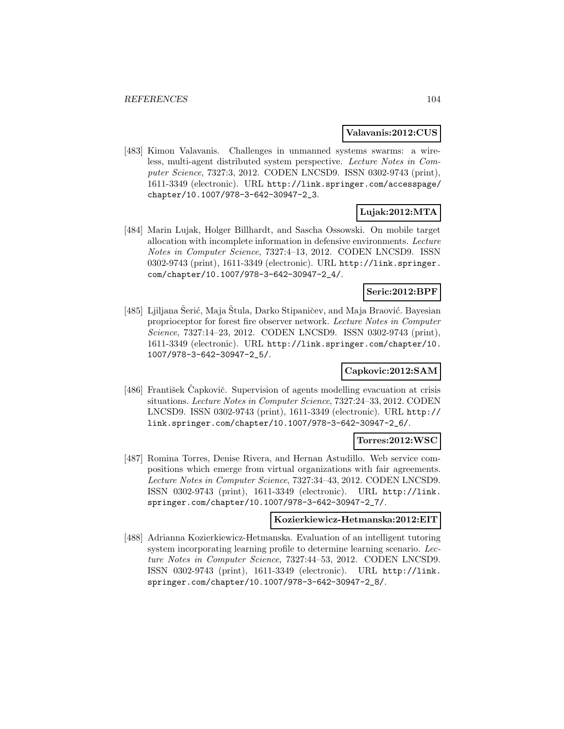#### **Valavanis:2012:CUS**

[483] Kimon Valavanis. Challenges in unmanned systems swarms: a wireless, multi-agent distributed system perspective. Lecture Notes in Computer Science, 7327:3, 2012. CODEN LNCSD9. ISSN 0302-9743 (print), 1611-3349 (electronic). URL http://link.springer.com/accesspage/ chapter/10.1007/978-3-642-30947-2\_3.

# **Lujak:2012:MTA**

[484] Marin Lujak, Holger Billhardt, and Sascha Ossowski. On mobile target allocation with incomplete information in defensive environments. Lecture Notes in Computer Science, 7327:4–13, 2012. CODEN LNCSD9. ISSN 0302-9743 (print), 1611-3349 (electronic). URL http://link.springer. com/chapter/10.1007/978-3-642-30947-2\_4/.

### **Seric:2012:BPF**

[485] Ljiljana Serić, Maja Stula, Darko Stipaničev, and Maja Braović. Bayesian proprioceptor for forest fire observer network. Lecture Notes in Computer Science, 7327:14–23, 2012. CODEN LNCSD9. ISSN 0302-9743 (print), 1611-3349 (electronic). URL http://link.springer.com/chapter/10. 1007/978-3-642-30947-2\_5/.

### **Capkovic:2012:SAM**

[486] František Čapkovič. Supervision of agents modelling evacuation at crisis situations. Lecture Notes in Computer Science, 7327:24–33, 2012. CODEN LNCSD9. ISSN 0302-9743 (print), 1611-3349 (electronic). URL http:// link.springer.com/chapter/10.1007/978-3-642-30947-2\_6/.

### **Torres:2012:WSC**

[487] Romina Torres, Denise Rivera, and Hernan Astudillo. Web service compositions which emerge from virtual organizations with fair agreements. Lecture Notes in Computer Science, 7327:34–43, 2012. CODEN LNCSD9. ISSN 0302-9743 (print), 1611-3349 (electronic). URL http://link. springer.com/chapter/10.1007/978-3-642-30947-2\_7/.

#### **Kozierkiewicz-Hetmanska:2012:EIT**

[488] Adrianna Kozierkiewicz-Hetmanska. Evaluation of an intelligent tutoring system incorporating learning profile to determine learning scenario. Lecture Notes in Computer Science, 7327:44–53, 2012. CODEN LNCSD9. ISSN 0302-9743 (print), 1611-3349 (electronic). URL http://link. springer.com/chapter/10.1007/978-3-642-30947-2\_8/.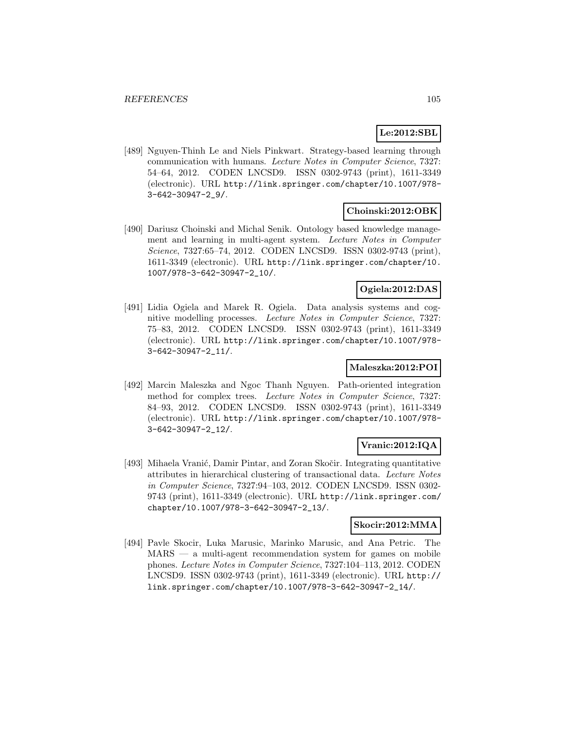## **Le:2012:SBL**

[489] Nguyen-Thinh Le and Niels Pinkwart. Strategy-based learning through communication with humans. Lecture Notes in Computer Science, 7327: 54–64, 2012. CODEN LNCSD9. ISSN 0302-9743 (print), 1611-3349 (electronic). URL http://link.springer.com/chapter/10.1007/978- 3-642-30947-2\_9/.

### **Choinski:2012:OBK**

[490] Dariusz Choinski and Michal Senik. Ontology based knowledge management and learning in multi-agent system. Lecture Notes in Computer Science, 7327:65–74, 2012. CODEN LNCSD9. ISSN 0302-9743 (print), 1611-3349 (electronic). URL http://link.springer.com/chapter/10. 1007/978-3-642-30947-2\_10/.

## **Ogiela:2012:DAS**

[491] Lidia Ogiela and Marek R. Ogiela. Data analysis systems and cognitive modelling processes. Lecture Notes in Computer Science, 7327: 75–83, 2012. CODEN LNCSD9. ISSN 0302-9743 (print), 1611-3349 (electronic). URL http://link.springer.com/chapter/10.1007/978- 3-642-30947-2\_11/.

### **Maleszka:2012:POI**

[492] Marcin Maleszka and Ngoc Thanh Nguyen. Path-oriented integration method for complex trees. Lecture Notes in Computer Science, 7327: 84–93, 2012. CODEN LNCSD9. ISSN 0302-9743 (print), 1611-3349 (electronic). URL http://link.springer.com/chapter/10.1007/978- 3-642-30947-2\_12/.

## **Vranic:2012:IQA**

[493] Mihaela Vranić, Damir Pintar, and Zoran Skočir. Integrating quantitative attributes in hierarchical clustering of transactional data. Lecture Notes in Computer Science, 7327:94–103, 2012. CODEN LNCSD9. ISSN 0302- 9743 (print), 1611-3349 (electronic). URL http://link.springer.com/ chapter/10.1007/978-3-642-30947-2\_13/.

#### **Skocir:2012:MMA**

[494] Pavle Skocir, Luka Marusic, Marinko Marusic, and Ana Petric. The MARS — a multi-agent recommendation system for games on mobile phones. Lecture Notes in Computer Science, 7327:104–113, 2012. CODEN LNCSD9. ISSN 0302-9743 (print), 1611-3349 (electronic). URL http:// link.springer.com/chapter/10.1007/978-3-642-30947-2\_14/.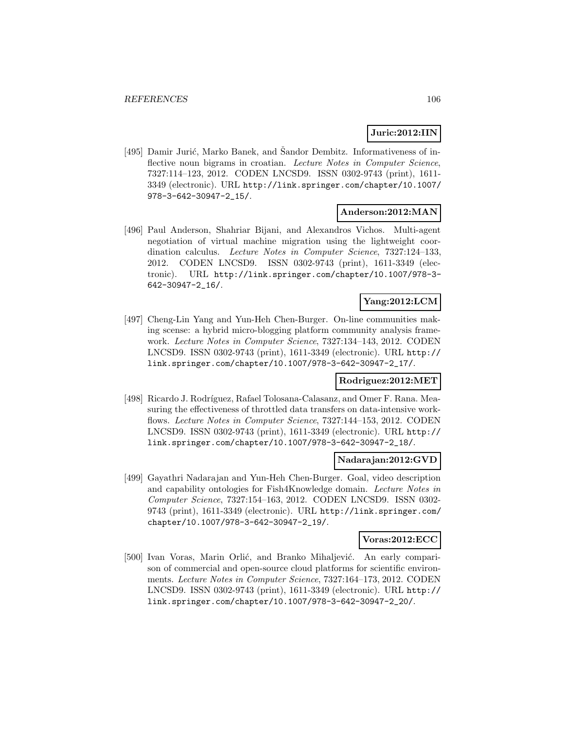### **Juric:2012:IIN**

[495] Damir Jurić, Marko Banek, and Šandor Dembitz. Informativeness of inflective noun bigrams in croatian. Lecture Notes in Computer Science, 7327:114–123, 2012. CODEN LNCSD9. ISSN 0302-9743 (print), 1611- 3349 (electronic). URL http://link.springer.com/chapter/10.1007/ 978-3-642-30947-2\_15/.

### **Anderson:2012:MAN**

[496] Paul Anderson, Shahriar Bijani, and Alexandros Vichos. Multi-agent negotiation of virtual machine migration using the lightweight coordination calculus. Lecture Notes in Computer Science, 7327:124–133, 2012. CODEN LNCSD9. ISSN 0302-9743 (print), 1611-3349 (electronic). URL http://link.springer.com/chapter/10.1007/978-3- 642-30947-2\_16/.

## **Yang:2012:LCM**

[497] Cheng-Lin Yang and Yun-Heh Chen-Burger. On-line communities making scense: a hybrid micro-blogging platform community analysis framework. Lecture Notes in Computer Science, 7327:134–143, 2012. CODEN LNCSD9. ISSN 0302-9743 (print), 1611-3349 (electronic). URL http:// link.springer.com/chapter/10.1007/978-3-642-30947-2\_17/.

#### **Rodriguez:2012:MET**

[498] Ricardo J. Rodríguez, Rafael Tolosana-Calasanz, and Omer F. Rana. Measuring the effectiveness of throttled data transfers on data-intensive workflows. Lecture Notes in Computer Science, 7327:144–153, 2012. CODEN LNCSD9. ISSN 0302-9743 (print), 1611-3349 (electronic). URL http:// link.springer.com/chapter/10.1007/978-3-642-30947-2\_18/.

#### **Nadarajan:2012:GVD**

[499] Gayathri Nadarajan and Yun-Heh Chen-Burger. Goal, video description and capability ontologies for Fish4Knowledge domain. Lecture Notes in Computer Science, 7327:154–163, 2012. CODEN LNCSD9. ISSN 0302- 9743 (print), 1611-3349 (electronic). URL http://link.springer.com/ chapter/10.1007/978-3-642-30947-2\_19/.

#### **Voras:2012:ECC**

[500] Ivan Voras, Marin Orlić, and Branko Mihaljević. An early comparison of commercial and open-source cloud platforms for scientific environments. Lecture Notes in Computer Science, 7327:164–173, 2012. CODEN LNCSD9. ISSN 0302-9743 (print), 1611-3349 (electronic). URL http:// link.springer.com/chapter/10.1007/978-3-642-30947-2\_20/.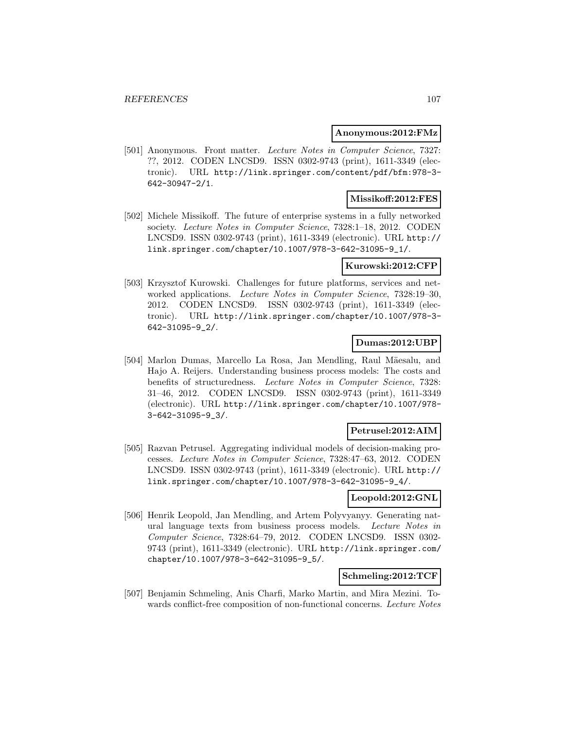#### **Anonymous:2012:FMz**

[501] Anonymous. Front matter. Lecture Notes in Computer Science, 7327: ??, 2012. CODEN LNCSD9. ISSN 0302-9743 (print), 1611-3349 (electronic). URL http://link.springer.com/content/pdf/bfm:978-3- 642-30947-2/1.

## **Missikoff:2012:FES**

[502] Michele Missikoff. The future of enterprise systems in a fully networked society. Lecture Notes in Computer Science, 7328:1–18, 2012. CODEN LNCSD9. ISSN 0302-9743 (print), 1611-3349 (electronic). URL http:// link.springer.com/chapter/10.1007/978-3-642-31095-9\_1/.

#### **Kurowski:2012:CFP**

[503] Krzysztof Kurowski. Challenges for future platforms, services and networked applications. Lecture Notes in Computer Science, 7328:19-30, 2012. CODEN LNCSD9. ISSN 0302-9743 (print), 1611-3349 (electronic). URL http://link.springer.com/chapter/10.1007/978-3- 642-31095-9\_2/.

### **Dumas:2012:UBP**

[504] Marlon Dumas, Marcello La Rosa, Jan Mendling, Raul Mäesalu, and Hajo A. Reijers. Understanding business process models: The costs and benefits of structuredness. Lecture Notes in Computer Science, 7328: 31–46, 2012. CODEN LNCSD9. ISSN 0302-9743 (print), 1611-3349 (electronic). URL http://link.springer.com/chapter/10.1007/978- 3-642-31095-9\_3/.

#### **Petrusel:2012:AIM**

[505] Razvan Petrusel. Aggregating individual models of decision-making processes. Lecture Notes in Computer Science, 7328:47–63, 2012. CODEN LNCSD9. ISSN 0302-9743 (print), 1611-3349 (electronic). URL http:// link.springer.com/chapter/10.1007/978-3-642-31095-9\_4/.

### **Leopold:2012:GNL**

[506] Henrik Leopold, Jan Mendling, and Artem Polyvyanyy. Generating natural language texts from business process models. Lecture Notes in Computer Science, 7328:64–79, 2012. CODEN LNCSD9. ISSN 0302- 9743 (print), 1611-3349 (electronic). URL http://link.springer.com/ chapter/10.1007/978-3-642-31095-9\_5/.

### **Schmeling:2012:TCF**

[507] Benjamin Schmeling, Anis Charfi, Marko Martin, and Mira Mezini. Towards conflict-free composition of non-functional concerns. Lecture Notes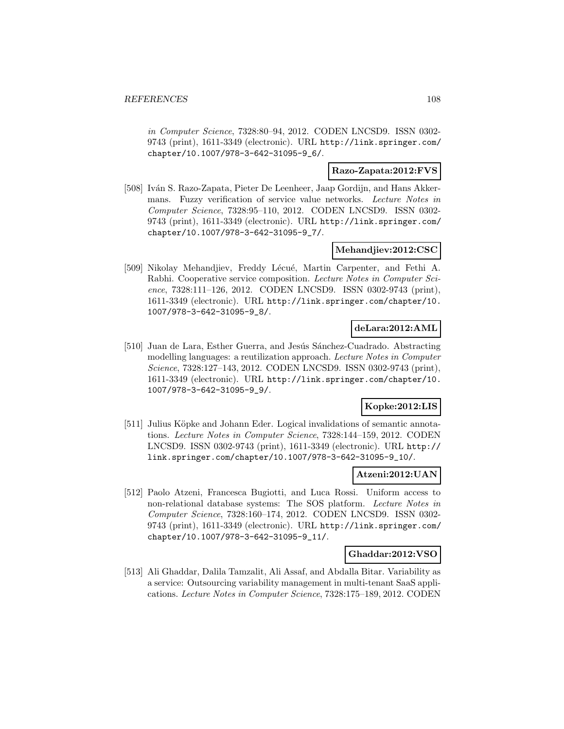in Computer Science, 7328:80–94, 2012. CODEN LNCSD9. ISSN 0302- 9743 (print), 1611-3349 (electronic). URL http://link.springer.com/ chapter/10.1007/978-3-642-31095-9\_6/.

#### **Razo-Zapata:2012:FVS**

[508] Iván S. Razo-Zapata, Pieter De Leenheer, Jaap Gordijn, and Hans Akkermans. Fuzzy verification of service value networks. Lecture Notes in Computer Science, 7328:95–110, 2012. CODEN LNCSD9. ISSN 0302- 9743 (print), 1611-3349 (electronic). URL http://link.springer.com/ chapter/10.1007/978-3-642-31095-9\_7/.

### **Mehandjiev:2012:CSC**

[509] Nikolay Mehandjiev, Freddy Lécué, Martin Carpenter, and Fethi A. Rabhi. Cooperative service composition. Lecture Notes in Computer Science, 7328:111-126, 2012. CODEN LNCSD9. ISSN 0302-9743 (print), 1611-3349 (electronic). URL http://link.springer.com/chapter/10. 1007/978-3-642-31095-9\_8/.

### **deLara:2012:AML**

[510] Juan de Lara, Esther Guerra, and Jesús Sánchez-Cuadrado. Abstracting modelling languages: a reutilization approach. Lecture Notes in Computer Science, 7328:127–143, 2012. CODEN LNCSD9. ISSN 0302-9743 (print), 1611-3349 (electronic). URL http://link.springer.com/chapter/10. 1007/978-3-642-31095-9\_9/.

### **Kopke:2012:LIS**

[511] Julius Köpke and Johann Eder. Logical invalidations of semantic annotations. Lecture Notes in Computer Science, 7328:144–159, 2012. CODEN LNCSD9. ISSN 0302-9743 (print), 1611-3349 (electronic). URL http:// link.springer.com/chapter/10.1007/978-3-642-31095-9\_10/.

#### **Atzeni:2012:UAN**

[512] Paolo Atzeni, Francesca Bugiotti, and Luca Rossi. Uniform access to non-relational database systems: The SOS platform. Lecture Notes in Computer Science, 7328:160–174, 2012. CODEN LNCSD9. ISSN 0302- 9743 (print), 1611-3349 (electronic). URL http://link.springer.com/ chapter/10.1007/978-3-642-31095-9\_11/.

#### **Ghaddar:2012:VSO**

[513] Ali Ghaddar, Dalila Tamzalit, Ali Assaf, and Abdalla Bitar. Variability as a service: Outsourcing variability management in multi-tenant SaaS applications. Lecture Notes in Computer Science, 7328:175–189, 2012. CODEN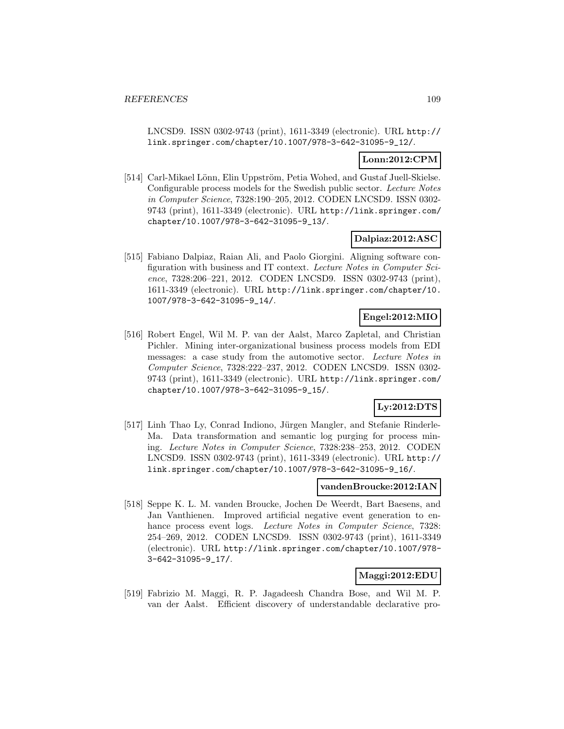LNCSD9. ISSN 0302-9743 (print), 1611-3349 (electronic). URL http:// link.springer.com/chapter/10.1007/978-3-642-31095-9\_12/.

## **Lonn:2012:CPM**

[514] Carl-Mikael Lönn, Elin Uppström, Petia Wohed, and Gustaf Juell-Skielse. Configurable process models for the Swedish public sector. Lecture Notes in Computer Science, 7328:190–205, 2012. CODEN LNCSD9. ISSN 0302- 9743 (print), 1611-3349 (electronic). URL http://link.springer.com/ chapter/10.1007/978-3-642-31095-9\_13/.

### **Dalpiaz:2012:ASC**

[515] Fabiano Dalpiaz, Raian Ali, and Paolo Giorgini. Aligning software configuration with business and IT context. Lecture Notes in Computer Science, 7328:206–221, 2012. CODEN LNCSD9. ISSN 0302-9743 (print), 1611-3349 (electronic). URL http://link.springer.com/chapter/10. 1007/978-3-642-31095-9\_14/.

## **Engel:2012:MIO**

[516] Robert Engel, Wil M. P. van der Aalst, Marco Zapletal, and Christian Pichler. Mining inter-organizational business process models from EDI messages: a case study from the automotive sector. Lecture Notes in Computer Science, 7328:222–237, 2012. CODEN LNCSD9. ISSN 0302- 9743 (print), 1611-3349 (electronic). URL http://link.springer.com/ chapter/10.1007/978-3-642-31095-9\_15/.

## **Ly:2012:DTS**

[517] Linh Thao Ly, Conrad Indiono, Jürgen Mangler, and Stefanie Rinderle-Ma. Data transformation and semantic log purging for process mining. Lecture Notes in Computer Science, 7328:238–253, 2012. CODEN LNCSD9. ISSN 0302-9743 (print), 1611-3349 (electronic). URL http:// link.springer.com/chapter/10.1007/978-3-642-31095-9\_16/.

### **vandenBroucke:2012:IAN**

[518] Seppe K. L. M. vanden Broucke, Jochen De Weerdt, Bart Baesens, and Jan Vanthienen. Improved artificial negative event generation to enhance process event logs. Lecture Notes in Computer Science, 7328: 254–269, 2012. CODEN LNCSD9. ISSN 0302-9743 (print), 1611-3349 (electronic). URL http://link.springer.com/chapter/10.1007/978- 3-642-31095-9\_17/.

## **Maggi:2012:EDU**

[519] Fabrizio M. Maggi, R. P. Jagadeesh Chandra Bose, and Wil M. P. van der Aalst. Efficient discovery of understandable declarative pro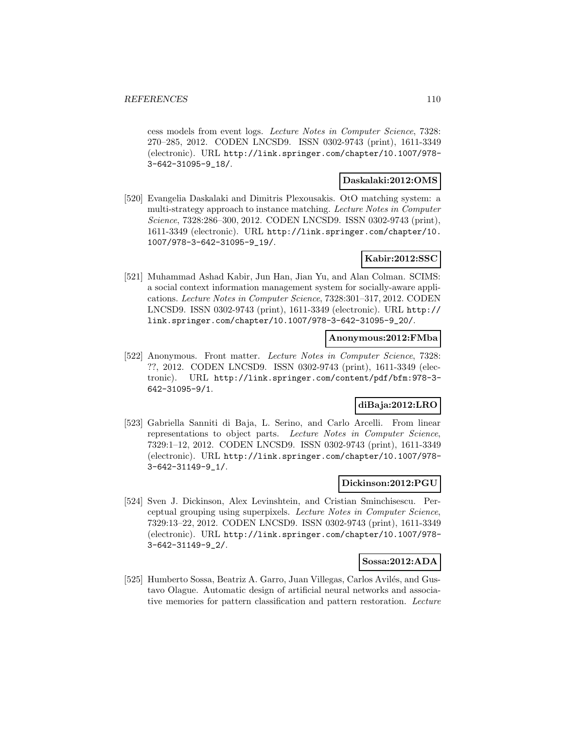cess models from event logs. Lecture Notes in Computer Science, 7328: 270–285, 2012. CODEN LNCSD9. ISSN 0302-9743 (print), 1611-3349 (electronic). URL http://link.springer.com/chapter/10.1007/978- 3-642-31095-9\_18/.

#### **Daskalaki:2012:OMS**

[520] Evangelia Daskalaki and Dimitris Plexousakis. OtO matching system: a multi-strategy approach to instance matching. Lecture Notes in Computer Science, 7328:286–300, 2012. CODEN LNCSD9. ISSN 0302-9743 (print), 1611-3349 (electronic). URL http://link.springer.com/chapter/10. 1007/978-3-642-31095-9\_19/.

## **Kabir:2012:SSC**

[521] Muhammad Ashad Kabir, Jun Han, Jian Yu, and Alan Colman. SCIMS: a social context information management system for socially-aware applications. Lecture Notes in Computer Science, 7328:301–317, 2012. CODEN LNCSD9. ISSN 0302-9743 (print), 1611-3349 (electronic). URL http:// link.springer.com/chapter/10.1007/978-3-642-31095-9\_20/.

### **Anonymous:2012:FMba**

[522] Anonymous. Front matter. Lecture Notes in Computer Science, 7328: ??, 2012. CODEN LNCSD9. ISSN 0302-9743 (print), 1611-3349 (electronic). URL http://link.springer.com/content/pdf/bfm:978-3- 642-31095-9/1.

## **diBaja:2012:LRO**

[523] Gabriella Sanniti di Baja, L. Serino, and Carlo Arcelli. From linear representations to object parts. Lecture Notes in Computer Science, 7329:1–12, 2012. CODEN LNCSD9. ISSN 0302-9743 (print), 1611-3349 (electronic). URL http://link.springer.com/chapter/10.1007/978- 3-642-31149-9\_1/.

#### **Dickinson:2012:PGU**

[524] Sven J. Dickinson, Alex Levinshtein, and Cristian Sminchisescu. Perceptual grouping using superpixels. Lecture Notes in Computer Science, 7329:13–22, 2012. CODEN LNCSD9. ISSN 0302-9743 (print), 1611-3349 (electronic). URL http://link.springer.com/chapter/10.1007/978- 3-642-31149-9\_2/.

## **Sossa:2012:ADA**

[525] Humberto Sossa, Beatriz A. Garro, Juan Villegas, Carlos Avilés, and Gustavo Olague. Automatic design of artificial neural networks and associative memories for pattern classification and pattern restoration. Lecture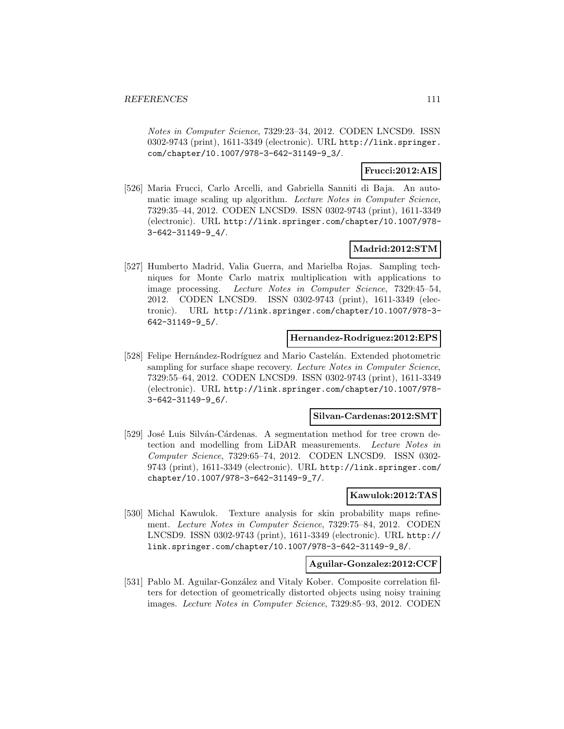Notes in Computer Science, 7329:23–34, 2012. CODEN LNCSD9. ISSN 0302-9743 (print), 1611-3349 (electronic). URL http://link.springer. com/chapter/10.1007/978-3-642-31149-9\_3/.

### **Frucci:2012:AIS**

[526] Maria Frucci, Carlo Arcelli, and Gabriella Sanniti di Baja. An automatic image scaling up algorithm. Lecture Notes in Computer Science, 7329:35–44, 2012. CODEN LNCSD9. ISSN 0302-9743 (print), 1611-3349 (electronic). URL http://link.springer.com/chapter/10.1007/978- 3-642-31149-9\_4/.

### **Madrid:2012:STM**

[527] Humberto Madrid, Valia Guerra, and Marielba Rojas. Sampling techniques for Monte Carlo matrix multiplication with applications to image processing. Lecture Notes in Computer Science, 7329:45–54, 2012. CODEN LNCSD9. ISSN 0302-9743 (print), 1611-3349 (electronic). URL http://link.springer.com/chapter/10.1007/978-3- 642-31149-9\_5/.

### **Hernandez-Rodriguez:2012:EPS**

[528] Felipe Hernández-Rodríguez and Mario Castelán. Extended photometric sampling for surface shape recovery. Lecture Notes in Computer Science, 7329:55–64, 2012. CODEN LNCSD9. ISSN 0302-9743 (print), 1611-3349 (electronic). URL http://link.springer.com/chapter/10.1007/978- 3-642-31149-9\_6/.

#### **Silvan-Cardenas:2012:SMT**

[529] José Luis Silván-Cárdenas. A segmentation method for tree crown detection and modelling from LiDAR measurements. Lecture Notes in Computer Science, 7329:65–74, 2012. CODEN LNCSD9. ISSN 0302- 9743 (print), 1611-3349 (electronic). URL http://link.springer.com/ chapter/10.1007/978-3-642-31149-9\_7/.

#### **Kawulok:2012:TAS**

[530] Michal Kawulok. Texture analysis for skin probability maps refinement. Lecture Notes in Computer Science, 7329:75–84, 2012. CODEN LNCSD9. ISSN 0302-9743 (print), 1611-3349 (electronic). URL http:// link.springer.com/chapter/10.1007/978-3-642-31149-9\_8/.

### **Aguilar-Gonzalez:2012:CCF**

[531] Pablo M. Aguilar-González and Vitaly Kober. Composite correlation filters for detection of geometrically distorted objects using noisy training images. Lecture Notes in Computer Science, 7329:85–93, 2012. CODEN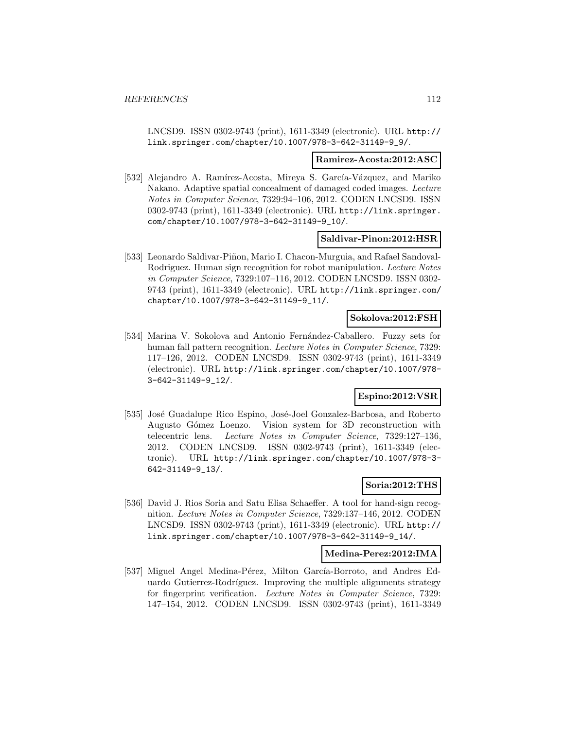LNCSD9. ISSN 0302-9743 (print), 1611-3349 (electronic). URL http:// link.springer.com/chapter/10.1007/978-3-642-31149-9\_9/.

#### **Ramirez-Acosta:2012:ASC**

[532] Alejandro A. Ramírez-Acosta, Mireya S. García-Vázquez, and Mariko Nakano. Adaptive spatial concealment of damaged coded images. Lecture Notes in Computer Science, 7329:94–106, 2012. CODEN LNCSD9. ISSN 0302-9743 (print), 1611-3349 (electronic). URL http://link.springer. com/chapter/10.1007/978-3-642-31149-9\_10/.

### **Saldivar-Pinon:2012:HSR**

[533] Leonardo Saldivar-Piñon, Mario I. Chacon-Murguia, and Rafael Sandoval-Rodriguez. Human sign recognition for robot manipulation. Lecture Notes in Computer Science, 7329:107–116, 2012. CODEN LNCSD9. ISSN 0302- 9743 (print), 1611-3349 (electronic). URL http://link.springer.com/ chapter/10.1007/978-3-642-31149-9\_11/.

### **Sokolova:2012:FSH**

[534] Marina V. Sokolova and Antonio Fernández-Caballero. Fuzzy sets for human fall pattern recognition. *Lecture Notes in Computer Science*, 7329: 117–126, 2012. CODEN LNCSD9. ISSN 0302-9743 (print), 1611-3349 (electronic). URL http://link.springer.com/chapter/10.1007/978- 3-642-31149-9\_12/.

## **Espino:2012:VSR**

[535] José Guadalupe Rico Espino, José-Joel Gonzalez-Barbosa, and Roberto Augusto Gómez Loenzo. Vision system for 3D reconstruction with telecentric lens. Lecture Notes in Computer Science, 7329:127–136, 2012. CODEN LNCSD9. ISSN 0302-9743 (print), 1611-3349 (electronic). URL http://link.springer.com/chapter/10.1007/978-3- 642-31149-9\_13/.

## **Soria:2012:THS**

[536] David J. Rios Soria and Satu Elisa Schaeffer. A tool for hand-sign recognition. Lecture Notes in Computer Science, 7329:137–146, 2012. CODEN LNCSD9. ISSN 0302-9743 (print), 1611-3349 (electronic). URL http:// link.springer.com/chapter/10.1007/978-3-642-31149-9\_14/.

### **Medina-Perez:2012:IMA**

[537] Miguel Angel Medina-Pérez, Milton García-Borroto, and Andres Eduardo Gutierrez-Rodríguez. Improving the multiple alignments strategy for fingerprint verification. Lecture Notes in Computer Science, 7329: 147–154, 2012. CODEN LNCSD9. ISSN 0302-9743 (print), 1611-3349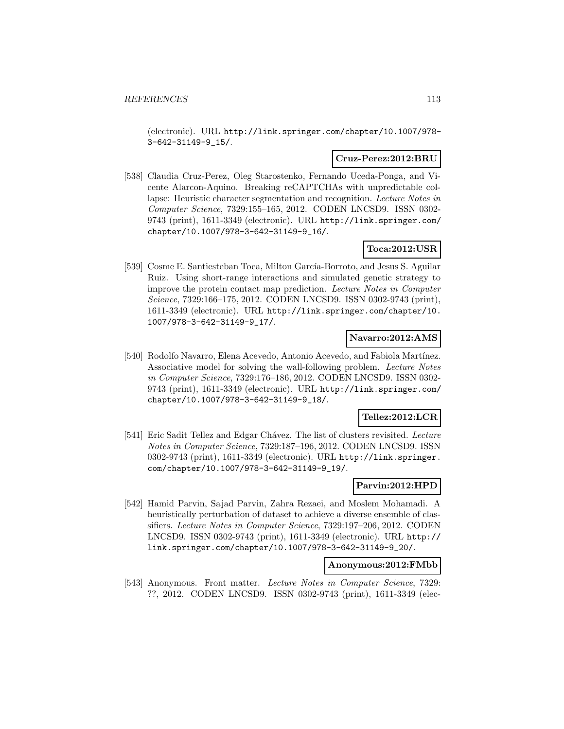(electronic). URL http://link.springer.com/chapter/10.1007/978- 3-642-31149-9\_15/.

### **Cruz-Perez:2012:BRU**

[538] Claudia Cruz-Perez, Oleg Starostenko, Fernando Uceda-Ponga, and Vicente Alarcon-Aquino. Breaking reCAPTCHAs with unpredictable collapse: Heuristic character segmentation and recognition. Lecture Notes in Computer Science, 7329:155–165, 2012. CODEN LNCSD9. ISSN 0302- 9743 (print), 1611-3349 (electronic). URL http://link.springer.com/ chapter/10.1007/978-3-642-31149-9\_16/.

## **Toca:2012:USR**

[539] Cosme E. Santiesteban Toca, Milton García-Borroto, and Jesus S. Aguilar Ruiz. Using short-range interactions and simulated genetic strategy to improve the protein contact map prediction. Lecture Notes in Computer Science, 7329:166–175, 2012. CODEN LNCSD9. ISSN 0302-9743 (print), 1611-3349 (electronic). URL http://link.springer.com/chapter/10. 1007/978-3-642-31149-9\_17/.

### **Navarro:2012:AMS**

[540] Rodolfo Navarro, Elena Acevedo, Antonio Acevedo, and Fabiola Martínez. Associative model for solving the wall-following problem. Lecture Notes in Computer Science, 7329:176–186, 2012. CODEN LNCSD9. ISSN 0302- 9743 (print), 1611-3349 (electronic). URL http://link.springer.com/ chapter/10.1007/978-3-642-31149-9\_18/.

## **Tellez:2012:LCR**

[541] Eric Sadit Tellez and Edgar Chávez. The list of clusters revisited. Lecture Notes in Computer Science, 7329:187–196, 2012. CODEN LNCSD9. ISSN 0302-9743 (print), 1611-3349 (electronic). URL http://link.springer. com/chapter/10.1007/978-3-642-31149-9\_19/.

### **Parvin:2012:HPD**

[542] Hamid Parvin, Sajad Parvin, Zahra Rezaei, and Moslem Mohamadi. A heuristically perturbation of dataset to achieve a diverse ensemble of classifiers. Lecture Notes in Computer Science, 7329:197–206, 2012. CODEN LNCSD9. ISSN 0302-9743 (print), 1611-3349 (electronic). URL http:// link.springer.com/chapter/10.1007/978-3-642-31149-9\_20/.

### **Anonymous:2012:FMbb**

[543] Anonymous. Front matter. Lecture Notes in Computer Science, 7329: ??, 2012. CODEN LNCSD9. ISSN 0302-9743 (print), 1611-3349 (elec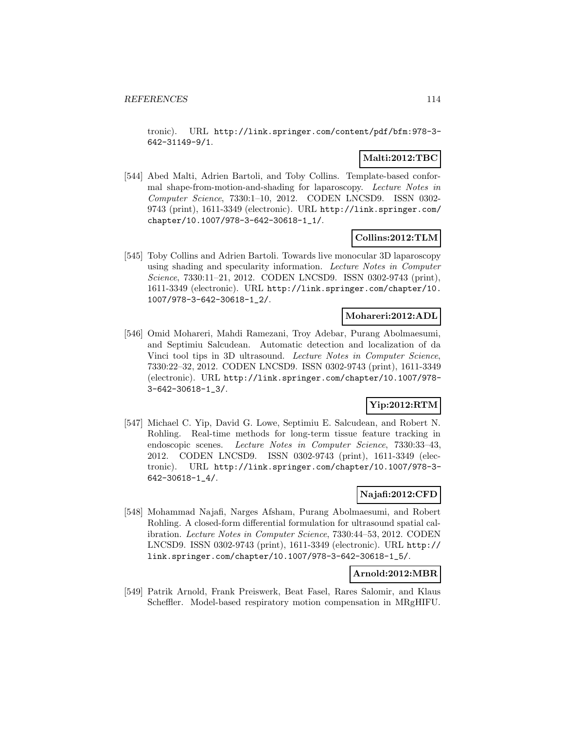tronic). URL http://link.springer.com/content/pdf/bfm:978-3- 642-31149-9/1.

## **Malti:2012:TBC**

[544] Abed Malti, Adrien Bartoli, and Toby Collins. Template-based conformal shape-from-motion-and-shading for laparoscopy. Lecture Notes in Computer Science, 7330:1–10, 2012. CODEN LNCSD9. ISSN 0302- 9743 (print), 1611-3349 (electronic). URL http://link.springer.com/ chapter/10.1007/978-3-642-30618-1\_1/.

## **Collins:2012:TLM**

[545] Toby Collins and Adrien Bartoli. Towards live monocular 3D laparoscopy using shading and specularity information. Lecture Notes in Computer Science, 7330:11–21, 2012. CODEN LNCSD9. ISSN 0302-9743 (print), 1611-3349 (electronic). URL http://link.springer.com/chapter/10. 1007/978-3-642-30618-1\_2/.

### **Mohareri:2012:ADL**

[546] Omid Mohareri, Mahdi Ramezani, Troy Adebar, Purang Abolmaesumi, and Septimiu Salcudean. Automatic detection and localization of da Vinci tool tips in 3D ultrasound. Lecture Notes in Computer Science, 7330:22–32, 2012. CODEN LNCSD9. ISSN 0302-9743 (print), 1611-3349 (electronic). URL http://link.springer.com/chapter/10.1007/978- 3-642-30618-1\_3/.

## **Yip:2012:RTM**

[547] Michael C. Yip, David G. Lowe, Septimiu E. Salcudean, and Robert N. Rohling. Real-time methods for long-term tissue feature tracking in endoscopic scenes. Lecture Notes in Computer Science, 7330:33–43, 2012. CODEN LNCSD9. ISSN 0302-9743 (print), 1611-3349 (electronic). URL http://link.springer.com/chapter/10.1007/978-3- 642-30618-1\_4/.

### **Najafi:2012:CFD**

[548] Mohammad Najafi, Narges Afsham, Purang Abolmaesumi, and Robert Rohling. A closed-form differential formulation for ultrasound spatial calibration. Lecture Notes in Computer Science, 7330:44–53, 2012. CODEN LNCSD9. ISSN 0302-9743 (print), 1611-3349 (electronic). URL http:// link.springer.com/chapter/10.1007/978-3-642-30618-1\_5/.

## **Arnold:2012:MBR**

[549] Patrik Arnold, Frank Preiswerk, Beat Fasel, Rares Salomir, and Klaus Scheffler. Model-based respiratory motion compensation in MRgHIFU.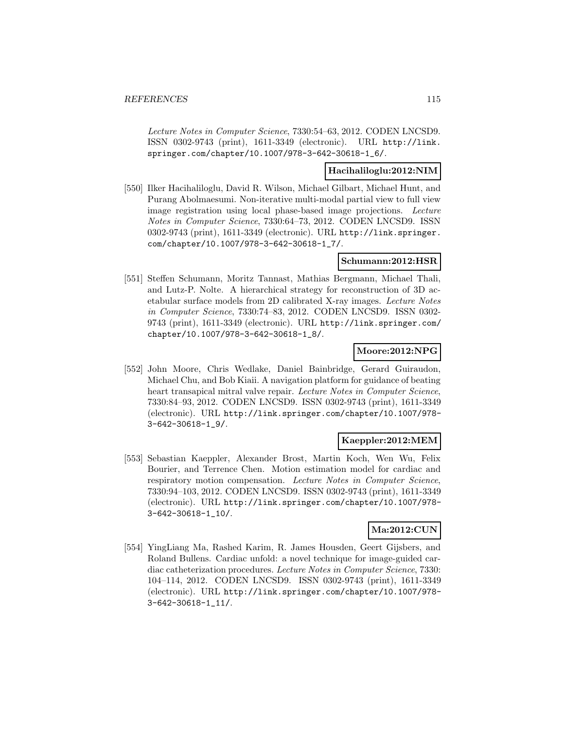Lecture Notes in Computer Science, 7330:54–63, 2012. CODEN LNCSD9. ISSN 0302-9743 (print), 1611-3349 (electronic). URL http://link. springer.com/chapter/10.1007/978-3-642-30618-1\_6/.

## **Hacihaliloglu:2012:NIM**

[550] Ilker Hacihaliloglu, David R. Wilson, Michael Gilbart, Michael Hunt, and Purang Abolmaesumi. Non-iterative multi-modal partial view to full view image registration using local phase-based image projections. Lecture Notes in Computer Science, 7330:64–73, 2012. CODEN LNCSD9. ISSN 0302-9743 (print), 1611-3349 (electronic). URL http://link.springer. com/chapter/10.1007/978-3-642-30618-1\_7/.

### **Schumann:2012:HSR**

[551] Steffen Schumann, Moritz Tannast, Mathias Bergmann, Michael Thali, and Lutz-P. Nolte. A hierarchical strategy for reconstruction of 3D acetabular surface models from 2D calibrated X-ray images. Lecture Notes in Computer Science, 7330:74–83, 2012. CODEN LNCSD9. ISSN 0302- 9743 (print), 1611-3349 (electronic). URL http://link.springer.com/ chapter/10.1007/978-3-642-30618-1\_8/.

### **Moore:2012:NPG**

[552] John Moore, Chris Wedlake, Daniel Bainbridge, Gerard Guiraudon, Michael Chu, and Bob Kiaii. A navigation platform for guidance of beating heart transapical mitral valve repair. Lecture Notes in Computer Science, 7330:84–93, 2012. CODEN LNCSD9. ISSN 0302-9743 (print), 1611-3349 (electronic). URL http://link.springer.com/chapter/10.1007/978- 3-642-30618-1\_9/.

## **Kaeppler:2012:MEM**

[553] Sebastian Kaeppler, Alexander Brost, Martin Koch, Wen Wu, Felix Bourier, and Terrence Chen. Motion estimation model for cardiac and respiratory motion compensation. Lecture Notes in Computer Science, 7330:94–103, 2012. CODEN LNCSD9. ISSN 0302-9743 (print), 1611-3349 (electronic). URL http://link.springer.com/chapter/10.1007/978- 3-642-30618-1\_10/.

### **Ma:2012:CUN**

[554] YingLiang Ma, Rashed Karim, R. James Housden, Geert Gijsbers, and Roland Bullens. Cardiac unfold: a novel technique for image-guided cardiac catheterization procedures. Lecture Notes in Computer Science, 7330: 104–114, 2012. CODEN LNCSD9. ISSN 0302-9743 (print), 1611-3349 (electronic). URL http://link.springer.com/chapter/10.1007/978- 3-642-30618-1\_11/.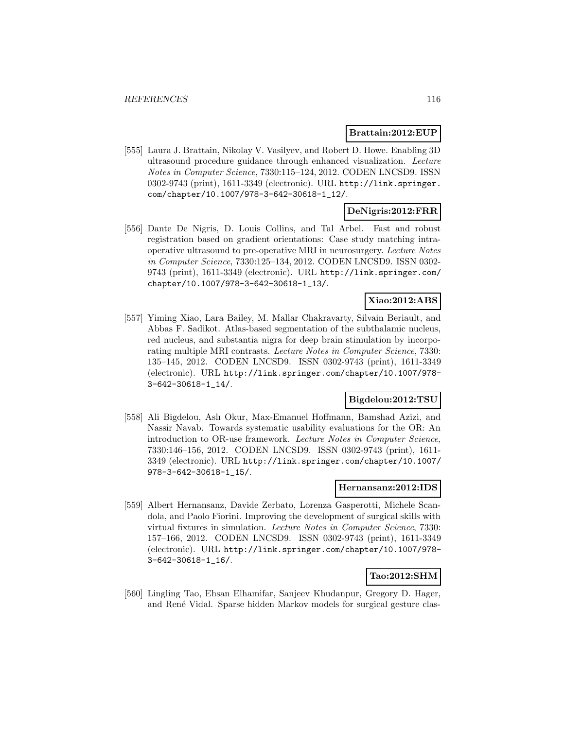### **Brattain:2012:EUP**

[555] Laura J. Brattain, Nikolay V. Vasilyev, and Robert D. Howe. Enabling 3D ultrasound procedure guidance through enhanced visualization. Lecture Notes in Computer Science, 7330:115–124, 2012. CODEN LNCSD9. ISSN 0302-9743 (print), 1611-3349 (electronic). URL http://link.springer. com/chapter/10.1007/978-3-642-30618-1\_12/.

## **DeNigris:2012:FRR**

[556] Dante De Nigris, D. Louis Collins, and Tal Arbel. Fast and robust registration based on gradient orientations: Case study matching intraoperative ultrasound to pre-operative MRI in neurosurgery. Lecture Notes in Computer Science, 7330:125–134, 2012. CODEN LNCSD9. ISSN 0302- 9743 (print), 1611-3349 (electronic). URL http://link.springer.com/ chapter/10.1007/978-3-642-30618-1\_13/.

### **Xiao:2012:ABS**

[557] Yiming Xiao, Lara Bailey, M. Mallar Chakravarty, Silvain Beriault, and Abbas F. Sadikot. Atlas-based segmentation of the subthalamic nucleus, red nucleus, and substantia nigra for deep brain stimulation by incorporating multiple MRI contrasts. Lecture Notes in Computer Science, 7330: 135–145, 2012. CODEN LNCSD9. ISSN 0302-9743 (print), 1611-3349 (electronic). URL http://link.springer.com/chapter/10.1007/978- 3-642-30618-1\_14/.

## **Bigdelou:2012:TSU**

[558] Ali Bigdelou, Aslı Okur, Max-Emanuel Hoffmann, Bamshad Azizi, and Nassir Navab. Towards systematic usability evaluations for the OR: An introduction to OR-use framework. Lecture Notes in Computer Science, 7330:146–156, 2012. CODEN LNCSD9. ISSN 0302-9743 (print), 1611- 3349 (electronic). URL http://link.springer.com/chapter/10.1007/ 978-3-642-30618-1\_15/.

### **Hernansanz:2012:IDS**

[559] Albert Hernansanz, Davide Zerbato, Lorenza Gasperotti, Michele Scandola, and Paolo Fiorini. Improving the development of surgical skills with virtual fixtures in simulation. Lecture Notes in Computer Science, 7330: 157–166, 2012. CODEN LNCSD9. ISSN 0302-9743 (print), 1611-3349 (electronic). URL http://link.springer.com/chapter/10.1007/978- 3-642-30618-1\_16/.

## **Tao:2012:SHM**

[560] Lingling Tao, Ehsan Elhamifar, Sanjeev Khudanpur, Gregory D. Hager, and René Vidal. Sparse hidden Markov models for surgical gesture clas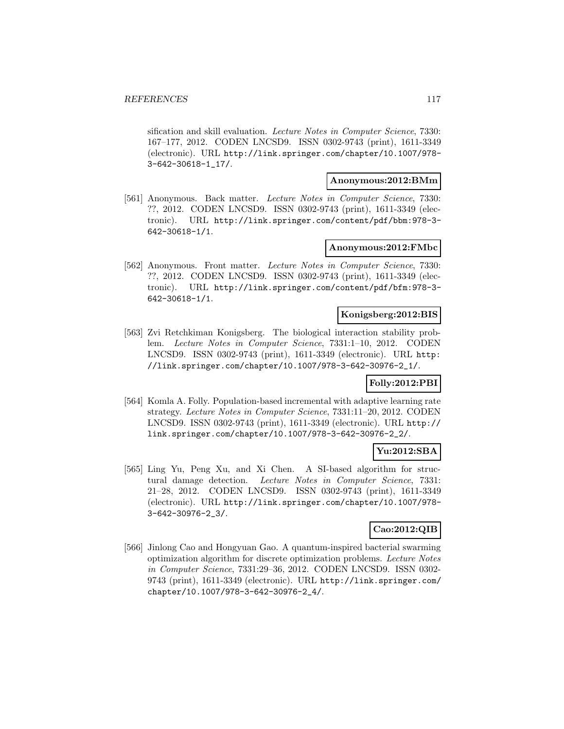sification and skill evaluation. Lecture Notes in Computer Science, 7330: 167–177, 2012. CODEN LNCSD9. ISSN 0302-9743 (print), 1611-3349 (electronic). URL http://link.springer.com/chapter/10.1007/978- 3-642-30618-1\_17/.

#### **Anonymous:2012:BMm**

[561] Anonymous. Back matter. Lecture Notes in Computer Science, 7330: ??, 2012. CODEN LNCSD9. ISSN 0302-9743 (print), 1611-3349 (electronic). URL http://link.springer.com/content/pdf/bbm:978-3- 642-30618-1/1.

### **Anonymous:2012:FMbc**

[562] Anonymous. Front matter. Lecture Notes in Computer Science, 7330: ??, 2012. CODEN LNCSD9. ISSN 0302-9743 (print), 1611-3349 (electronic). URL http://link.springer.com/content/pdf/bfm:978-3- 642-30618-1/1.

### **Konigsberg:2012:BIS**

[563] Zvi Retchkiman Konigsberg. The biological interaction stability problem. Lecture Notes in Computer Science, 7331:1–10, 2012. CODEN LNCSD9. ISSN 0302-9743 (print), 1611-3349 (electronic). URL http: //link.springer.com/chapter/10.1007/978-3-642-30976-2\_1/.

### **Folly:2012:PBI**

[564] Komla A. Folly. Population-based incremental with adaptive learning rate strategy. Lecture Notes in Computer Science, 7331:11–20, 2012. CODEN LNCSD9. ISSN 0302-9743 (print), 1611-3349 (electronic). URL http:// link.springer.com/chapter/10.1007/978-3-642-30976-2\_2/.

### **Yu:2012:SBA**

[565] Ling Yu, Peng Xu, and Xi Chen. A SI-based algorithm for structural damage detection. Lecture Notes in Computer Science, 7331: 21–28, 2012. CODEN LNCSD9. ISSN 0302-9743 (print), 1611-3349 (electronic). URL http://link.springer.com/chapter/10.1007/978- 3-642-30976-2\_3/.

### **Cao:2012:QIB**

[566] Jinlong Cao and Hongyuan Gao. A quantum-inspired bacterial swarming optimization algorithm for discrete optimization problems. Lecture Notes in Computer Science, 7331:29–36, 2012. CODEN LNCSD9. ISSN 0302- 9743 (print), 1611-3349 (electronic). URL http://link.springer.com/ chapter/10.1007/978-3-642-30976-2\_4/.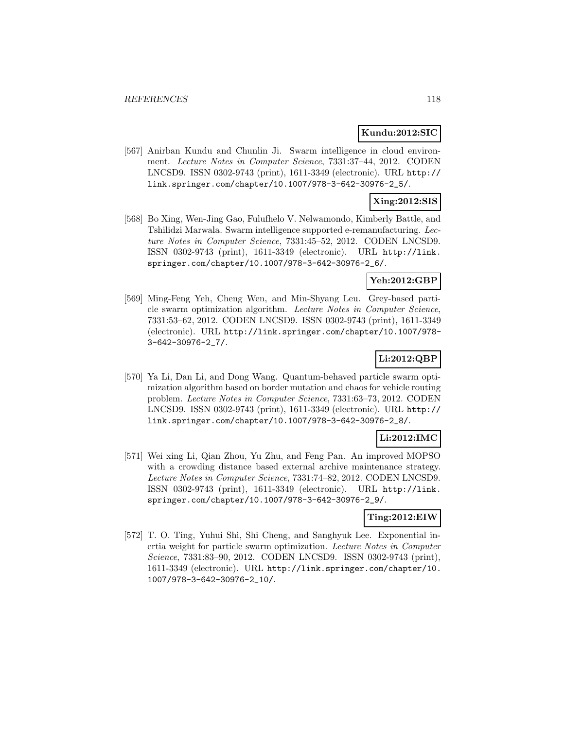### **Kundu:2012:SIC**

[567] Anirban Kundu and Chunlin Ji. Swarm intelligence in cloud environment. Lecture Notes in Computer Science, 7331:37–44, 2012. CODEN LNCSD9. ISSN 0302-9743 (print), 1611-3349 (electronic). URL http:// link.springer.com/chapter/10.1007/978-3-642-30976-2\_5/.

## **Xing:2012:SIS**

[568] Bo Xing, Wen-Jing Gao, Fulufhelo V. Nelwamondo, Kimberly Battle, and Tshilidzi Marwala. Swarm intelligence supported e-remanufacturing. Lecture Notes in Computer Science, 7331:45–52, 2012. CODEN LNCSD9. ISSN 0302-9743 (print), 1611-3349 (electronic). URL http://link. springer.com/chapter/10.1007/978-3-642-30976-2\_6/.

## **Yeh:2012:GBP**

[569] Ming-Feng Yeh, Cheng Wen, and Min-Shyang Leu. Grey-based particle swarm optimization algorithm. Lecture Notes in Computer Science, 7331:53–62, 2012. CODEN LNCSD9. ISSN 0302-9743 (print), 1611-3349 (electronic). URL http://link.springer.com/chapter/10.1007/978- 3-642-30976-2\_7/.

## **Li:2012:QBP**

[570] Ya Li, Dan Li, and Dong Wang. Quantum-behaved particle swarm optimization algorithm based on border mutation and chaos for vehicle routing problem. Lecture Notes in Computer Science, 7331:63–73, 2012. CODEN LNCSD9. ISSN 0302-9743 (print), 1611-3349 (electronic). URL http:// link.springer.com/chapter/10.1007/978-3-642-30976-2\_8/.

## **Li:2012:IMC**

[571] Wei xing Li, Qian Zhou, Yu Zhu, and Feng Pan. An improved MOPSO with a crowding distance based external archive maintenance strategy. Lecture Notes in Computer Science, 7331:74–82, 2012. CODEN LNCSD9. ISSN 0302-9743 (print), 1611-3349 (electronic). URL http://link. springer.com/chapter/10.1007/978-3-642-30976-2\_9/.

### **Ting:2012:EIW**

[572] T. O. Ting, Yuhui Shi, Shi Cheng, and Sanghyuk Lee. Exponential inertia weight for particle swarm optimization. Lecture Notes in Computer Science, 7331:83–90, 2012. CODEN LNCSD9. ISSN 0302-9743 (print), 1611-3349 (electronic). URL http://link.springer.com/chapter/10. 1007/978-3-642-30976-2\_10/.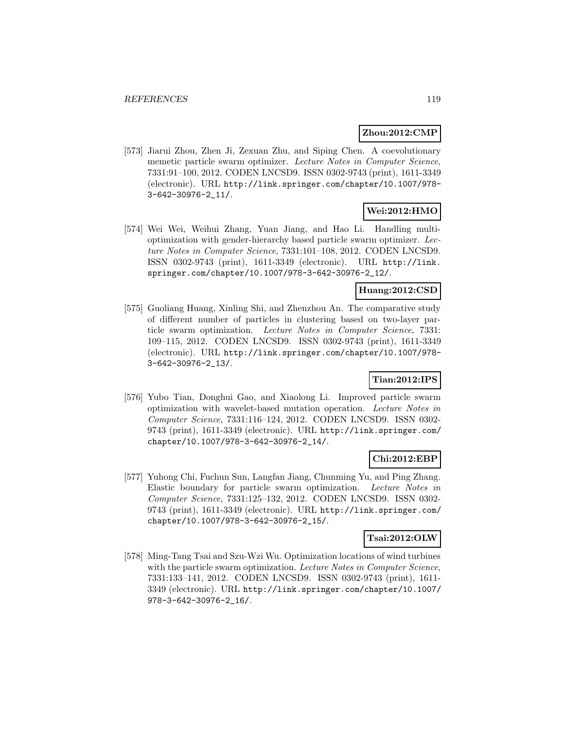## **Zhou:2012:CMP**

[573] Jiarui Zhou, Zhen Ji, Zexuan Zhu, and Siping Chen. A coevolutionary memetic particle swarm optimizer. Lecture Notes in Computer Science, 7331:91–100, 2012. CODEN LNCSD9. ISSN 0302-9743 (print), 1611-3349 (electronic). URL http://link.springer.com/chapter/10.1007/978- 3-642-30976-2\_11/.

## **Wei:2012:HMO**

[574] Wei Wei, Weihui Zhang, Yuan Jiang, and Hao Li. Handling multioptimization with gender-hierarchy based particle swarm optimizer. Lecture Notes in Computer Science, 7331:101–108, 2012. CODEN LNCSD9. ISSN 0302-9743 (print), 1611-3349 (electronic). URL http://link. springer.com/chapter/10.1007/978-3-642-30976-2\_12/.

## **Huang:2012:CSD**

[575] Guoliang Huang, Xinling Shi, and Zhenzhou An. The comparative study of different number of particles in clustering based on two-layer particle swarm optimization. Lecture Notes in Computer Science, 7331: 109–115, 2012. CODEN LNCSD9. ISSN 0302-9743 (print), 1611-3349 (electronic). URL http://link.springer.com/chapter/10.1007/978- 3-642-30976-2\_13/.

## **Tian:2012:IPS**

[576] Yubo Tian, Donghui Gao, and Xiaolong Li. Improved particle swarm optimization with wavelet-based mutation operation. Lecture Notes in Computer Science, 7331:116–124, 2012. CODEN LNCSD9. ISSN 0302- 9743 (print), 1611-3349 (electronic). URL http://link.springer.com/ chapter/10.1007/978-3-642-30976-2\_14/.

### **Chi:2012:EBP**

[577] Yuhong Chi, Fuchun Sun, Langfan Jiang, Chunming Yu, and Ping Zhang. Elastic boundary for particle swarm optimization. Lecture Notes in Computer Science, 7331:125–132, 2012. CODEN LNCSD9. ISSN 0302- 9743 (print), 1611-3349 (electronic). URL http://link.springer.com/ chapter/10.1007/978-3-642-30976-2\_15/.

### **Tsai:2012:OLW**

[578] Ming-Tang Tsai and Szu-Wzi Wu. Optimization locations of wind turbines with the particle swarm optimization. Lecture Notes in Computer Science, 7331:133–141, 2012. CODEN LNCSD9. ISSN 0302-9743 (print), 1611- 3349 (electronic). URL http://link.springer.com/chapter/10.1007/ 978-3-642-30976-2\_16/.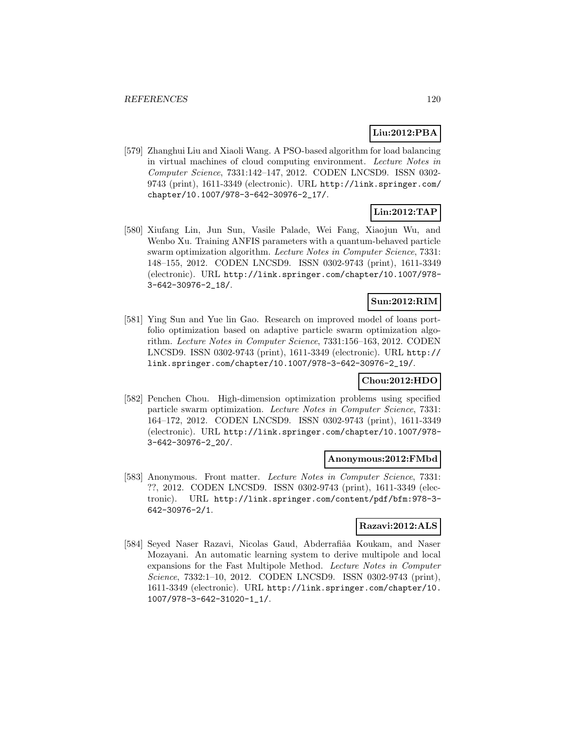## **Liu:2012:PBA**

[579] Zhanghui Liu and Xiaoli Wang. A PSO-based algorithm for load balancing in virtual machines of cloud computing environment. Lecture Notes in Computer Science, 7331:142–147, 2012. CODEN LNCSD9. ISSN 0302- 9743 (print), 1611-3349 (electronic). URL http://link.springer.com/ chapter/10.1007/978-3-642-30976-2\_17/.

# **Lin:2012:TAP**

[580] Xiufang Lin, Jun Sun, Vasile Palade, Wei Fang, Xiaojun Wu, and Wenbo Xu. Training ANFIS parameters with a quantum-behaved particle swarm optimization algorithm. Lecture Notes in Computer Science, 7331: 148–155, 2012. CODEN LNCSD9. ISSN 0302-9743 (print), 1611-3349 (electronic). URL http://link.springer.com/chapter/10.1007/978- 3-642-30976-2\_18/.

## **Sun:2012:RIM**

[581] Ying Sun and Yue lin Gao. Research on improved model of loans portfolio optimization based on adaptive particle swarm optimization algorithm. Lecture Notes in Computer Science, 7331:156–163, 2012. CODEN LNCSD9. ISSN 0302-9743 (print), 1611-3349 (electronic). URL http:// link.springer.com/chapter/10.1007/978-3-642-30976-2\_19/.

## **Chou:2012:HDO**

[582] Penchen Chou. High-dimension optimization problems using specified particle swarm optimization. Lecture Notes in Computer Science, 7331: 164–172, 2012. CODEN LNCSD9. ISSN 0302-9743 (print), 1611-3349 (electronic). URL http://link.springer.com/chapter/10.1007/978- 3-642-30976-2\_20/.

### **Anonymous:2012:FMbd**

[583] Anonymous. Front matter. Lecture Notes in Computer Science, 7331: ??, 2012. CODEN LNCSD9. ISSN 0302-9743 (print), 1611-3349 (electronic). URL http://link.springer.com/content/pdf/bfm:978-3- 642-30976-2/1.

## **Razavi:2012:ALS**

[584] Seyed Naser Razavi, Nicolas Gaud, Abderrafiâa Koukam, and Naser Mozayani. An automatic learning system to derive multipole and local expansions for the Fast Multipole Method. Lecture Notes in Computer Science, 7332:1–10, 2012. CODEN LNCSD9. ISSN 0302-9743 (print), 1611-3349 (electronic). URL http://link.springer.com/chapter/10. 1007/978-3-642-31020-1\_1/.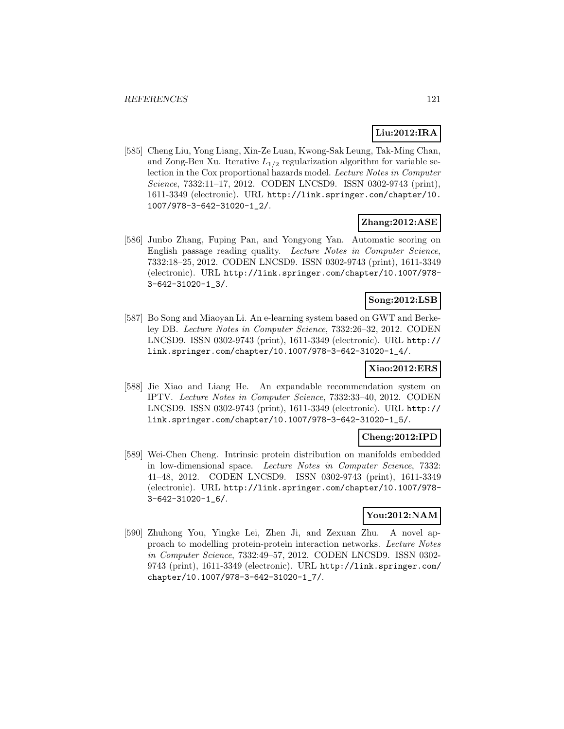## **Liu:2012:IRA**

[585] Cheng Liu, Yong Liang, Xin-Ze Luan, Kwong-Sak Leung, Tak-Ming Chan, and Zong-Ben Xu. Iterative  $L_{1/2}$  regularization algorithm for variable selection in the Cox proportional hazards model. Lecture Notes in Computer Science, 7332:11–17, 2012. CODEN LNCSD9. ISSN 0302-9743 (print), 1611-3349 (electronic). URL http://link.springer.com/chapter/10. 1007/978-3-642-31020-1\_2/.

## **Zhang:2012:ASE**

[586] Junbo Zhang, Fuping Pan, and Yongyong Yan. Automatic scoring on English passage reading quality. Lecture Notes in Computer Science, 7332:18–25, 2012. CODEN LNCSD9. ISSN 0302-9743 (print), 1611-3349 (electronic). URL http://link.springer.com/chapter/10.1007/978- 3-642-31020-1\_3/.

## **Song:2012:LSB**

[587] Bo Song and Miaoyan Li. An e-learning system based on GWT and Berkeley DB. Lecture Notes in Computer Science, 7332:26–32, 2012. CODEN LNCSD9. ISSN 0302-9743 (print), 1611-3349 (electronic). URL http:// link.springer.com/chapter/10.1007/978-3-642-31020-1\_4/.

### **Xiao:2012:ERS**

[588] Jie Xiao and Liang He. An expandable recommendation system on IPTV. Lecture Notes in Computer Science, 7332:33–40, 2012. CODEN LNCSD9. ISSN 0302-9743 (print), 1611-3349 (electronic). URL http:// link.springer.com/chapter/10.1007/978-3-642-31020-1\_5/.

## **Cheng:2012:IPD**

[589] Wei-Chen Cheng. Intrinsic protein distribution on manifolds embedded in low-dimensional space. Lecture Notes in Computer Science, 7332: 41–48, 2012. CODEN LNCSD9. ISSN 0302-9743 (print), 1611-3349 (electronic). URL http://link.springer.com/chapter/10.1007/978- 3-642-31020-1\_6/.

## **You:2012:NAM**

[590] Zhuhong You, Yingke Lei, Zhen Ji, and Zexuan Zhu. A novel approach to modelling protein-protein interaction networks. Lecture Notes in Computer Science, 7332:49–57, 2012. CODEN LNCSD9. ISSN 0302- 9743 (print), 1611-3349 (electronic). URL http://link.springer.com/ chapter/10.1007/978-3-642-31020-1\_7/.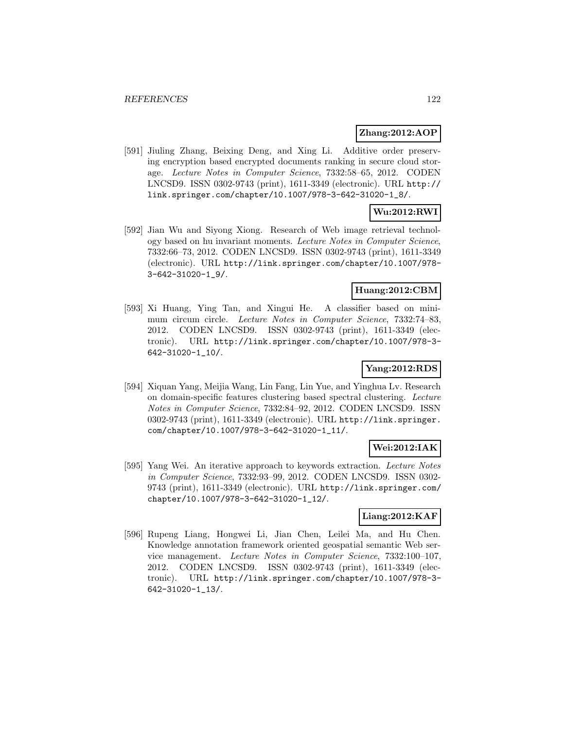### **Zhang:2012:AOP**

[591] Jiuling Zhang, Beixing Deng, and Xing Li. Additive order preserving encryption based encrypted documents ranking in secure cloud storage. Lecture Notes in Computer Science, 7332:58–65, 2012. CODEN LNCSD9. ISSN 0302-9743 (print), 1611-3349 (electronic). URL http:// link.springer.com/chapter/10.1007/978-3-642-31020-1\_8/.

# **Wu:2012:RWI**

[592] Jian Wu and Siyong Xiong. Research of Web image retrieval technology based on hu invariant moments. Lecture Notes in Computer Science, 7332:66–73, 2012. CODEN LNCSD9. ISSN 0302-9743 (print), 1611-3349 (electronic). URL http://link.springer.com/chapter/10.1007/978- 3-642-31020-1\_9/.

### **Huang:2012:CBM**

[593] Xi Huang, Ying Tan, and Xingui He. A classifier based on minimum circum circle. Lecture Notes in Computer Science, 7332:74–83, 2012. CODEN LNCSD9. ISSN 0302-9743 (print), 1611-3349 (electronic). URL http://link.springer.com/chapter/10.1007/978-3- 642-31020-1\_10/.

## **Yang:2012:RDS**

[594] Xiquan Yang, Meijia Wang, Lin Fang, Lin Yue, and Yinghua Lv. Research on domain-specific features clustering based spectral clustering. Lecture Notes in Computer Science, 7332:84–92, 2012. CODEN LNCSD9. ISSN 0302-9743 (print), 1611-3349 (electronic). URL http://link.springer. com/chapter/10.1007/978-3-642-31020-1\_11/.

## **Wei:2012:IAK**

[595] Yang Wei. An iterative approach to keywords extraction. Lecture Notes in Computer Science, 7332:93–99, 2012. CODEN LNCSD9. ISSN 0302- 9743 (print), 1611-3349 (electronic). URL http://link.springer.com/ chapter/10.1007/978-3-642-31020-1\_12/.

## **Liang:2012:KAF**

[596] Rupeng Liang, Hongwei Li, Jian Chen, Leilei Ma, and Hu Chen. Knowledge annotation framework oriented geospatial semantic Web service management. Lecture Notes in Computer Science, 7332:100–107, 2012. CODEN LNCSD9. ISSN 0302-9743 (print), 1611-3349 (electronic). URL http://link.springer.com/chapter/10.1007/978-3- 642-31020-1\_13/.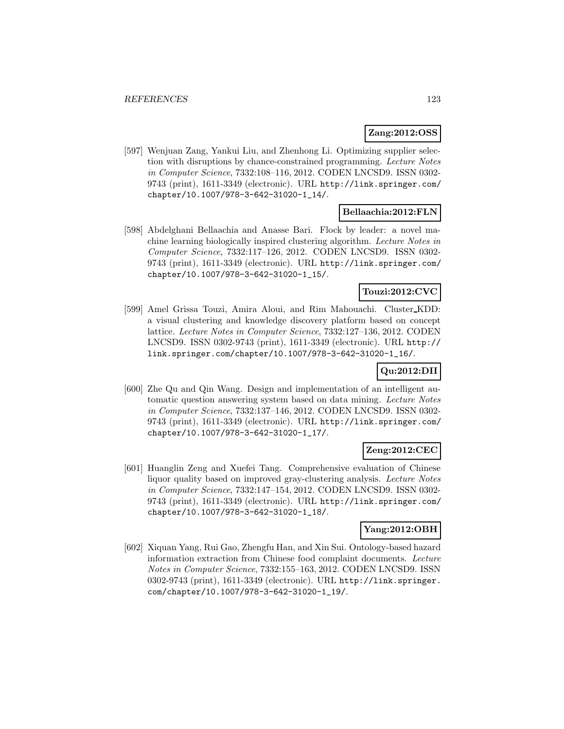## **Zang:2012:OSS**

[597] Wenjuan Zang, Yankui Liu, and Zhenhong Li. Optimizing supplier selection with disruptions by chance-constrained programming. Lecture Notes in Computer Science, 7332:108–116, 2012. CODEN LNCSD9. ISSN 0302- 9743 (print), 1611-3349 (electronic). URL http://link.springer.com/ chapter/10.1007/978-3-642-31020-1\_14/.

## **Bellaachia:2012:FLN**

[598] Abdelghani Bellaachia and Anasse Bari. Flock by leader: a novel machine learning biologically inspired clustering algorithm. Lecture Notes in Computer Science, 7332:117–126, 2012. CODEN LNCSD9. ISSN 0302- 9743 (print), 1611-3349 (electronic). URL http://link.springer.com/ chapter/10.1007/978-3-642-31020-1\_15/.

## **Touzi:2012:CVC**

[599] Amel Grissa Touzi, Amira Aloui, and Rim Mahouachi. Cluster KDD: a visual clustering and knowledge discovery platform based on concept lattice. Lecture Notes in Computer Science, 7332:127–136, 2012. CODEN LNCSD9. ISSN 0302-9743 (print), 1611-3349 (electronic). URL http:// link.springer.com/chapter/10.1007/978-3-642-31020-1\_16/.

## **Qu:2012:DII**

[600] Zhe Qu and Qin Wang. Design and implementation of an intelligent automatic question answering system based on data mining. Lecture Notes in Computer Science, 7332:137–146, 2012. CODEN LNCSD9. ISSN 0302- 9743 (print), 1611-3349 (electronic). URL http://link.springer.com/ chapter/10.1007/978-3-642-31020-1\_17/.

## **Zeng:2012:CEC**

[601] Huanglin Zeng and Xuefei Tang. Comprehensive evaluation of Chinese liquor quality based on improved gray-clustering analysis. Lecture Notes in Computer Science, 7332:147–154, 2012. CODEN LNCSD9. ISSN 0302- 9743 (print), 1611-3349 (electronic). URL http://link.springer.com/ chapter/10.1007/978-3-642-31020-1\_18/.

### **Yang:2012:OBH**

[602] Xiquan Yang, Rui Gao, Zhengfu Han, and Xin Sui. Ontology-based hazard information extraction from Chinese food complaint documents. Lecture Notes in Computer Science, 7332:155–163, 2012. CODEN LNCSD9. ISSN 0302-9743 (print), 1611-3349 (electronic). URL http://link.springer. com/chapter/10.1007/978-3-642-31020-1\_19/.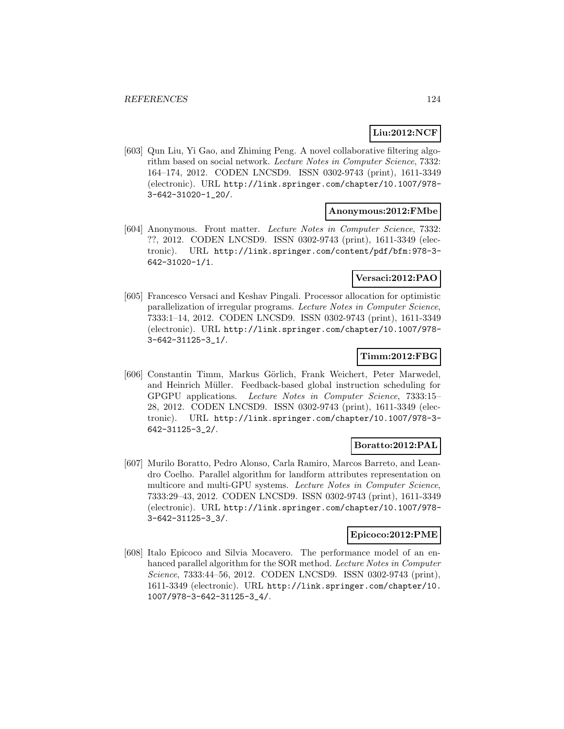## **Liu:2012:NCF**

[603] Qun Liu, Yi Gao, and Zhiming Peng. A novel collaborative filtering algorithm based on social network. Lecture Notes in Computer Science, 7332: 164–174, 2012. CODEN LNCSD9. ISSN 0302-9743 (print), 1611-3349 (electronic). URL http://link.springer.com/chapter/10.1007/978- 3-642-31020-1\_20/.

### **Anonymous:2012:FMbe**

[604] Anonymous. Front matter. Lecture Notes in Computer Science, 7332: ??, 2012. CODEN LNCSD9. ISSN 0302-9743 (print), 1611-3349 (electronic). URL http://link.springer.com/content/pdf/bfm:978-3- 642-31020-1/1.

## **Versaci:2012:PAO**

[605] Francesco Versaci and Keshav Pingali. Processor allocation for optimistic parallelization of irregular programs. Lecture Notes in Computer Science, 7333:1–14, 2012. CODEN LNCSD9. ISSN 0302-9743 (print), 1611-3349 (electronic). URL http://link.springer.com/chapter/10.1007/978- 3-642-31125-3\_1/.

### **Timm:2012:FBG**

[606] Constantin Timm, Markus Görlich, Frank Weichert, Peter Marwedel, and Heinrich Müller. Feedback-based global instruction scheduling for GPGPU applications. Lecture Notes in Computer Science, 7333:15– 28, 2012. CODEN LNCSD9. ISSN 0302-9743 (print), 1611-3349 (electronic). URL http://link.springer.com/chapter/10.1007/978-3- 642-31125-3\_2/.

## **Boratto:2012:PAL**

[607] Murilo Boratto, Pedro Alonso, Carla Ramiro, Marcos Barreto, and Leandro Coelho. Parallel algorithm for landform attributes representation on multicore and multi-GPU systems. Lecture Notes in Computer Science, 7333:29–43, 2012. CODEN LNCSD9. ISSN 0302-9743 (print), 1611-3349 (electronic). URL http://link.springer.com/chapter/10.1007/978- 3-642-31125-3\_3/.

## **Epicoco:2012:PME**

[608] Italo Epicoco and Silvia Mocavero. The performance model of an enhanced parallel algorithm for the SOR method. Lecture Notes in Computer Science, 7333:44–56, 2012. CODEN LNCSD9. ISSN 0302-9743 (print), 1611-3349 (electronic). URL http://link.springer.com/chapter/10. 1007/978-3-642-31125-3\_4/.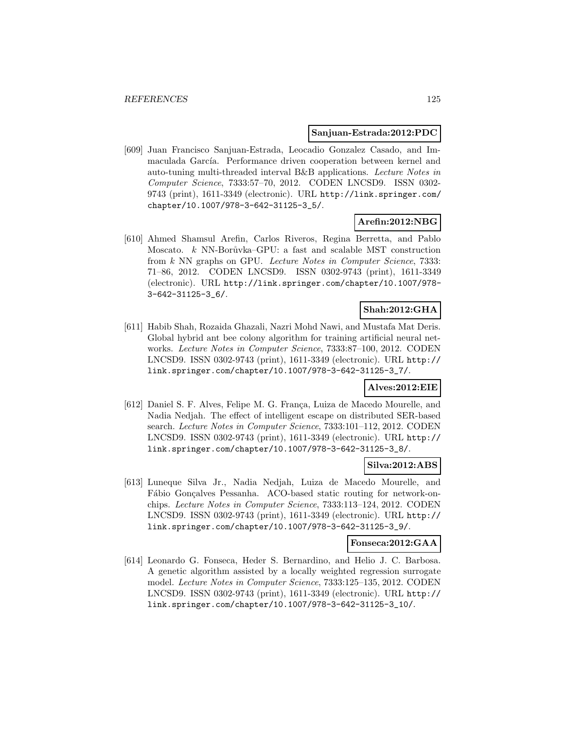#### **Sanjuan-Estrada:2012:PDC**

[609] Juan Francisco Sanjuan-Estrada, Leocadio Gonzalez Casado, and Immaculada García. Performance driven cooperation between kernel and auto-tuning multi-threaded interval B&B applications. Lecture Notes in Computer Science, 7333:57–70, 2012. CODEN LNCSD9. ISSN 0302- 9743 (print), 1611-3349 (electronic). URL http://link.springer.com/ chapter/10.1007/978-3-642-31125-3\_5/.

## **Arefin:2012:NBG**

[610] Ahmed Shamsul Arefin, Carlos Riveros, Regina Berretta, and Pablo Moscato.  $k$  NN-Borůvka–GPU: a fast and scalable MST construction from k NN graphs on GPU. Lecture Notes in Computer Science, 7333: 71–86, 2012. CODEN LNCSD9. ISSN 0302-9743 (print), 1611-3349 (electronic). URL http://link.springer.com/chapter/10.1007/978- 3-642-31125-3\_6/.

### **Shah:2012:GHA**

[611] Habib Shah, Rozaida Ghazali, Nazri Mohd Nawi, and Mustafa Mat Deris. Global hybrid ant bee colony algorithm for training artificial neural networks. Lecture Notes in Computer Science, 7333:87–100, 2012. CODEN LNCSD9. ISSN 0302-9743 (print), 1611-3349 (electronic). URL http:// link.springer.com/chapter/10.1007/978-3-642-31125-3\_7/.

### **Alves:2012:EIE**

[612] Daniel S. F. Alves, Felipe M. G. França, Luiza de Macedo Mourelle, and Nadia Nedjah. The effect of intelligent escape on distributed SER-based search. Lecture Notes in Computer Science, 7333:101–112, 2012. CODEN LNCSD9. ISSN 0302-9743 (print), 1611-3349 (electronic). URL http:// link.springer.com/chapter/10.1007/978-3-642-31125-3\_8/.

### **Silva:2012:ABS**

[613] Luneque Silva Jr., Nadia Nedjah, Luiza de Macedo Mourelle, and Fábio Gonçalves Pessanha. ACO-based static routing for network-onchips. Lecture Notes in Computer Science, 7333:113–124, 2012. CODEN LNCSD9. ISSN 0302-9743 (print), 1611-3349 (electronic). URL http:// link.springer.com/chapter/10.1007/978-3-642-31125-3\_9/.

### **Fonseca:2012:GAA**

[614] Leonardo G. Fonseca, Heder S. Bernardino, and Helio J. C. Barbosa. A genetic algorithm assisted by a locally weighted regression surrogate model. Lecture Notes in Computer Science, 7333:125–135, 2012. CODEN LNCSD9. ISSN 0302-9743 (print), 1611-3349 (electronic). URL http:// link.springer.com/chapter/10.1007/978-3-642-31125-3\_10/.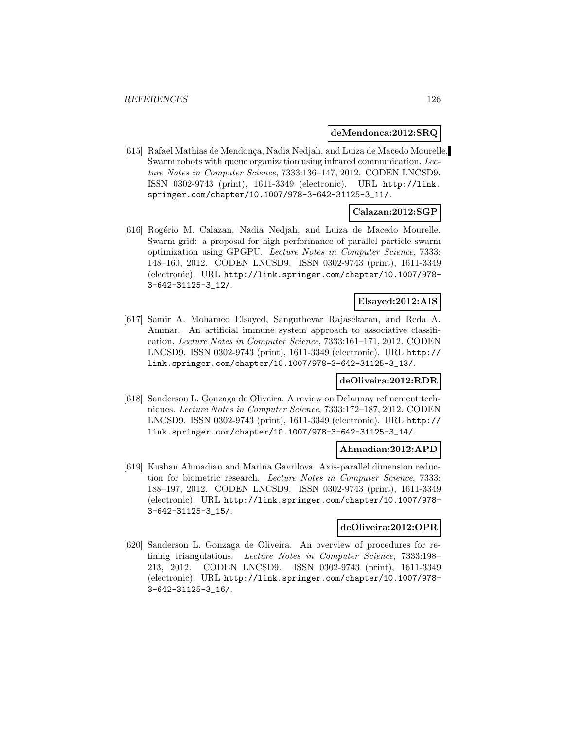#### **deMendonca:2012:SRQ**

[615] Rafael Mathias de Mendonça, Nadia Nedjah, and Luiza de Macedo Mourelle. Swarm robots with queue organization using infrared communication. Lecture Notes in Computer Science, 7333:136–147, 2012. CODEN LNCSD9. ISSN 0302-9743 (print), 1611-3349 (electronic). URL http://link. springer.com/chapter/10.1007/978-3-642-31125-3\_11/.

### **Calazan:2012:SGP**

[616] Rog´erio M. Calazan, Nadia Nedjah, and Luiza de Macedo Mourelle. Swarm grid: a proposal for high performance of parallel particle swarm optimization using GPGPU. Lecture Notes in Computer Science, 7333: 148–160, 2012. CODEN LNCSD9. ISSN 0302-9743 (print), 1611-3349 (electronic). URL http://link.springer.com/chapter/10.1007/978- 3-642-31125-3\_12/.

## **Elsayed:2012:AIS**

[617] Samir A. Mohamed Elsayed, Sanguthevar Rajasekaran, and Reda A. Ammar. An artificial immune system approach to associative classification. Lecture Notes in Computer Science, 7333:161–171, 2012. CODEN LNCSD9. ISSN 0302-9743 (print), 1611-3349 (electronic). URL http:// link.springer.com/chapter/10.1007/978-3-642-31125-3\_13/.

### **deOliveira:2012:RDR**

[618] Sanderson L. Gonzaga de Oliveira. A review on Delaunay refinement techniques. Lecture Notes in Computer Science, 7333:172–187, 2012. CODEN LNCSD9. ISSN 0302-9743 (print), 1611-3349 (electronic). URL http:// link.springer.com/chapter/10.1007/978-3-642-31125-3\_14/.

### **Ahmadian:2012:APD**

[619] Kushan Ahmadian and Marina Gavrilova. Axis-parallel dimension reduction for biometric research. Lecture Notes in Computer Science, 7333: 188–197, 2012. CODEN LNCSD9. ISSN 0302-9743 (print), 1611-3349 (electronic). URL http://link.springer.com/chapter/10.1007/978- 3-642-31125-3\_15/.

#### **deOliveira:2012:OPR**

[620] Sanderson L. Gonzaga de Oliveira. An overview of procedures for refining triangulations. Lecture Notes in Computer Science, 7333:198– 213, 2012. CODEN LNCSD9. ISSN 0302-9743 (print), 1611-3349 (electronic). URL http://link.springer.com/chapter/10.1007/978- 3-642-31125-3\_16/.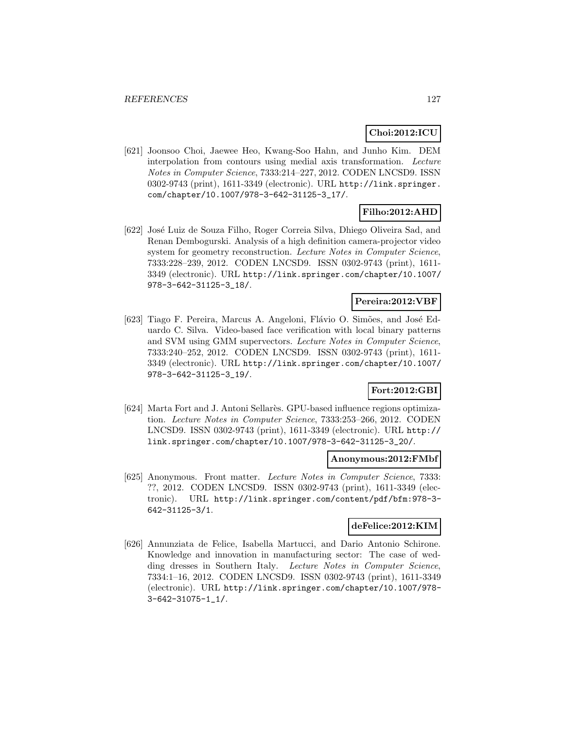## **Choi:2012:ICU**

[621] Joonsoo Choi, Jaewee Heo, Kwang-Soo Hahn, and Junho Kim. DEM interpolation from contours using medial axis transformation. Lecture Notes in Computer Science, 7333:214–227, 2012. CODEN LNCSD9. ISSN 0302-9743 (print), 1611-3349 (electronic). URL http://link.springer. com/chapter/10.1007/978-3-642-31125-3\_17/.

# **Filho:2012:AHD**

[622] Jos´e Luiz de Souza Filho, Roger Correia Silva, Dhiego Oliveira Sad, and Renan Dembogurski. Analysis of a high definition camera-projector video system for geometry reconstruction. Lecture Notes in Computer Science, 7333:228–239, 2012. CODEN LNCSD9. ISSN 0302-9743 (print), 1611- 3349 (electronic). URL http://link.springer.com/chapter/10.1007/ 978-3-642-31125-3\_18/.

## **Pereira:2012:VBF**

[623] Tiago F. Pereira, Marcus A. Angeloni, Flávio O. Simões, and José Eduardo C. Silva. Video-based face verification with local binary patterns and SVM using GMM supervectors. Lecture Notes in Computer Science, 7333:240–252, 2012. CODEN LNCSD9. ISSN 0302-9743 (print), 1611- 3349 (electronic). URL http://link.springer.com/chapter/10.1007/ 978-3-642-31125-3\_19/.

## **Fort:2012:GBI**

[624] Marta Fort and J. Antoni Sellarès. GPU-based influence regions optimization. Lecture Notes in Computer Science, 7333:253–266, 2012. CODEN LNCSD9. ISSN 0302-9743 (print), 1611-3349 (electronic). URL http:// link.springer.com/chapter/10.1007/978-3-642-31125-3\_20/.

### **Anonymous:2012:FMbf**

[625] Anonymous. Front matter. Lecture Notes in Computer Science, 7333: ??, 2012. CODEN LNCSD9. ISSN 0302-9743 (print), 1611-3349 (electronic). URL http://link.springer.com/content/pdf/bfm:978-3- 642-31125-3/1.

### **deFelice:2012:KIM**

[626] Annunziata de Felice, Isabella Martucci, and Dario Antonio Schirone. Knowledge and innovation in manufacturing sector: The case of wedding dresses in Southern Italy. Lecture Notes in Computer Science, 7334:1–16, 2012. CODEN LNCSD9. ISSN 0302-9743 (print), 1611-3349 (electronic). URL http://link.springer.com/chapter/10.1007/978- 3-642-31075-1\_1/.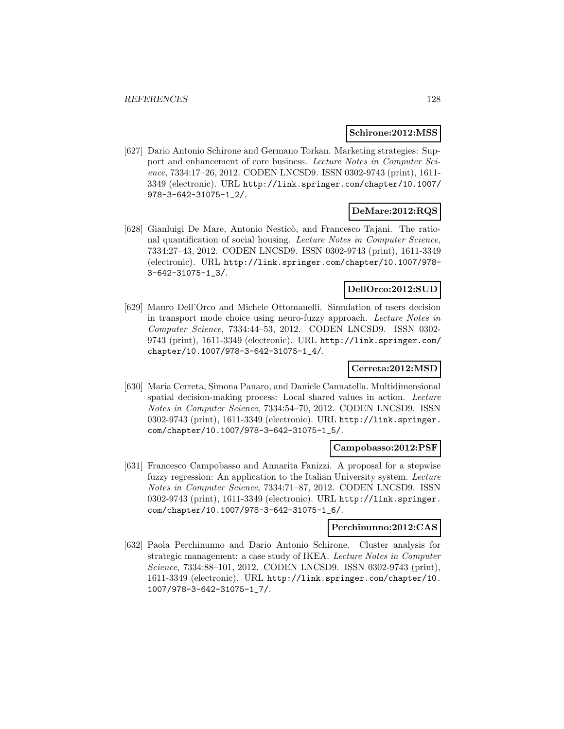#### **Schirone:2012:MSS**

[627] Dario Antonio Schirone and Germano Torkan. Marketing strategies: Support and enhancement of core business. Lecture Notes in Computer Science, 7334:17–26, 2012. CODEN LNCSD9. ISSN 0302-9743 (print), 1611- 3349 (electronic). URL http://link.springer.com/chapter/10.1007/ 978-3-642-31075-1\_2/.

### **DeMare:2012:RQS**

[628] Gianluigi De Mare, Antonio Nesticò, and Francesco Tajani. The rational quantification of social housing. Lecture Notes in Computer Science, 7334:27–43, 2012. CODEN LNCSD9. ISSN 0302-9743 (print), 1611-3349 (electronic). URL http://link.springer.com/chapter/10.1007/978- 3-642-31075-1\_3/.

## **DellOrco:2012:SUD**

[629] Mauro Dell'Orco and Michele Ottomanelli. Simulation of users decision in transport mode choice using neuro-fuzzy approach. Lecture Notes in Computer Science, 7334:44–53, 2012. CODEN LNCSD9. ISSN 0302- 9743 (print), 1611-3349 (electronic). URL http://link.springer.com/ chapter/10.1007/978-3-642-31075-1\_4/.

### **Cerreta:2012:MSD**

[630] Maria Cerreta, Simona Panaro, and Daniele Cannatella. Multidimensional spatial decision-making process: Local shared values in action. Lecture Notes in Computer Science, 7334:54–70, 2012. CODEN LNCSD9. ISSN 0302-9743 (print), 1611-3349 (electronic). URL http://link.springer. com/chapter/10.1007/978-3-642-31075-1\_5/.

#### **Campobasso:2012:PSF**

[631] Francesco Campobasso and Annarita Fanizzi. A proposal for a stepwise fuzzy regression: An application to the Italian University system. Lecture Notes in Computer Science, 7334:71–87, 2012. CODEN LNCSD9. ISSN 0302-9743 (print), 1611-3349 (electronic). URL http://link.springer. com/chapter/10.1007/978-3-642-31075-1\_6/.

#### **Perchinunno:2012:CAS**

[632] Paola Perchinunno and Dario Antonio Schirone. Cluster analysis for strategic management: a case study of IKEA. Lecture Notes in Computer Science, 7334:88–101, 2012. CODEN LNCSD9. ISSN 0302-9743 (print), 1611-3349 (electronic). URL http://link.springer.com/chapter/10. 1007/978-3-642-31075-1\_7/.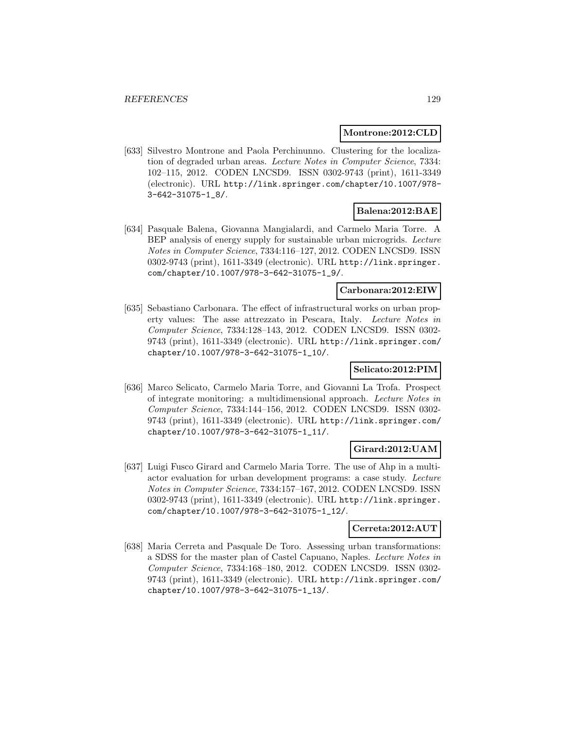#### **Montrone:2012:CLD**

[633] Silvestro Montrone and Paola Perchinunno. Clustering for the localization of degraded urban areas. Lecture Notes in Computer Science, 7334: 102–115, 2012. CODEN LNCSD9. ISSN 0302-9743 (print), 1611-3349 (electronic). URL http://link.springer.com/chapter/10.1007/978- 3-642-31075-1\_8/.

## **Balena:2012:BAE**

[634] Pasquale Balena, Giovanna Mangialardi, and Carmelo Maria Torre. A BEP analysis of energy supply for sustainable urban microgrids. Lecture Notes in Computer Science, 7334:116–127, 2012. CODEN LNCSD9. ISSN 0302-9743 (print), 1611-3349 (electronic). URL http://link.springer. com/chapter/10.1007/978-3-642-31075-1\_9/.

#### **Carbonara:2012:EIW**

[635] Sebastiano Carbonara. The effect of infrastructural works on urban property values: The asse attrezzato in Pescara, Italy. Lecture Notes in Computer Science, 7334:128–143, 2012. CODEN LNCSD9. ISSN 0302- 9743 (print), 1611-3349 (electronic). URL http://link.springer.com/ chapter/10.1007/978-3-642-31075-1\_10/.

## **Selicato:2012:PIM**

[636] Marco Selicato, Carmelo Maria Torre, and Giovanni La Trofa. Prospect of integrate monitoring: a multidimensional approach. Lecture Notes in Computer Science, 7334:144–156, 2012. CODEN LNCSD9. ISSN 0302- 9743 (print), 1611-3349 (electronic). URL http://link.springer.com/ chapter/10.1007/978-3-642-31075-1\_11/.

### **Girard:2012:UAM**

[637] Luigi Fusco Girard and Carmelo Maria Torre. The use of Ahp in a multiactor evaluation for urban development programs: a case study. Lecture Notes in Computer Science, 7334:157–167, 2012. CODEN LNCSD9. ISSN 0302-9743 (print), 1611-3349 (electronic). URL http://link.springer. com/chapter/10.1007/978-3-642-31075-1\_12/.

### **Cerreta:2012:AUT**

[638] Maria Cerreta and Pasquale De Toro. Assessing urban transformations: a SDSS for the master plan of Castel Capuano, Naples. Lecture Notes in Computer Science, 7334:168–180, 2012. CODEN LNCSD9. ISSN 0302- 9743 (print), 1611-3349 (electronic). URL http://link.springer.com/ chapter/10.1007/978-3-642-31075-1\_13/.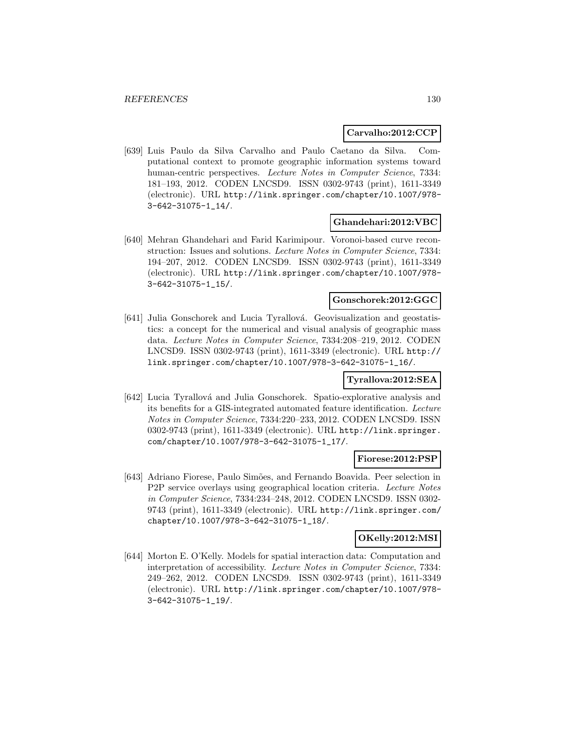### **Carvalho:2012:CCP**

[639] Luis Paulo da Silva Carvalho and Paulo Caetano da Silva. Computational context to promote geographic information systems toward human-centric perspectives. Lecture Notes in Computer Science, 7334: 181–193, 2012. CODEN LNCSD9. ISSN 0302-9743 (print), 1611-3349 (electronic). URL http://link.springer.com/chapter/10.1007/978- 3-642-31075-1\_14/.

### **Ghandehari:2012:VBC**

[640] Mehran Ghandehari and Farid Karimipour. Voronoi-based curve reconstruction: Issues and solutions. Lecture Notes in Computer Science, 7334: 194–207, 2012. CODEN LNCSD9. ISSN 0302-9743 (print), 1611-3349 (electronic). URL http://link.springer.com/chapter/10.1007/978- 3-642-31075-1\_15/.

### **Gonschorek:2012:GGC**

[641] Julia Gonschorek and Lucia Tyrallová. Geovisualization and geostatistics: a concept for the numerical and visual analysis of geographic mass data. Lecture Notes in Computer Science, 7334:208–219, 2012. CODEN LNCSD9. ISSN 0302-9743 (print), 1611-3349 (electronic). URL http:// link.springer.com/chapter/10.1007/978-3-642-31075-1\_16/.

## **Tyrallova:2012:SEA**

[642] Lucia Tyrallová and Julia Gonschorek. Spatio-explorative analysis and its benefits for a GIS-integrated automated feature identification. Lecture Notes in Computer Science, 7334:220–233, 2012. CODEN LNCSD9. ISSN 0302-9743 (print), 1611-3349 (electronic). URL http://link.springer. com/chapter/10.1007/978-3-642-31075-1\_17/.

#### **Fiorese:2012:PSP**

[643] Adriano Fiorese, Paulo Simões, and Fernando Boavida. Peer selection in P2P service overlays using geographical location criteria. Lecture Notes in Computer Science, 7334:234–248, 2012. CODEN LNCSD9. ISSN 0302- 9743 (print), 1611-3349 (electronic). URL http://link.springer.com/ chapter/10.1007/978-3-642-31075-1\_18/.

### **OKelly:2012:MSI**

[644] Morton E. O'Kelly. Models for spatial interaction data: Computation and interpretation of accessibility. Lecture Notes in Computer Science, 7334: 249–262, 2012. CODEN LNCSD9. ISSN 0302-9743 (print), 1611-3349 (electronic). URL http://link.springer.com/chapter/10.1007/978- 3-642-31075-1\_19/.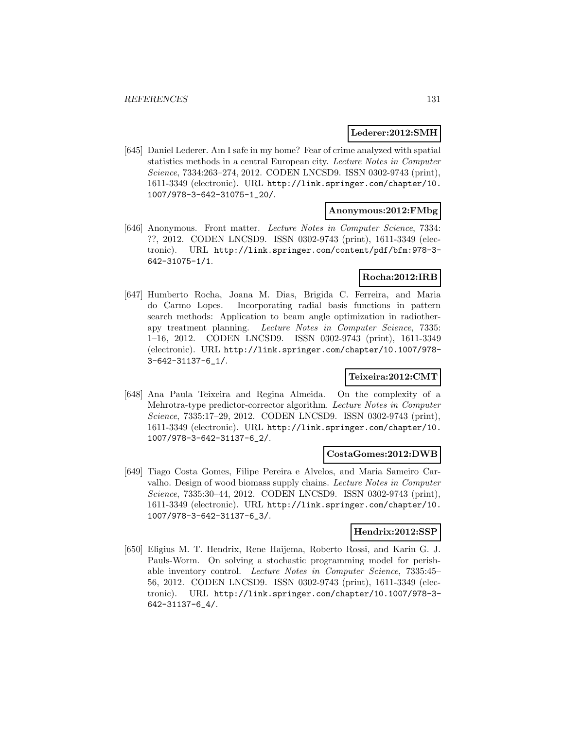### **Lederer:2012:SMH**

[645] Daniel Lederer. Am I safe in my home? Fear of crime analyzed with spatial statistics methods in a central European city. Lecture Notes in Computer Science, 7334:263–274, 2012. CODEN LNCSD9. ISSN 0302-9743 (print), 1611-3349 (electronic). URL http://link.springer.com/chapter/10. 1007/978-3-642-31075-1\_20/.

### **Anonymous:2012:FMbg**

[646] Anonymous. Front matter. Lecture Notes in Computer Science, 7334: ??, 2012. CODEN LNCSD9. ISSN 0302-9743 (print), 1611-3349 (electronic). URL http://link.springer.com/content/pdf/bfm:978-3- 642-31075-1/1.

### **Rocha:2012:IRB**

[647] Humberto Rocha, Joana M. Dias, Brigida C. Ferreira, and Maria do Carmo Lopes. Incorporating radial basis functions in pattern search methods: Application to beam angle optimization in radiotherapy treatment planning. Lecture Notes in Computer Science, 7335: 1–16, 2012. CODEN LNCSD9. ISSN 0302-9743 (print), 1611-3349 (electronic). URL http://link.springer.com/chapter/10.1007/978- 3-642-31137-6\_1/.

### **Teixeira:2012:CMT**

[648] Ana Paula Teixeira and Regina Almeida. On the complexity of a Mehrotra-type predictor-corrector algorithm. Lecture Notes in Computer Science, 7335:17–29, 2012. CODEN LNCSD9. ISSN 0302-9743 (print), 1611-3349 (electronic). URL http://link.springer.com/chapter/10. 1007/978-3-642-31137-6\_2/.

### **CostaGomes:2012:DWB**

[649] Tiago Costa Gomes, Filipe Pereira e Alvelos, and Maria Sameiro Carvalho. Design of wood biomass supply chains. Lecture Notes in Computer Science, 7335:30–44, 2012. CODEN LNCSD9. ISSN 0302-9743 (print), 1611-3349 (electronic). URL http://link.springer.com/chapter/10. 1007/978-3-642-31137-6\_3/.

### **Hendrix:2012:SSP**

[650] Eligius M. T. Hendrix, Rene Haijema, Roberto Rossi, and Karin G. J. Pauls-Worm. On solving a stochastic programming model for perishable inventory control. Lecture Notes in Computer Science, 7335:45– 56, 2012. CODEN LNCSD9. ISSN 0302-9743 (print), 1611-3349 (electronic). URL http://link.springer.com/chapter/10.1007/978-3- 642-31137-6\_4/.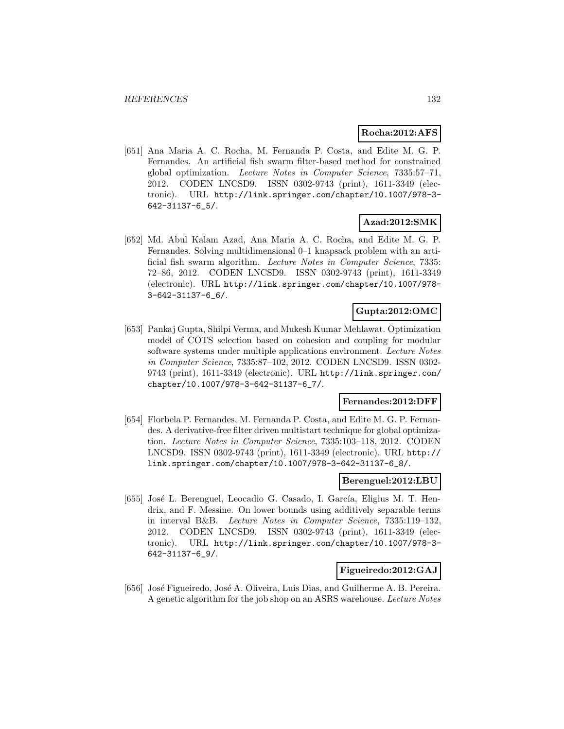### **Rocha:2012:AFS**

[651] Ana Maria A. C. Rocha, M. Fernanda P. Costa, and Edite M. G. P. Fernandes. An artificial fish swarm filter-based method for constrained global optimization. Lecture Notes in Computer Science, 7335:57–71, 2012. CODEN LNCSD9. ISSN 0302-9743 (print), 1611-3349 (electronic). URL http://link.springer.com/chapter/10.1007/978-3- 642-31137-6\_5/.

## **Azad:2012:SMK**

[652] Md. Abul Kalam Azad, Ana Maria A. C. Rocha, and Edite M. G. P. Fernandes. Solving multidimensional 0–1 knapsack problem with an artificial fish swarm algorithm. Lecture Notes in Computer Science, 7335: 72–86, 2012. CODEN LNCSD9. ISSN 0302-9743 (print), 1611-3349 (electronic). URL http://link.springer.com/chapter/10.1007/978- 3-642-31137-6\_6/.

## **Gupta:2012:OMC**

[653] Pankaj Gupta, Shilpi Verma, and Mukesh Kumar Mehlawat. Optimization model of COTS selection based on cohesion and coupling for modular software systems under multiple applications environment. Lecture Notes in Computer Science, 7335:87–102, 2012. CODEN LNCSD9. ISSN 0302- 9743 (print), 1611-3349 (electronic). URL http://link.springer.com/ chapter/10.1007/978-3-642-31137-6\_7/.

### **Fernandes:2012:DFF**

[654] Florbela P. Fernandes, M. Fernanda P. Costa, and Edite M. G. P. Fernandes. A derivative-free filter driven multistart technique for global optimization. Lecture Notes in Computer Science, 7335:103–118, 2012. CODEN LNCSD9. ISSN 0302-9743 (print), 1611-3349 (electronic). URL http:// link.springer.com/chapter/10.1007/978-3-642-31137-6\_8/.

#### **Berenguel:2012:LBU**

[655] José L. Berenguel, Leocadio G. Casado, I. García, Eligius M. T. Hendrix, and F. Messine. On lower bounds using additively separable terms in interval B&B. Lecture Notes in Computer Science, 7335:119–132, 2012. CODEN LNCSD9. ISSN 0302-9743 (print), 1611-3349 (electronic). URL http://link.springer.com/chapter/10.1007/978-3- 642-31137-6\_9/.

### **Figueiredo:2012:GAJ**

[656] José Figueiredo, José A. Oliveira, Luis Dias, and Guilherme A. B. Pereira. A genetic algorithm for the job shop on an ASRS warehouse. Lecture Notes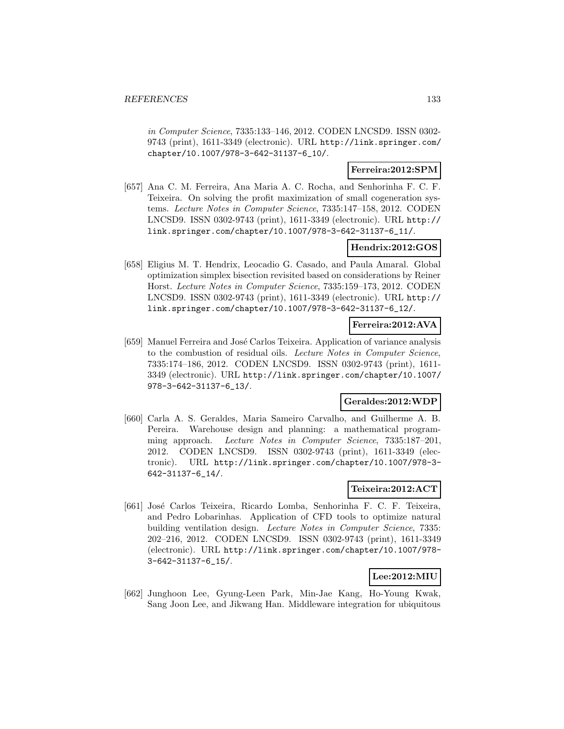in Computer Science, 7335:133–146, 2012. CODEN LNCSD9. ISSN 0302- 9743 (print), 1611-3349 (electronic). URL http://link.springer.com/ chapter/10.1007/978-3-642-31137-6\_10/.

## **Ferreira:2012:SPM**

[657] Ana C. M. Ferreira, Ana Maria A. C. Rocha, and Senhorinha F. C. F. Teixeira. On solving the profit maximization of small cogeneration systems. Lecture Notes in Computer Science, 7335:147–158, 2012. CODEN LNCSD9. ISSN 0302-9743 (print), 1611-3349 (electronic). URL http:// link.springer.com/chapter/10.1007/978-3-642-31137-6\_11/.

## **Hendrix:2012:GOS**

[658] Eligius M. T. Hendrix, Leocadio G. Casado, and Paula Amaral. Global optimization simplex bisection revisited based on considerations by Reiner Horst. Lecture Notes in Computer Science, 7335:159–173, 2012. CODEN LNCSD9. ISSN 0302-9743 (print), 1611-3349 (electronic). URL http:// link.springer.com/chapter/10.1007/978-3-642-31137-6\_12/.

## **Ferreira:2012:AVA**

[659] Manuel Ferreira and Jos´e Carlos Teixeira. Application of variance analysis to the combustion of residual oils. Lecture Notes in Computer Science, 7335:174–186, 2012. CODEN LNCSD9. ISSN 0302-9743 (print), 1611- 3349 (electronic). URL http://link.springer.com/chapter/10.1007/ 978-3-642-31137-6\_13/.

## **Geraldes:2012:WDP**

[660] Carla A. S. Geraldes, Maria Sameiro Carvalho, and Guilherme A. B. Pereira. Warehouse design and planning: a mathematical programming approach. Lecture Notes in Computer Science, 7335:187–201, 2012. CODEN LNCSD9. ISSN 0302-9743 (print), 1611-3349 (electronic). URL http://link.springer.com/chapter/10.1007/978-3- 642-31137-6\_14/.

## **Teixeira:2012:ACT**

[661] José Carlos Teixeira, Ricardo Lomba, Senhorinha F. C. F. Teixeira, and Pedro Lobarinhas. Application of CFD tools to optimize natural building ventilation design. Lecture Notes in Computer Science, 7335: 202–216, 2012. CODEN LNCSD9. ISSN 0302-9743 (print), 1611-3349 (electronic). URL http://link.springer.com/chapter/10.1007/978- 3-642-31137-6\_15/.

## **Lee:2012:MIU**

[662] Junghoon Lee, Gyung-Leen Park, Min-Jae Kang, Ho-Young Kwak, Sang Joon Lee, and Jikwang Han. Middleware integration for ubiquitous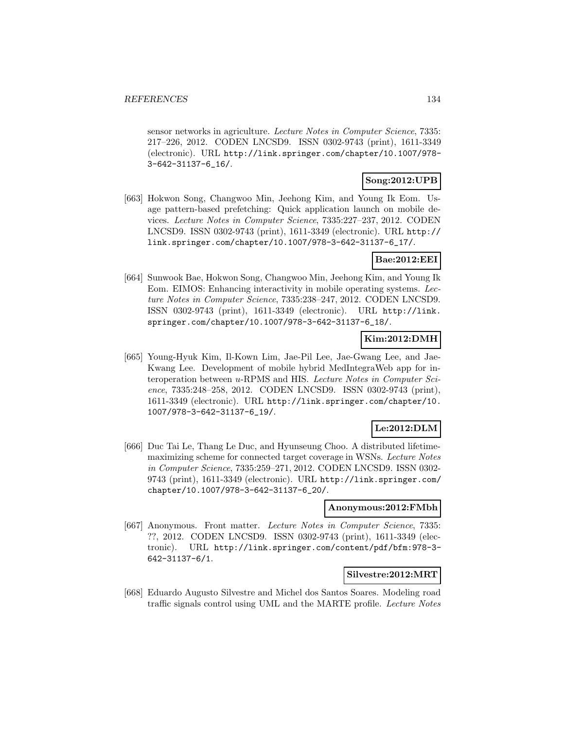sensor networks in agriculture. Lecture Notes in Computer Science, 7335: 217–226, 2012. CODEN LNCSD9. ISSN 0302-9743 (print), 1611-3349 (electronic). URL http://link.springer.com/chapter/10.1007/978- 3-642-31137-6\_16/.

## **Song:2012:UPB**

[663] Hokwon Song, Changwoo Min, Jeehong Kim, and Young Ik Eom. Usage pattern-based prefetching: Quick application launch on mobile devices. Lecture Notes in Computer Science, 7335:227–237, 2012. CODEN LNCSD9. ISSN 0302-9743 (print), 1611-3349 (electronic). URL http:// link.springer.com/chapter/10.1007/978-3-642-31137-6\_17/.

### **Bae:2012:EEI**

[664] Sunwook Bae, Hokwon Song, Changwoo Min, Jeehong Kim, and Young Ik Eom. EIMOS: Enhancing interactivity in mobile operating systems. Lecture Notes in Computer Science, 7335:238–247, 2012. CODEN LNCSD9. ISSN 0302-9743 (print), 1611-3349 (electronic). URL http://link. springer.com/chapter/10.1007/978-3-642-31137-6\_18/.

## **Kim:2012:DMH**

[665] Young-Hyuk Kim, Il-Kown Lim, Jae-Pil Lee, Jae-Gwang Lee, and Jae-Kwang Lee. Development of mobile hybrid MedIntegraWeb app for interoperation between u-RPMS and HIS. Lecture Notes in Computer Science, 7335:248–258, 2012. CODEN LNCSD9. ISSN 0302-9743 (print), 1611-3349 (electronic). URL http://link.springer.com/chapter/10. 1007/978-3-642-31137-6\_19/.

## **Le:2012:DLM**

[666] Duc Tai Le, Thang Le Duc, and Hyunseung Choo. A distributed lifetimemaximizing scheme for connected target coverage in WSNs. Lecture Notes in Computer Science, 7335:259–271, 2012. CODEN LNCSD9. ISSN 0302- 9743 (print), 1611-3349 (electronic). URL http://link.springer.com/ chapter/10.1007/978-3-642-31137-6\_20/.

### **Anonymous:2012:FMbh**

[667] Anonymous. Front matter. Lecture Notes in Computer Science, 7335: ??, 2012. CODEN LNCSD9. ISSN 0302-9743 (print), 1611-3349 (electronic). URL http://link.springer.com/content/pdf/bfm:978-3- 642-31137-6/1.

## **Silvestre:2012:MRT**

[668] Eduardo Augusto Silvestre and Michel dos Santos Soares. Modeling road traffic signals control using UML and the MARTE profile. Lecture Notes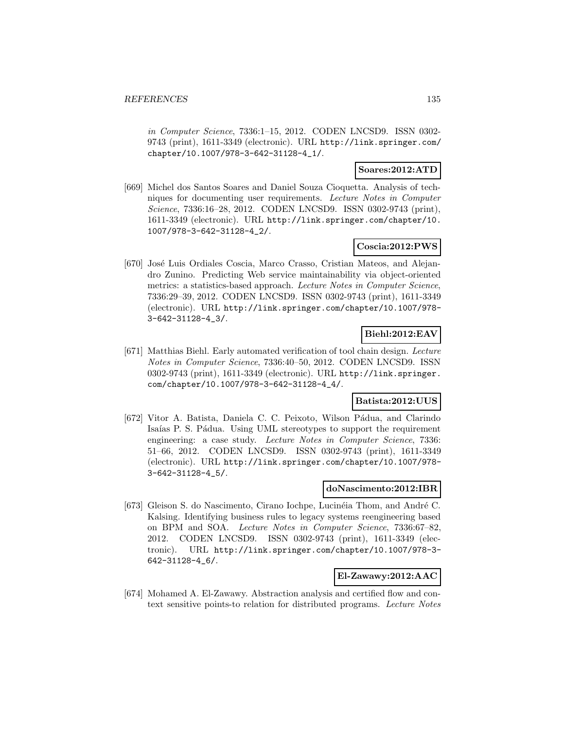in Computer Science, 7336:1–15, 2012. CODEN LNCSD9. ISSN 0302- 9743 (print), 1611-3349 (electronic). URL http://link.springer.com/ chapter/10.1007/978-3-642-31128-4\_1/.

### **Soares:2012:ATD**

[669] Michel dos Santos Soares and Daniel Souza Cioquetta. Analysis of techniques for documenting user requirements. Lecture Notes in Computer Science, 7336:16–28, 2012. CODEN LNCSD9. ISSN 0302-9743 (print), 1611-3349 (electronic). URL http://link.springer.com/chapter/10. 1007/978-3-642-31128-4\_2/.

## **Coscia:2012:PWS**

[670] José Luis Ordiales Coscia, Marco Crasso, Cristian Mateos, and Alejandro Zunino. Predicting Web service maintainability via object-oriented metrics: a statistics-based approach. Lecture Notes in Computer Science, 7336:29–39, 2012. CODEN LNCSD9. ISSN 0302-9743 (print), 1611-3349 (electronic). URL http://link.springer.com/chapter/10.1007/978- 3-642-31128-4\_3/.

## **Biehl:2012:EAV**

[671] Matthias Biehl. Early automated verification of tool chain design. Lecture Notes in Computer Science, 7336:40–50, 2012. CODEN LNCSD9. ISSN 0302-9743 (print), 1611-3349 (electronic). URL http://link.springer. com/chapter/10.1007/978-3-642-31128-4\_4/.

## **Batista:2012:UUS**

[672] Vitor A. Batista, Daniela C. C. Peixoto, Wilson Pádua, and Clarindo Isaías P. S. Pádua. Using UML stereotypes to support the requirement engineering: a case study. Lecture Notes in Computer Science, 7336: 51–66, 2012. CODEN LNCSD9. ISSN 0302-9743 (print), 1611-3349 (electronic). URL http://link.springer.com/chapter/10.1007/978- 3-642-31128-4\_5/.

### **doNascimento:2012:IBR**

[673] Gleison S. do Nascimento, Cirano Iochpe, Lucinéia Thom, and André C. Kalsing. Identifying business rules to legacy systems reengineering based on BPM and SOA. Lecture Notes in Computer Science, 7336:67–82, 2012. CODEN LNCSD9. ISSN 0302-9743 (print), 1611-3349 (electronic). URL http://link.springer.com/chapter/10.1007/978-3- 642-31128-4\_6/.

## **El-Zawawy:2012:AAC**

[674] Mohamed A. El-Zawawy. Abstraction analysis and certified flow and context sensitive points-to relation for distributed programs. Lecture Notes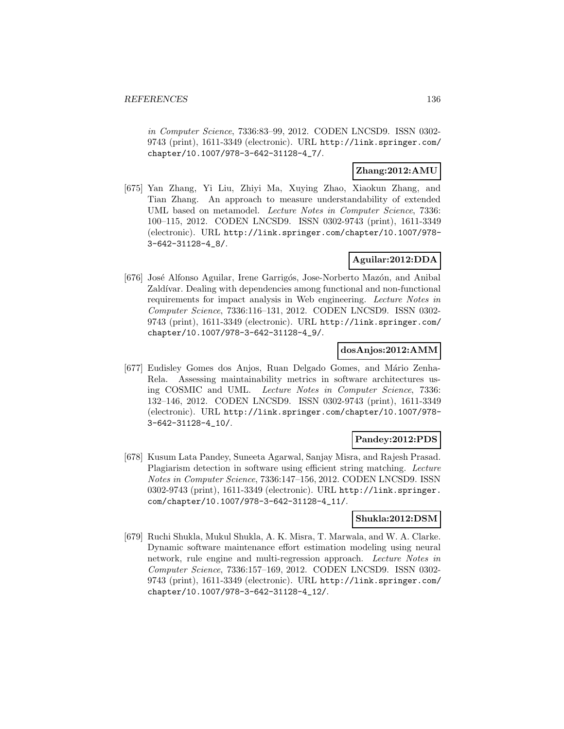in Computer Science, 7336:83–99, 2012. CODEN LNCSD9. ISSN 0302- 9743 (print), 1611-3349 (electronic). URL http://link.springer.com/ chapter/10.1007/978-3-642-31128-4\_7/.

### **Zhang:2012:AMU**

[675] Yan Zhang, Yi Liu, Zhiyi Ma, Xuying Zhao, Xiaokun Zhang, and Tian Zhang. An approach to measure understandability of extended UML based on metamodel. Lecture Notes in Computer Science, 7336: 100–115, 2012. CODEN LNCSD9. ISSN 0302-9743 (print), 1611-3349 (electronic). URL http://link.springer.com/chapter/10.1007/978- 3-642-31128-4\_8/.

## **Aguilar:2012:DDA**

[676] José Alfonso Aguilar, Irene Garrigós, Jose-Norberto Mazón, and Anibal Zaldívar. Dealing with dependencies among functional and non-functional requirements for impact analysis in Web engineering. Lecture Notes in Computer Science, 7336:116–131, 2012. CODEN LNCSD9. ISSN 0302- 9743 (print), 1611-3349 (electronic). URL http://link.springer.com/ chapter/10.1007/978-3-642-31128-4\_9/.

### **dosAnjos:2012:AMM**

[677] Eudisley Gomes dos Anjos, Ruan Delgado Gomes, and Mário Zenha-Rela. Assessing maintainability metrics in software architectures using COSMIC and UML. Lecture Notes in Computer Science, 7336: 132–146, 2012. CODEN LNCSD9. ISSN 0302-9743 (print), 1611-3349 (electronic). URL http://link.springer.com/chapter/10.1007/978- 3-642-31128-4\_10/.

## **Pandey:2012:PDS**

[678] Kusum Lata Pandey, Suneeta Agarwal, Sanjay Misra, and Rajesh Prasad. Plagiarism detection in software using efficient string matching. Lecture Notes in Computer Science, 7336:147–156, 2012. CODEN LNCSD9. ISSN 0302-9743 (print), 1611-3349 (electronic). URL http://link.springer. com/chapter/10.1007/978-3-642-31128-4\_11/.

### **Shukla:2012:DSM**

[679] Ruchi Shukla, Mukul Shukla, A. K. Misra, T. Marwala, and W. A. Clarke. Dynamic software maintenance effort estimation modeling using neural network, rule engine and multi-regression approach. Lecture Notes in Computer Science, 7336:157–169, 2012. CODEN LNCSD9. ISSN 0302- 9743 (print), 1611-3349 (electronic). URL http://link.springer.com/ chapter/10.1007/978-3-642-31128-4\_12/.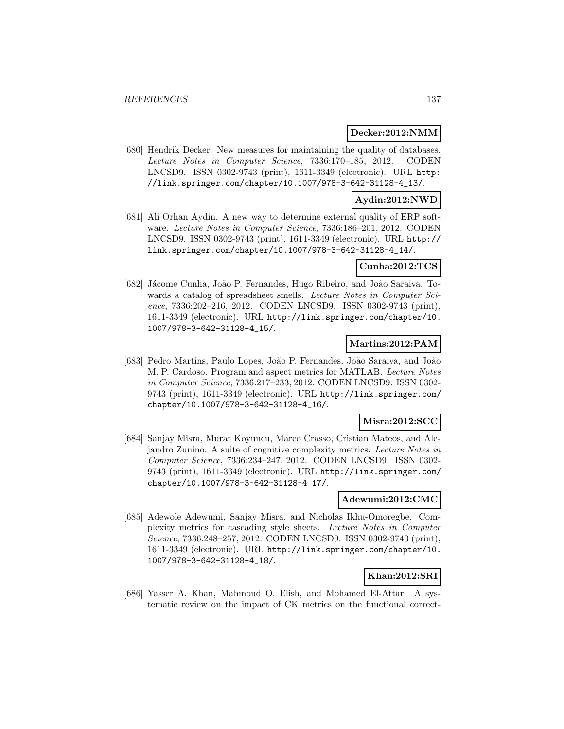### **Decker:2012:NMM**

[680] Hendrik Decker. New measures for maintaining the quality of databases. Lecture Notes in Computer Science, 7336:170–185, 2012. CODEN LNCSD9. ISSN 0302-9743 (print), 1611-3349 (electronic). URL http: //link.springer.com/chapter/10.1007/978-3-642-31128-4\_13/.

## **Aydin:2012:NWD**

[681] Ali Orhan Aydin. A new way to determine external quality of ERP software. Lecture Notes in Computer Science, 7336:186–201, 2012. CODEN LNCSD9. ISSN 0302-9743 (print), 1611-3349 (electronic). URL http:// link.springer.com/chapter/10.1007/978-3-642-31128-4\_14/.

### **Cunha:2012:TCS**

[682] Jácome Cunha, João P. Fernandes, Hugo Ribeiro, and João Saraiva. Towards a catalog of spreadsheet smells. Lecture Notes in Computer Science, 7336:202–216, 2012. CODEN LNCSD9. ISSN 0302-9743 (print), 1611-3349 (electronic). URL http://link.springer.com/chapter/10. 1007/978-3-642-31128-4\_15/.

## **Martins:2012:PAM**

[683] Pedro Martins, Paulo Lopes, Jo˜ao P. Fernandes, Jo˜ao Saraiva, and Jo˜ao M. P. Cardoso. Program and aspect metrics for MATLAB. Lecture Notes in Computer Science, 7336:217–233, 2012. CODEN LNCSD9. ISSN 0302- 9743 (print), 1611-3349 (electronic). URL http://link.springer.com/ chapter/10.1007/978-3-642-31128-4\_16/.

### **Misra:2012:SCC**

[684] Sanjay Misra, Murat Koyuncu, Marco Crasso, Cristian Mateos, and Alejandro Zunino. A suite of cognitive complexity metrics. Lecture Notes in Computer Science, 7336:234–247, 2012. CODEN LNCSD9. ISSN 0302- 9743 (print), 1611-3349 (electronic). URL http://link.springer.com/ chapter/10.1007/978-3-642-31128-4\_17/.

### **Adewumi:2012:CMC**

[685] Adewole Adewumi, Sanjay Misra, and Nicholas Ikhu-Omoregbe. Complexity metrics for cascading style sheets. Lecture Notes in Computer Science, 7336:248–257, 2012. CODEN LNCSD9. ISSN 0302-9743 (print), 1611-3349 (electronic). URL http://link.springer.com/chapter/10. 1007/978-3-642-31128-4\_18/.

## **Khan:2012:SRI**

[686] Yasser A. Khan, Mahmoud O. Elish, and Mohamed El-Attar. A systematic review on the impact of CK metrics on the functional correct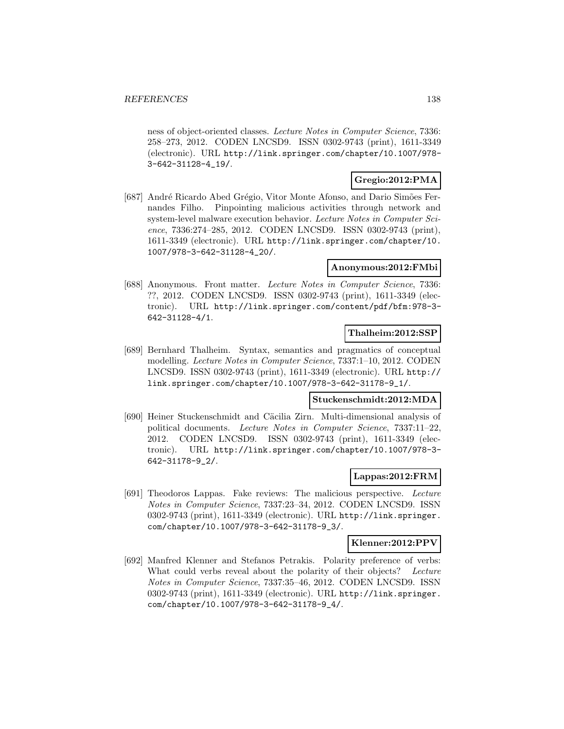ness of object-oriented classes. Lecture Notes in Computer Science, 7336: 258–273, 2012. CODEN LNCSD9. ISSN 0302-9743 (print), 1611-3349 (electronic). URL http://link.springer.com/chapter/10.1007/978- 3-642-31128-4\_19/.

### **Gregio:2012:PMA**

[687] André Ricardo Abed Grégio, Vitor Monte Afonso, and Dario Simões Fernandes Filho. Pinpointing malicious activities through network and system-level malware execution behavior. Lecture Notes in Computer Science, 7336:274–285, 2012. CODEN LNCSD9. ISSN 0302-9743 (print), 1611-3349 (electronic). URL http://link.springer.com/chapter/10. 1007/978-3-642-31128-4\_20/.

### **Anonymous:2012:FMbi**

[688] Anonymous. Front matter. Lecture Notes in Computer Science, 7336: ??, 2012. CODEN LNCSD9. ISSN 0302-9743 (print), 1611-3349 (electronic). URL http://link.springer.com/content/pdf/bfm:978-3- 642-31128-4/1.

## **Thalheim:2012:SSP**

[689] Bernhard Thalheim. Syntax, semantics and pragmatics of conceptual modelling. Lecture Notes in Computer Science, 7337:1–10, 2012. CODEN LNCSD9. ISSN 0302-9743 (print), 1611-3349 (electronic). URL http:// link.springer.com/chapter/10.1007/978-3-642-31178-9\_1/.

#### **Stuckenschmidt:2012:MDA**

[690] Heiner Stuckenschmidt and Cäcilia Zirn. Multi-dimensional analysis of political documents. Lecture Notes in Computer Science, 7337:11–22, 2012. CODEN LNCSD9. ISSN 0302-9743 (print), 1611-3349 (electronic). URL http://link.springer.com/chapter/10.1007/978-3- 642-31178-9\_2/.

### **Lappas:2012:FRM**

[691] Theodoros Lappas. Fake reviews: The malicious perspective. Lecture Notes in Computer Science, 7337:23–34, 2012. CODEN LNCSD9. ISSN 0302-9743 (print), 1611-3349 (electronic). URL http://link.springer. com/chapter/10.1007/978-3-642-31178-9\_3/.

#### **Klenner:2012:PPV**

[692] Manfred Klenner and Stefanos Petrakis. Polarity preference of verbs: What could verbs reveal about the polarity of their objects? Lecture Notes in Computer Science, 7337:35–46, 2012. CODEN LNCSD9. ISSN 0302-9743 (print), 1611-3349 (electronic). URL http://link.springer. com/chapter/10.1007/978-3-642-31178-9\_4/.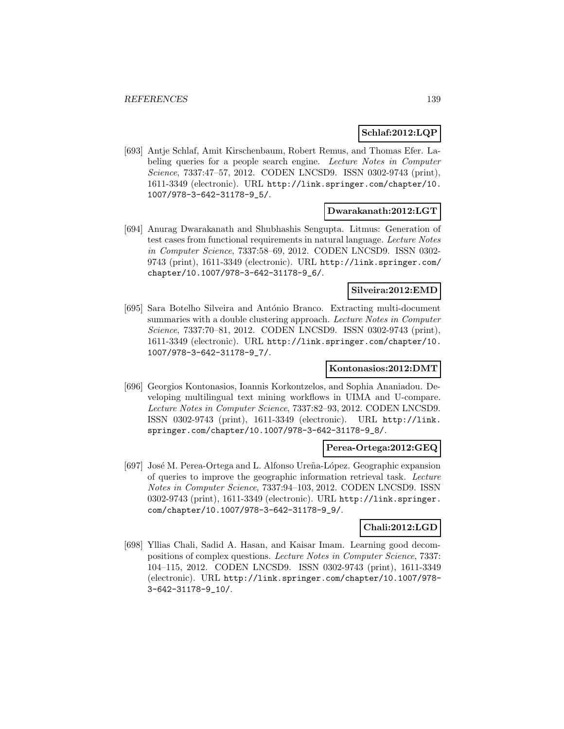## **Schlaf:2012:LQP**

[693] Antje Schlaf, Amit Kirschenbaum, Robert Remus, and Thomas Efer. Labeling queries for a people search engine. Lecture Notes in Computer Science, 7337:47–57, 2012. CODEN LNCSD9. ISSN 0302-9743 (print), 1611-3349 (electronic). URL http://link.springer.com/chapter/10. 1007/978-3-642-31178-9\_5/.

## **Dwarakanath:2012:LGT**

[694] Anurag Dwarakanath and Shubhashis Sengupta. Litmus: Generation of test cases from functional requirements in natural language. Lecture Notes in Computer Science, 7337:58–69, 2012. CODEN LNCSD9. ISSN 0302- 9743 (print), 1611-3349 (electronic). URL http://link.springer.com/ chapter/10.1007/978-3-642-31178-9\_6/.

#### **Silveira:2012:EMD**

[695] Sara Botelho Silveira and António Branco. Extracting multi-document summaries with a double clustering approach. Lecture Notes in Computer Science, 7337:70–81, 2012. CODEN LNCSD9. ISSN 0302-9743 (print), 1611-3349 (electronic). URL http://link.springer.com/chapter/10. 1007/978-3-642-31178-9\_7/.

## **Kontonasios:2012:DMT**

[696] Georgios Kontonasios, Ioannis Korkontzelos, and Sophia Ananiadou. Developing multilingual text mining workflows in UIMA and U-compare. Lecture Notes in Computer Science, 7337:82–93, 2012. CODEN LNCSD9. ISSN 0302-9743 (print), 1611-3349 (electronic). URL http://link. springer.com/chapter/10.1007/978-3-642-31178-9\_8/.

### **Perea-Ortega:2012:GEQ**

[697] José M. Perea-Ortega and L. Alfonso Ureña-López. Geographic expansion of queries to improve the geographic information retrieval task. Lecture Notes in Computer Science, 7337:94–103, 2012. CODEN LNCSD9. ISSN 0302-9743 (print), 1611-3349 (electronic). URL http://link.springer. com/chapter/10.1007/978-3-642-31178-9\_9/.

### **Chali:2012:LGD**

[698] Yllias Chali, Sadid A. Hasan, and Kaisar Imam. Learning good decompositions of complex questions. Lecture Notes in Computer Science, 7337: 104–115, 2012. CODEN LNCSD9. ISSN 0302-9743 (print), 1611-3349 (electronic). URL http://link.springer.com/chapter/10.1007/978- 3-642-31178-9\_10/.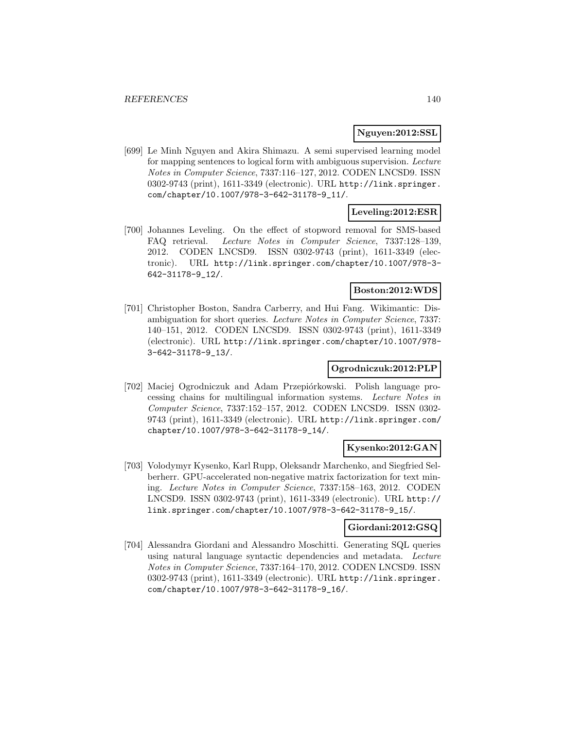### **Nguyen:2012:SSL**

[699] Le Minh Nguyen and Akira Shimazu. A semi supervised learning model for mapping sentences to logical form with ambiguous supervision. Lecture Notes in Computer Science, 7337:116–127, 2012. CODEN LNCSD9. ISSN 0302-9743 (print), 1611-3349 (electronic). URL http://link.springer. com/chapter/10.1007/978-3-642-31178-9\_11/.

### **Leveling:2012:ESR**

[700] Johannes Leveling. On the effect of stopword removal for SMS-based FAQ retrieval. Lecture Notes in Computer Science, 7337:128–139, 2012. CODEN LNCSD9. ISSN 0302-9743 (print), 1611-3349 (electronic). URL http://link.springer.com/chapter/10.1007/978-3- 642-31178-9\_12/.

#### **Boston:2012:WDS**

[701] Christopher Boston, Sandra Carberry, and Hui Fang. Wikimantic: Disambiguation for short queries. Lecture Notes in Computer Science, 7337: 140–151, 2012. CODEN LNCSD9. ISSN 0302-9743 (print), 1611-3349 (electronic). URL http://link.springer.com/chapter/10.1007/978- 3-642-31178-9\_13/.

### **Ogrodniczuk:2012:PLP**

[702] Maciej Ogrodniczuk and Adam Przepiórkowski. Polish language processing chains for multilingual information systems. Lecture Notes in Computer Science, 7337:152–157, 2012. CODEN LNCSD9. ISSN 0302- 9743 (print), 1611-3349 (electronic). URL http://link.springer.com/ chapter/10.1007/978-3-642-31178-9\_14/.

### **Kysenko:2012:GAN**

[703] Volodymyr Kysenko, Karl Rupp, Oleksandr Marchenko, and Siegfried Selberherr. GPU-accelerated non-negative matrix factorization for text mining. Lecture Notes in Computer Science, 7337:158–163, 2012. CODEN LNCSD9. ISSN 0302-9743 (print), 1611-3349 (electronic). URL http:// link.springer.com/chapter/10.1007/978-3-642-31178-9\_15/.

## **Giordani:2012:GSQ**

[704] Alessandra Giordani and Alessandro Moschitti. Generating SQL queries using natural language syntactic dependencies and metadata. Lecture Notes in Computer Science, 7337:164–170, 2012. CODEN LNCSD9. ISSN 0302-9743 (print), 1611-3349 (electronic). URL http://link.springer. com/chapter/10.1007/978-3-642-31178-9\_16/.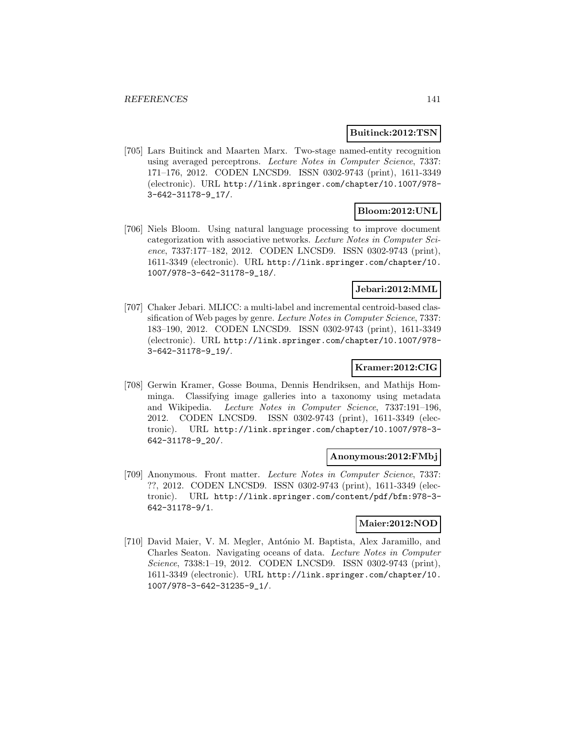### **Buitinck:2012:TSN**

[705] Lars Buitinck and Maarten Marx. Two-stage named-entity recognition using averaged perceptrons. Lecture Notes in Computer Science, 7337: 171–176, 2012. CODEN LNCSD9. ISSN 0302-9743 (print), 1611-3349 (electronic). URL http://link.springer.com/chapter/10.1007/978- 3-642-31178-9\_17/.

## **Bloom:2012:UNL**

[706] Niels Bloom. Using natural language processing to improve document categorization with associative networks. Lecture Notes in Computer Science, 7337:177–182, 2012. CODEN LNCSD9. ISSN 0302-9743 (print), 1611-3349 (electronic). URL http://link.springer.com/chapter/10. 1007/978-3-642-31178-9\_18/.

## **Jebari:2012:MML**

[707] Chaker Jebari. MLICC: a multi-label and incremental centroid-based classification of Web pages by genre. Lecture Notes in Computer Science, 7337: 183–190, 2012. CODEN LNCSD9. ISSN 0302-9743 (print), 1611-3349 (electronic). URL http://link.springer.com/chapter/10.1007/978- 3-642-31178-9\_19/.

## **Kramer:2012:CIG**

[708] Gerwin Kramer, Gosse Bouma, Dennis Hendriksen, and Mathijs Homminga. Classifying image galleries into a taxonomy using metadata and Wikipedia. Lecture Notes in Computer Science, 7337:191–196, 2012. CODEN LNCSD9. ISSN 0302-9743 (print), 1611-3349 (electronic). URL http://link.springer.com/chapter/10.1007/978-3- 642-31178-9\_20/.

### **Anonymous:2012:FMbj**

[709] Anonymous. Front matter. Lecture Notes in Computer Science, 7337: ??, 2012. CODEN LNCSD9. ISSN 0302-9743 (print), 1611-3349 (electronic). URL http://link.springer.com/content/pdf/bfm:978-3- 642-31178-9/1.

### **Maier:2012:NOD**

[710] David Maier, V. M. Megler, António M. Baptista, Alex Jaramillo, and Charles Seaton. Navigating oceans of data. Lecture Notes in Computer Science, 7338:1–19, 2012. CODEN LNCSD9. ISSN 0302-9743 (print), 1611-3349 (electronic). URL http://link.springer.com/chapter/10. 1007/978-3-642-31235-9\_1/.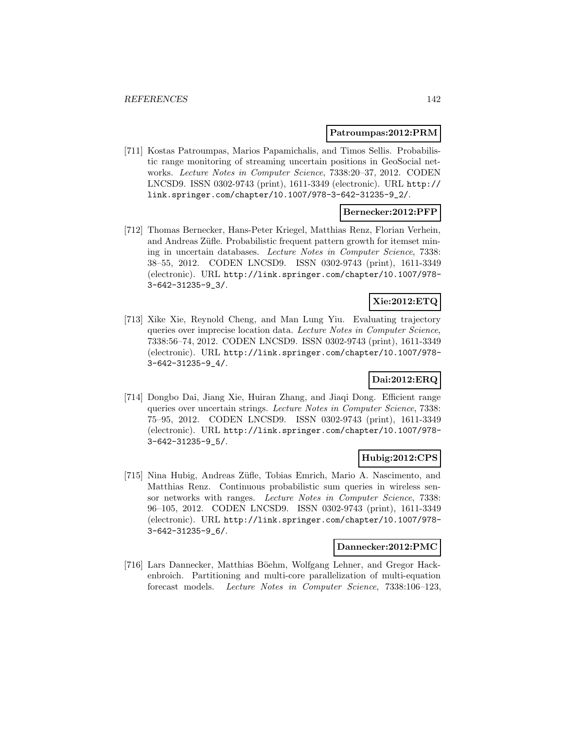#### **Patroumpas:2012:PRM**

[711] Kostas Patroumpas, Marios Papamichalis, and Timos Sellis. Probabilistic range monitoring of streaming uncertain positions in GeoSocial networks. Lecture Notes in Computer Science, 7338:20–37, 2012. CODEN LNCSD9. ISSN 0302-9743 (print), 1611-3349 (electronic). URL http:// link.springer.com/chapter/10.1007/978-3-642-31235-9\_2/.

## **Bernecker:2012:PFP**

[712] Thomas Bernecker, Hans-Peter Kriegel, Matthias Renz, Florian Verhein, and Andreas Züfle. Probabilistic frequent pattern growth for itemset mining in uncertain databases. Lecture Notes in Computer Science, 7338: 38–55, 2012. CODEN LNCSD9. ISSN 0302-9743 (print), 1611-3349 (electronic). URL http://link.springer.com/chapter/10.1007/978- 3-642-31235-9\_3/.

## **Xie:2012:ETQ**

[713] Xike Xie, Reynold Cheng, and Man Lung Yiu. Evaluating trajectory queries over imprecise location data. Lecture Notes in Computer Science, 7338:56–74, 2012. CODEN LNCSD9. ISSN 0302-9743 (print), 1611-3349 (electronic). URL http://link.springer.com/chapter/10.1007/978- 3-642-31235-9\_4/.

## **Dai:2012:ERQ**

[714] Dongbo Dai, Jiang Xie, Huiran Zhang, and Jiaqi Dong. Efficient range queries over uncertain strings. Lecture Notes in Computer Science, 7338: 75–95, 2012. CODEN LNCSD9. ISSN 0302-9743 (print), 1611-3349 (electronic). URL http://link.springer.com/chapter/10.1007/978- 3-642-31235-9\_5/.

### **Hubig:2012:CPS**

[715] Nina Hubig, Andreas Züfle, Tobias Emrich, Mario A. Nascimento, and Matthias Renz. Continuous probabilistic sum queries in wireless sensor networks with ranges. Lecture Notes in Computer Science, 7338: 96–105, 2012. CODEN LNCSD9. ISSN 0302-9743 (print), 1611-3349 (electronic). URL http://link.springer.com/chapter/10.1007/978- 3-642-31235-9\_6/.

## **Dannecker:2012:PMC**

[716] Lars Dannecker, Matthias Böehm, Wolfgang Lehner, and Gregor Hackenbroich. Partitioning and multi-core parallelization of multi-equation forecast models. Lecture Notes in Computer Science, 7338:106–123,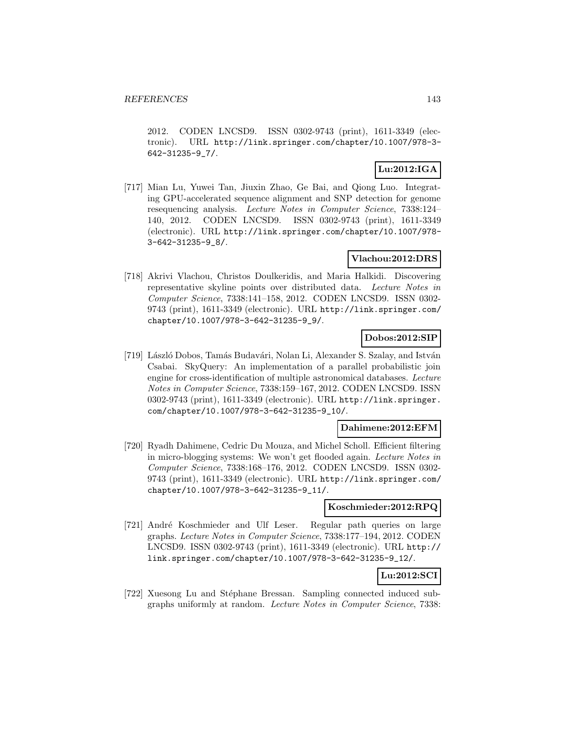2012. CODEN LNCSD9. ISSN 0302-9743 (print), 1611-3349 (electronic). URL http://link.springer.com/chapter/10.1007/978-3- 642-31235-9\_7/.

## **Lu:2012:IGA**

[717] Mian Lu, Yuwei Tan, Jiuxin Zhao, Ge Bai, and Qiong Luo. Integrating GPU-accelerated sequence alignment and SNP detection for genome resequencing analysis. Lecture Notes in Computer Science, 7338:124– 140, 2012. CODEN LNCSD9. ISSN 0302-9743 (print), 1611-3349 (electronic). URL http://link.springer.com/chapter/10.1007/978- 3-642-31235-9\_8/.

## **Vlachou:2012:DRS**

[718] Akrivi Vlachou, Christos Doulkeridis, and Maria Halkidi. Discovering representative skyline points over distributed data. Lecture Notes in Computer Science, 7338:141–158, 2012. CODEN LNCSD9. ISSN 0302- 9743 (print), 1611-3349 (electronic). URL http://link.springer.com/ chapter/10.1007/978-3-642-31235-9\_9/.

### **Dobos:2012:SIP**

[719] László Dobos, Tamás Budavári, Nolan Li, Alexander S. Szalay, and István Csabai. SkyQuery: An implementation of a parallel probabilistic join engine for cross-identification of multiple astronomical databases. Lecture Notes in Computer Science, 7338:159–167, 2012. CODEN LNCSD9. ISSN 0302-9743 (print), 1611-3349 (electronic). URL http://link.springer. com/chapter/10.1007/978-3-642-31235-9\_10/.

### **Dahimene:2012:EFM**

[720] Ryadh Dahimene, Cedric Du Mouza, and Michel Scholl. Efficient filtering in micro-blogging systems: We won't get flooded again. Lecture Notes in Computer Science, 7338:168–176, 2012. CODEN LNCSD9. ISSN 0302- 9743 (print), 1611-3349 (electronic). URL http://link.springer.com/ chapter/10.1007/978-3-642-31235-9\_11/.

### **Koschmieder:2012:RPQ**

[721] André Koschmieder and Ulf Leser. Regular path queries on large graphs. Lecture Notes in Computer Science, 7338:177–194, 2012. CODEN LNCSD9. ISSN 0302-9743 (print), 1611-3349 (electronic). URL http:// link.springer.com/chapter/10.1007/978-3-642-31235-9\_12/.

# **Lu:2012:SCI**

[722] Xuesong Lu and Stéphane Bressan. Sampling connected induced subgraphs uniformly at random. Lecture Notes in Computer Science, 7338: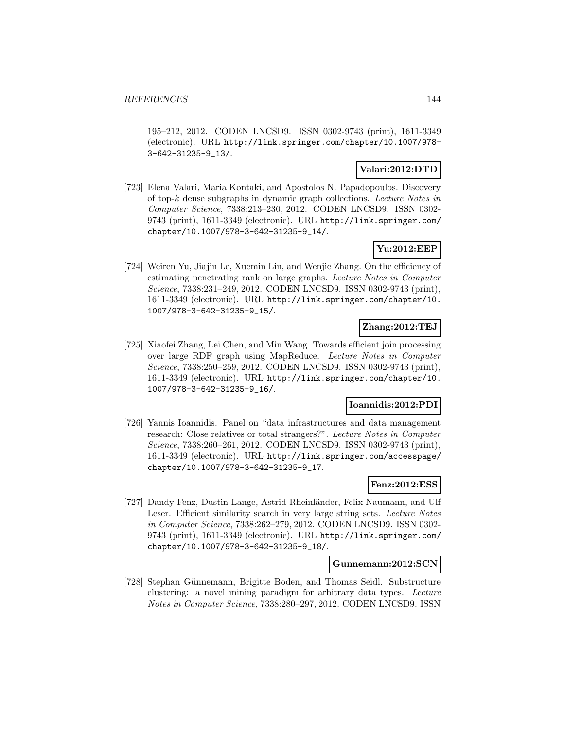195–212, 2012. CODEN LNCSD9. ISSN 0302-9743 (print), 1611-3349 (electronic). URL http://link.springer.com/chapter/10.1007/978- 3-642-31235-9\_13/.

## **Valari:2012:DTD**

[723] Elena Valari, Maria Kontaki, and Apostolos N. Papadopoulos. Discovery of top-k dense subgraphs in dynamic graph collections. Lecture Notes in Computer Science, 7338:213–230, 2012. CODEN LNCSD9. ISSN 0302- 9743 (print), 1611-3349 (electronic). URL http://link.springer.com/ chapter/10.1007/978-3-642-31235-9\_14/.

## **Yu:2012:EEP**

[724] Weiren Yu, Jiajin Le, Xuemin Lin, and Wenjie Zhang. On the efficiency of estimating penetrating rank on large graphs. Lecture Notes in Computer Science, 7338:231–249, 2012. CODEN LNCSD9. ISSN 0302-9743 (print), 1611-3349 (electronic). URL http://link.springer.com/chapter/10. 1007/978-3-642-31235-9\_15/.

## **Zhang:2012:TEJ**

[725] Xiaofei Zhang, Lei Chen, and Min Wang. Towards efficient join processing over large RDF graph using MapReduce. Lecture Notes in Computer Science, 7338:250–259, 2012. CODEN LNCSD9. ISSN 0302-9743 (print), 1611-3349 (electronic). URL http://link.springer.com/chapter/10. 1007/978-3-642-31235-9\_16/.

## **Ioannidis:2012:PDI**

[726] Yannis Ioannidis. Panel on "data infrastructures and data management research: Close relatives or total strangers?". Lecture Notes in Computer Science, 7338:260–261, 2012. CODEN LNCSD9. ISSN 0302-9743 (print), 1611-3349 (electronic). URL http://link.springer.com/accesspage/ chapter/10.1007/978-3-642-31235-9\_17.

## **Fenz:2012:ESS**

[727] Dandy Fenz, Dustin Lange, Astrid Rheinl¨ander, Felix Naumann, and Ulf Leser. Efficient similarity search in very large string sets. Lecture Notes in Computer Science, 7338:262–279, 2012. CODEN LNCSD9. ISSN 0302- 9743 (print), 1611-3349 (electronic). URL http://link.springer.com/ chapter/10.1007/978-3-642-31235-9\_18/.

### **Gunnemann:2012:SCN**

[728] Stephan Günnemann, Brigitte Boden, and Thomas Seidl. Substructure clustering: a novel mining paradigm for arbitrary data types. Lecture Notes in Computer Science, 7338:280–297, 2012. CODEN LNCSD9. ISSN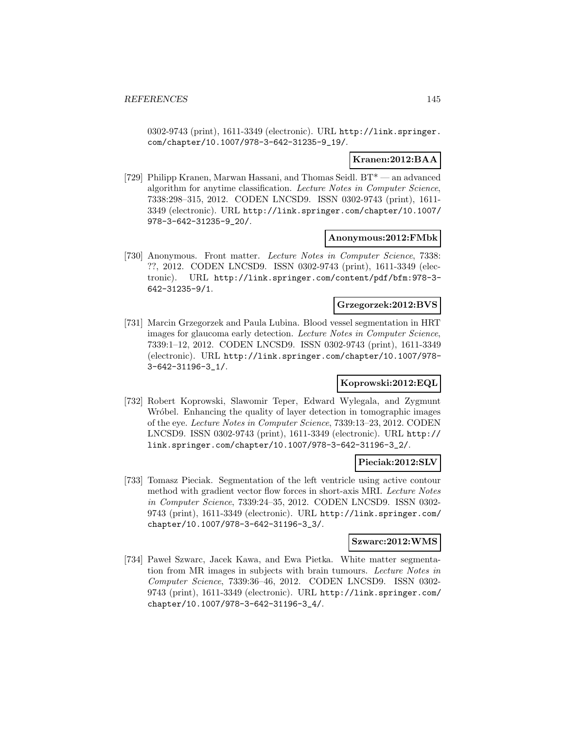0302-9743 (print), 1611-3349 (electronic). URL http://link.springer. com/chapter/10.1007/978-3-642-31235-9\_19/.

### **Kranen:2012:BAA**

[729] Philipp Kranen, Marwan Hassani, and Thomas Seidl. BT\* — an advanced algorithm for anytime classification. Lecture Notes in Computer Science, 7338:298–315, 2012. CODEN LNCSD9. ISSN 0302-9743 (print), 1611- 3349 (electronic). URL http://link.springer.com/chapter/10.1007/ 978-3-642-31235-9\_20/.

#### **Anonymous:2012:FMbk**

[730] Anonymous. Front matter. Lecture Notes in Computer Science, 7338: ??, 2012. CODEN LNCSD9. ISSN 0302-9743 (print), 1611-3349 (electronic). URL http://link.springer.com/content/pdf/bfm:978-3- 642-31235-9/1.

# **Grzegorzek:2012:BVS**

[731] Marcin Grzegorzek and Paula Lubina. Blood vessel segmentation in HRT images for glaucoma early detection. Lecture Notes in Computer Science, 7339:1–12, 2012. CODEN LNCSD9. ISSN 0302-9743 (print), 1611-3349 (electronic). URL http://link.springer.com/chapter/10.1007/978- 3-642-31196-3\_1/.

### **Koprowski:2012:EQL**

[732] Robert Koprowski, Slawomir Teper, Edward Wylegala, and Zygmunt Wróbel. Enhancing the quality of layer detection in tomographic images of the eye. Lecture Notes in Computer Science, 7339:13–23, 2012. CODEN LNCSD9. ISSN 0302-9743 (print), 1611-3349 (electronic). URL http:// link.springer.com/chapter/10.1007/978-3-642-31196-3\_2/.

#### **Pieciak:2012:SLV**

[733] Tomasz Pieciak. Segmentation of the left ventricle using active contour method with gradient vector flow forces in short-axis MRI. Lecture Notes in Computer Science, 7339:24–35, 2012. CODEN LNCSD9. ISSN 0302- 9743 (print), 1611-3349 (electronic). URL http://link.springer.com/ chapter/10.1007/978-3-642-31196-3\_3/.

#### **Szwarc:2012:WMS**

[734] Pawel Szwarc, Jacek Kawa, and Ewa Pietka. White matter segmentation from MR images in subjects with brain tumours. Lecture Notes in Computer Science, 7339:36–46, 2012. CODEN LNCSD9. ISSN 0302- 9743 (print), 1611-3349 (electronic). URL http://link.springer.com/ chapter/10.1007/978-3-642-31196-3\_4/.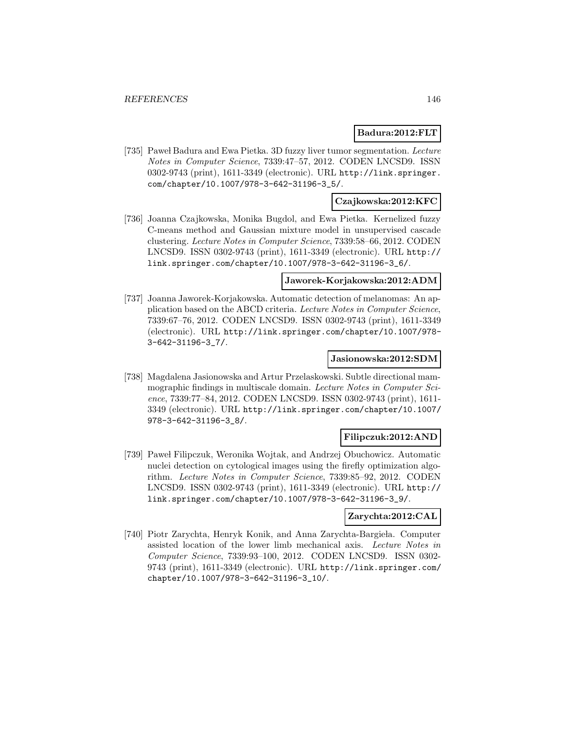### **Badura:2012:FLT**

[735] Pawel Badura and Ewa Pietka. 3D fuzzy liver tumor segmentation. Lecture Notes in Computer Science, 7339:47–57, 2012. CODEN LNCSD9. ISSN 0302-9743 (print), 1611-3349 (electronic). URL http://link.springer. com/chapter/10.1007/978-3-642-31196-3\_5/.

### **Czajkowska:2012:KFC**

[736] Joanna Czajkowska, Monika Bugdol, and Ewa Pietka. Kernelized fuzzy C-means method and Gaussian mixture model in unsupervised cascade clustering. Lecture Notes in Computer Science, 7339:58–66, 2012. CODEN LNCSD9. ISSN 0302-9743 (print), 1611-3349 (electronic). URL http:// link.springer.com/chapter/10.1007/978-3-642-31196-3\_6/.

#### **Jaworek-Korjakowska:2012:ADM**

[737] Joanna Jaworek-Korjakowska. Automatic detection of melanomas: An application based on the ABCD criteria. Lecture Notes in Computer Science, 7339:67–76, 2012. CODEN LNCSD9. ISSN 0302-9743 (print), 1611-3349 (electronic). URL http://link.springer.com/chapter/10.1007/978- 3-642-31196-3\_7/.

#### **Jasionowska:2012:SDM**

[738] Magdalena Jasionowska and Artur Przelaskowski. Subtle directional mammographic findings in multiscale domain. Lecture Notes in Computer Science, 7339:77–84, 2012. CODEN LNCSD9. ISSN 0302-9743 (print), 1611- 3349 (electronic). URL http://link.springer.com/chapter/10.1007/ 978-3-642-31196-3\_8/.

#### **Filipczuk:2012:AND**

[739] Paweł Filipczuk, Weronika Wojtak, and Andrzej Obuchowicz. Automatic nuclei detection on cytological images using the firefly optimization algorithm. Lecture Notes in Computer Science, 7339:85–92, 2012. CODEN LNCSD9. ISSN 0302-9743 (print), 1611-3349 (electronic). URL http:// link.springer.com/chapter/10.1007/978-3-642-31196-3\_9/.

### **Zarychta:2012:CAL**

[740] Piotr Zarychta, Henryk Konik, and Anna Zarychta-Bargieła. Computer assisted location of the lower limb mechanical axis. Lecture Notes in Computer Science, 7339:93–100, 2012. CODEN LNCSD9. ISSN 0302- 9743 (print), 1611-3349 (electronic). URL http://link.springer.com/ chapter/10.1007/978-3-642-31196-3\_10/.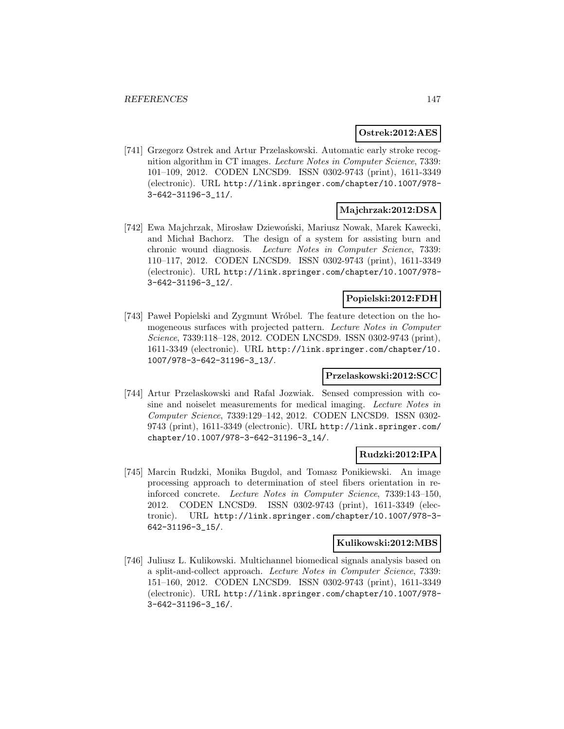#### **Ostrek:2012:AES**

[741] Grzegorz Ostrek and Artur Przelaskowski. Automatic early stroke recognition algorithm in CT images. Lecture Notes in Computer Science, 7339: 101–109, 2012. CODEN LNCSD9. ISSN 0302-9743 (print), 1611-3349 (electronic). URL http://link.springer.com/chapter/10.1007/978- 3-642-31196-3\_11/.

### **Majchrzak:2012:DSA**

[742] Ewa Majchrzak, Mirosław Dziewoński, Mariusz Nowak, Marek Kawecki, and Michał Bachorz. The design of a system for assisting burn and chronic wound diagnosis. Lecture Notes in Computer Science, 7339: 110–117, 2012. CODEN LNCSD9. ISSN 0302-9743 (print), 1611-3349 (electronic). URL http://link.springer.com/chapter/10.1007/978- 3-642-31196-3\_12/.

### **Popielski:2012:FDH**

[743] Pawel Popielski and Zygmunt Wróbel. The feature detection on the homogeneous surfaces with projected pattern. Lecture Notes in Computer Science, 7339:118–128, 2012. CODEN LNCSD9. ISSN 0302-9743 (print), 1611-3349 (electronic). URL http://link.springer.com/chapter/10. 1007/978-3-642-31196-3\_13/.

#### **Przelaskowski:2012:SCC**

[744] Artur Przelaskowski and Rafal Jozwiak. Sensed compression with cosine and noiselet measurements for medical imaging. Lecture Notes in Computer Science, 7339:129–142, 2012. CODEN LNCSD9. ISSN 0302- 9743 (print), 1611-3349 (electronic). URL http://link.springer.com/ chapter/10.1007/978-3-642-31196-3\_14/.

### **Rudzki:2012:IPA**

[745] Marcin Rudzki, Monika Bugdol, and Tomasz Ponikiewski. An image processing approach to determination of steel fibers orientation in reinforced concrete. Lecture Notes in Computer Science, 7339:143–150, 2012. CODEN LNCSD9. ISSN 0302-9743 (print), 1611-3349 (electronic). URL http://link.springer.com/chapter/10.1007/978-3- 642-31196-3\_15/.

#### **Kulikowski:2012:MBS**

[746] Juliusz L. Kulikowski. Multichannel biomedical signals analysis based on a split-and-collect approach. Lecture Notes in Computer Science, 7339: 151–160, 2012. CODEN LNCSD9. ISSN 0302-9743 (print), 1611-3349 (electronic). URL http://link.springer.com/chapter/10.1007/978- 3-642-31196-3\_16/.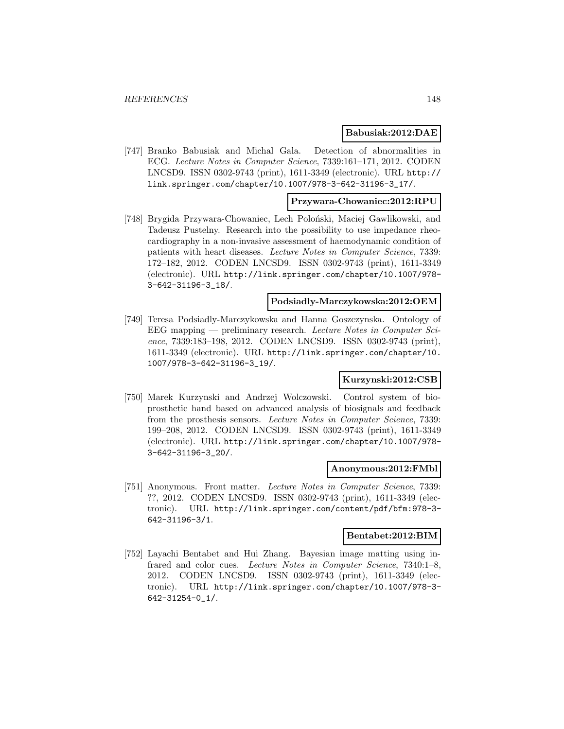#### **Babusiak:2012:DAE**

[747] Branko Babusiak and Michal Gala. Detection of abnormalities in ECG. Lecture Notes in Computer Science, 7339:161–171, 2012. CODEN LNCSD9. ISSN 0302-9743 (print), 1611-3349 (electronic). URL http:// link.springer.com/chapter/10.1007/978-3-642-31196-3\_17/.

#### **Przywara-Chowaniec:2012:RPU**

[748] Brygida Przywara-Chowaniec, Lech Poloński, Maciej Gawlikowski, and Tadeusz Pustelny. Research into the possibility to use impedance rheocardiography in a non-invasive assessment of haemodynamic condition of patients with heart diseases. Lecture Notes in Computer Science, 7339: 172–182, 2012. CODEN LNCSD9. ISSN 0302-9743 (print), 1611-3349 (electronic). URL http://link.springer.com/chapter/10.1007/978- 3-642-31196-3\_18/.

#### **Podsiadly-Marczykowska:2012:OEM**

[749] Teresa Podsiadly-Marczykowska and Hanna Goszczynska. Ontology of EEG mapping — preliminary research. Lecture Notes in Computer Science, 7339:183–198, 2012. CODEN LNCSD9. ISSN 0302-9743 (print), 1611-3349 (electronic). URL http://link.springer.com/chapter/10. 1007/978-3-642-31196-3\_19/.

### **Kurzynski:2012:CSB**

[750] Marek Kurzynski and Andrzej Wolczowski. Control system of bioprosthetic hand based on advanced analysis of biosignals and feedback from the prosthesis sensors. Lecture Notes in Computer Science, 7339: 199–208, 2012. CODEN LNCSD9. ISSN 0302-9743 (print), 1611-3349 (electronic). URL http://link.springer.com/chapter/10.1007/978- 3-642-31196-3\_20/.

#### **Anonymous:2012:FMbl**

[751] Anonymous. Front matter. Lecture Notes in Computer Science, 7339: ??, 2012. CODEN LNCSD9. ISSN 0302-9743 (print), 1611-3349 (electronic). URL http://link.springer.com/content/pdf/bfm:978-3- 642-31196-3/1.

### **Bentabet:2012:BIM**

[752] Layachi Bentabet and Hui Zhang. Bayesian image matting using infrared and color cues. Lecture Notes in Computer Science, 7340:1–8, 2012. CODEN LNCSD9. ISSN 0302-9743 (print), 1611-3349 (electronic). URL http://link.springer.com/chapter/10.1007/978-3- 642-31254-0\_1/.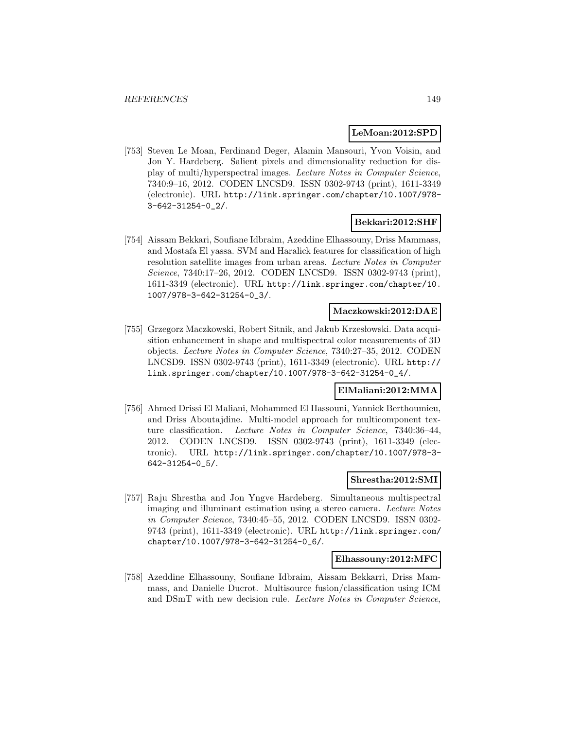#### **LeMoan:2012:SPD**

[753] Steven Le Moan, Ferdinand Deger, Alamin Mansouri, Yvon Voisin, and Jon Y. Hardeberg. Salient pixels and dimensionality reduction for display of multi/hyperspectral images. Lecture Notes in Computer Science, 7340:9–16, 2012. CODEN LNCSD9. ISSN 0302-9743 (print), 1611-3349 (electronic). URL http://link.springer.com/chapter/10.1007/978- 3-642-31254-0\_2/.

### **Bekkari:2012:SHF**

[754] Aissam Bekkari, Soufiane Idbraim, Azeddine Elhassouny, Driss Mammass, and Mostafa El yassa. SVM and Haralick features for classification of high resolution satellite images from urban areas. Lecture Notes in Computer Science, 7340:17–26, 2012. CODEN LNCSD9. ISSN 0302-9743 (print), 1611-3349 (electronic). URL http://link.springer.com/chapter/10. 1007/978-3-642-31254-0\_3/.

### **Maczkowski:2012:DAE**

[755] Grzegorz Maczkowski, Robert Sitnik, and Jakub Krzesłowski. Data acquisition enhancement in shape and multispectral color measurements of 3D objects. Lecture Notes in Computer Science, 7340:27–35, 2012. CODEN LNCSD9. ISSN 0302-9743 (print), 1611-3349 (electronic). URL http:// link.springer.com/chapter/10.1007/978-3-642-31254-0\_4/.

#### **ElMaliani:2012:MMA**

[756] Ahmed Drissi El Maliani, Mohammed El Hassouni, Yannick Berthoumieu, and Driss Aboutajdine. Multi-model approach for multicomponent texture classification. Lecture Notes in Computer Science, 7340:36–44, 2012. CODEN LNCSD9. ISSN 0302-9743 (print), 1611-3349 (electronic). URL http://link.springer.com/chapter/10.1007/978-3- 642-31254-0\_5/.

#### **Shrestha:2012:SMI**

[757] Raju Shrestha and Jon Yngve Hardeberg. Simultaneous multispectral imaging and illuminant estimation using a stereo camera. Lecture Notes in Computer Science, 7340:45–55, 2012. CODEN LNCSD9. ISSN 0302- 9743 (print), 1611-3349 (electronic). URL http://link.springer.com/ chapter/10.1007/978-3-642-31254-0\_6/.

#### **Elhassouny:2012:MFC**

[758] Azeddine Elhassouny, Soufiane Idbraim, Aissam Bekkarri, Driss Mammass, and Danielle Ducrot. Multisource fusion/classification using ICM and DSmT with new decision rule. Lecture Notes in Computer Science,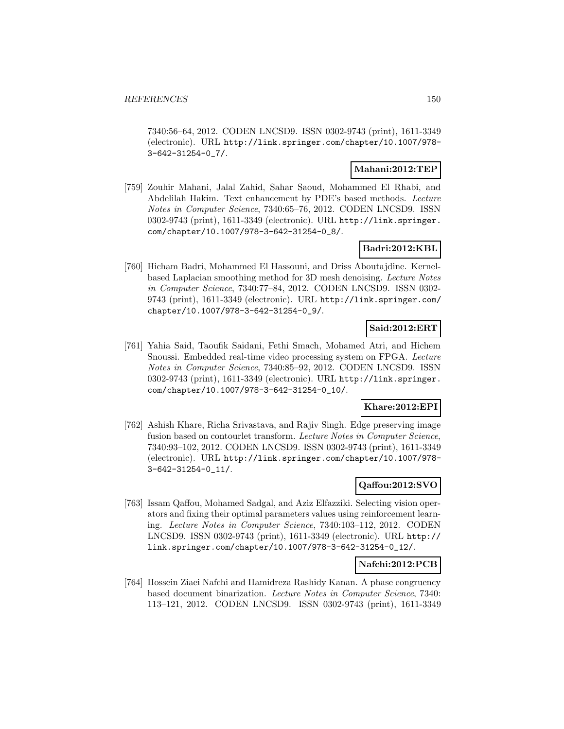7340:56–64, 2012. CODEN LNCSD9. ISSN 0302-9743 (print), 1611-3349 (electronic). URL http://link.springer.com/chapter/10.1007/978- 3-642-31254-0\_7/.

### **Mahani:2012:TEP**

[759] Zouhir Mahani, Jalal Zahid, Sahar Saoud, Mohammed El Rhabi, and Abdelilah Hakim. Text enhancement by PDE's based methods. Lecture Notes in Computer Science, 7340:65–76, 2012. CODEN LNCSD9. ISSN 0302-9743 (print), 1611-3349 (electronic). URL http://link.springer. com/chapter/10.1007/978-3-642-31254-0\_8/.

### **Badri:2012:KBL**

[760] Hicham Badri, Mohammed El Hassouni, and Driss Aboutajdine. Kernelbased Laplacian smoothing method for 3D mesh denoising. Lecture Notes in Computer Science, 7340:77–84, 2012. CODEN LNCSD9. ISSN 0302- 9743 (print), 1611-3349 (electronic). URL http://link.springer.com/ chapter/10.1007/978-3-642-31254-0\_9/.

# **Said:2012:ERT**

[761] Yahia Said, Taoufik Saidani, Fethi Smach, Mohamed Atri, and Hichem Snoussi. Embedded real-time video processing system on FPGA. Lecture Notes in Computer Science, 7340:85–92, 2012. CODEN LNCSD9. ISSN 0302-9743 (print), 1611-3349 (electronic). URL http://link.springer. com/chapter/10.1007/978-3-642-31254-0\_10/.

### **Khare:2012:EPI**

[762] Ashish Khare, Richa Srivastava, and Rajiv Singh. Edge preserving image fusion based on contourlet transform. Lecture Notes in Computer Science, 7340:93–102, 2012. CODEN LNCSD9. ISSN 0302-9743 (print), 1611-3349 (electronic). URL http://link.springer.com/chapter/10.1007/978- 3-642-31254-0\_11/.

### **Qaffou:2012:SVO**

[763] Issam Qaffou, Mohamed Sadgal, and Aziz Elfazziki. Selecting vision operators and fixing their optimal parameters values using reinforcement learning. Lecture Notes in Computer Science, 7340:103–112, 2012. CODEN LNCSD9. ISSN 0302-9743 (print), 1611-3349 (electronic). URL http:// link.springer.com/chapter/10.1007/978-3-642-31254-0\_12/.

### **Nafchi:2012:PCB**

[764] Hossein Ziaei Nafchi and Hamidreza Rashidy Kanan. A phase congruency based document binarization. Lecture Notes in Computer Science, 7340: 113–121, 2012. CODEN LNCSD9. ISSN 0302-9743 (print), 1611-3349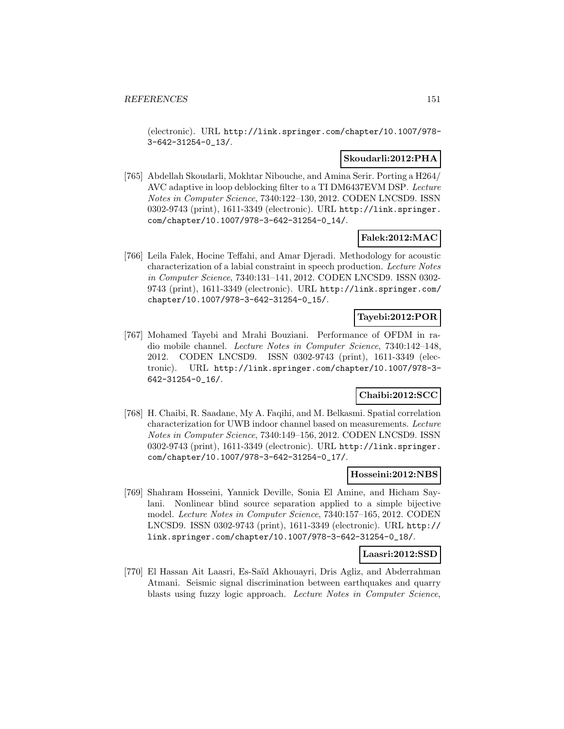(electronic). URL http://link.springer.com/chapter/10.1007/978- 3-642-31254-0\_13/.

### **Skoudarli:2012:PHA**

[765] Abdellah Skoudarli, Mokhtar Nibouche, and Amina Serir. Porting a H264/ AVC adaptive in loop deblocking filter to a TI DM6437EVM DSP. Lecture Notes in Computer Science, 7340:122–130, 2012. CODEN LNCSD9. ISSN 0302-9743 (print), 1611-3349 (electronic). URL http://link.springer. com/chapter/10.1007/978-3-642-31254-0\_14/.

### **Falek:2012:MAC**

[766] Leila Falek, Hocine Teffahi, and Amar Djeradi. Methodology for acoustic characterization of a labial constraint in speech production. Lecture Notes in Computer Science, 7340:131–141, 2012. CODEN LNCSD9. ISSN 0302- 9743 (print), 1611-3349 (electronic). URL http://link.springer.com/ chapter/10.1007/978-3-642-31254-0\_15/.

### **Tayebi:2012:POR**

[767] Mohamed Tayebi and Mrahi Bouziani. Performance of OFDM in radio mobile channel. Lecture Notes in Computer Science, 7340:142–148, 2012. CODEN LNCSD9. ISSN 0302-9743 (print), 1611-3349 (electronic). URL http://link.springer.com/chapter/10.1007/978-3- 642-31254-0\_16/.

# **Chaibi:2012:SCC**

[768] H. Chaibi, R. Saadane, My A. Faqihi, and M. Belkasmi. Spatial correlation characterization for UWB indoor channel based on measurements. Lecture Notes in Computer Science, 7340:149–156, 2012. CODEN LNCSD9. ISSN 0302-9743 (print), 1611-3349 (electronic). URL http://link.springer. com/chapter/10.1007/978-3-642-31254-0\_17/.

### **Hosseini:2012:NBS**

[769] Shahram Hosseini, Yannick Deville, Sonia El Amine, and Hicham Saylani. Nonlinear blind source separation applied to a simple bijective model. Lecture Notes in Computer Science, 7340:157–165, 2012. CODEN LNCSD9. ISSN 0302-9743 (print), 1611-3349 (electronic). URL http:// link.springer.com/chapter/10.1007/978-3-642-31254-0\_18/.

#### **Laasri:2012:SSD**

[770] El Hassan Ait Laasri, Es-Saïd Akhouayri, Dris Agliz, and Abderrahman Atmani. Seismic signal discrimination between earthquakes and quarry blasts using fuzzy logic approach. Lecture Notes in Computer Science,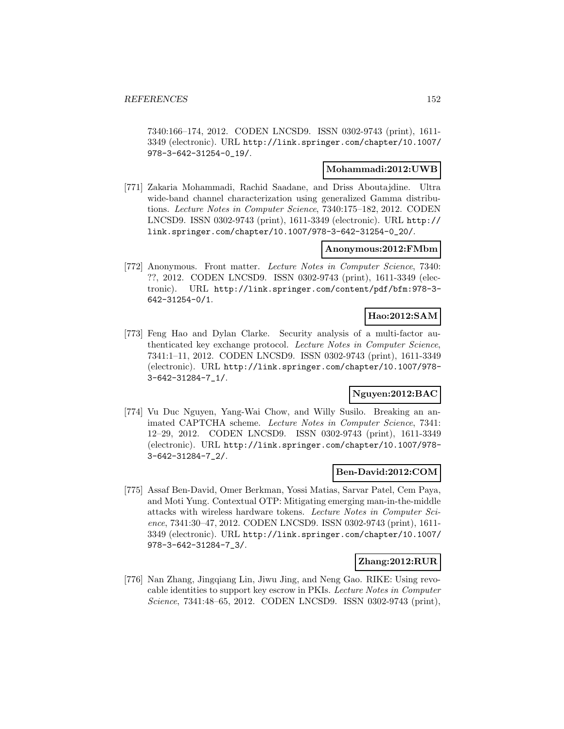7340:166–174, 2012. CODEN LNCSD9. ISSN 0302-9743 (print), 1611- 3349 (electronic). URL http://link.springer.com/chapter/10.1007/ 978-3-642-31254-0\_19/.

### **Mohammadi:2012:UWB**

[771] Zakaria Mohammadi, Rachid Saadane, and Driss Aboutajdine. Ultra wide-band channel characterization using generalized Gamma distributions. Lecture Notes in Computer Science, 7340:175–182, 2012. CODEN LNCSD9. ISSN 0302-9743 (print), 1611-3349 (electronic). URL http:// link.springer.com/chapter/10.1007/978-3-642-31254-0\_20/.

#### **Anonymous:2012:FMbm**

[772] Anonymous. Front matter. Lecture Notes in Computer Science, 7340: ??, 2012. CODEN LNCSD9. ISSN 0302-9743 (print), 1611-3349 (electronic). URL http://link.springer.com/content/pdf/bfm:978-3- 642-31254-0/1.

#### **Hao:2012:SAM**

[773] Feng Hao and Dylan Clarke. Security analysis of a multi-factor authenticated key exchange protocol. Lecture Notes in Computer Science, 7341:1–11, 2012. CODEN LNCSD9. ISSN 0302-9743 (print), 1611-3349 (electronic). URL http://link.springer.com/chapter/10.1007/978- 3-642-31284-7\_1/.

# **Nguyen:2012:BAC**

[774] Vu Duc Nguyen, Yang-Wai Chow, and Willy Susilo. Breaking an animated CAPTCHA scheme. Lecture Notes in Computer Science, 7341: 12–29, 2012. CODEN LNCSD9. ISSN 0302-9743 (print), 1611-3349 (electronic). URL http://link.springer.com/chapter/10.1007/978- 3-642-31284-7\_2/.

#### **Ben-David:2012:COM**

[775] Assaf Ben-David, Omer Berkman, Yossi Matias, Sarvar Patel, Cem Paya, and Moti Yung. Contextual OTP: Mitigating emerging man-in-the-middle attacks with wireless hardware tokens. Lecture Notes in Computer Science, 7341:30–47, 2012. CODEN LNCSD9. ISSN 0302-9743 (print), 1611- 3349 (electronic). URL http://link.springer.com/chapter/10.1007/ 978-3-642-31284-7\_3/.

### **Zhang:2012:RUR**

[776] Nan Zhang, Jingqiang Lin, Jiwu Jing, and Neng Gao. RIKE: Using revocable identities to support key escrow in PKIs. Lecture Notes in Computer Science, 7341:48–65, 2012. CODEN LNCSD9. ISSN 0302-9743 (print),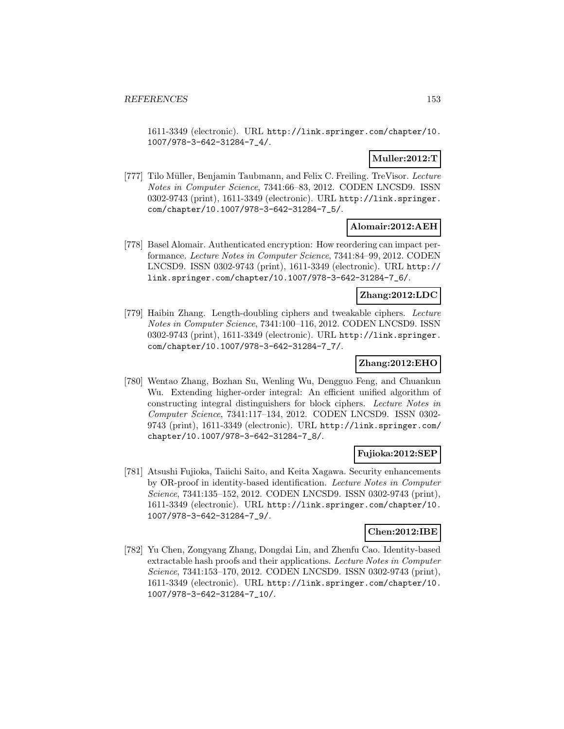1611-3349 (electronic). URL http://link.springer.com/chapter/10. 1007/978-3-642-31284-7\_4/.

# **Muller:2012:T**

[777] Tilo Müller, Benjamin Taubmann, and Felix C. Freiling. TreVisor. Lecture Notes in Computer Science, 7341:66–83, 2012. CODEN LNCSD9. ISSN 0302-9743 (print), 1611-3349 (electronic). URL http://link.springer. com/chapter/10.1007/978-3-642-31284-7\_5/.

### **Alomair:2012:AEH**

[778] Basel Alomair. Authenticated encryption: How reordering can impact performance. Lecture Notes in Computer Science, 7341:84–99, 2012. CODEN LNCSD9. ISSN 0302-9743 (print), 1611-3349 (electronic). URL http:// link.springer.com/chapter/10.1007/978-3-642-31284-7\_6/.

### **Zhang:2012:LDC**

[779] Haibin Zhang. Length-doubling ciphers and tweakable ciphers. Lecture Notes in Computer Science, 7341:100–116, 2012. CODEN LNCSD9. ISSN 0302-9743 (print), 1611-3349 (electronic). URL http://link.springer. com/chapter/10.1007/978-3-642-31284-7\_7/.

### **Zhang:2012:EHO**

[780] Wentao Zhang, Bozhan Su, Wenling Wu, Dengguo Feng, and Chuankun Wu. Extending higher-order integral: An efficient unified algorithm of constructing integral distinguishers for block ciphers. Lecture Notes in Computer Science, 7341:117–134, 2012. CODEN LNCSD9. ISSN 0302- 9743 (print), 1611-3349 (electronic). URL http://link.springer.com/ chapter/10.1007/978-3-642-31284-7\_8/.

### **Fujioka:2012:SEP**

[781] Atsushi Fujioka, Taiichi Saito, and Keita Xagawa. Security enhancements by OR-proof in identity-based identification. Lecture Notes in Computer Science, 7341:135–152, 2012. CODEN LNCSD9. ISSN 0302-9743 (print), 1611-3349 (electronic). URL http://link.springer.com/chapter/10. 1007/978-3-642-31284-7\_9/.

### **Chen:2012:IBE**

[782] Yu Chen, Zongyang Zhang, Dongdai Lin, and Zhenfu Cao. Identity-based extractable hash proofs and their applications. Lecture Notes in Computer Science, 7341:153–170, 2012. CODEN LNCSD9. ISSN 0302-9743 (print), 1611-3349 (electronic). URL http://link.springer.com/chapter/10. 1007/978-3-642-31284-7\_10/.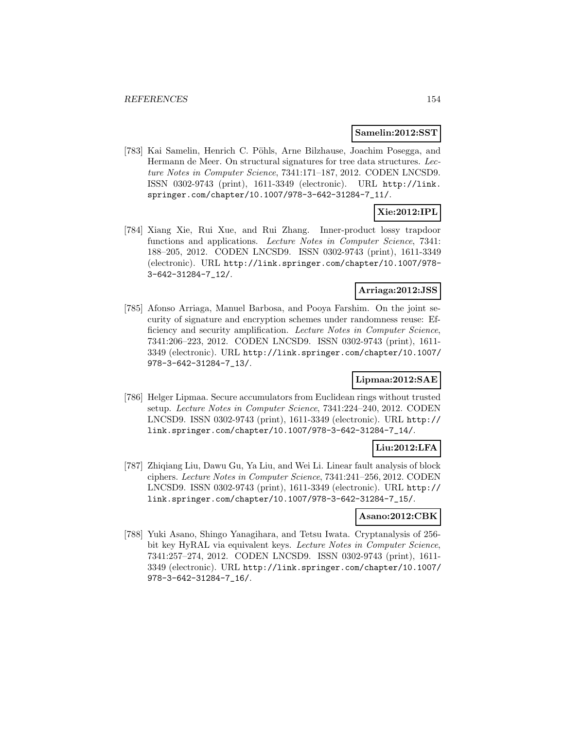#### **Samelin:2012:SST**

[783] Kai Samelin, Henrich C. Pöhls, Arne Bilzhause, Joachim Posegga, and Hermann de Meer. On structural signatures for tree data structures. Lecture Notes in Computer Science, 7341:171–187, 2012. CODEN LNCSD9. ISSN 0302-9743 (print), 1611-3349 (electronic). URL http://link. springer.com/chapter/10.1007/978-3-642-31284-7\_11/.

# **Xie:2012:IPL**

[784] Xiang Xie, Rui Xue, and Rui Zhang. Inner-product lossy trapdoor functions and applications. Lecture Notes in Computer Science, 7341: 188–205, 2012. CODEN LNCSD9. ISSN 0302-9743 (print), 1611-3349 (electronic). URL http://link.springer.com/chapter/10.1007/978- 3-642-31284-7\_12/.

#### **Arriaga:2012:JSS**

[785] Afonso Arriaga, Manuel Barbosa, and Pooya Farshim. On the joint security of signature and encryption schemes under randomness reuse: Efficiency and security amplification. Lecture Notes in Computer Science, 7341:206–223, 2012. CODEN LNCSD9. ISSN 0302-9743 (print), 1611- 3349 (electronic). URL http://link.springer.com/chapter/10.1007/ 978-3-642-31284-7\_13/.

# **Lipmaa:2012:SAE**

[786] Helger Lipmaa. Secure accumulators from Euclidean rings without trusted setup. Lecture Notes in Computer Science, 7341:224–240, 2012. CODEN LNCSD9. ISSN 0302-9743 (print), 1611-3349 (electronic). URL http:// link.springer.com/chapter/10.1007/978-3-642-31284-7\_14/.

#### **Liu:2012:LFA**

[787] Zhiqiang Liu, Dawu Gu, Ya Liu, and Wei Li. Linear fault analysis of block ciphers. Lecture Notes in Computer Science, 7341:241–256, 2012. CODEN LNCSD9. ISSN 0302-9743 (print), 1611-3349 (electronic). URL http:// link.springer.com/chapter/10.1007/978-3-642-31284-7\_15/.

### **Asano:2012:CBK**

[788] Yuki Asano, Shingo Yanagihara, and Tetsu Iwata. Cryptanalysis of 256 bit key HyRAL via equivalent keys. Lecture Notes in Computer Science, 7341:257–274, 2012. CODEN LNCSD9. ISSN 0302-9743 (print), 1611- 3349 (electronic). URL http://link.springer.com/chapter/10.1007/ 978-3-642-31284-7\_16/.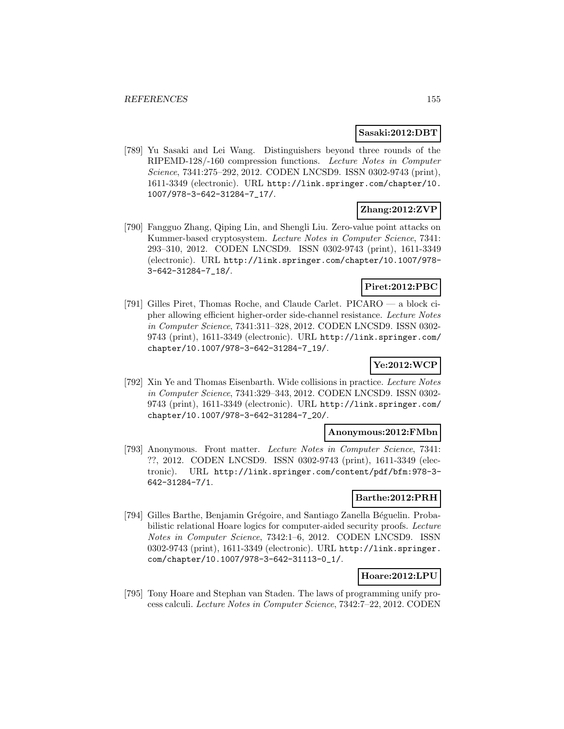#### **Sasaki:2012:DBT**

[789] Yu Sasaki and Lei Wang. Distinguishers beyond three rounds of the RIPEMD-128/-160 compression functions. Lecture Notes in Computer Science, 7341:275–292, 2012. CODEN LNCSD9. ISSN 0302-9743 (print), 1611-3349 (electronic). URL http://link.springer.com/chapter/10. 1007/978-3-642-31284-7\_17/.

### **Zhang:2012:ZVP**

[790] Fangguo Zhang, Qiping Lin, and Shengli Liu. Zero-value point attacks on Kummer-based cryptosystem. Lecture Notes in Computer Science, 7341: 293–310, 2012. CODEN LNCSD9. ISSN 0302-9743 (print), 1611-3349 (electronic). URL http://link.springer.com/chapter/10.1007/978- 3-642-31284-7\_18/.

### **Piret:2012:PBC**

[791] Gilles Piret, Thomas Roche, and Claude Carlet. PICARO — a block cipher allowing efficient higher-order side-channel resistance. Lecture Notes in Computer Science, 7341:311–328, 2012. CODEN LNCSD9. ISSN 0302- 9743 (print), 1611-3349 (electronic). URL http://link.springer.com/ chapter/10.1007/978-3-642-31284-7\_19/.

# **Ye:2012:WCP**

[792] Xin Ye and Thomas Eisenbarth. Wide collisions in practice. Lecture Notes in Computer Science, 7341:329–343, 2012. CODEN LNCSD9. ISSN 0302- 9743 (print), 1611-3349 (electronic). URL http://link.springer.com/ chapter/10.1007/978-3-642-31284-7\_20/.

#### **Anonymous:2012:FMbn**

[793] Anonymous. Front matter. Lecture Notes in Computer Science, 7341: ??, 2012. CODEN LNCSD9. ISSN 0302-9743 (print), 1611-3349 (electronic). URL http://link.springer.com/content/pdf/bfm:978-3- 642-31284-7/1.

#### **Barthe:2012:PRH**

[794] Gilles Barthe, Benjamin Grégoire, and Santiago Zanella Béguelin. Probabilistic relational Hoare logics for computer-aided security proofs. Lecture Notes in Computer Science, 7342:1–6, 2012. CODEN LNCSD9. ISSN 0302-9743 (print), 1611-3349 (electronic). URL http://link.springer. com/chapter/10.1007/978-3-642-31113-0\_1/.

### **Hoare:2012:LPU**

[795] Tony Hoare and Stephan van Staden. The laws of programming unify process calculi. Lecture Notes in Computer Science, 7342:7–22, 2012. CODEN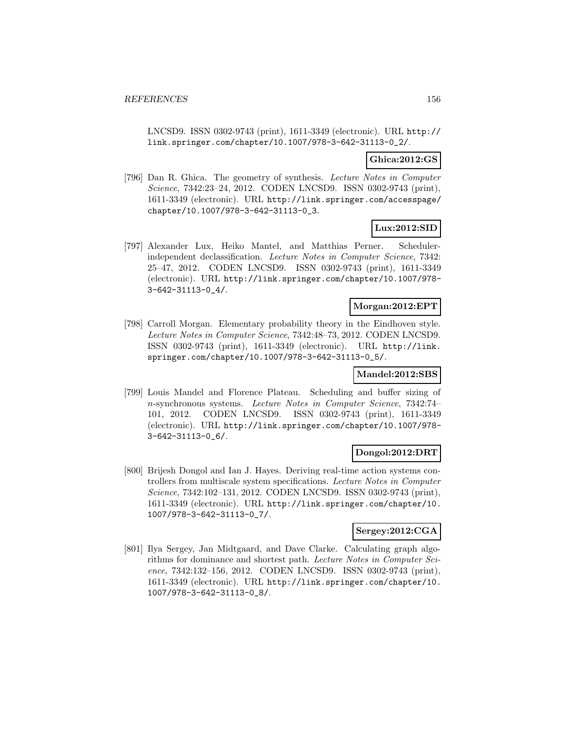LNCSD9. ISSN 0302-9743 (print), 1611-3349 (electronic). URL http:// link.springer.com/chapter/10.1007/978-3-642-31113-0\_2/.

### **Ghica:2012:GS**

[796] Dan R. Ghica. The geometry of synthesis. Lecture Notes in Computer Science, 7342:23–24, 2012. CODEN LNCSD9. ISSN 0302-9743 (print), 1611-3349 (electronic). URL http://link.springer.com/accesspage/ chapter/10.1007/978-3-642-31113-0\_3.

### **Lux:2012:SID**

[797] Alexander Lux, Heiko Mantel, and Matthias Perner. Schedulerindependent declassification. Lecture Notes in Computer Science, 7342: 25–47, 2012. CODEN LNCSD9. ISSN 0302-9743 (print), 1611-3349 (electronic). URL http://link.springer.com/chapter/10.1007/978- 3-642-31113-0\_4/.

### **Morgan:2012:EPT**

[798] Carroll Morgan. Elementary probability theory in the Eindhoven style. Lecture Notes in Computer Science, 7342:48–73, 2012. CODEN LNCSD9. ISSN 0302-9743 (print), 1611-3349 (electronic). URL http://link. springer.com/chapter/10.1007/978-3-642-31113-0\_5/.

### **Mandel:2012:SBS**

[799] Louis Mandel and Florence Plateau. Scheduling and buffer sizing of n-synchronous systems. Lecture Notes in Computer Science, 7342:74– 101, 2012. CODEN LNCSD9. ISSN 0302-9743 (print), 1611-3349 (electronic). URL http://link.springer.com/chapter/10.1007/978- 3-642-31113-0\_6/.

#### **Dongol:2012:DRT**

[800] Brijesh Dongol and Ian J. Hayes. Deriving real-time action systems controllers from multiscale system specifications. Lecture Notes in Computer Science, 7342:102–131, 2012. CODEN LNCSD9. ISSN 0302-9743 (print), 1611-3349 (electronic). URL http://link.springer.com/chapter/10. 1007/978-3-642-31113-0\_7/.

# **Sergey:2012:CGA**

[801] Ilya Sergey, Jan Midtgaard, and Dave Clarke. Calculating graph algorithms for dominance and shortest path. Lecture Notes in Computer Science, 7342:132–156, 2012. CODEN LNCSD9. ISSN 0302-9743 (print), 1611-3349 (electronic). URL http://link.springer.com/chapter/10. 1007/978-3-642-31113-0\_8/.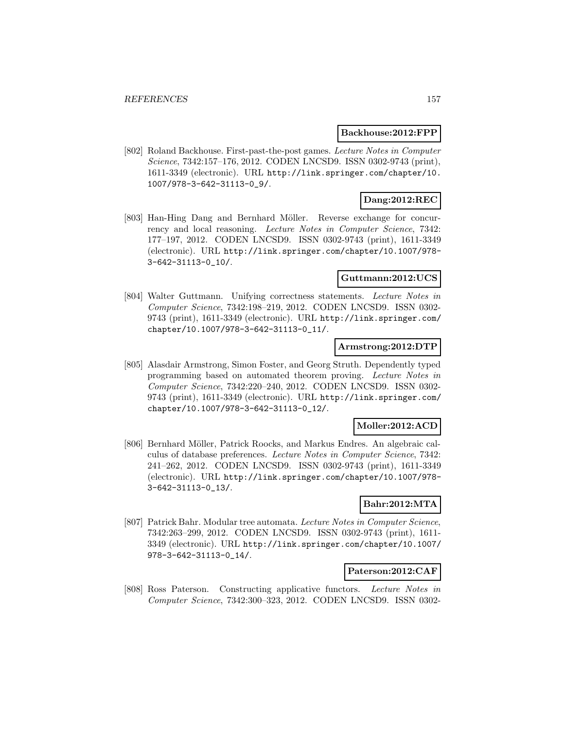#### **Backhouse:2012:FPP**

[802] Roland Backhouse. First-past-the-post games. Lecture Notes in Computer Science, 7342:157–176, 2012. CODEN LNCSD9. ISSN 0302-9743 (print), 1611-3349 (electronic). URL http://link.springer.com/chapter/10. 1007/978-3-642-31113-0\_9/.

### **Dang:2012:REC**

[803] Han-Hing Dang and Bernhard Möller. Reverse exchange for concurrency and local reasoning. Lecture Notes in Computer Science, 7342: 177–197, 2012. CODEN LNCSD9. ISSN 0302-9743 (print), 1611-3349 (electronic). URL http://link.springer.com/chapter/10.1007/978- 3-642-31113-0\_10/.

### **Guttmann:2012:UCS**

[804] Walter Guttmann. Unifying correctness statements. Lecture Notes in Computer Science, 7342:198–219, 2012. CODEN LNCSD9. ISSN 0302- 9743 (print), 1611-3349 (electronic). URL http://link.springer.com/ chapter/10.1007/978-3-642-31113-0\_11/.

#### **Armstrong:2012:DTP**

[805] Alasdair Armstrong, Simon Foster, and Georg Struth. Dependently typed programming based on automated theorem proving. Lecture Notes in Computer Science, 7342:220–240, 2012. CODEN LNCSD9. ISSN 0302- 9743 (print), 1611-3349 (electronic). URL http://link.springer.com/ chapter/10.1007/978-3-642-31113-0\_12/.

### **Moller:2012:ACD**

[806] Bernhard Möller, Patrick Roocks, and Markus Endres. An algebraic calculus of database preferences. Lecture Notes in Computer Science, 7342: 241–262, 2012. CODEN LNCSD9. ISSN 0302-9743 (print), 1611-3349 (electronic). URL http://link.springer.com/chapter/10.1007/978- 3-642-31113-0\_13/.

### **Bahr:2012:MTA**

[807] Patrick Bahr. Modular tree automata. Lecture Notes in Computer Science, 7342:263–299, 2012. CODEN LNCSD9. ISSN 0302-9743 (print), 1611- 3349 (electronic). URL http://link.springer.com/chapter/10.1007/ 978-3-642-31113-0\_14/.

#### **Paterson:2012:CAF**

[808] Ross Paterson. Constructing applicative functors. Lecture Notes in Computer Science, 7342:300–323, 2012. CODEN LNCSD9. ISSN 0302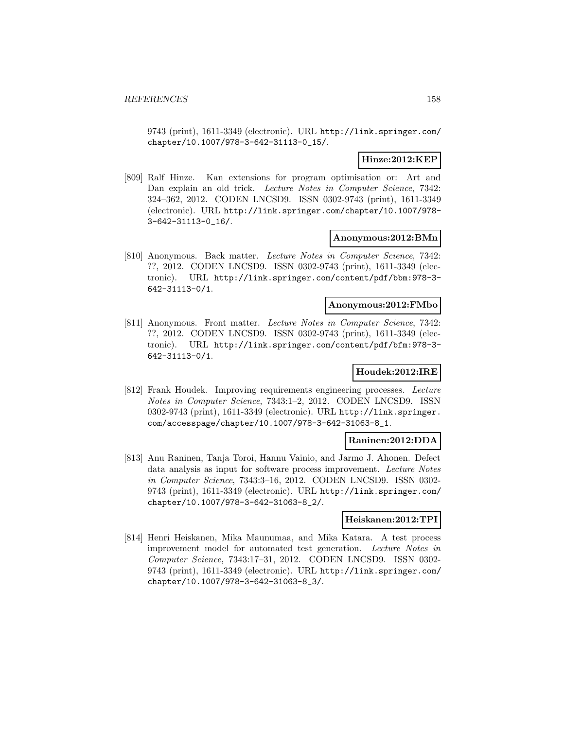9743 (print), 1611-3349 (electronic). URL http://link.springer.com/ chapter/10.1007/978-3-642-31113-0\_15/.

### **Hinze:2012:KEP**

[809] Ralf Hinze. Kan extensions for program optimisation or: Art and Dan explain an old trick. Lecture Notes in Computer Science, 7342: 324–362, 2012. CODEN LNCSD9. ISSN 0302-9743 (print), 1611-3349 (electronic). URL http://link.springer.com/chapter/10.1007/978- 3-642-31113-0\_16/.

#### **Anonymous:2012:BMn**

[810] Anonymous. Back matter. Lecture Notes in Computer Science, 7342: ??, 2012. CODEN LNCSD9. ISSN 0302-9743 (print), 1611-3349 (electronic). URL http://link.springer.com/content/pdf/bbm:978-3- 642-31113-0/1.

### **Anonymous:2012:FMbo**

[811] Anonymous. Front matter. Lecture Notes in Computer Science, 7342: ??, 2012. CODEN LNCSD9. ISSN 0302-9743 (print), 1611-3349 (electronic). URL http://link.springer.com/content/pdf/bfm:978-3- 642-31113-0/1.

### **Houdek:2012:IRE**

[812] Frank Houdek. Improving requirements engineering processes. Lecture Notes in Computer Science, 7343:1–2, 2012. CODEN LNCSD9. ISSN 0302-9743 (print), 1611-3349 (electronic). URL http://link.springer. com/accesspage/chapter/10.1007/978-3-642-31063-8\_1.

### **Raninen:2012:DDA**

[813] Anu Raninen, Tanja Toroi, Hannu Vainio, and Jarmo J. Ahonen. Defect data analysis as input for software process improvement. Lecture Notes in Computer Science, 7343:3–16, 2012. CODEN LNCSD9. ISSN 0302- 9743 (print), 1611-3349 (electronic). URL http://link.springer.com/ chapter/10.1007/978-3-642-31063-8\_2/.

#### **Heiskanen:2012:TPI**

[814] Henri Heiskanen, Mika Maunumaa, and Mika Katara. A test process improvement model for automated test generation. Lecture Notes in Computer Science, 7343:17–31, 2012. CODEN LNCSD9. ISSN 0302- 9743 (print), 1611-3349 (electronic). URL http://link.springer.com/ chapter/10.1007/978-3-642-31063-8\_3/.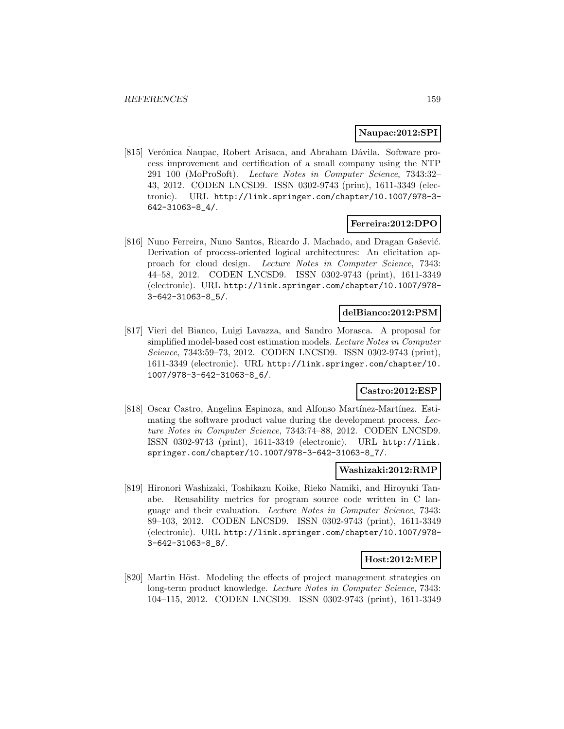#### **Naupac:2012:SPI**

[815] Verónica Naupac, Robert Arisaca, and Abraham Dávila. Software process improvement and certification of a small company using the NTP 291 100 (MoProSoft). Lecture Notes in Computer Science, 7343:32– 43, 2012. CODEN LNCSD9. ISSN 0302-9743 (print), 1611-3349 (electronic). URL http://link.springer.com/chapter/10.1007/978-3- 642-31063-8\_4/.

### **Ferreira:2012:DPO**

[816] Nuno Ferreira, Nuno Santos, Ricardo J. Machado, and Dragan Gašević. Derivation of process-oriented logical architectures: An elicitation approach for cloud design. Lecture Notes in Computer Science, 7343: 44–58, 2012. CODEN LNCSD9. ISSN 0302-9743 (print), 1611-3349 (electronic). URL http://link.springer.com/chapter/10.1007/978- 3-642-31063-8\_5/.

### **delBianco:2012:PSM**

[817] Vieri del Bianco, Luigi Lavazza, and Sandro Morasca. A proposal for simplified model-based cost estimation models. Lecture Notes in Computer Science, 7343:59–73, 2012. CODEN LNCSD9. ISSN 0302-9743 (print), 1611-3349 (electronic). URL http://link.springer.com/chapter/10. 1007/978-3-642-31063-8\_6/.

#### **Castro:2012:ESP**

[818] Oscar Castro, Angelina Espinoza, and Alfonso Martínez-Martínez. Estimating the software product value during the development process. Lecture Notes in Computer Science, 7343:74–88, 2012. CODEN LNCSD9. ISSN 0302-9743 (print), 1611-3349 (electronic). URL http://link. springer.com/chapter/10.1007/978-3-642-31063-8\_7/.

#### **Washizaki:2012:RMP**

[819] Hironori Washizaki, Toshikazu Koike, Rieko Namiki, and Hiroyuki Tanabe. Reusability metrics for program source code written in C language and their evaluation. Lecture Notes in Computer Science, 7343: 89–103, 2012. CODEN LNCSD9. ISSN 0302-9743 (print), 1611-3349 (electronic). URL http://link.springer.com/chapter/10.1007/978- 3-642-31063-8\_8/.

#### **Host:2012:MEP**

[820] Martin Höst. Modeling the effects of project management strategies on long-term product knowledge. Lecture Notes in Computer Science, 7343: 104–115, 2012. CODEN LNCSD9. ISSN 0302-9743 (print), 1611-3349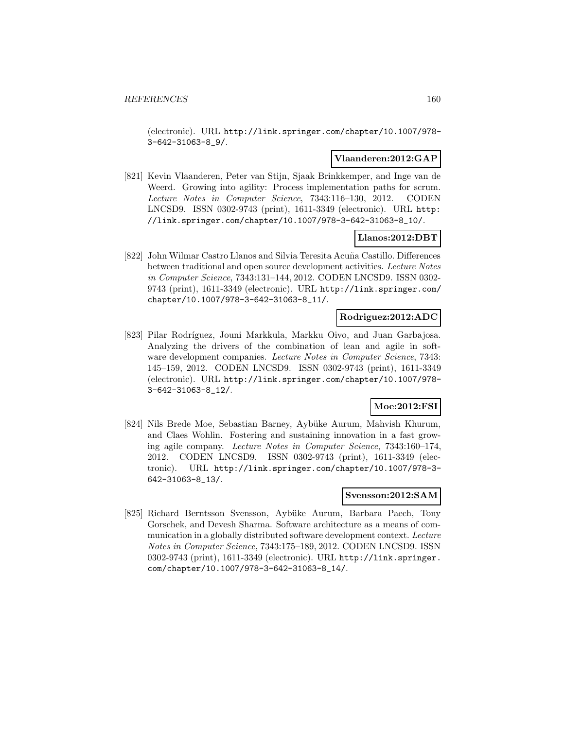(electronic). URL http://link.springer.com/chapter/10.1007/978- 3-642-31063-8\_9/.

### **Vlaanderen:2012:GAP**

[821] Kevin Vlaanderen, Peter van Stijn, Sjaak Brinkkemper, and Inge van de Weerd. Growing into agility: Process implementation paths for scrum. Lecture Notes in Computer Science, 7343:116–130, 2012. CODEN LNCSD9. ISSN 0302-9743 (print), 1611-3349 (electronic). URL http: //link.springer.com/chapter/10.1007/978-3-642-31063-8\_10/.

### **Llanos:2012:DBT**

[822] John Wilmar Castro Llanos and Silvia Teresita Acuña Castillo. Differences between traditional and open source development activities. Lecture Notes in Computer Science, 7343:131–144, 2012. CODEN LNCSD9. ISSN 0302- 9743 (print), 1611-3349 (electronic). URL http://link.springer.com/ chapter/10.1007/978-3-642-31063-8\_11/.

### **Rodriguez:2012:ADC**

[823] Pilar Rodríguez, Jouni Markkula, Markku Oivo, and Juan Garbajosa. Analyzing the drivers of the combination of lean and agile in software development companies. Lecture Notes in Computer Science, 7343: 145–159, 2012. CODEN LNCSD9. ISSN 0302-9743 (print), 1611-3349 (electronic). URL http://link.springer.com/chapter/10.1007/978- 3-642-31063-8\_12/.

# **Moe:2012:FSI**

[824] Nils Brede Moe, Sebastian Barney, Aybüke Aurum, Mahvish Khurum, and Claes Wohlin. Fostering and sustaining innovation in a fast growing agile company. Lecture Notes in Computer Science, 7343:160–174, 2012. CODEN LNCSD9. ISSN 0302-9743 (print), 1611-3349 (electronic). URL http://link.springer.com/chapter/10.1007/978-3- 642-31063-8\_13/.

#### **Svensson:2012:SAM**

[825] Richard Berntsson Svensson, Aybüke Aurum, Barbara Paech, Tony Gorschek, and Devesh Sharma. Software architecture as a means of communication in a globally distributed software development context. Lecture Notes in Computer Science, 7343:175–189, 2012. CODEN LNCSD9. ISSN 0302-9743 (print), 1611-3349 (electronic). URL http://link.springer. com/chapter/10.1007/978-3-642-31063-8\_14/.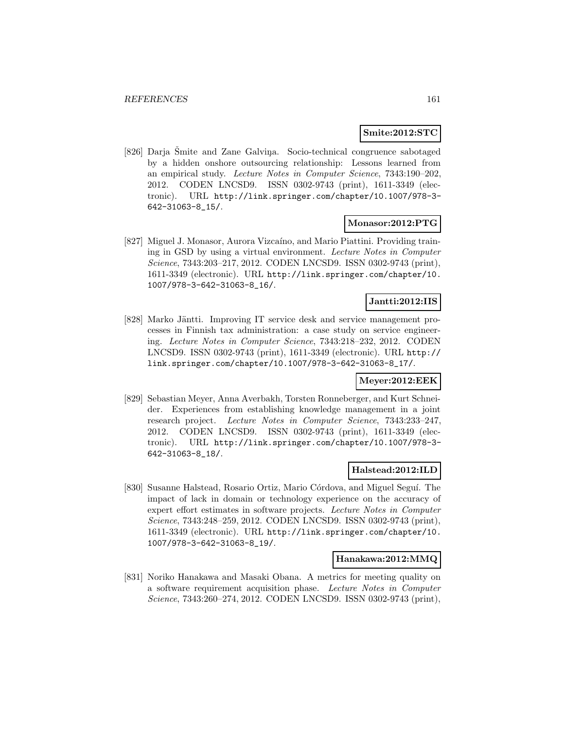#### **Smite:2012:STC**

[826] Darja Šmite and Zane Galviņa. Socio-technical congruence sabotaged by a hidden onshore outsourcing relationship: Lessons learned from an empirical study. Lecture Notes in Computer Science, 7343:190–202, 2012. CODEN LNCSD9. ISSN 0302-9743 (print), 1611-3349 (electronic). URL http://link.springer.com/chapter/10.1007/978-3- 642-31063-8\_15/.

#### **Monasor:2012:PTG**

[827] Miguel J. Monasor, Aurora Vizcaíno, and Mario Piattini. Providing training in GSD by using a virtual environment. Lecture Notes in Computer Science, 7343:203–217, 2012. CODEN LNCSD9. ISSN 0302-9743 (print), 1611-3349 (electronic). URL http://link.springer.com/chapter/10. 1007/978-3-642-31063-8\_16/.

# **Jantti:2012:IIS**

[828] Marko Jäntti. Improving IT service desk and service management processes in Finnish tax administration: a case study on service engineering. Lecture Notes in Computer Science, 7343:218–232, 2012. CODEN LNCSD9. ISSN 0302-9743 (print), 1611-3349 (electronic). URL http:// link.springer.com/chapter/10.1007/978-3-642-31063-8\_17/.

#### **Meyer:2012:EEK**

[829] Sebastian Meyer, Anna Averbakh, Torsten Ronneberger, and Kurt Schneider. Experiences from establishing knowledge management in a joint research project. Lecture Notes in Computer Science, 7343:233–247, 2012. CODEN LNCSD9. ISSN 0302-9743 (print), 1611-3349 (electronic). URL http://link.springer.com/chapter/10.1007/978-3- 642-31063-8\_18/.

# **Halstead:2012:ILD**

[830] Susanne Halstead, Rosario Ortiz, Mario Córdova, and Miguel Seguí. The impact of lack in domain or technology experience on the accuracy of expert effort estimates in software projects. Lecture Notes in Computer Science, 7343:248–259, 2012. CODEN LNCSD9. ISSN 0302-9743 (print), 1611-3349 (electronic). URL http://link.springer.com/chapter/10. 1007/978-3-642-31063-8\_19/.

#### **Hanakawa:2012:MMQ**

[831] Noriko Hanakawa and Masaki Obana. A metrics for meeting quality on a software requirement acquisition phase. Lecture Notes in Computer Science, 7343:260–274, 2012. CODEN LNCSD9. ISSN 0302-9743 (print),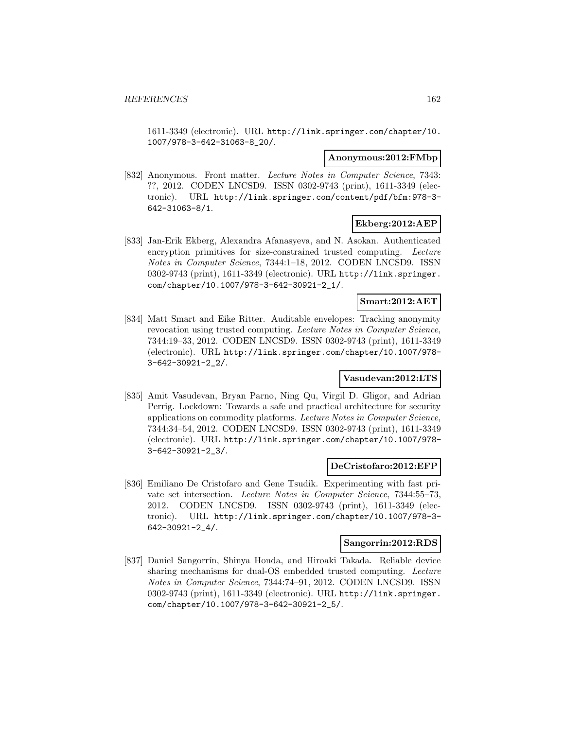1611-3349 (electronic). URL http://link.springer.com/chapter/10. 1007/978-3-642-31063-8\_20/.

#### **Anonymous:2012:FMbp**

[832] Anonymous. Front matter. Lecture Notes in Computer Science, 7343: ??, 2012. CODEN LNCSD9. ISSN 0302-9743 (print), 1611-3349 (electronic). URL http://link.springer.com/content/pdf/bfm:978-3- 642-31063-8/1.

### **Ekberg:2012:AEP**

[833] Jan-Erik Ekberg, Alexandra Afanasyeva, and N. Asokan. Authenticated encryption primitives for size-constrained trusted computing. Lecture Notes in Computer Science, 7344:1–18, 2012. CODEN LNCSD9. ISSN 0302-9743 (print), 1611-3349 (electronic). URL http://link.springer. com/chapter/10.1007/978-3-642-30921-2\_1/.

# **Smart:2012:AET**

[834] Matt Smart and Eike Ritter. Auditable envelopes: Tracking anonymity revocation using trusted computing. Lecture Notes in Computer Science, 7344:19–33, 2012. CODEN LNCSD9. ISSN 0302-9743 (print), 1611-3349 (electronic). URL http://link.springer.com/chapter/10.1007/978- 3-642-30921-2\_2/.

### **Vasudevan:2012:LTS**

[835] Amit Vasudevan, Bryan Parno, Ning Qu, Virgil D. Gligor, and Adrian Perrig. Lockdown: Towards a safe and practical architecture for security applications on commodity platforms. Lecture Notes in Computer Science, 7344:34–54, 2012. CODEN LNCSD9. ISSN 0302-9743 (print), 1611-3349 (electronic). URL http://link.springer.com/chapter/10.1007/978- 3-642-30921-2\_3/.

#### **DeCristofaro:2012:EFP**

[836] Emiliano De Cristofaro and Gene Tsudik. Experimenting with fast private set intersection. Lecture Notes in Computer Science, 7344:55–73, 2012. CODEN LNCSD9. ISSN 0302-9743 (print), 1611-3349 (electronic). URL http://link.springer.com/chapter/10.1007/978-3- 642-30921-2\_4/.

#### **Sangorrin:2012:RDS**

[837] Daniel Sangorrín, Shinya Honda, and Hiroaki Takada. Reliable device sharing mechanisms for dual-OS embedded trusted computing. Lecture Notes in Computer Science, 7344:74–91, 2012. CODEN LNCSD9. ISSN 0302-9743 (print), 1611-3349 (electronic). URL http://link.springer. com/chapter/10.1007/978-3-642-30921-2\_5/.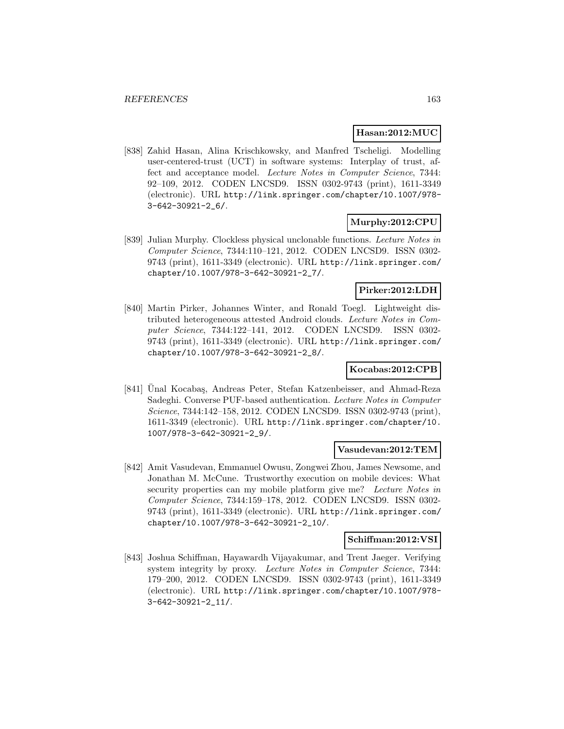#### **Hasan:2012:MUC**

[838] Zahid Hasan, Alina Krischkowsky, and Manfred Tscheligi. Modelling user-centered-trust (UCT) in software systems: Interplay of trust, affect and acceptance model. Lecture Notes in Computer Science, 7344: 92–109, 2012. CODEN LNCSD9. ISSN 0302-9743 (print), 1611-3349 (electronic). URL http://link.springer.com/chapter/10.1007/978- 3-642-30921-2\_6/.

### **Murphy:2012:CPU**

[839] Julian Murphy. Clockless physical unclonable functions. Lecture Notes in Computer Science, 7344:110–121, 2012. CODEN LNCSD9. ISSN 0302- 9743 (print), 1611-3349 (electronic). URL http://link.springer.com/ chapter/10.1007/978-3-642-30921-2\_7/.

### **Pirker:2012:LDH**

[840] Martin Pirker, Johannes Winter, and Ronald Toegl. Lightweight distributed heterogeneous attested Android clouds. Lecture Notes in Computer Science, 7344:122–141, 2012. CODEN LNCSD9. ISSN 0302- 9743 (print), 1611-3349 (electronic). URL http://link.springer.com/ chapter/10.1007/978-3-642-30921-2\_8/.

### **Kocabas:2012:CPB**

[841] Unal Kocabaş, Andreas Peter, Stefan Katzenbeisser, and Ahmad-Reza Sadeghi. Converse PUF-based authentication. Lecture Notes in Computer Science, 7344:142–158, 2012. CODEN LNCSD9. ISSN 0302-9743 (print), 1611-3349 (electronic). URL http://link.springer.com/chapter/10. 1007/978-3-642-30921-2\_9/.

#### **Vasudevan:2012:TEM**

[842] Amit Vasudevan, Emmanuel Owusu, Zongwei Zhou, James Newsome, and Jonathan M. McCune. Trustworthy execution on mobile devices: What security properties can my mobile platform give me? Lecture Notes in Computer Science, 7344:159–178, 2012. CODEN LNCSD9. ISSN 0302- 9743 (print), 1611-3349 (electronic). URL http://link.springer.com/ chapter/10.1007/978-3-642-30921-2\_10/.

#### **Schiffman:2012:VSI**

[843] Joshua Schiffman, Hayawardh Vijayakumar, and Trent Jaeger. Verifying system integrity by proxy. Lecture Notes in Computer Science, 7344: 179–200, 2012. CODEN LNCSD9. ISSN 0302-9743 (print), 1611-3349 (electronic). URL http://link.springer.com/chapter/10.1007/978- 3-642-30921-2\_11/.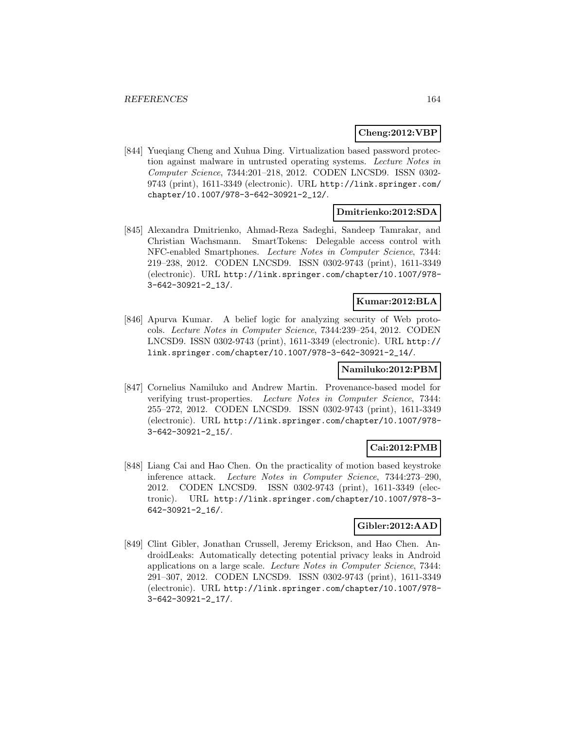### **Cheng:2012:VBP**

[844] Yueqiang Cheng and Xuhua Ding. Virtualization based password protection against malware in untrusted operating systems. Lecture Notes in Computer Science, 7344:201–218, 2012. CODEN LNCSD9. ISSN 0302- 9743 (print), 1611-3349 (electronic). URL http://link.springer.com/ chapter/10.1007/978-3-642-30921-2\_12/.

### **Dmitrienko:2012:SDA**

[845] Alexandra Dmitrienko, Ahmad-Reza Sadeghi, Sandeep Tamrakar, and Christian Wachsmann. SmartTokens: Delegable access control with NFC-enabled Smartphones. Lecture Notes in Computer Science, 7344: 219–238, 2012. CODEN LNCSD9. ISSN 0302-9743 (print), 1611-3349 (electronic). URL http://link.springer.com/chapter/10.1007/978- 3-642-30921-2\_13/.

### **Kumar:2012:BLA**

[846] Apurva Kumar. A belief logic for analyzing security of Web protocols. Lecture Notes in Computer Science, 7344:239–254, 2012. CODEN LNCSD9. ISSN 0302-9743 (print), 1611-3349 (electronic). URL http:// link.springer.com/chapter/10.1007/978-3-642-30921-2\_14/.

#### **Namiluko:2012:PBM**

[847] Cornelius Namiluko and Andrew Martin. Provenance-based model for verifying trust-properties. Lecture Notes in Computer Science, 7344: 255–272, 2012. CODEN LNCSD9. ISSN 0302-9743 (print), 1611-3349 (electronic). URL http://link.springer.com/chapter/10.1007/978- 3-642-30921-2\_15/.

#### **Cai:2012:PMB**

[848] Liang Cai and Hao Chen. On the practicality of motion based keystroke inference attack. Lecture Notes in Computer Science, 7344:273–290, 2012. CODEN LNCSD9. ISSN 0302-9743 (print), 1611-3349 (electronic). URL http://link.springer.com/chapter/10.1007/978-3- 642-30921-2\_16/.

### **Gibler:2012:AAD**

[849] Clint Gibler, Jonathan Crussell, Jeremy Erickson, and Hao Chen. AndroidLeaks: Automatically detecting potential privacy leaks in Android applications on a large scale. Lecture Notes in Computer Science, 7344: 291–307, 2012. CODEN LNCSD9. ISSN 0302-9743 (print), 1611-3349 (electronic). URL http://link.springer.com/chapter/10.1007/978- 3-642-30921-2\_17/.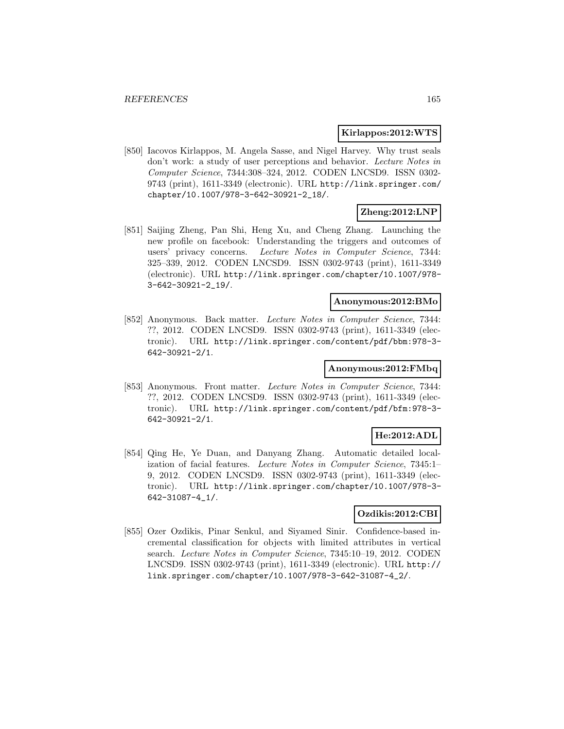#### **Kirlappos:2012:WTS**

[850] Iacovos Kirlappos, M. Angela Sasse, and Nigel Harvey. Why trust seals don't work: a study of user perceptions and behavior. Lecture Notes in Computer Science, 7344:308–324, 2012. CODEN LNCSD9. ISSN 0302- 9743 (print), 1611-3349 (electronic). URL http://link.springer.com/ chapter/10.1007/978-3-642-30921-2\_18/.

# **Zheng:2012:LNP**

[851] Saijing Zheng, Pan Shi, Heng Xu, and Cheng Zhang. Launching the new profile on facebook: Understanding the triggers and outcomes of users' privacy concerns. Lecture Notes in Computer Science, 7344: 325–339, 2012. CODEN LNCSD9. ISSN 0302-9743 (print), 1611-3349 (electronic). URL http://link.springer.com/chapter/10.1007/978- 3-642-30921-2\_19/.

### **Anonymous:2012:BMo**

[852] Anonymous. Back matter. Lecture Notes in Computer Science, 7344: ??, 2012. CODEN LNCSD9. ISSN 0302-9743 (print), 1611-3349 (electronic). URL http://link.springer.com/content/pdf/bbm:978-3- 642-30921-2/1.

### **Anonymous:2012:FMbq**

[853] Anonymous. Front matter. Lecture Notes in Computer Science, 7344: ??, 2012. CODEN LNCSD9. ISSN 0302-9743 (print), 1611-3349 (electronic). URL http://link.springer.com/content/pdf/bfm:978-3- 642-30921-2/1.

### **He:2012:ADL**

[854] Qing He, Ye Duan, and Danyang Zhang. Automatic detailed localization of facial features. Lecture Notes in Computer Science, 7345:1– 9, 2012. CODEN LNCSD9. ISSN 0302-9743 (print), 1611-3349 (electronic). URL http://link.springer.com/chapter/10.1007/978-3- 642-31087-4\_1/.

### **Ozdikis:2012:CBI**

[855] Ozer Ozdikis, Pinar Senkul, and Siyamed Sinir. Confidence-based incremental classification for objects with limited attributes in vertical search. Lecture Notes in Computer Science, 7345:10–19, 2012. CODEN LNCSD9. ISSN 0302-9743 (print), 1611-3349 (electronic). URL http:// link.springer.com/chapter/10.1007/978-3-642-31087-4\_2/.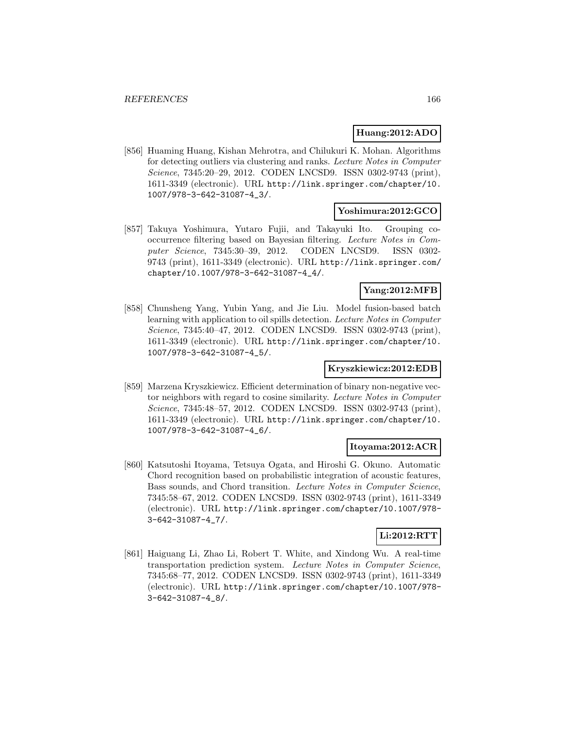### **Huang:2012:ADO**

[856] Huaming Huang, Kishan Mehrotra, and Chilukuri K. Mohan. Algorithms for detecting outliers via clustering and ranks. Lecture Notes in Computer Science, 7345:20–29, 2012. CODEN LNCSD9. ISSN 0302-9743 (print), 1611-3349 (electronic). URL http://link.springer.com/chapter/10. 1007/978-3-642-31087-4\_3/.

#### **Yoshimura:2012:GCO**

[857] Takuya Yoshimura, Yutaro Fujii, and Takayuki Ito. Grouping cooccurrence filtering based on Bayesian filtering. Lecture Notes in Computer Science, 7345:30–39, 2012. CODEN LNCSD9. ISSN 0302- 9743 (print), 1611-3349 (electronic). URL http://link.springer.com/ chapter/10.1007/978-3-642-31087-4\_4/.

#### **Yang:2012:MFB**

[858] Chunsheng Yang, Yubin Yang, and Jie Liu. Model fusion-based batch learning with application to oil spills detection. Lecture Notes in Computer Science, 7345:40–47, 2012. CODEN LNCSD9. ISSN 0302-9743 (print), 1611-3349 (electronic). URL http://link.springer.com/chapter/10. 1007/978-3-642-31087-4\_5/.

### **Kryszkiewicz:2012:EDB**

[859] Marzena Kryszkiewicz. Efficient determination of binary non-negative vector neighbors with regard to cosine similarity. Lecture Notes in Computer Science, 7345:48–57, 2012. CODEN LNCSD9. ISSN 0302-9743 (print), 1611-3349 (electronic). URL http://link.springer.com/chapter/10. 1007/978-3-642-31087-4\_6/.

#### **Itoyama:2012:ACR**

[860] Katsutoshi Itoyama, Tetsuya Ogata, and Hiroshi G. Okuno. Automatic Chord recognition based on probabilistic integration of acoustic features, Bass sounds, and Chord transition. Lecture Notes in Computer Science, 7345:58–67, 2012. CODEN LNCSD9. ISSN 0302-9743 (print), 1611-3349 (electronic). URL http://link.springer.com/chapter/10.1007/978- 3-642-31087-4\_7/.

# **Li:2012:RTT**

[861] Haiguang Li, Zhao Li, Robert T. White, and Xindong Wu. A real-time transportation prediction system. Lecture Notes in Computer Science, 7345:68–77, 2012. CODEN LNCSD9. ISSN 0302-9743 (print), 1611-3349 (electronic). URL http://link.springer.com/chapter/10.1007/978- 3-642-31087-4\_8/.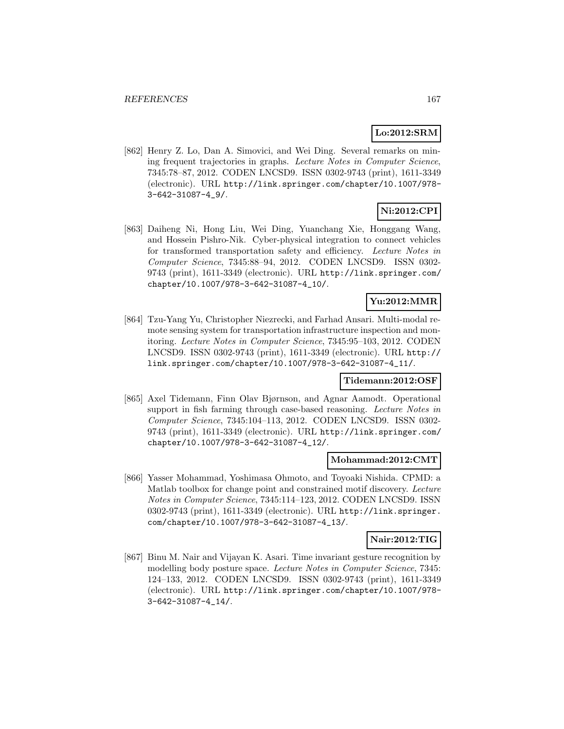# **Lo:2012:SRM**

[862] Henry Z. Lo, Dan A. Simovici, and Wei Ding. Several remarks on mining frequent trajectories in graphs. Lecture Notes in Computer Science, 7345:78–87, 2012. CODEN LNCSD9. ISSN 0302-9743 (print), 1611-3349 (electronic). URL http://link.springer.com/chapter/10.1007/978- 3-642-31087-4\_9/.

# **Ni:2012:CPI**

[863] Daiheng Ni, Hong Liu, Wei Ding, Yuanchang Xie, Honggang Wang, and Hossein Pishro-Nik. Cyber-physical integration to connect vehicles for transformed transportation safety and efficiency. Lecture Notes in Computer Science, 7345:88–94, 2012. CODEN LNCSD9. ISSN 0302- 9743 (print), 1611-3349 (electronic). URL http://link.springer.com/ chapter/10.1007/978-3-642-31087-4\_10/.

# **Yu:2012:MMR**

[864] Tzu-Yang Yu, Christopher Niezrecki, and Farhad Ansari. Multi-modal remote sensing system for transportation infrastructure inspection and monitoring. Lecture Notes in Computer Science, 7345:95–103, 2012. CODEN LNCSD9. ISSN 0302-9743 (print), 1611-3349 (electronic). URL http:// link.springer.com/chapter/10.1007/978-3-642-31087-4\_11/.

### **Tidemann:2012:OSF**

[865] Axel Tidemann, Finn Olav Bjørnson, and Agnar Aamodt. Operational support in fish farming through case-based reasoning. Lecture Notes in Computer Science, 7345:104–113, 2012. CODEN LNCSD9. ISSN 0302- 9743 (print), 1611-3349 (electronic). URL http://link.springer.com/ chapter/10.1007/978-3-642-31087-4\_12/.

#### **Mohammad:2012:CMT**

[866] Yasser Mohammad, Yoshimasa Ohmoto, and Toyoaki Nishida. CPMD: a Matlab toolbox for change point and constrained motif discovery. Lecture Notes in Computer Science, 7345:114–123, 2012. CODEN LNCSD9. ISSN 0302-9743 (print), 1611-3349 (electronic). URL http://link.springer. com/chapter/10.1007/978-3-642-31087-4\_13/.

### **Nair:2012:TIG**

[867] Binu M. Nair and Vijayan K. Asari. Time invariant gesture recognition by modelling body posture space. Lecture Notes in Computer Science, 7345: 124–133, 2012. CODEN LNCSD9. ISSN 0302-9743 (print), 1611-3349 (electronic). URL http://link.springer.com/chapter/10.1007/978- 3-642-31087-4\_14/.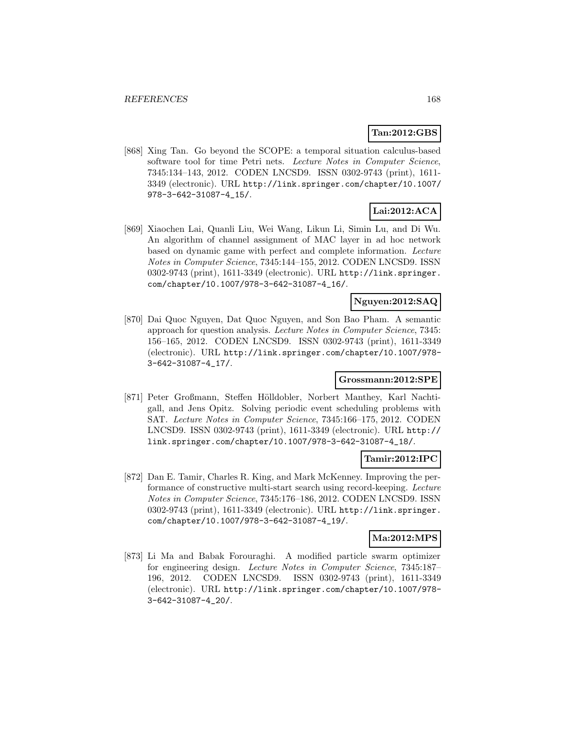# **Tan:2012:GBS**

[868] Xing Tan. Go beyond the SCOPE: a temporal situation calculus-based software tool for time Petri nets. Lecture Notes in Computer Science, 7345:134–143, 2012. CODEN LNCSD9. ISSN 0302-9743 (print), 1611- 3349 (electronic). URL http://link.springer.com/chapter/10.1007/ 978-3-642-31087-4\_15/.

# **Lai:2012:ACA**

[869] Xiaochen Lai, Quanli Liu, Wei Wang, Likun Li, Simin Lu, and Di Wu. An algorithm of channel assignment of MAC layer in ad hoc network based on dynamic game with perfect and complete information. Lecture Notes in Computer Science, 7345:144–155, 2012. CODEN LNCSD9. ISSN 0302-9743 (print), 1611-3349 (electronic). URL http://link.springer. com/chapter/10.1007/978-3-642-31087-4\_16/.

### **Nguyen:2012:SAQ**

[870] Dai Quoc Nguyen, Dat Quoc Nguyen, and Son Bao Pham. A semantic approach for question analysis. Lecture Notes in Computer Science, 7345: 156–165, 2012. CODEN LNCSD9. ISSN 0302-9743 (print), 1611-3349 (electronic). URL http://link.springer.com/chapter/10.1007/978- 3-642-31087-4\_17/.

# **Grossmann:2012:SPE**

[871] Peter Großmann, Steffen Hölldobler, Norbert Manthey, Karl Nachtigall, and Jens Opitz. Solving periodic event scheduling problems with SAT. Lecture Notes in Computer Science, 7345:166–175, 2012. CODEN LNCSD9. ISSN 0302-9743 (print), 1611-3349 (electronic). URL http:// link.springer.com/chapter/10.1007/978-3-642-31087-4\_18/.

#### **Tamir:2012:IPC**

[872] Dan E. Tamir, Charles R. King, and Mark McKenney. Improving the performance of constructive multi-start search using record-keeping. Lecture Notes in Computer Science, 7345:176–186, 2012. CODEN LNCSD9. ISSN 0302-9743 (print), 1611-3349 (electronic). URL http://link.springer. com/chapter/10.1007/978-3-642-31087-4\_19/.

#### **Ma:2012:MPS**

[873] Li Ma and Babak Forouraghi. A modified particle swarm optimizer for engineering design. Lecture Notes in Computer Science, 7345:187– 196, 2012. CODEN LNCSD9. ISSN 0302-9743 (print), 1611-3349 (electronic). URL http://link.springer.com/chapter/10.1007/978- 3-642-31087-4\_20/.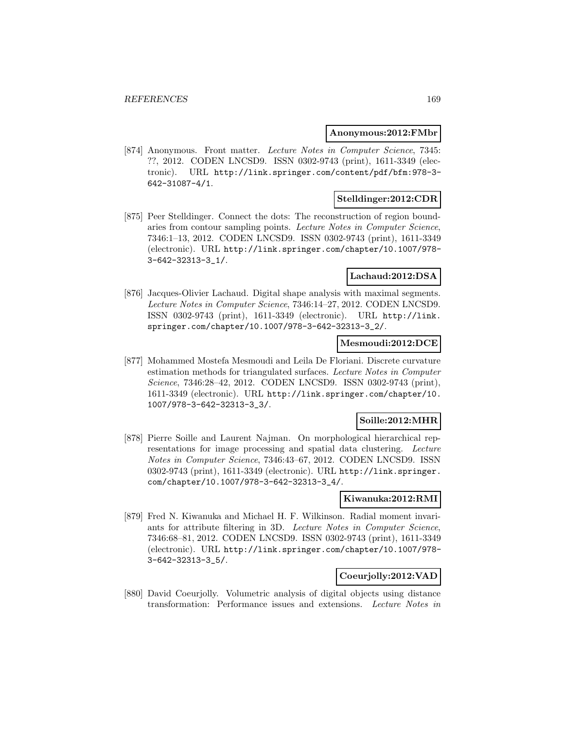#### **Anonymous:2012:FMbr**

[874] Anonymous. Front matter. Lecture Notes in Computer Science, 7345: ??, 2012. CODEN LNCSD9. ISSN 0302-9743 (print), 1611-3349 (electronic). URL http://link.springer.com/content/pdf/bfm:978-3- 642-31087-4/1.

### **Stelldinger:2012:CDR**

[875] Peer Stelldinger. Connect the dots: The reconstruction of region boundaries from contour sampling points. Lecture Notes in Computer Science, 7346:1–13, 2012. CODEN LNCSD9. ISSN 0302-9743 (print), 1611-3349 (electronic). URL http://link.springer.com/chapter/10.1007/978- 3-642-32313-3\_1/.

### **Lachaud:2012:DSA**

[876] Jacques-Olivier Lachaud. Digital shape analysis with maximal segments. Lecture Notes in Computer Science, 7346:14–27, 2012. CODEN LNCSD9. ISSN 0302-9743 (print), 1611-3349 (electronic). URL http://link. springer.com/chapter/10.1007/978-3-642-32313-3\_2/.

### **Mesmoudi:2012:DCE**

[877] Mohammed Mostefa Mesmoudi and Leila De Floriani. Discrete curvature estimation methods for triangulated surfaces. Lecture Notes in Computer Science, 7346:28–42, 2012. CODEN LNCSD9. ISSN 0302-9743 (print), 1611-3349 (electronic). URL http://link.springer.com/chapter/10. 1007/978-3-642-32313-3\_3/.

### **Soille:2012:MHR**

[878] Pierre Soille and Laurent Najman. On morphological hierarchical representations for image processing and spatial data clustering. Lecture Notes in Computer Science, 7346:43–67, 2012. CODEN LNCSD9. ISSN 0302-9743 (print), 1611-3349 (electronic). URL http://link.springer. com/chapter/10.1007/978-3-642-32313-3\_4/.

# **Kiwanuka:2012:RMI**

[879] Fred N. Kiwanuka and Michael H. F. Wilkinson. Radial moment invariants for attribute filtering in 3D. Lecture Notes in Computer Science, 7346:68–81, 2012. CODEN LNCSD9. ISSN 0302-9743 (print), 1611-3349 (electronic). URL http://link.springer.com/chapter/10.1007/978- 3-642-32313-3\_5/.

### **Coeurjolly:2012:VAD**

[880] David Coeurjolly. Volumetric analysis of digital objects using distance transformation: Performance issues and extensions. Lecture Notes in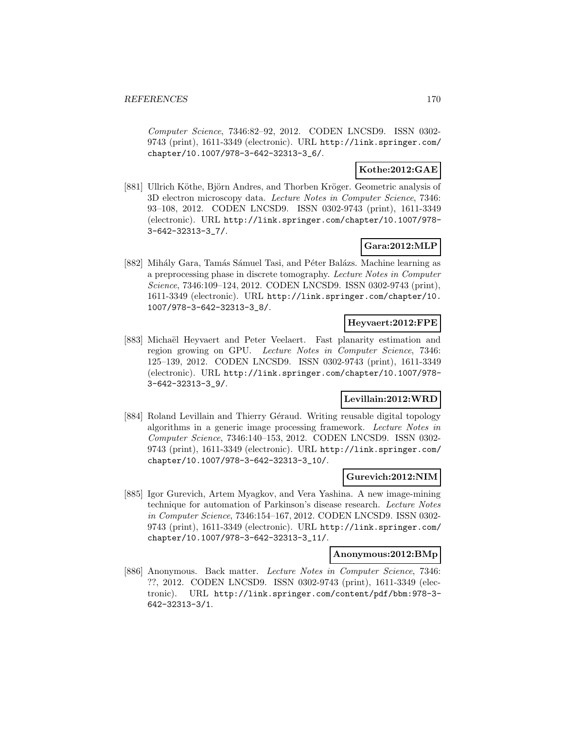Computer Science, 7346:82–92, 2012. CODEN LNCSD9. ISSN 0302- 9743 (print), 1611-3349 (electronic). URL http://link.springer.com/ chapter/10.1007/978-3-642-32313-3\_6/.

### **Kothe:2012:GAE**

[881] Ullrich Köthe, Björn Andres, and Thorben Kröger. Geometric analysis of 3D electron microscopy data. Lecture Notes in Computer Science, 7346: 93–108, 2012. CODEN LNCSD9. ISSN 0302-9743 (print), 1611-3349 (electronic). URL http://link.springer.com/chapter/10.1007/978- 3-642-32313-3\_7/.

# **Gara:2012:MLP**

[882] Mihály Gara, Tamás Sámuel Tasi, and Péter Balázs. Machine learning as a preprocessing phase in discrete tomography. Lecture Notes in Computer Science, 7346:109–124, 2012. CODEN LNCSD9. ISSN 0302-9743 (print), 1611-3349 (electronic). URL http://link.springer.com/chapter/10. 1007/978-3-642-32313-3\_8/.

### **Heyvaert:2012:FPE**

[883] Michaël Heyvaert and Peter Veelaert. Fast planarity estimation and region growing on GPU. Lecture Notes in Computer Science, 7346: 125–139, 2012. CODEN LNCSD9. ISSN 0302-9743 (print), 1611-3349 (electronic). URL http://link.springer.com/chapter/10.1007/978- 3-642-32313-3\_9/.

### **Levillain:2012:WRD**

[884] Roland Levillain and Thierry Géraud. Writing reusable digital topology algorithms in a generic image processing framework. Lecture Notes in Computer Science, 7346:140–153, 2012. CODEN LNCSD9. ISSN 0302- 9743 (print), 1611-3349 (electronic). URL http://link.springer.com/ chapter/10.1007/978-3-642-32313-3\_10/.

#### **Gurevich:2012:NIM**

[885] Igor Gurevich, Artem Myagkov, and Vera Yashina. A new image-mining technique for automation of Parkinson's disease research. Lecture Notes in Computer Science, 7346:154–167, 2012. CODEN LNCSD9. ISSN 0302- 9743 (print), 1611-3349 (electronic). URL http://link.springer.com/ chapter/10.1007/978-3-642-32313-3\_11/.

### **Anonymous:2012:BMp**

[886] Anonymous. Back matter. Lecture Notes in Computer Science, 7346: ??, 2012. CODEN LNCSD9. ISSN 0302-9743 (print), 1611-3349 (electronic). URL http://link.springer.com/content/pdf/bbm:978-3- 642-32313-3/1.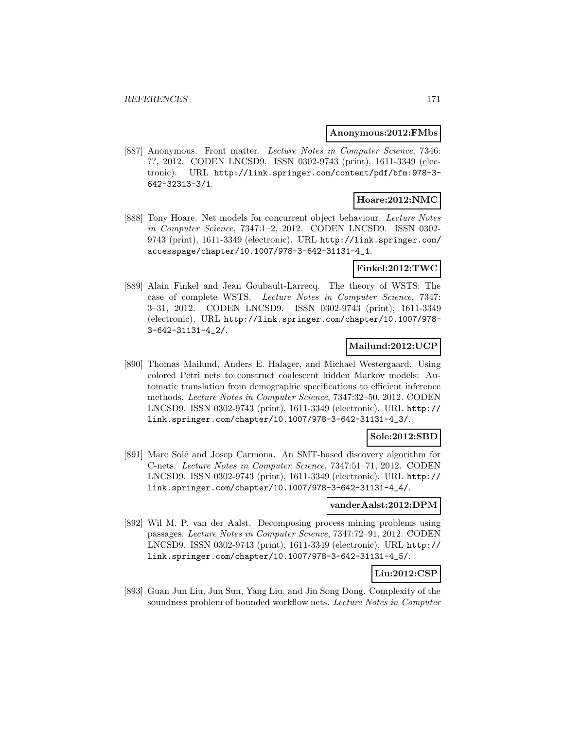#### **Anonymous:2012:FMbs**

[887] Anonymous. Front matter. Lecture Notes in Computer Science, 7346: ??, 2012. CODEN LNCSD9. ISSN 0302-9743 (print), 1611-3349 (electronic). URL http://link.springer.com/content/pdf/bfm:978-3- 642-32313-3/1.

### **Hoare:2012:NMC**

[888] Tony Hoare. Net models for concurrent object behaviour. Lecture Notes in Computer Science, 7347:1–2, 2012. CODEN LNCSD9. ISSN 0302- 9743 (print), 1611-3349 (electronic). URL http://link.springer.com/ accesspage/chapter/10.1007/978-3-642-31131-4\_1.

# **Finkel:2012:TWC**

[889] Alain Finkel and Jean Goubault-Larrecq. The theory of WSTS: The case of complete WSTS. Lecture Notes in Computer Science, 7347: 3–31, 2012. CODEN LNCSD9. ISSN 0302-9743 (print), 1611-3349 (electronic). URL http://link.springer.com/chapter/10.1007/978- 3-642-31131-4\_2/.

### **Mailund:2012:UCP**

[890] Thomas Mailund, Anders E. Halager, and Michael Westergaard. Using colored Petri nets to construct coalescent hidden Markov models: Automatic translation from demographic specifications to efficient inference methods. Lecture Notes in Computer Science, 7347:32–50, 2012. CODEN LNCSD9. ISSN 0302-9743 (print), 1611-3349 (electronic). URL http:// link.springer.com/chapter/10.1007/978-3-642-31131-4\_3/.

### **Sole:2012:SBD**

[891] Marc Solé and Josep Carmona. An SMT-based discovery algorithm for C-nets. Lecture Notes in Computer Science, 7347:51–71, 2012. CODEN LNCSD9. ISSN 0302-9743 (print), 1611-3349 (electronic). URL http:// link.springer.com/chapter/10.1007/978-3-642-31131-4\_4/.

#### **vanderAalst:2012:DPM**

[892] Wil M. P. van der Aalst. Decomposing process mining problems using passages. Lecture Notes in Computer Science, 7347:72–91, 2012. CODEN LNCSD9. ISSN 0302-9743 (print), 1611-3349 (electronic). URL http:// link.springer.com/chapter/10.1007/978-3-642-31131-4\_5/.

# **Liu:2012:CSP**

[893] Guan Jun Liu, Jun Sun, Yang Liu, and Jin Song Dong. Complexity of the soundness problem of bounded workflow nets. Lecture Notes in Computer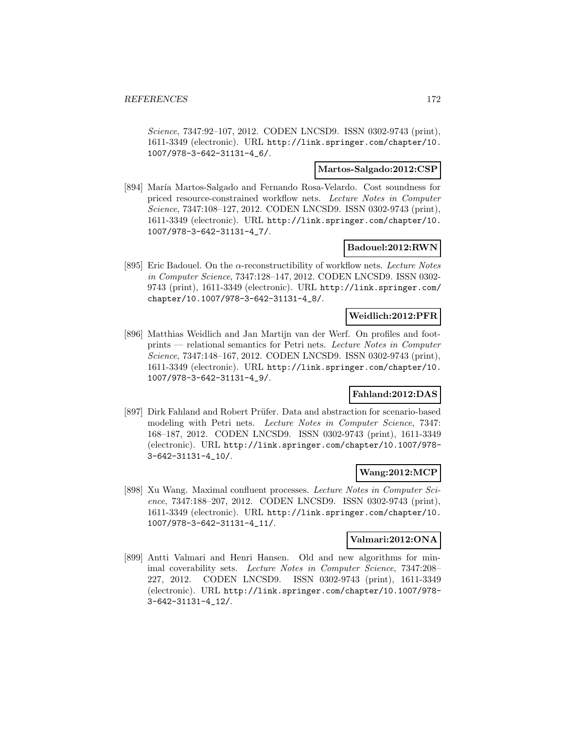Science, 7347:92–107, 2012. CODEN LNCSD9. ISSN 0302-9743 (print), 1611-3349 (electronic). URL http://link.springer.com/chapter/10. 1007/978-3-642-31131-4\_6/.

### **Martos-Salgado:2012:CSP**

[894] María Martos-Salgado and Fernando Rosa-Velardo. Cost soundness for priced resource-constrained workflow nets. Lecture Notes in Computer Science, 7347:108–127, 2012. CODEN LNCSD9. ISSN 0302-9743 (print), 1611-3349 (electronic). URL http://link.springer.com/chapter/10. 1007/978-3-642-31131-4\_7/.

### **Badouel:2012:RWN**

[895] Eric Badouel. On the  $\alpha$ -reconstructibility of workflow nets. Lecture Notes in Computer Science, 7347:128–147, 2012. CODEN LNCSD9. ISSN 0302- 9743 (print), 1611-3349 (electronic). URL http://link.springer.com/ chapter/10.1007/978-3-642-31131-4\_8/.

### **Weidlich:2012:PFR**

[896] Matthias Weidlich and Jan Martijn van der Werf. On profiles and footprints — relational semantics for Petri nets. Lecture Notes in Computer Science, 7347:148–167, 2012. CODEN LNCSD9. ISSN 0302-9743 (print), 1611-3349 (electronic). URL http://link.springer.com/chapter/10. 1007/978-3-642-31131-4\_9/.

# **Fahland:2012:DAS**

[897] Dirk Fahland and Robert Prüfer. Data and abstraction for scenario-based modeling with Petri nets. Lecture Notes in Computer Science, 7347: 168–187, 2012. CODEN LNCSD9. ISSN 0302-9743 (print), 1611-3349 (electronic). URL http://link.springer.com/chapter/10.1007/978- 3-642-31131-4\_10/.

#### **Wang:2012:MCP**

[898] Xu Wang. Maximal confluent processes. Lecture Notes in Computer Science, 7347:188–207, 2012. CODEN LNCSD9. ISSN 0302-9743 (print), 1611-3349 (electronic). URL http://link.springer.com/chapter/10. 1007/978-3-642-31131-4\_11/.

#### **Valmari:2012:ONA**

[899] Antti Valmari and Henri Hansen. Old and new algorithms for minimal coverability sets. Lecture Notes in Computer Science, 7347:208– 227, 2012. CODEN LNCSD9. ISSN 0302-9743 (print), 1611-3349 (electronic). URL http://link.springer.com/chapter/10.1007/978- 3-642-31131-4\_12/.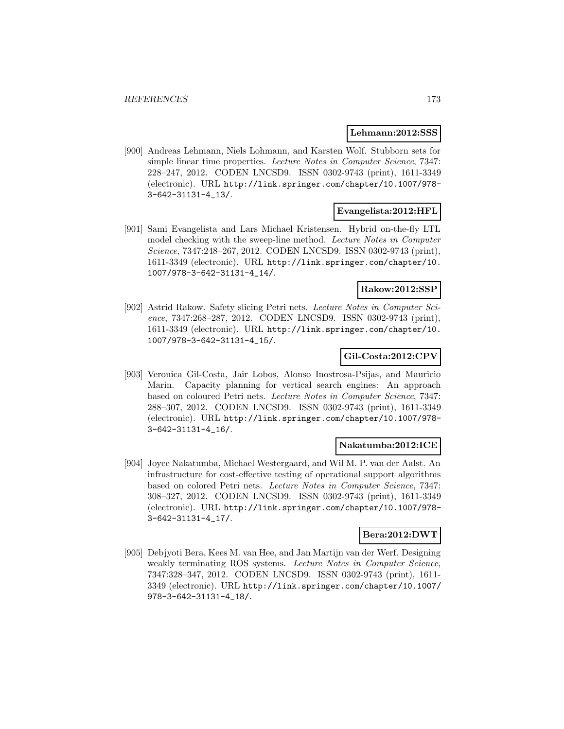#### **Lehmann:2012:SSS**

[900] Andreas Lehmann, Niels Lohmann, and Karsten Wolf. Stubborn sets for simple linear time properties. Lecture Notes in Computer Science, 7347: 228–247, 2012. CODEN LNCSD9. ISSN 0302-9743 (print), 1611-3349 (electronic). URL http://link.springer.com/chapter/10.1007/978- 3-642-31131-4\_13/.

### **Evangelista:2012:HFL**

[901] Sami Evangelista and Lars Michael Kristensen. Hybrid on-the-fly LTL model checking with the sweep-line method. Lecture Notes in Computer Science, 7347:248–267, 2012. CODEN LNCSD9. ISSN 0302-9743 (print), 1611-3349 (electronic). URL http://link.springer.com/chapter/10. 1007/978-3-642-31131-4\_14/.

### **Rakow:2012:SSP**

[902] Astrid Rakow. Safety slicing Petri nets. Lecture Notes in Computer Science, 7347:268–287, 2012. CODEN LNCSD9. ISSN 0302-9743 (print), 1611-3349 (electronic). URL http://link.springer.com/chapter/10. 1007/978-3-642-31131-4\_15/.

### **Gil-Costa:2012:CPV**

[903] Veronica Gil-Costa, Jair Lobos, Alonso Inostrosa-Psijas, and Mauricio Marin. Capacity planning for vertical search engines: An approach based on coloured Petri nets. Lecture Notes in Computer Science, 7347: 288–307, 2012. CODEN LNCSD9. ISSN 0302-9743 (print), 1611-3349 (electronic). URL http://link.springer.com/chapter/10.1007/978- 3-642-31131-4\_16/.

#### **Nakatumba:2012:ICE**

[904] Joyce Nakatumba, Michael Westergaard, and Wil M. P. van der Aalst. An infrastructure for cost-effective testing of operational support algorithms based on colored Petri nets. Lecture Notes in Computer Science, 7347: 308–327, 2012. CODEN LNCSD9. ISSN 0302-9743 (print), 1611-3349 (electronic). URL http://link.springer.com/chapter/10.1007/978- 3-642-31131-4\_17/.

### **Bera:2012:DWT**

[905] Debjyoti Bera, Kees M. van Hee, and Jan Martijn van der Werf. Designing weakly terminating ROS systems. Lecture Notes in Computer Science, 7347:328–347, 2012. CODEN LNCSD9. ISSN 0302-9743 (print), 1611- 3349 (electronic). URL http://link.springer.com/chapter/10.1007/ 978-3-642-31131-4\_18/.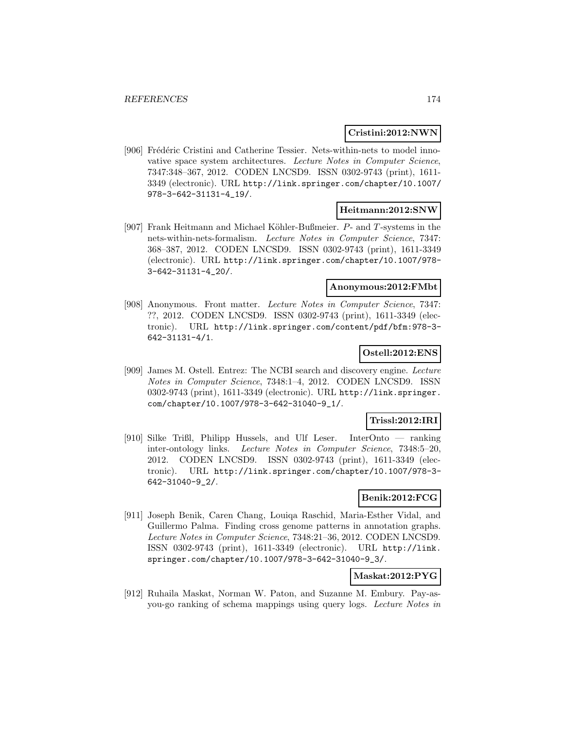### **Cristini:2012:NWN**

[906] Frédéric Cristini and Catherine Tessier. Nets-within-nets to model innovative space system architectures. Lecture Notes in Computer Science, 7347:348–367, 2012. CODEN LNCSD9. ISSN 0302-9743 (print), 1611- 3349 (electronic). URL http://link.springer.com/chapter/10.1007/ 978-3-642-31131-4\_19/.

#### **Heitmann:2012:SNW**

[907] Frank Heitmann and Michael Köhler-Bußmeier.  $P$ - and  $T$ -systems in the nets-within-nets-formalism. Lecture Notes in Computer Science, 7347: 368–387, 2012. CODEN LNCSD9. ISSN 0302-9743 (print), 1611-3349 (electronic). URL http://link.springer.com/chapter/10.1007/978- 3-642-31131-4\_20/.

### **Anonymous:2012:FMbt**

[908] Anonymous. Front matter. Lecture Notes in Computer Science, 7347: ??, 2012. CODEN LNCSD9. ISSN 0302-9743 (print), 1611-3349 (electronic). URL http://link.springer.com/content/pdf/bfm:978-3- 642-31131-4/1.

# **Ostell:2012:ENS**

[909] James M. Ostell. Entrez: The NCBI search and discovery engine. Lecture Notes in Computer Science, 7348:1–4, 2012. CODEN LNCSD9. ISSN 0302-9743 (print), 1611-3349 (electronic). URL http://link.springer. com/chapter/10.1007/978-3-642-31040-9\_1/.

### **Trissl:2012:IRI**

[910] Silke Trißl, Philipp Hussels, and Ulf Leser. InterOnto — ranking inter-ontology links. Lecture Notes in Computer Science, 7348:5–20, 2012. CODEN LNCSD9. ISSN 0302-9743 (print), 1611-3349 (electronic). URL http://link.springer.com/chapter/10.1007/978-3- 642-31040-9\_2/.

## **Benik:2012:FCG**

[911] Joseph Benik, Caren Chang, Louiqa Raschid, Maria-Esther Vidal, and Guillermo Palma. Finding cross genome patterns in annotation graphs. Lecture Notes in Computer Science, 7348:21–36, 2012. CODEN LNCSD9. ISSN 0302-9743 (print), 1611-3349 (electronic). URL http://link. springer.com/chapter/10.1007/978-3-642-31040-9\_3/.

### **Maskat:2012:PYG**

[912] Ruhaila Maskat, Norman W. Paton, and Suzanne M. Embury. Pay-asyou-go ranking of schema mappings using query logs. Lecture Notes in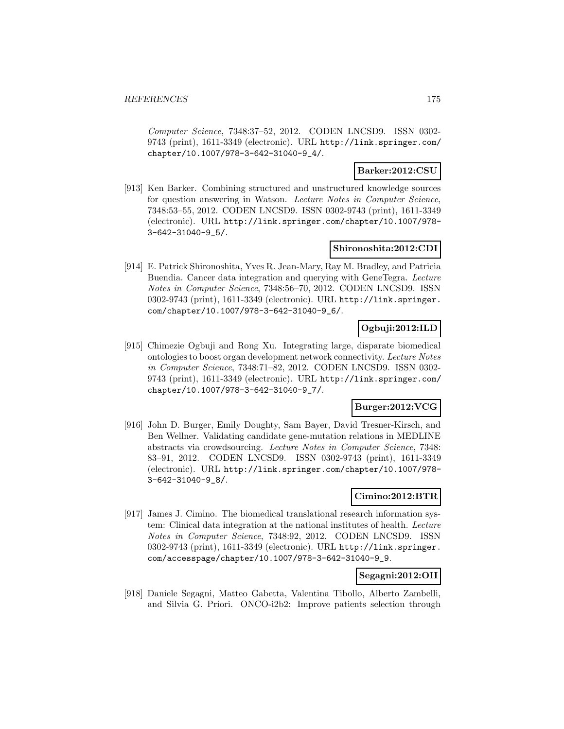Computer Science, 7348:37–52, 2012. CODEN LNCSD9. ISSN 0302- 9743 (print), 1611-3349 (electronic). URL http://link.springer.com/ chapter/10.1007/978-3-642-31040-9\_4/.

### **Barker:2012:CSU**

[913] Ken Barker. Combining structured and unstructured knowledge sources for question answering in Watson. Lecture Notes in Computer Science, 7348:53–55, 2012. CODEN LNCSD9. ISSN 0302-9743 (print), 1611-3349 (electronic). URL http://link.springer.com/chapter/10.1007/978- 3-642-31040-9\_5/.

### **Shironoshita:2012:CDI**

[914] E. Patrick Shironoshita, Yves R. Jean-Mary, Ray M. Bradley, and Patricia Buendia. Cancer data integration and querying with GeneTegra. Lecture Notes in Computer Science, 7348:56–70, 2012. CODEN LNCSD9. ISSN 0302-9743 (print), 1611-3349 (electronic). URL http://link.springer. com/chapter/10.1007/978-3-642-31040-9\_6/.

# **Ogbuji:2012:ILD**

[915] Chimezie Ogbuji and Rong Xu. Integrating large, disparate biomedical ontologies to boost organ development network connectivity. Lecture Notes in Computer Science, 7348:71–82, 2012. CODEN LNCSD9. ISSN 0302- 9743 (print), 1611-3349 (electronic). URL http://link.springer.com/ chapter/10.1007/978-3-642-31040-9\_7/.

### **Burger:2012:VCG**

[916] John D. Burger, Emily Doughty, Sam Bayer, David Tresner-Kirsch, and Ben Wellner. Validating candidate gene-mutation relations in MEDLINE abstracts via crowdsourcing. Lecture Notes in Computer Science, 7348: 83–91, 2012. CODEN LNCSD9. ISSN 0302-9743 (print), 1611-3349 (electronic). URL http://link.springer.com/chapter/10.1007/978- 3-642-31040-9\_8/.

### **Cimino:2012:BTR**

[917] James J. Cimino. The biomedical translational research information system: Clinical data integration at the national institutes of health. Lecture Notes in Computer Science, 7348:92, 2012. CODEN LNCSD9. ISSN 0302-9743 (print), 1611-3349 (electronic). URL http://link.springer. com/accesspage/chapter/10.1007/978-3-642-31040-9\_9.

### **Segagni:2012:OII**

[918] Daniele Segagni, Matteo Gabetta, Valentina Tibollo, Alberto Zambelli, and Silvia G. Priori. ONCO-i2b2: Improve patients selection through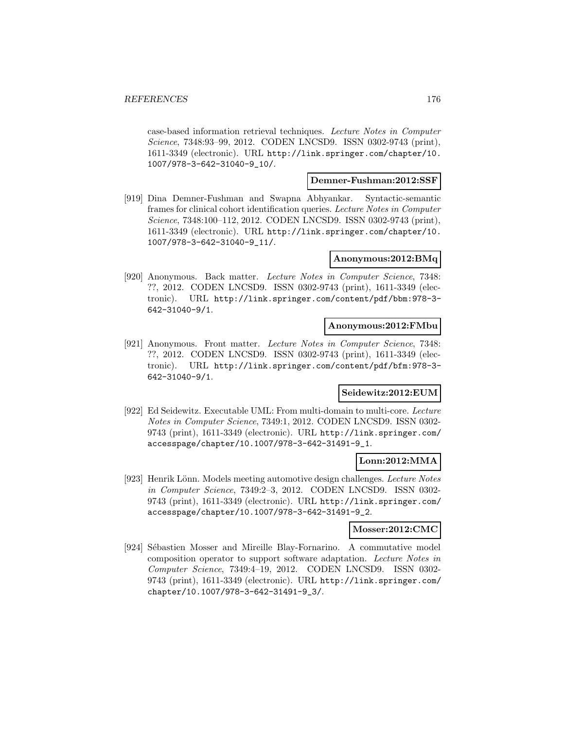case-based information retrieval techniques. Lecture Notes in Computer Science, 7348:93–99, 2012. CODEN LNCSD9. ISSN 0302-9743 (print), 1611-3349 (electronic). URL http://link.springer.com/chapter/10. 1007/978-3-642-31040-9\_10/.

#### **Demner-Fushman:2012:SSF**

[919] Dina Demner-Fushman and Swapna Abhyankar. Syntactic-semantic frames for clinical cohort identification queries. Lecture Notes in Computer Science, 7348:100–112, 2012. CODEN LNCSD9. ISSN 0302-9743 (print), 1611-3349 (electronic). URL http://link.springer.com/chapter/10. 1007/978-3-642-31040-9\_11/.

### **Anonymous:2012:BMq**

[920] Anonymous. Back matter. Lecture Notes in Computer Science, 7348: ??, 2012. CODEN LNCSD9. ISSN 0302-9743 (print), 1611-3349 (electronic). URL http://link.springer.com/content/pdf/bbm:978-3- 642-31040-9/1.

#### **Anonymous:2012:FMbu**

[921] Anonymous. Front matter. Lecture Notes in Computer Science, 7348: ??, 2012. CODEN LNCSD9. ISSN 0302-9743 (print), 1611-3349 (electronic). URL http://link.springer.com/content/pdf/bfm:978-3- 642-31040-9/1.

#### **Seidewitz:2012:EUM**

[922] Ed Seidewitz. Executable UML: From multi-domain to multi-core. Lecture Notes in Computer Science, 7349:1, 2012. CODEN LNCSD9. ISSN 0302- 9743 (print), 1611-3349 (electronic). URL http://link.springer.com/ accesspage/chapter/10.1007/978-3-642-31491-9\_1.

### **Lonn:2012:MMA**

[923] Henrik Lönn. Models meeting automotive design challenges. Lecture Notes in Computer Science, 7349:2–3, 2012. CODEN LNCSD9. ISSN 0302- 9743 (print), 1611-3349 (electronic). URL http://link.springer.com/ accesspage/chapter/10.1007/978-3-642-31491-9\_2.

#### **Mosser:2012:CMC**

[924] Sébastien Mosser and Mireille Blay-Fornarino. A commutative model composition operator to support software adaptation. Lecture Notes in Computer Science, 7349:4–19, 2012. CODEN LNCSD9. ISSN 0302- 9743 (print), 1611-3349 (electronic). URL http://link.springer.com/ chapter/10.1007/978-3-642-31491-9\_3/.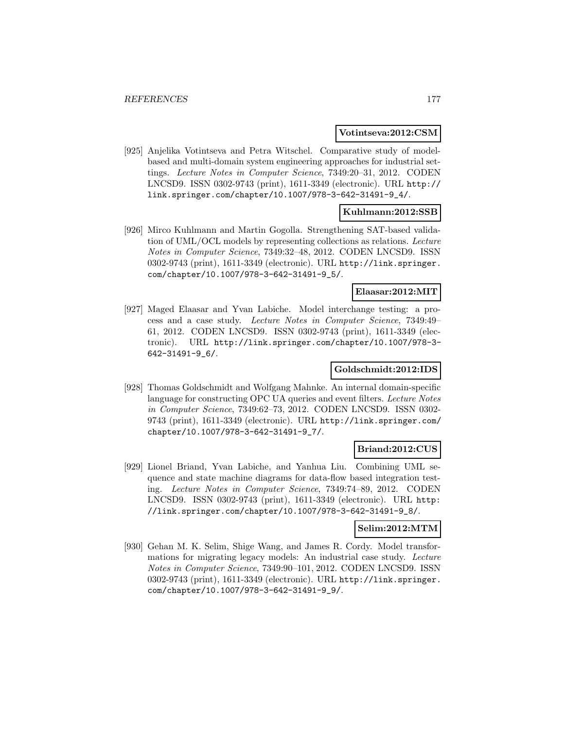#### **Votintseva:2012:CSM**

[925] Anjelika Votintseva and Petra Witschel. Comparative study of modelbased and multi-domain system engineering approaches for industrial settings. Lecture Notes in Computer Science, 7349:20–31, 2012. CODEN LNCSD9. ISSN 0302-9743 (print), 1611-3349 (electronic). URL http:// link.springer.com/chapter/10.1007/978-3-642-31491-9\_4/.

### **Kuhlmann:2012:SSB**

[926] Mirco Kuhlmann and Martin Gogolla. Strengthening SAT-based validation of UML/OCL models by representing collections as relations. Lecture Notes in Computer Science, 7349:32–48, 2012. CODEN LNCSD9. ISSN 0302-9743 (print), 1611-3349 (electronic). URL http://link.springer. com/chapter/10.1007/978-3-642-31491-9\_5/.

### **Elaasar:2012:MIT**

[927] Maged Elaasar and Yvan Labiche. Model interchange testing: a process and a case study. Lecture Notes in Computer Science, 7349:49– 61, 2012. CODEN LNCSD9. ISSN 0302-9743 (print), 1611-3349 (electronic). URL http://link.springer.com/chapter/10.1007/978-3- 642-31491-9\_6/.

### **Goldschmidt:2012:IDS**

[928] Thomas Goldschmidt and Wolfgang Mahnke. An internal domain-specific language for constructing OPC UA queries and event filters. Lecture Notes in Computer Science, 7349:62–73, 2012. CODEN LNCSD9. ISSN 0302- 9743 (print), 1611-3349 (electronic). URL http://link.springer.com/ chapter/10.1007/978-3-642-31491-9\_7/.

#### **Briand:2012:CUS**

[929] Lionel Briand, Yvan Labiche, and Yanhua Liu. Combining UML sequence and state machine diagrams for data-flow based integration testing. Lecture Notes in Computer Science, 7349:74–89, 2012. CODEN LNCSD9. ISSN 0302-9743 (print), 1611-3349 (electronic). URL http: //link.springer.com/chapter/10.1007/978-3-642-31491-9\_8/.

#### **Selim:2012:MTM**

[930] Gehan M. K. Selim, Shige Wang, and James R. Cordy. Model transformations for migrating legacy models: An industrial case study. Lecture Notes in Computer Science, 7349:90–101, 2012. CODEN LNCSD9. ISSN 0302-9743 (print), 1611-3349 (electronic). URL http://link.springer. com/chapter/10.1007/978-3-642-31491-9\_9/.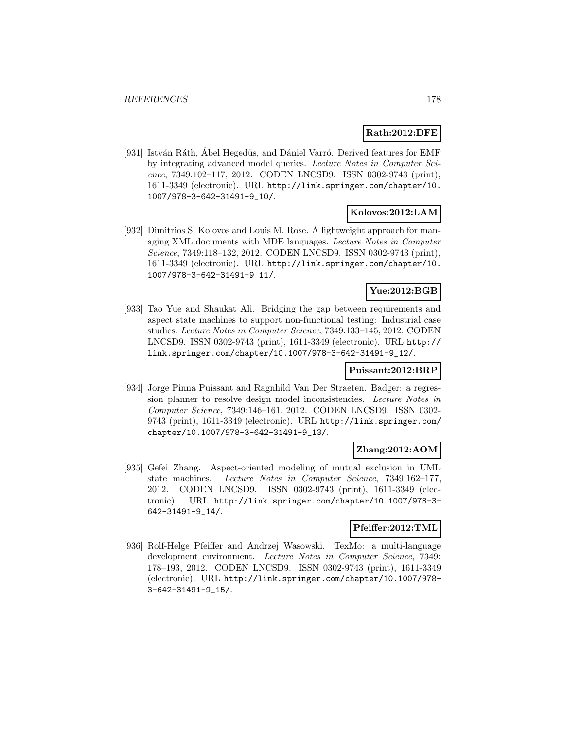### **Rath:2012:DFE**

[931] István Ráth, Ábel Hegedüs, and Dániel Varró. Derived features for EMF by integrating advanced model queries. Lecture Notes in Computer Science, 7349:102–117, 2012. CODEN LNCSD9. ISSN 0302-9743 (print), 1611-3349 (electronic). URL http://link.springer.com/chapter/10. 1007/978-3-642-31491-9\_10/.

### **Kolovos:2012:LAM**

[932] Dimitrios S. Kolovos and Louis M. Rose. A lightweight approach for managing XML documents with MDE languages. Lecture Notes in Computer Science, 7349:118–132, 2012. CODEN LNCSD9. ISSN 0302-9743 (print), 1611-3349 (electronic). URL http://link.springer.com/chapter/10. 1007/978-3-642-31491-9\_11/.

### **Yue:2012:BGB**

[933] Tao Yue and Shaukat Ali. Bridging the gap between requirements and aspect state machines to support non-functional testing: Industrial case studies. Lecture Notes in Computer Science, 7349:133–145, 2012. CODEN LNCSD9. ISSN 0302-9743 (print), 1611-3349 (electronic). URL http:// link.springer.com/chapter/10.1007/978-3-642-31491-9\_12/.

### **Puissant:2012:BRP**

[934] Jorge Pinna Puissant and Ragnhild Van Der Straeten. Badger: a regression planner to resolve design model inconsistencies. Lecture Notes in Computer Science, 7349:146–161, 2012. CODEN LNCSD9. ISSN 0302- 9743 (print), 1611-3349 (electronic). URL http://link.springer.com/ chapter/10.1007/978-3-642-31491-9\_13/.

### **Zhang:2012:AOM**

[935] Gefei Zhang. Aspect-oriented modeling of mutual exclusion in UML state machines. Lecture Notes in Computer Science, 7349:162–177, 2012. CODEN LNCSD9. ISSN 0302-9743 (print), 1611-3349 (electronic). URL http://link.springer.com/chapter/10.1007/978-3- 642-31491-9\_14/.

#### **Pfeiffer:2012:TML**

[936] Rolf-Helge Pfeiffer and Andrzej Wasowski. TexMo: a multi-language development environment. Lecture Notes in Computer Science, 7349: 178–193, 2012. CODEN LNCSD9. ISSN 0302-9743 (print), 1611-3349 (electronic). URL http://link.springer.com/chapter/10.1007/978- 3-642-31491-9\_15/.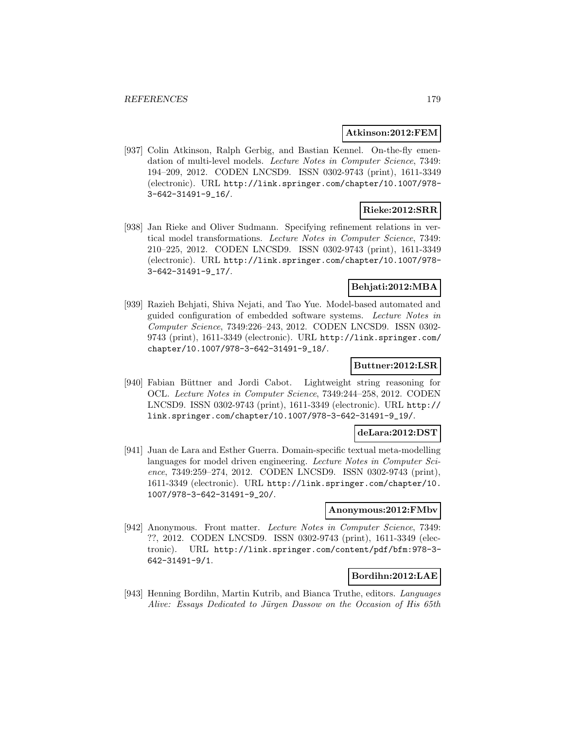#### **Atkinson:2012:FEM**

[937] Colin Atkinson, Ralph Gerbig, and Bastian Kennel. On-the-fly emendation of multi-level models. Lecture Notes in Computer Science, 7349: 194–209, 2012. CODEN LNCSD9. ISSN 0302-9743 (print), 1611-3349 (electronic). URL http://link.springer.com/chapter/10.1007/978- 3-642-31491-9\_16/.

### **Rieke:2012:SRR**

[938] Jan Rieke and Oliver Sudmann. Specifying refinement relations in vertical model transformations. Lecture Notes in Computer Science, 7349: 210–225, 2012. CODEN LNCSD9. ISSN 0302-9743 (print), 1611-3349 (electronic). URL http://link.springer.com/chapter/10.1007/978- 3-642-31491-9\_17/.

### **Behjati:2012:MBA**

[939] Razieh Behjati, Shiva Nejati, and Tao Yue. Model-based automated and guided configuration of embedded software systems. Lecture Notes in Computer Science, 7349:226–243, 2012. CODEN LNCSD9. ISSN 0302- 9743 (print), 1611-3349 (electronic). URL http://link.springer.com/ chapter/10.1007/978-3-642-31491-9\_18/.

### **Buttner:2012:LSR**

[940] Fabian B¨uttner and Jordi Cabot. Lightweight string reasoning for OCL. Lecture Notes in Computer Science, 7349:244–258, 2012. CODEN LNCSD9. ISSN 0302-9743 (print), 1611-3349 (electronic). URL http:// link.springer.com/chapter/10.1007/978-3-642-31491-9\_19/.

#### **deLara:2012:DST**

[941] Juan de Lara and Esther Guerra. Domain-specific textual meta-modelling languages for model driven engineering. Lecture Notes in Computer Science, 7349:259–274, 2012. CODEN LNCSD9. ISSN 0302-9743 (print), 1611-3349 (electronic). URL http://link.springer.com/chapter/10. 1007/978-3-642-31491-9\_20/.

#### **Anonymous:2012:FMbv**

[942] Anonymous. Front matter. Lecture Notes in Computer Science, 7349: ??, 2012. CODEN LNCSD9. ISSN 0302-9743 (print), 1611-3349 (electronic). URL http://link.springer.com/content/pdf/bfm:978-3- 642-31491-9/1.

### **Bordihn:2012:LAE**

[943] Henning Bordihn, Martin Kutrib, and Bianca Truthe, editors. Languages Alive: Essays Dedicated to Jürgen Dassow on the Occasion of His 65th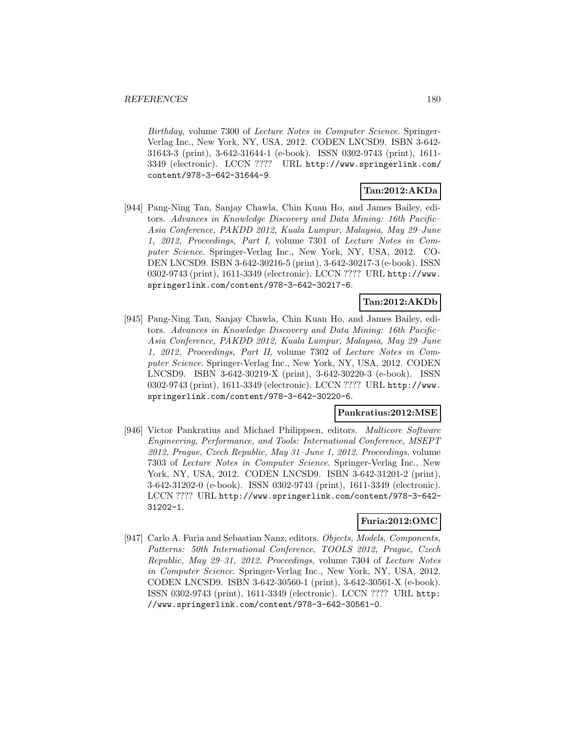Birthday, volume 7300 of Lecture Notes in Computer Science. Springer-Verlag Inc., New York, NY, USA, 2012. CODEN LNCSD9. ISBN 3-642- 31643-3 (print), 3-642-31644-1 (e-book). ISSN 0302-9743 (print), 1611- 3349 (electronic). LCCN ???? URL http://www.springerlink.com/ content/978-3-642-31644-9.

# **Tan:2012:AKDa**

[944] Pang-Ning Tan, Sanjay Chawla, Chin Kuan Ho, and James Bailey, editors. Advances in Knowledge Discovery and Data Mining: 16th Pacific– Asia Conference, PAKDD 2012, Kuala Lumpur, Malaysia, May 29–June 1, 2012, Proceedings, Part I, volume 7301 of Lecture Notes in Computer Science. Springer-Verlag Inc., New York, NY, USA, 2012. CO-DEN LNCSD9. ISBN 3-642-30216-5 (print), 3-642-30217-3 (e-book). ISSN 0302-9743 (print), 1611-3349 (electronic). LCCN ???? URL http://www. springerlink.com/content/978-3-642-30217-6.

# **Tan:2012:AKDb**

[945] Pang-Ning Tan, Sanjay Chawla, Chin Kuan Ho, and James Bailey, editors. Advances in Knowledge Discovery and Data Mining: 16th Pacific– Asia Conference, PAKDD 2012, Kuala Lumpur, Malaysia, May 29–June 1, 2012, Proceedings, Part II, volume 7302 of Lecture Notes in Computer Science. Springer-Verlag Inc., New York, NY, USA, 2012. CODEN LNCSD9. ISBN 3-642-30219-X (print), 3-642-30220-3 (e-book). ISSN 0302-9743 (print), 1611-3349 (electronic). LCCN ???? URL http://www. springerlink.com/content/978-3-642-30220-6.

### **Pankratius:2012:MSE**

[946] Victor Pankratius and Michael Philippsen, editors. Multicore Software Engineering, Performance, and Tools: International Conference, MSEPT 2012, Prague, Czech Republic, May 31–June 1, 2012. Proceedings, volume 7303 of Lecture Notes in Computer Science. Springer-Verlag Inc., New York, NY, USA, 2012. CODEN LNCSD9. ISBN 3-642-31201-2 (print), 3-642-31202-0 (e-book). ISSN 0302-9743 (print), 1611-3349 (electronic). LCCN ???? URL http://www.springerlink.com/content/978-3-642- 31202-1.

### **Furia:2012:OMC**

[947] Carlo A. Furia and Sebastian Nanz, editors. Objects, Models, Components, Patterns: 50th International Conference, TOOLS 2012, Prague, Czech Republic, May 29–31, 2012. Proceedings, volume 7304 of Lecture Notes in Computer Science. Springer-Verlag Inc., New York, NY, USA, 2012. CODEN LNCSD9. ISBN 3-642-30560-1 (print), 3-642-30561-X (e-book). ISSN 0302-9743 (print), 1611-3349 (electronic). LCCN ???? URL http: //www.springerlink.com/content/978-3-642-30561-0.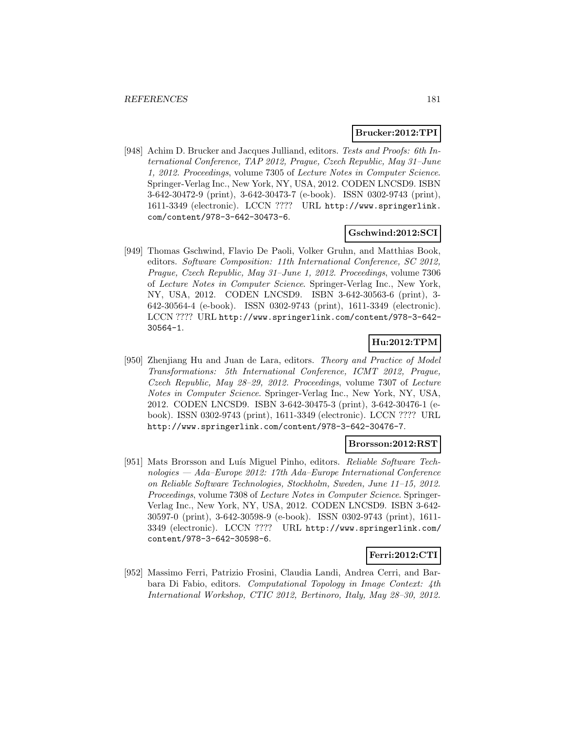## **Brucker:2012:TPI**

[948] Achim D. Brucker and Jacques Julliand, editors. Tests and Proofs: 6th International Conference, TAP 2012, Prague, Czech Republic, May 31–June 1, 2012. Proceedings, volume 7305 of Lecture Notes in Computer Science. Springer-Verlag Inc., New York, NY, USA, 2012. CODEN LNCSD9. ISBN 3-642-30472-9 (print), 3-642-30473-7 (e-book). ISSN 0302-9743 (print), 1611-3349 (electronic). LCCN ???? URL http://www.springerlink. com/content/978-3-642-30473-6.

## **Gschwind:2012:SCI**

[949] Thomas Gschwind, Flavio De Paoli, Volker Gruhn, and Matthias Book, editors. Software Composition: 11th International Conference, SC 2012, Prague, Czech Republic, May 31–June 1, 2012. Proceedings, volume 7306 of Lecture Notes in Computer Science. Springer-Verlag Inc., New York, NY, USA, 2012. CODEN LNCSD9. ISBN 3-642-30563-6 (print), 3- 642-30564-4 (e-book). ISSN 0302-9743 (print), 1611-3349 (electronic). LCCN ???? URL http://www.springerlink.com/content/978-3-642- 30564-1.

# **Hu:2012:TPM**

[950] Zhenjiang Hu and Juan de Lara, editors. Theory and Practice of Model Transformations: 5th International Conference, ICMT 2012, Prague, Czech Republic, May 28–29, 2012. Proceedings, volume 7307 of Lecture Notes in Computer Science. Springer-Verlag Inc., New York, NY, USA, 2012. CODEN LNCSD9. ISBN 3-642-30475-3 (print), 3-642-30476-1 (ebook). ISSN 0302-9743 (print), 1611-3349 (electronic). LCCN ???? URL http://www.springerlink.com/content/978-3-642-30476-7.

## **Brorsson:2012:RST**

[951] Mats Brorsson and Luís Miguel Pinho, editors. Reliable Software Technologies — Ada–Europe 2012: 17th Ada–Europe International Conference on Reliable Software Technologies, Stockholm, Sweden, June 11–15, 2012. Proceedings, volume 7308 of Lecture Notes in Computer Science. Springer-Verlag Inc., New York, NY, USA, 2012. CODEN LNCSD9. ISBN 3-642- 30597-0 (print), 3-642-30598-9 (e-book). ISSN 0302-9743 (print), 1611- 3349 (electronic). LCCN ???? URL http://www.springerlink.com/ content/978-3-642-30598-6.

# **Ferri:2012:CTI**

[952] Massimo Ferri, Patrizio Frosini, Claudia Landi, Andrea Cerri, and Barbara Di Fabio, editors. Computational Topology in Image Context: 4th International Workshop, CTIC 2012, Bertinoro, Italy, May 28–30, 2012.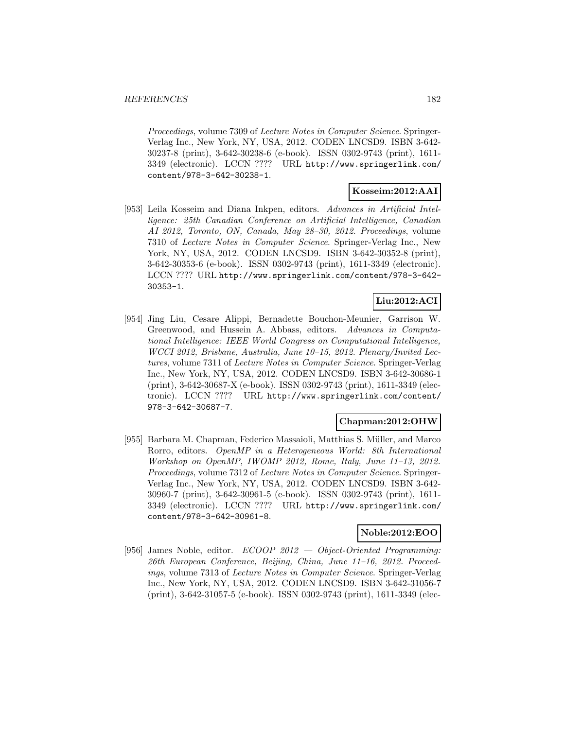Proceedings, volume 7309 of Lecture Notes in Computer Science. Springer-Verlag Inc., New York, NY, USA, 2012. CODEN LNCSD9. ISBN 3-642- 30237-8 (print), 3-642-30238-6 (e-book). ISSN 0302-9743 (print), 1611- 3349 (electronic). LCCN ???? URL http://www.springerlink.com/ content/978-3-642-30238-1.

# **Kosseim:2012:AAI**

[953] Leila Kosseim and Diana Inkpen, editors. Advances in Artificial Intelligence: 25th Canadian Conference on Artificial Intelligence, Canadian AI 2012, Toronto, ON, Canada, May 28–30, 2012. Proceedings, volume 7310 of Lecture Notes in Computer Science. Springer-Verlag Inc., New York, NY, USA, 2012. CODEN LNCSD9. ISBN 3-642-30352-8 (print), 3-642-30353-6 (e-book). ISSN 0302-9743 (print), 1611-3349 (electronic). LCCN ???? URL http://www.springerlink.com/content/978-3-642- 30353-1.

# **Liu:2012:ACI**

[954] Jing Liu, Cesare Alippi, Bernadette Bouchon-Meunier, Garrison W. Greenwood, and Hussein A. Abbass, editors. Advances in Computational Intelligence: IEEE World Congress on Computational Intelligence, WCCI 2012, Brisbane, Australia, June 10–15, 2012. Plenary/Invited Lectures, volume 7311 of Lecture Notes in Computer Science. Springer-Verlag Inc., New York, NY, USA, 2012. CODEN LNCSD9. ISBN 3-642-30686-1 (print), 3-642-30687-X (e-book). ISSN 0302-9743 (print), 1611-3349 (electronic). LCCN ???? URL http://www.springerlink.com/content/ 978-3-642-30687-7.

## **Chapman:2012:OHW**

[955] Barbara M. Chapman, Federico Massaioli, Matthias S. Müller, and Marco Rorro, editors. OpenMP in a Heterogeneous World: 8th International Workshop on OpenMP, IWOMP 2012, Rome, Italy, June 11–13, 2012. Proceedings, volume 7312 of Lecture Notes in Computer Science. Springer-Verlag Inc., New York, NY, USA, 2012. CODEN LNCSD9. ISBN 3-642- 30960-7 (print), 3-642-30961-5 (e-book). ISSN 0302-9743 (print), 1611- 3349 (electronic). LCCN ???? URL http://www.springerlink.com/ content/978-3-642-30961-8.

# **Noble:2012:EOO**

[956] James Noble, editor.  $ECOOP$  2012  $-$  Object-Oriented Programming: 26th European Conference, Beijing, China, June 11–16, 2012. Proceedings, volume 7313 of Lecture Notes in Computer Science. Springer-Verlag Inc., New York, NY, USA, 2012. CODEN LNCSD9. ISBN 3-642-31056-7 (print), 3-642-31057-5 (e-book). ISSN 0302-9743 (print), 1611-3349 (elec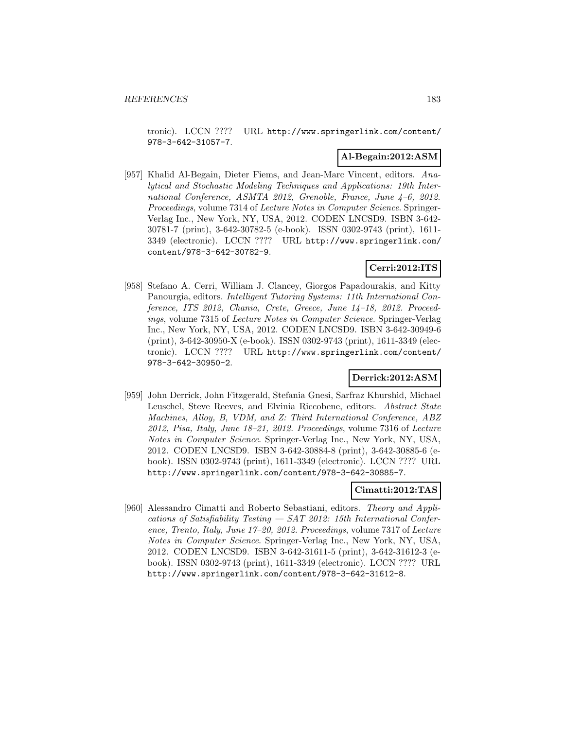tronic). LCCN ???? URL http://www.springerlink.com/content/ 978-3-642-31057-7.

## **Al-Begain:2012:ASM**

[957] Khalid Al-Begain, Dieter Fiems, and Jean-Marc Vincent, editors. Analytical and Stochastic Modeling Techniques and Applications: 19th International Conference, ASMTA 2012, Grenoble, France, June 4–6, 2012. Proceedings, volume 7314 of Lecture Notes in Computer Science. Springer-Verlag Inc., New York, NY, USA, 2012. CODEN LNCSD9. ISBN 3-642- 30781-7 (print), 3-642-30782-5 (e-book). ISSN 0302-9743 (print), 1611- 3349 (electronic). LCCN ???? URL http://www.springerlink.com/ content/978-3-642-30782-9.

# **Cerri:2012:ITS**

[958] Stefano A. Cerri, William J. Clancey, Giorgos Papadourakis, and Kitty Panourgia, editors. Intelligent Tutoring Systems: 11th International Conference, ITS 2012, Chania, Crete, Greece, June 14-18, 2012. Proceedings, volume 7315 of Lecture Notes in Computer Science. Springer-Verlag Inc., New York, NY, USA, 2012. CODEN LNCSD9. ISBN 3-642-30949-6 (print), 3-642-30950-X (e-book). ISSN 0302-9743 (print), 1611-3349 (electronic). LCCN ???? URL http://www.springerlink.com/content/ 978-3-642-30950-2.

## **Derrick:2012:ASM**

[959] John Derrick, John Fitzgerald, Stefania Gnesi, Sarfraz Khurshid, Michael Leuschel, Steve Reeves, and Elvinia Riccobene, editors. Abstract State Machines, Alloy, B, VDM, and Z: Third International Conference, ABZ 2012, Pisa, Italy, June 18–21, 2012. Proceedings, volume 7316 of Lecture Notes in Computer Science. Springer-Verlag Inc., New York, NY, USA, 2012. CODEN LNCSD9. ISBN 3-642-30884-8 (print), 3-642-30885-6 (ebook). ISSN 0302-9743 (print), 1611-3349 (electronic). LCCN ???? URL http://www.springerlink.com/content/978-3-642-30885-7.

## **Cimatti:2012:TAS**

[960] Alessandro Cimatti and Roberto Sebastiani, editors. Theory and Applications of Satisfiability Testing — SAT 2012: 15th International Conference, Trento, Italy, June 17–20, 2012. Proceedings, volume 7317 of Lecture Notes in Computer Science. Springer-Verlag Inc., New York, NY, USA, 2012. CODEN LNCSD9. ISBN 3-642-31611-5 (print), 3-642-31612-3 (ebook). ISSN 0302-9743 (print), 1611-3349 (electronic). LCCN ???? URL http://www.springerlink.com/content/978-3-642-31612-8.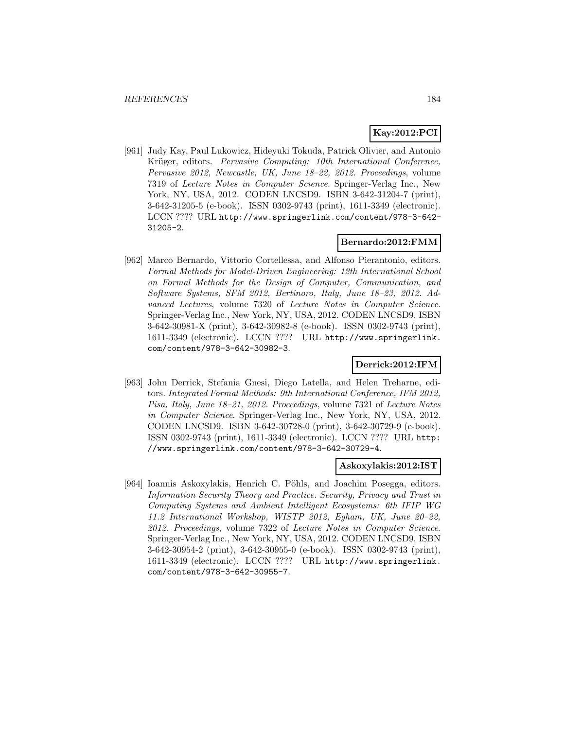# **Kay:2012:PCI**

[961] Judy Kay, Paul Lukowicz, Hideyuki Tokuda, Patrick Olivier, and Antonio Krüger, editors. Pervasive Computing: 10th International Conference, Pervasive 2012, Newcastle, UK, June 18–22, 2012. Proceedings, volume 7319 of Lecture Notes in Computer Science. Springer-Verlag Inc., New York, NY, USA, 2012. CODEN LNCSD9. ISBN 3-642-31204-7 (print), 3-642-31205-5 (e-book). ISSN 0302-9743 (print), 1611-3349 (electronic). LCCN ???? URL http://www.springerlink.com/content/978-3-642- 31205-2.

# **Bernardo:2012:FMM**

[962] Marco Bernardo, Vittorio Cortellessa, and Alfonso Pierantonio, editors. Formal Methods for Model-Driven Engineering: 12th International School on Formal Methods for the Design of Computer, Communication, and Software Systems, SFM 2012, Bertinoro, Italy, June 18–23, 2012. Advanced Lectures, volume 7320 of Lecture Notes in Computer Science. Springer-Verlag Inc., New York, NY, USA, 2012. CODEN LNCSD9. ISBN 3-642-30981-X (print), 3-642-30982-8 (e-book). ISSN 0302-9743 (print), 1611-3349 (electronic). LCCN ???? URL http://www.springerlink. com/content/978-3-642-30982-3.

# **Derrick:2012:IFM**

[963] John Derrick, Stefania Gnesi, Diego Latella, and Helen Treharne, editors. Integrated Formal Methods: 9th International Conference, IFM 2012, Pisa, Italy, June 18–21, 2012. Proceedings, volume 7321 of Lecture Notes in Computer Science. Springer-Verlag Inc., New York, NY, USA, 2012. CODEN LNCSD9. ISBN 3-642-30728-0 (print), 3-642-30729-9 (e-book). ISSN 0302-9743 (print), 1611-3349 (electronic). LCCN ???? URL http: //www.springerlink.com/content/978-3-642-30729-4.

# **Askoxylakis:2012:IST**

[964] Ioannis Askoxylakis, Henrich C. Pöhls, and Joachim Posegga, editors. Information Security Theory and Practice. Security, Privacy and Trust in Computing Systems and Ambient Intelligent Ecosystems: 6th IFIP WG 11.2 International Workshop, WISTP 2012, Egham, UK, June 20–22, 2012. Proceedings, volume 7322 of Lecture Notes in Computer Science. Springer-Verlag Inc., New York, NY, USA, 2012. CODEN LNCSD9. ISBN 3-642-30954-2 (print), 3-642-30955-0 (e-book). ISSN 0302-9743 (print), 1611-3349 (electronic). LCCN ???? URL http://www.springerlink. com/content/978-3-642-30955-7.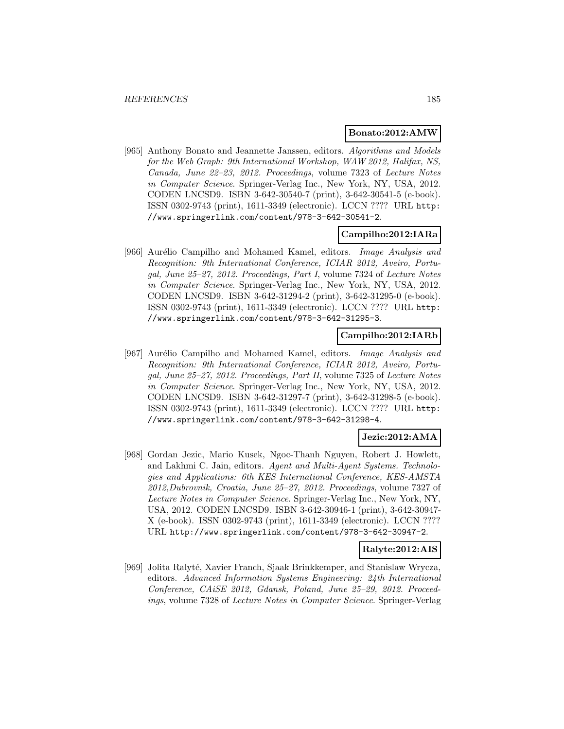#### **Bonato:2012:AMW**

[965] Anthony Bonato and Jeannette Janssen, editors. Algorithms and Models for the Web Graph: 9th International Workshop, WAW 2012, Halifax, NS, Canada, June 22–23, 2012. Proceedings, volume 7323 of Lecture Notes in Computer Science. Springer-Verlag Inc., New York, NY, USA, 2012. CODEN LNCSD9. ISBN 3-642-30540-7 (print), 3-642-30541-5 (e-book). ISSN 0302-9743 (print), 1611-3349 (electronic). LCCN ???? URL http: //www.springerlink.com/content/978-3-642-30541-2.

#### **Campilho:2012:IARa**

[966] Aurélio Campilho and Mohamed Kamel, editors. *Image Analysis and* Recognition: 9th International Conference, ICIAR 2012, Aveiro, Portugal, June 25–27, 2012. Proceedings, Part I, volume 7324 of Lecture Notes in Computer Science. Springer-Verlag Inc., New York, NY, USA, 2012. CODEN LNCSD9. ISBN 3-642-31294-2 (print), 3-642-31295-0 (e-book). ISSN 0302-9743 (print), 1611-3349 (electronic). LCCN ???? URL http: //www.springerlink.com/content/978-3-642-31295-3.

## **Campilho:2012:IARb**

[967] Aurélio Campilho and Mohamed Kamel, editors. Image Analysis and Recognition: 9th International Conference, ICIAR 2012, Aveiro, Portugal, June 25–27, 2012. Proceedings, Part II, volume 7325 of Lecture Notes in Computer Science. Springer-Verlag Inc., New York, NY, USA, 2012. CODEN LNCSD9. ISBN 3-642-31297-7 (print), 3-642-31298-5 (e-book). ISSN 0302-9743 (print), 1611-3349 (electronic). LCCN ???? URL http: //www.springerlink.com/content/978-3-642-31298-4.

# **Jezic:2012:AMA**

[968] Gordan Jezic, Mario Kusek, Ngoc-Thanh Nguyen, Robert J. Howlett, and Lakhmi C. Jain, editors. Agent and Multi-Agent Systems. Technologies and Applications: 6th KES International Conference, KES-AMSTA 2012,Dubrovnik, Croatia, June 25–27, 2012. Proceedings, volume 7327 of Lecture Notes in Computer Science. Springer-Verlag Inc., New York, NY, USA, 2012. CODEN LNCSD9. ISBN 3-642-30946-1 (print), 3-642-30947- X (e-book). ISSN 0302-9743 (print), 1611-3349 (electronic). LCCN ???? URL http://www.springerlink.com/content/978-3-642-30947-2.

## **Ralyte:2012:AIS**

[969] Jolita Ralyté, Xavier Franch, Sjaak Brinkkemper, and Stanislaw Wrycza, editors. Advanced Information Systems Engineering: 24th International Conference, CAiSE 2012, Gdansk, Poland, June 25–29, 2012. Proceedings, volume 7328 of Lecture Notes in Computer Science. Springer-Verlag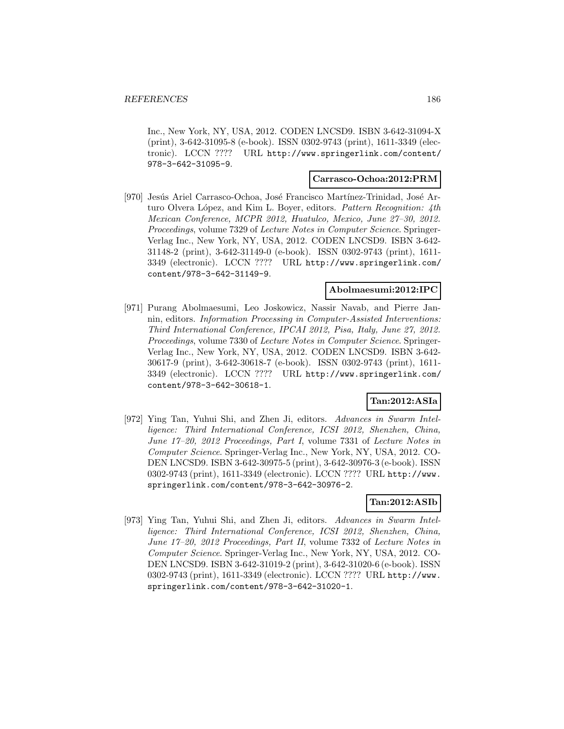Inc., New York, NY, USA, 2012. CODEN LNCSD9. ISBN 3-642-31094-X (print), 3-642-31095-8 (e-book). ISSN 0302-9743 (print), 1611-3349 (electronic). LCCN ???? URL http://www.springerlink.com/content/ 978-3-642-31095-9.

#### **Carrasco-Ochoa:2012:PRM**

[970] Jesús Ariel Carrasco-Ochoa, José Francisco Martínez-Trinidad, José Arturo Olvera López, and Kim L. Boyer, editors. Pattern Recognition: 4th Mexican Conference, MCPR 2012, Huatulco, Mexico, June 27–30, 2012. Proceedings, volume 7329 of Lecture Notes in Computer Science. Springer-Verlag Inc., New York, NY, USA, 2012. CODEN LNCSD9. ISBN 3-642- 31148-2 (print), 3-642-31149-0 (e-book). ISSN 0302-9743 (print), 1611- 3349 (electronic). LCCN ???? URL http://www.springerlink.com/ content/978-3-642-31149-9.

## **Abolmaesumi:2012:IPC**

[971] Purang Abolmaesumi, Leo Joskowicz, Nassir Navab, and Pierre Jannin, editors. Information Processing in Computer-Assisted Interventions: Third International Conference, IPCAI 2012, Pisa, Italy, June 27, 2012. Proceedings, volume 7330 of Lecture Notes in Computer Science. Springer-Verlag Inc., New York, NY, USA, 2012. CODEN LNCSD9. ISBN 3-642- 30617-9 (print), 3-642-30618-7 (e-book). ISSN 0302-9743 (print), 1611- 3349 (electronic). LCCN ???? URL http://www.springerlink.com/ content/978-3-642-30618-1.

# **Tan:2012:ASIa**

[972] Ying Tan, Yuhui Shi, and Zhen Ji, editors. Advances in Swarm Intelligence: Third International Conference, ICSI 2012, Shenzhen, China, June 17–20, 2012 Proceedings, Part I, volume 7331 of Lecture Notes in Computer Science. Springer-Verlag Inc., New York, NY, USA, 2012. CO-DEN LNCSD9. ISBN 3-642-30975-5 (print), 3-642-30976-3 (e-book). ISSN 0302-9743 (print), 1611-3349 (electronic). LCCN ???? URL http://www. springerlink.com/content/978-3-642-30976-2.

#### **Tan:2012:ASIb**

[973] Ying Tan, Yuhui Shi, and Zhen Ji, editors. Advances in Swarm Intelligence: Third International Conference, ICSI 2012, Shenzhen, China, June 17–20, 2012 Proceedings, Part II, volume 7332 of Lecture Notes in Computer Science. Springer-Verlag Inc., New York, NY, USA, 2012. CO-DEN LNCSD9. ISBN 3-642-31019-2 (print), 3-642-31020-6 (e-book). ISSN 0302-9743 (print), 1611-3349 (electronic). LCCN ???? URL http://www. springerlink.com/content/978-3-642-31020-1.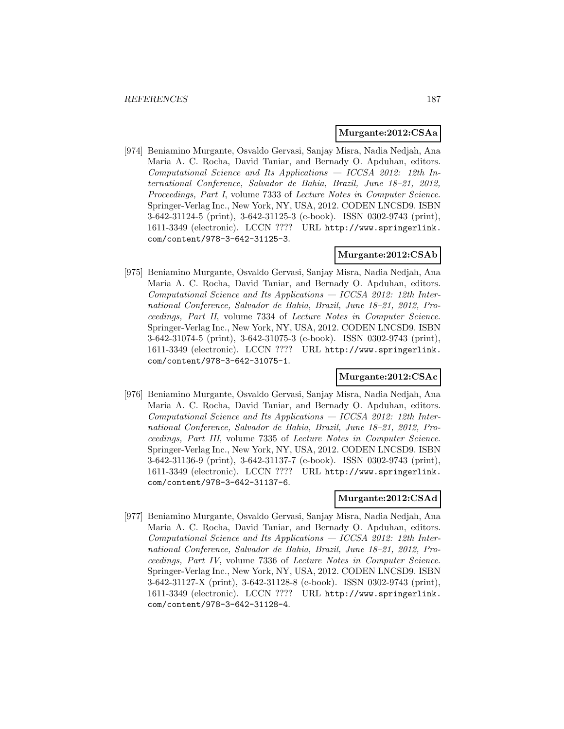#### **Murgante:2012:CSAa**

[974] Beniamino Murgante, Osvaldo Gervasi, Sanjay Misra, Nadia Nedjah, Ana Maria A. C. Rocha, David Taniar, and Bernady O. Apduhan, editors. Computational Science and Its Applications — ICCSA 2012: 12th International Conference, Salvador de Bahia, Brazil, June 18–21, 2012, Proceedings, Part I, volume 7333 of Lecture Notes in Computer Science. Springer-Verlag Inc., New York, NY, USA, 2012. CODEN LNCSD9. ISBN 3-642-31124-5 (print), 3-642-31125-3 (e-book). ISSN 0302-9743 (print), 1611-3349 (electronic). LCCN ???? URL http://www.springerlink. com/content/978-3-642-31125-3.

## **Murgante:2012:CSAb**

[975] Beniamino Murgante, Osvaldo Gervasi, Sanjay Misra, Nadia Nedjah, Ana Maria A. C. Rocha, David Taniar, and Bernady O. Apduhan, editors.  $Computational Science and Its Applications - ICCSA 2012: 12th Inter$ national Conference, Salvador de Bahia, Brazil, June 18–21, 2012, Proceedings, Part II, volume 7334 of Lecture Notes in Computer Science. Springer-Verlag Inc., New York, NY, USA, 2012. CODEN LNCSD9. ISBN 3-642-31074-5 (print), 3-642-31075-3 (e-book). ISSN 0302-9743 (print), 1611-3349 (electronic). LCCN ???? URL http://www.springerlink. com/content/978-3-642-31075-1.

#### **Murgante:2012:CSAc**

[976] Beniamino Murgante, Osvaldo Gervasi, Sanjay Misra, Nadia Nedjah, Ana Maria A. C. Rocha, David Taniar, and Bernady O. Apduhan, editors.  $Computational Science and Its Applications - ICCSA 2012: 12th Inter$ national Conference, Salvador de Bahia, Brazil, June 18–21, 2012, Proceedings, Part III, volume 7335 of Lecture Notes in Computer Science. Springer-Verlag Inc., New York, NY, USA, 2012. CODEN LNCSD9. ISBN 3-642-31136-9 (print), 3-642-31137-7 (e-book). ISSN 0302-9743 (print), 1611-3349 (electronic). LCCN ???? URL http://www.springerlink. com/content/978-3-642-31137-6.

### **Murgante:2012:CSAd**

[977] Beniamino Murgante, Osvaldo Gervasi, Sanjay Misra, Nadia Nedjah, Ana Maria A. C. Rocha, David Taniar, and Bernady O. Apduhan, editors.  $Computational Science and Its Applications - ICCSA 2012: 12th Inter$ national Conference, Salvador de Bahia, Brazil, June 18–21, 2012, Proceedings, Part IV, volume 7336 of Lecture Notes in Computer Science. Springer-Verlag Inc., New York, NY, USA, 2012. CODEN LNCSD9. ISBN 3-642-31127-X (print), 3-642-31128-8 (e-book). ISSN 0302-9743 (print), 1611-3349 (electronic). LCCN ???? URL http://www.springerlink. com/content/978-3-642-31128-4.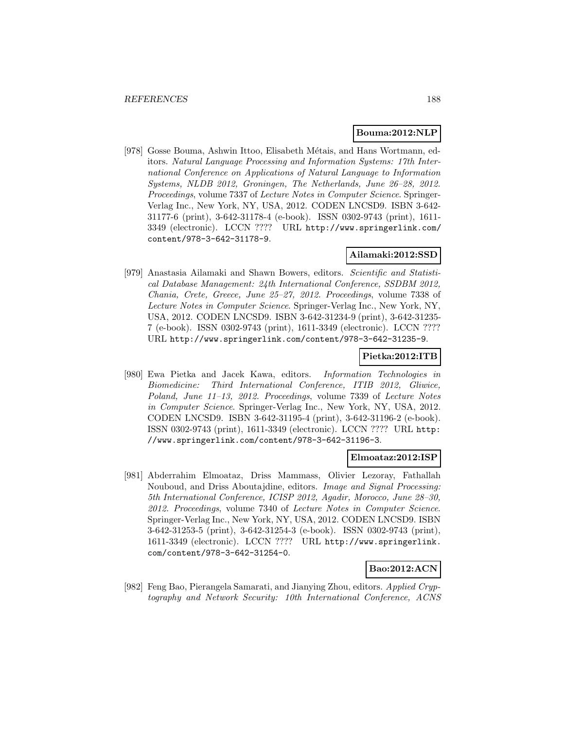#### **Bouma:2012:NLP**

[978] Gosse Bouma, Ashwin Ittoo, Elisabeth Métais, and Hans Wortmann, editors. Natural Language Processing and Information Systems: 17th International Conference on Applications of Natural Language to Information Systems, NLDB 2012, Groningen, The Netherlands, June 26–28, 2012. Proceedings, volume 7337 of Lecture Notes in Computer Science. Springer-Verlag Inc., New York, NY, USA, 2012. CODEN LNCSD9. ISBN 3-642- 31177-6 (print), 3-642-31178-4 (e-book). ISSN 0302-9743 (print), 1611- 3349 (electronic). LCCN ???? URL http://www.springerlink.com/ content/978-3-642-31178-9.

#### **Ailamaki:2012:SSD**

[979] Anastasia Ailamaki and Shawn Bowers, editors. Scientific and Statistical Database Management: 24th International Conference, SSDBM 2012, Chania, Crete, Greece, June 25–27, 2012. Proceedings, volume 7338 of Lecture Notes in Computer Science. Springer-Verlag Inc., New York, NY, USA, 2012. CODEN LNCSD9. ISBN 3-642-31234-9 (print), 3-642-31235- 7 (e-book). ISSN 0302-9743 (print), 1611-3349 (electronic). LCCN ???? URL http://www.springerlink.com/content/978-3-642-31235-9.

## **Pietka:2012:ITB**

[980] Ewa Pietka and Jacek Kawa, editors. Information Technologies in Biomedicine: Third International Conference, ITIB 2012, Gliwice, Poland, June 11–13, 2012. Proceedings, volume 7339 of Lecture Notes in Computer Science. Springer-Verlag Inc., New York, NY, USA, 2012. CODEN LNCSD9. ISBN 3-642-31195-4 (print), 3-642-31196-2 (e-book). ISSN 0302-9743 (print), 1611-3349 (electronic). LCCN ???? URL http: //www.springerlink.com/content/978-3-642-31196-3.

## **Elmoataz:2012:ISP**

[981] Abderrahim Elmoataz, Driss Mammass, Olivier Lezoray, Fathallah Nouboud, and Driss Aboutajdine, editors. Image and Signal Processing: 5th International Conference, ICISP 2012, Agadir, Morocco, June 28–30, 2012. Proceedings, volume 7340 of Lecture Notes in Computer Science. Springer-Verlag Inc., New York, NY, USA, 2012. CODEN LNCSD9. ISBN 3-642-31253-5 (print), 3-642-31254-3 (e-book). ISSN 0302-9743 (print), 1611-3349 (electronic). LCCN ???? URL http://www.springerlink. com/content/978-3-642-31254-0.

#### **Bao:2012:ACN**

[982] Feng Bao, Pierangela Samarati, and Jianying Zhou, editors. Applied Cryptography and Network Security: 10th International Conference, ACNS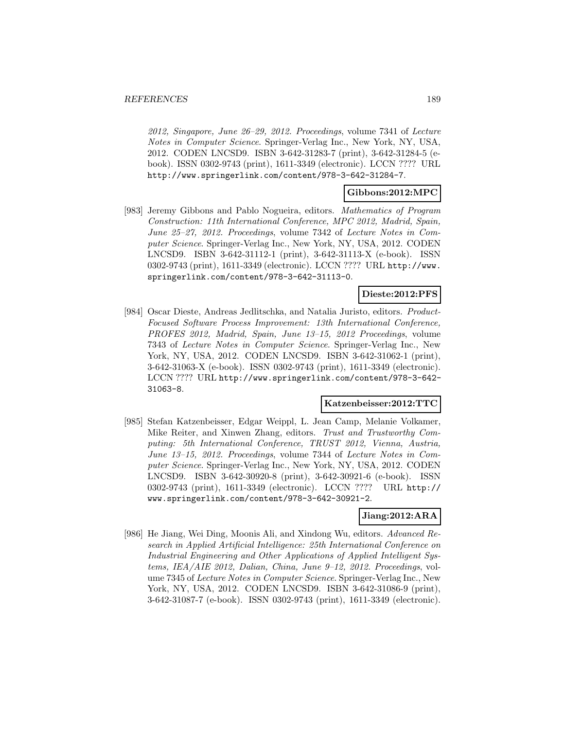2012, Singapore, June 26–29, 2012. Proceedings, volume 7341 of Lecture Notes in Computer Science. Springer-Verlag Inc., New York, NY, USA, 2012. CODEN LNCSD9. ISBN 3-642-31283-7 (print), 3-642-31284-5 (ebook). ISSN 0302-9743 (print), 1611-3349 (electronic). LCCN ???? URL http://www.springerlink.com/content/978-3-642-31284-7.

# **Gibbons:2012:MPC**

[983] Jeremy Gibbons and Pablo Nogueira, editors. Mathematics of Program Construction: 11th International Conference, MPC 2012, Madrid, Spain, June 25–27, 2012. Proceedings, volume 7342 of Lecture Notes in Computer Science. Springer-Verlag Inc., New York, NY, USA, 2012. CODEN LNCSD9. ISBN 3-642-31112-1 (print), 3-642-31113-X (e-book). ISSN 0302-9743 (print), 1611-3349 (electronic). LCCN ???? URL http://www. springerlink.com/content/978-3-642-31113-0.

# **Dieste:2012:PFS**

[984] Oscar Dieste, Andreas Jedlitschka, and Natalia Juristo, editors. Product-Focused Software Process Improvement: 13th International Conference, PROFES 2012, Madrid, Spain, June 13–15, 2012 Proceedings, volume 7343 of Lecture Notes in Computer Science. Springer-Verlag Inc., New York, NY, USA, 2012. CODEN LNCSD9. ISBN 3-642-31062-1 (print), 3-642-31063-X (e-book). ISSN 0302-9743 (print), 1611-3349 (electronic). LCCN ???? URL http://www.springerlink.com/content/978-3-642- 31063-8.

#### **Katzenbeisser:2012:TTC**

[985] Stefan Katzenbeisser, Edgar Weippl, L. Jean Camp, Melanie Volkamer, Mike Reiter, and Xinwen Zhang, editors. Trust and Trustworthy Computing: 5th International Conference, TRUST 2012, Vienna, Austria, June 13–15, 2012. Proceedings, volume 7344 of Lecture Notes in Computer Science. Springer-Verlag Inc., New York, NY, USA, 2012. CODEN LNCSD9. ISBN 3-642-30920-8 (print), 3-642-30921-6 (e-book). ISSN 0302-9743 (print), 1611-3349 (electronic). LCCN ???? URL http:// www.springerlink.com/content/978-3-642-30921-2.

# **Jiang:2012:ARA**

[986] He Jiang, Wei Ding, Moonis Ali, and Xindong Wu, editors. Advanced Research in Applied Artificial Intelligence: 25th International Conference on Industrial Engineering and Other Applications of Applied Intelligent Systems, IEA/AIE 2012, Dalian, China, June 9–12, 2012. Proceedings, volume 7345 of Lecture Notes in Computer Science. Springer-Verlag Inc., New York, NY, USA, 2012. CODEN LNCSD9. ISBN 3-642-31086-9 (print), 3-642-31087-7 (e-book). ISSN 0302-9743 (print), 1611-3349 (electronic).